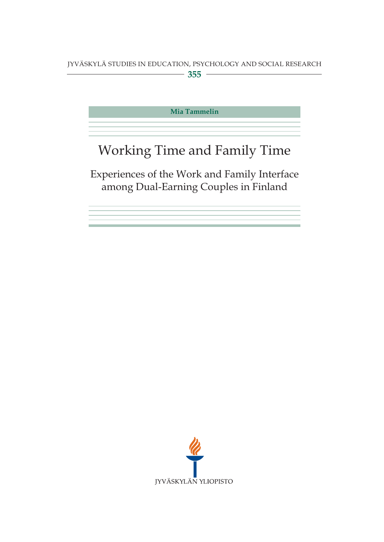**Mia Tammelin**

## Working Time and Family Time

Experiences of the Work and Family Interface among Dual-Earning Couples in Finland

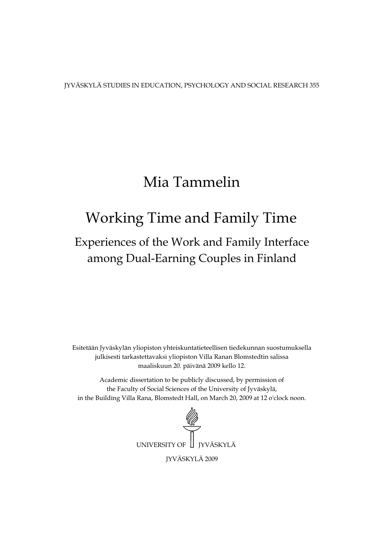JYVÄSKYLÄ STUDIES IN EDUCATION, PSYCHOLOGY AND SOCIAL RESEARCH 355

## Mia Tammelin

## Working Time and Family Time

## among Dual-Earning Couples in Finland Experiences of the Work and Family Interface

Esitetään Jyväskylän yliopiston yhteiskuntatieteellisen tiedekunnan suostumuksella julkisesti tarkastettavaksi yliopiston Villa Ranan Blomstedtin salissa maaliskuun 20. päivänä 2009 kello 12.

Academic dissertation to be publicly discussed, by permission of the Faculty of Social Sciences of the University of Jyväskylä, in the Building Villa Rana, Blomstedt Hall, on March 20, 2009 at 12 o'clock noon.

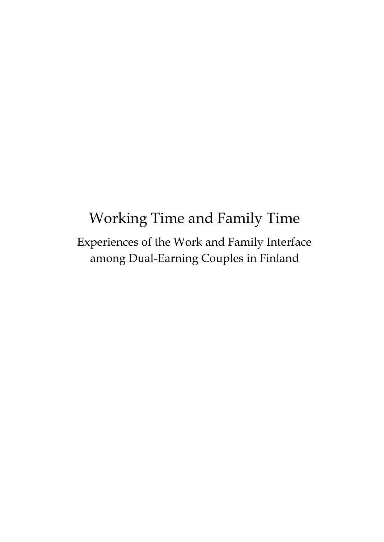# Working Time and Family Time Experiences of the Work and Family Interface among Dual-Earning Couples in Finland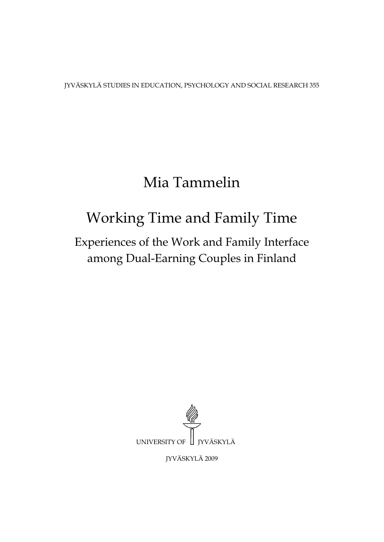JYVÄSKYLÄ STUDIES IN EDUCATION, PSYCHOLOGY AND SOCIAL RESEARCH 355

## Mia Tammelin

# Working Time and Family Time

## Experiences of the Work and Family Interface among Dual-Earning Couples in Finland



JYVÄSKYLÄ 2009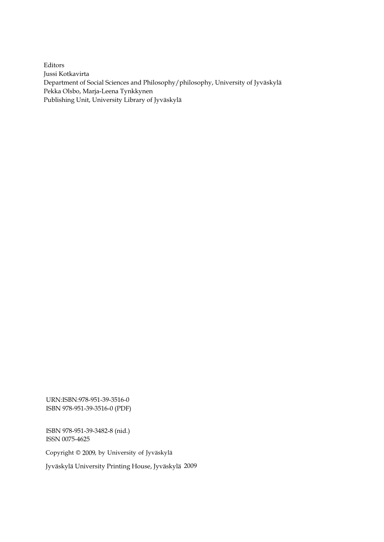Editors Jussi Kotkavirta Department of Social Sciences and Philosophy/philosophy, University of Jyväskylä Pekka Olsbo, Marja-Leena Tynkkynen Publishing Unit, University Library of Jyväskylä

URN:ISBN:978-951-39-3516-0 ISBN 978-951-39-3516-0 (PDF)

ISBN 978-951-39-3482-8 (nid.) ISSN 0075-4625

Copyright © 2009, by University of Jyväskylä

Jyväskylä University Printing House, Jyväskylä 2009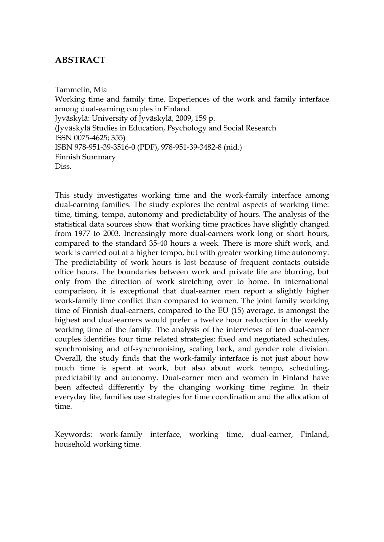### **ABSTRACT**

Tammelin, Mia Working time and family time. Experiences of the work and family interface among dual-earning couples in Finland. Jyväskylä: University of Jyväskylä, 2009, 159 p. (Jyväskylä Studies in Education, Psychology and Social Research ISSN 0075-4625; 355) ISBN 978-951-39-3516-0 (PDF), 978-951-39-3482-8 (nid.) Finnish Summary Diss.

This study investigates working time and the work-family interface among dual-earning families. The study explores the central aspects of working time: time, timing, tempo, autonomy and predictability of hours. The analysis of the statistical data sources show that working time practices have slightly changed from 1977 to 2003. Increasingly more dual-earners work long or short hours, compared to the standard 35-40 hours a week. There is more shift work, and work is carried out at a higher tempo, but with greater working time autonomy. The predictability of work hours is lost because of frequent contacts outside office hours. The boundaries between work and private life are blurring, but only from the direction of work stretching over to home. In international comparison, it is exceptional that dual-earner men report a slightly higher work-family time conflict than compared to women. The joint family working time of Finnish dual-earners, compared to the EU (15) average, is amongst the highest and dual-earners would prefer a twelve hour reduction in the weekly working time of the family. The analysis of the interviews of ten dual-earner couples identifies four time related strategies: fixed and negotiated schedules, synchronising and off-synchronising, scaling back, and gender role division. Overall, the study finds that the work-family interface is not just about how much time is spent at work, but also about work tempo, scheduling, predictability and autonomy. Dual-earner men and women in Finland have been affected differently by the changing working time regime. In their everyday life, families use strategies for time coordination and the allocation of time.

Keywords: work-family interface, working time, dual-earner, Finland, household working time.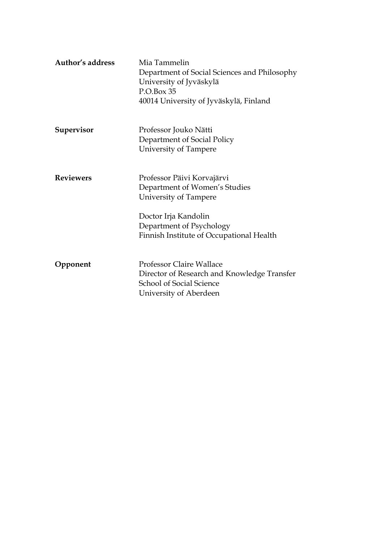| Author's address | Mia Tammelin<br>Department of Social Sciences and Philosophy<br>University of Jyväskylä<br>P.O.Box 35<br>40014 University of Jyväskylä, Finland |
|------------------|-------------------------------------------------------------------------------------------------------------------------------------------------|
| Supervisor       | Professor Jouko Nätti<br>Department of Social Policy<br>University of Tampere                                                                   |
| <b>Reviewers</b> | Professor Päivi Korvajärvi<br>Department of Women's Studies<br>University of Tampere<br>Doctor Irja Kandolin<br>Department of Psychology        |
|                  | Finnish Institute of Occupational Health                                                                                                        |
| Opponent         | <b>Professor Claire Wallace</b><br>Director of Research and Knowledge Transfer<br><b>School of Social Science</b><br>University of Aberdeen     |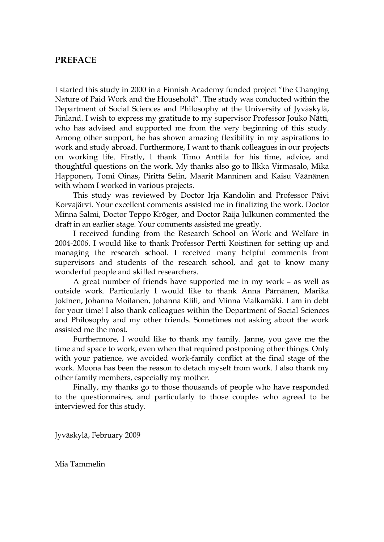#### **PREFACE**

I started this study in 2000 in a Finnish Academy funded project "the Changing Nature of Paid Work and the Household". The study was conducted within the Department of Social Sciences and Philosophy at the University of Jyväskylä, Finland. I wish to express my gratitude to my supervisor Professor Jouko Nätti, who has advised and supported me from the very beginning of this study. Among other support, he has shown amazing flexibility in my aspirations to work and study abroad. Furthermore, I want to thank colleagues in our projects on working life. Firstly, I thank Timo Anttila for his time, advice, and thoughtful questions on the work. My thanks also go to Ilkka Virmasalo, Mika Happonen, Tomi Oinas, Piritta Selin, Maarit Manninen and Kaisu Väänänen with whom I worked in various projects.

This study was reviewed by Doctor Irja Kandolin and Professor Päivi Korvajärvi. Your excellent comments assisted me in finalizing the work. Doctor Minna Salmi, Doctor Teppo Kröger, and Doctor Raija Julkunen commented the draft in an earlier stage. Your comments assisted me greatly.

I received funding from the Research School on Work and Welfare in 2004-2006. I would like to thank Professor Pertti Koistinen for setting up and managing the research school. I received many helpful comments from supervisors and students of the research school, and got to know many wonderful people and skilled researchers.

A great number of friends have supported me in my work – as well as outside work. Particularly I would like to thank Anna Pärnänen, Marika Jokinen, Johanna Moilanen, Johanna Kiili, and Minna Malkamäki. I am in debt for your time! I also thank colleagues within the Department of Social Sciences and Philosophy and my other friends. Sometimes not asking about the work assisted me the most.

Furthermore, I would like to thank my family. Janne, you gave me the time and space to work, even when that required postponing other things. Only with your patience, we avoided work-family conflict at the final stage of the work. Moona has been the reason to detach myself from work. I also thank my other family members, especially my mother.

Finally, my thanks go to those thousands of people who have responded to the questionnaires, and particularly to those couples who agreed to be interviewed for this study.

Jyväskylä, February 2009

Mia Tammelin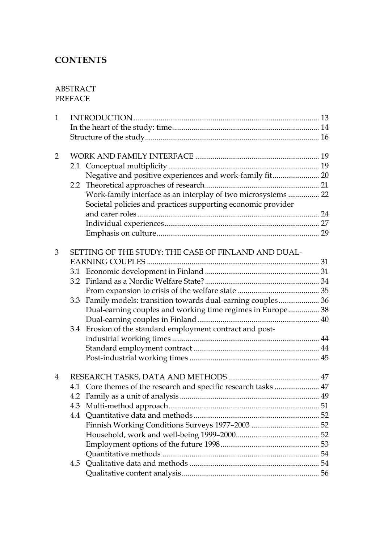## **CONTENTS**

#### ABSTRACT PREFACE

| 4.3 |     |                                                                                                                                                                                                                                                                                                                                                                                                                                                                                                                |
|-----|-----|----------------------------------------------------------------------------------------------------------------------------------------------------------------------------------------------------------------------------------------------------------------------------------------------------------------------------------------------------------------------------------------------------------------------------------------------------------------------------------------------------------------|
|     |     |                                                                                                                                                                                                                                                                                                                                                                                                                                                                                                                |
|     |     |                                                                                                                                                                                                                                                                                                                                                                                                                                                                                                                |
|     |     |                                                                                                                                                                                                                                                                                                                                                                                                                                                                                                                |
|     |     |                                                                                                                                                                                                                                                                                                                                                                                                                                                                                                                |
|     |     |                                                                                                                                                                                                                                                                                                                                                                                                                                                                                                                |
|     |     |                                                                                                                                                                                                                                                                                                                                                                                                                                                                                                                |
|     |     |                                                                                                                                                                                                                                                                                                                                                                                                                                                                                                                |
|     | 3.3 | Negative and positive experiences and work-family fit 20<br>Work-family interface as an interplay of two microsystems  22<br>Societal policies and practices supporting economic provider<br>SETTING OF THE STUDY: THE CASE OF FINLAND AND DUAL-<br>Family models: transition towards dual-earning couples 36<br>Dual-earning couples and working time regimes in Europe 38<br>Erosion of the standard employment contract and post-<br>3.4<br>4.1 Core themes of the research and specific research tasks  47 |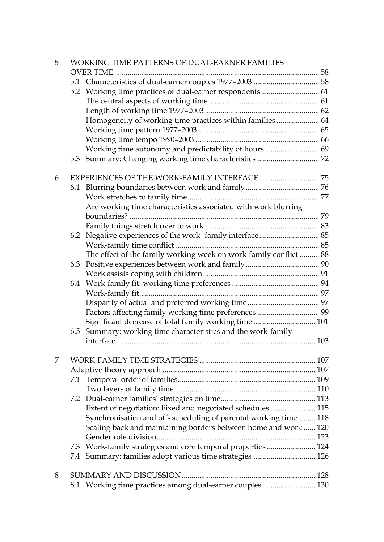| 5 |     | WORKING TIME PATTERNS OF DUAL-EARNER FAMILIES                     |  |
|---|-----|-------------------------------------------------------------------|--|
|   |     |                                                                   |  |
|   |     |                                                                   |  |
|   |     |                                                                   |  |
|   |     |                                                                   |  |
|   |     |                                                                   |  |
|   |     | Homogeneity of working time practices within families  64         |  |
|   |     |                                                                   |  |
|   |     |                                                                   |  |
|   |     | Working time autonomy and predictability of hours 69              |  |
|   | 5.3 | Summary: Changing working time characteristics  72                |  |
| 6 |     |                                                                   |  |
|   |     |                                                                   |  |
|   |     |                                                                   |  |
|   |     | Are working time characteristics associated with work blurring    |  |
|   |     |                                                                   |  |
|   |     |                                                                   |  |
|   |     |                                                                   |  |
|   |     |                                                                   |  |
|   |     | The effect of the family working week on work-family conflict  88 |  |
|   | 6.3 |                                                                   |  |
|   |     |                                                                   |  |
|   |     |                                                                   |  |
|   |     |                                                                   |  |
|   |     |                                                                   |  |
|   |     |                                                                   |  |
|   |     | Significant decrease of total family working time 101             |  |
|   | 6.5 | Summary: working time characteristics and the work-family         |  |
|   |     |                                                                   |  |
| 7 |     |                                                                   |  |
|   |     |                                                                   |  |
|   |     |                                                                   |  |
|   |     |                                                                   |  |
|   |     |                                                                   |  |
|   |     | Extent of negotiation: Fixed and negotiated schedules  115        |  |
|   |     | Synchronisation and off-scheduling of parental working time 118   |  |
|   |     | Scaling back and maintaining borders between home and work  120   |  |
|   |     |                                                                   |  |
|   |     | 7.3 Work-family strategies and core temporal properties  124      |  |
|   | 7.4 | Summary: families adopt various time strategies  126              |  |
|   |     |                                                                   |  |
| 8 |     |                                                                   |  |
|   |     | 8.1 Working time practices among dual-earner couples  130         |  |
|   |     |                                                                   |  |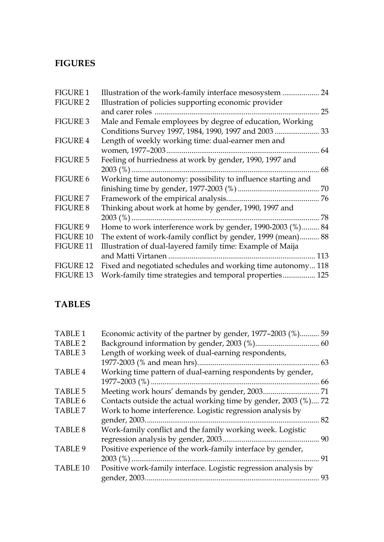## **FIGURES**

| <b>FIGURE 1</b>  | Illustration of the work-family interface mesosystem         | 24  |
|------------------|--------------------------------------------------------------|-----|
| <b>FIGURE 2</b>  | Illustration of policies supporting economic provider        |     |
|                  | and carer roles                                              | 25  |
| <b>FIGURE 3</b>  | Male and Female employees by degree of education, Working    |     |
|                  | Conditions Survey 1997, 1984, 1990, 1997 and 2003  33        |     |
| <b>FIGURE 4</b>  | Length of weekly working time: dual-earner men and           |     |
|                  |                                                              | 64  |
| <b>FIGURE 5</b>  | Feeling of hurriedness at work by gender, 1990, 1997 and     |     |
|                  |                                                              | 68  |
| <b>FIGURE 6</b>  | Working time autonomy: possibility to influence starting and |     |
|                  |                                                              |     |
| <b>FIGURE 7</b>  |                                                              |     |
| <b>FIGURE 8</b>  | Thinking about work at home by gender, 1990, 1997 and        |     |
|                  | $2003\binom{9}{6}$                                           | 78  |
| <b>FIGURE 9</b>  | Home to work interference work by gender, 1990-2003 (%) 84   |     |
| <b>FIGURE 10</b> | The extent of work-family conflict by gender, 1999 (mean) 88 |     |
| <b>FIGURE 11</b> | Illustration of dual-layered family time: Example of Maija   |     |
|                  |                                                              | 113 |
| <b>FIGURE 12</b> | Fixed and negotiated schedules and working time autonomy 118 |     |
| FIGURE 13        | Work-family time strategies and temporal properties 125      |     |

## **TABLES**

| <b>TABLE 1</b>      | Economic activity of the partner by gender, 1977–2003 (%) 59    |    |
|---------------------|-----------------------------------------------------------------|----|
| TABLE <sub>2</sub>  |                                                                 |    |
| TABLE 3             | Length of working week of dual-earning respondents,             |    |
|                     |                                                                 | 63 |
| TABLE 4             | Working time pattern of dual-earning respondents by gender,     |    |
|                     |                                                                 |    |
| TABLE 5             |                                                                 |    |
| TABLE 6             | Contacts outside the actual working time by gender, 2003 (%) 72 |    |
| TABLE 7             | Work to home interference. Logistic regression analysis by      |    |
|                     |                                                                 | 82 |
| TABLE 8             | Work-family conflict and the family working week. Logistic      |    |
|                     |                                                                 |    |
| TABLE 9             | Positive experience of the work-family interface by gender,     |    |
|                     |                                                                 | 91 |
| TABLE <sub>10</sub> | Positive work-family interface. Logistic regression analysis by |    |
|                     |                                                                 | 93 |
|                     |                                                                 |    |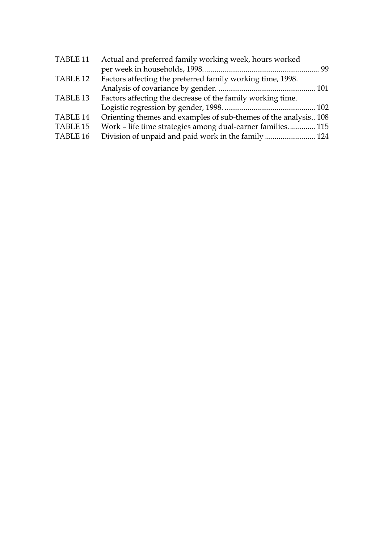| TABLE <sub>11</sub> | Actual and preferred family working week, hours worked          |  |
|---------------------|-----------------------------------------------------------------|--|
|                     |                                                                 |  |
| TABLE <sub>12</sub> | Factors affecting the preferred family working time, 1998.      |  |
|                     |                                                                 |  |
| TABLE <sub>13</sub> | Factors affecting the decrease of the family working time.      |  |
|                     |                                                                 |  |
| TABLE <sub>14</sub> | Orienting themes and examples of sub-themes of the analysis 108 |  |
| TABLE <sub>15</sub> | Work - life time strategies among dual-earner families 115      |  |
| TABLE <sub>16</sub> | Division of unpaid and paid work in the family  124             |  |
|                     |                                                                 |  |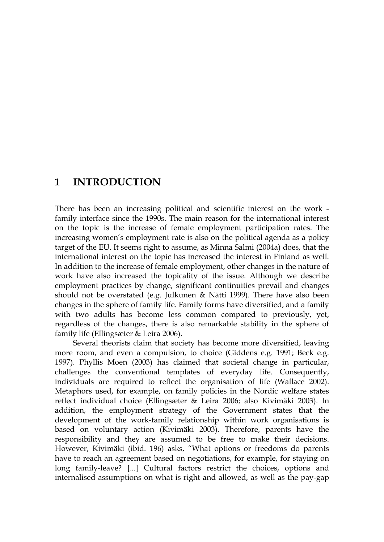### **1 INTRODUCTION**

There has been an increasing political and scientific interest on the work family interface since the 1990s. The main reason for the international interest on the topic is the increase of female employment participation rates. The increasing women's employment rate is also on the political agenda as a policy target of the EU. It seems right to assume, as Minna Salmi (2004a) does, that the international interest on the topic has increased the interest in Finland as well. In addition to the increase of female employment, other changes in the nature of work have also increased the topicality of the issue. Although we describe employment practices by change, significant continuities prevail and changes should not be overstated (e.g. Julkunen & Nätti 1999). There have also been changes in the sphere of family life. Family forms have diversified, and a family with two adults has become less common compared to previously, yet, regardless of the changes, there is also remarkable stability in the sphere of family life (Ellingsæter & Leira 2006).

Several theorists claim that society has become more diversified, leaving more room, and even a compulsion, to choice (Giddens e.g. 1991; Beck e.g. 1997). Phyllis Moen (2003) has claimed that societal change in particular, challenges the conventional templates of everyday life. Consequently, individuals are required to reflect the organisation of life (Wallace 2002). Metaphors used, for example, on family policies in the Nordic welfare states reflect individual choice (Ellingsæter & Leira 2006; also Kivimäki 2003). In addition, the employment strategy of the Government states that the development of the work-family relationship within work organisations is based on voluntary action (Kivimäki 2003). Therefore, parents have the responsibility and they are assumed to be free to make their decisions. However, Kivimäki (ibid. 196) asks, "What options or freedoms do parents have to reach an agreement based on negotiations, for example, for staying on long family-leave? [...] Cultural factors restrict the choices, options and internalised assumptions on what is right and allowed, as well as the pay-gap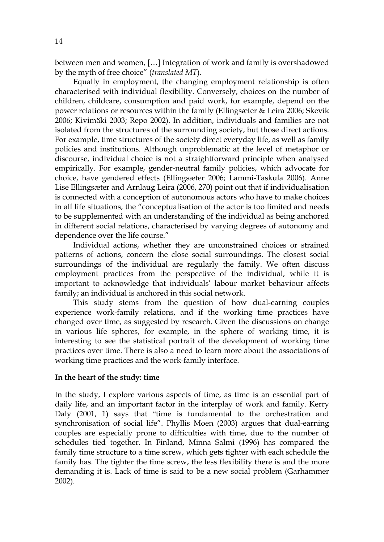between men and women, […] Integration of work and family is overshadowed by the myth of free choice" (*translated MT*).

Equally in employment, the changing employment relationship is often characterised with individual flexibility. Conversely, choices on the number of children, childcare, consumption and paid work, for example, depend on the power relations or resources within the family (Ellingsæter & Leira 2006; Skevik 2006; Kivimäki 2003; Repo 2002). In addition, individuals and families are not isolated from the structures of the surrounding society, but those direct actions. For example, time structures of the society direct everyday life, as well as family policies and institutions. Although unproblematic at the level of metaphor or discourse, individual choice is not a straightforward principle when analysed empirically. For example, gender-neutral family policies, which advocate for choice, have gendered effects (Ellingsæter 2006; Lammi-Taskula 2006). Anne Lise Ellingsæter and Arnlaug Leira (2006, 270) point out that if individualisation is connected with a conception of autonomous actors who have to make choices in all life situations, the "conceptualisation of the actor is too limited and needs to be supplemented with an understanding of the individual as being anchored in different social relations, characterised by varying degrees of autonomy and dependence over the life course."

Individual actions, whether they are unconstrained choices or strained patterns of actions, concern the close social surroundings. The closest social surroundings of the individual are regularly the family. We often discuss employment practices from the perspective of the individual, while it is important to acknowledge that individuals' labour market behaviour affects family; an individual is anchored in this social network.

This study stems from the question of how dual-earning couples experience work-family relations, and if the working time practices have changed over time, as suggested by research. Given the discussions on change in various life spheres, for example, in the sphere of working time, it is interesting to see the statistical portrait of the development of working time practices over time. There is also a need to learn more about the associations of working time practices and the work-family interface.

#### **In the heart of the study: time**

In the study, I explore various aspects of time, as time is an essential part of daily life, and an important factor in the interplay of work and family. Kerry Daly (2001, 1) says that "time is fundamental to the orchestration and synchronisation of social life". Phyllis Moen (2003) argues that dual-earning couples are especially prone to difficulties with time, due to the number of schedules tied together. In Finland, Minna Salmi (1996) has compared the family time structure to a time screw, which gets tighter with each schedule the family has. The tighter the time screw, the less flexibility there is and the more demanding it is. Lack of time is said to be a new social problem (Garhammer 2002).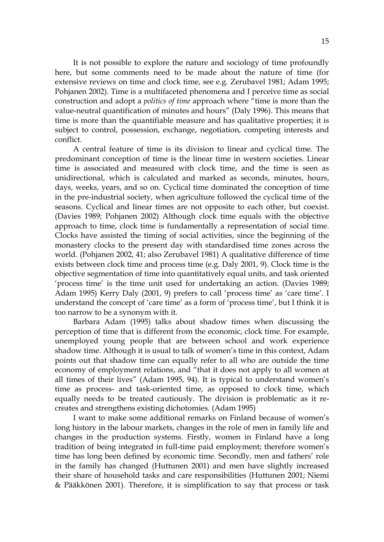It is not possible to explore the nature and sociology of time profoundly here, but some comments need to be made about the nature of time (for extensive reviews on time and clock time, see e.g. Zerubavel 1981; Adam 1995; Pohjanen 2002). Time is a multifaceted phenomena and I perceive time as social construction and adopt a *politics of time* approach where "time is more than the value-neutral quantification of minutes and hours" (Daly 1996). This means that time is more than the quantifiable measure and has qualitative properties; it is subject to control, possession, exchange, negotiation, competing interests and conflict.

A central feature of time is its division to linear and cyclical time. The predominant conception of time is the linear time in western societies. Linear time is associated and measured with clock time, and the time is seen as unidirectional, which is calculated and marked as seconds, minutes, hours, days, weeks, years, and so on. Cyclical time dominated the conception of time in the pre-industrial society, when agriculture followed the cyclical time of the seasons. Cyclical and linear times are not opposite to each other, but coexist. (Davies 1989; Pohjanen 2002) Although clock time equals with the objective approach to time, clock time is fundamentally a representation of social time. Clocks have assisted the timing of social activities, since the beginning of the monastery clocks to the present day with standardised time zones across the world. (Pohjanen 2002, 41; also Zerubavel 1981) A qualitative difference of time exists between clock time and process time (e.g. Daly 2001, 9). Clock time is the objective segmentation of time into quantitatively equal units, and task oriented 'process time' is the time unit used for undertaking an action. (Davies 1989; Adam 1995) Kerry Daly (2001, 9) prefers to call 'process time' as 'care time'. I understand the concept of 'care time' as a form of 'process time', but I think it is too narrow to be a synonym with it.

Barbara Adam (1995) talks about shadow times when discussing the perception of time that is different from the economic, clock time. For example, unemployed young people that are between school and work experience shadow time. Although it is usual to talk of women's time in this context, Adam points out that shadow time can equally refer to all who are outside the time economy of employment relations, and "that it does not apply to all women at all times of their lives" (Adam 1995, 94). It is typical to understand women's time as process- and task-oriented time, as opposed to clock time, which equally needs to be treated cautiously. The division is problematic as it recreates and strengthens existing dichotomies. (Adam 1995)

I want to make some additional remarks on Finland because of women's long history in the labour markets, changes in the role of men in family life and changes in the production systems. Firstly, women in Finland have a long tradition of being integrated in full-time paid employment; therefore women's time has long been defined by economic time. Secondly, men and fathers' role in the family has changed (Huttunen 2001) and men have slightly increased their share of household tasks and care responsibilities (Huttunen 2001; Niemi & Pääkkönen 2001). Therefore, it is simplification to say that process or task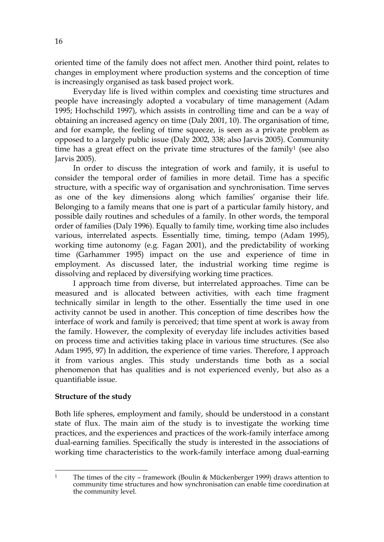oriented time of the family does not affect men. Another third point, relates to changes in employment where production systems and the conception of time is increasingly organised as task based project work.

Everyday life is lived within complex and coexisting time structures and people have increasingly adopted a vocabulary of time management (Adam 1995; Hochschild 1997), which assists in controlling time and can be a way of obtaining an increased agency on time (Daly 2001, 10). The organisation of time, and for example, the feeling of time squeeze, is seen as a private problem as opposed to a largely public issue (Daly 2002, 338; also Jarvis 2005). Community time has a great effect on the private time structures of the family<sup>1</sup> (see also Jarvis 2005).

In order to discuss the integration of work and family, it is useful to consider the temporal order of families in more detail. Time has a specific structure, with a specific way of organisation and synchronisation. Time serves as one of the key dimensions along which families' organise their life. Belonging to a family means that one is part of a particular family history, and possible daily routines and schedules of a family. In other words, the temporal order of families (Daly 1996). Equally to family time, working time also includes various, interrelated aspects. Essentially time, timing, tempo (Adam 1995), working time autonomy (e.g. Fagan 2001), and the predictability of working time (Garhammer 1995) impact on the use and experience of time in employment. As discussed later, the industrial working time regime is dissolving and replaced by diversifying working time practices.

I approach time from diverse, but interrelated approaches. Time can be measured and is allocated between activities, with each time fragment technically similar in length to the other. Essentially the time used in one activity cannot be used in another. This conception of time describes how the interface of work and family is perceived; that time spent at work is away from the family. However, the complexity of everyday life includes activities based on process time and activities taking place in various time structures. (See also Adam 1995, 97) In addition, the experience of time varies. Therefore, I approach it from various angles. This study understands time both as a social phenomenon that has qualities and is not experienced evenly, but also as a quantifiable issue.

#### **Structure of the study**

Both life spheres, employment and family, should be understood in a constant state of flux. The main aim of the study is to investigate the working time practices, and the experiences and practices of the work-family interface among dual-earning families. Specifically the study is interested in the associations of working time characteristics to the work-family interface among dual-earning

<sup>1</sup> 1 The times of the city – framework (Boulin & Mückenberger 1999) draws attention to community time structures and how synchronisation can enable time coordination at the community level.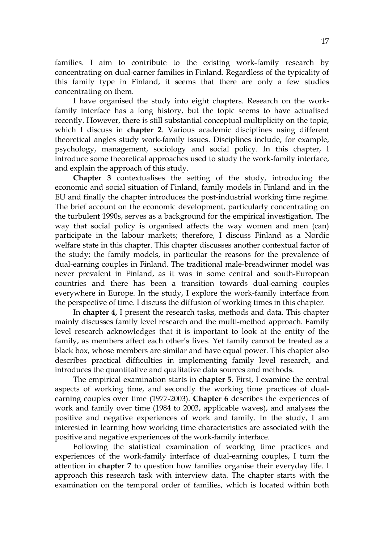families. I aim to contribute to the existing work-family research by concentrating on dual-earner families in Finland. Regardless of the typicality of this family type in Finland, it seems that there are only a few studies concentrating on them.

I have organised the study into eight chapters. Research on the workfamily interface has a long history, but the topic seems to have actualised recently. However, there is still substantial conceptual multiplicity on the topic, which I discuss in **chapter 2**. Various academic disciplines using different theoretical angles study work-family issues. Disciplines include, for example, psychology, management, sociology and social policy. In this chapter, I introduce some theoretical approaches used to study the work-family interface, and explain the approach of this study.

**Chapter 3** contextualises the setting of the study, introducing the economic and social situation of Finland, family models in Finland and in the EU and finally the chapter introduces the post-industrial working time regime. The brief account on the economic development, particularly concentrating on the turbulent 1990s, serves as a background for the empirical investigation. The way that social policy is organised affects the way women and men (can) participate in the labour markets; therefore, I discuss Finland as a Nordic welfare state in this chapter. This chapter discusses another contextual factor of the study; the family models, in particular the reasons for the prevalence of dual-earning couples in Finland. The traditional male-breadwinner model was never prevalent in Finland, as it was in some central and south-European countries and there has been a transition towards dual-earning couples everywhere in Europe. In the study, I explore the work-family interface from the perspective of time. I discuss the diffusion of working times in this chapter.

In **chapter 4,** I present the research tasks, methods and data. This chapter mainly discusses family level research and the multi-method approach. Family level research acknowledges that it is important to look at the entity of the family, as members affect each other's lives. Yet family cannot be treated as a black box, whose members are similar and have equal power. This chapter also describes practical difficulties in implementing family level research, and introduces the quantitative and qualitative data sources and methods.

The empirical examination starts in **chapter 5**. First, I examine the central aspects of working time, and secondly the working time practices of dualearning couples over time (1977-2003). **Chapter 6** describes the experiences of work and family over time (1984 to 2003, applicable waves), and analyses the positive and negative experiences of work and family. In the study, I am interested in learning how working time characteristics are associated with the positive and negative experiences of the work-family interface.

Following the statistical examination of working time practices and experiences of the work-family interface of dual-earning couples, I turn the attention in **chapter 7** to question how families organise their everyday life. I approach this research task with interview data. The chapter starts with the examination on the temporal order of families, which is located within both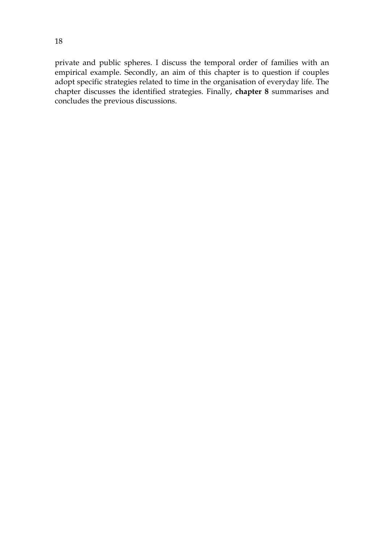private and public spheres. I discuss the temporal order of families with an empirical example. Secondly, an aim of this chapter is to question if couples adopt specific strategies related to time in the organisation of everyday life. The chapter discusses the identified strategies. Finally, **chapter 8** summarises and concludes the previous discussions.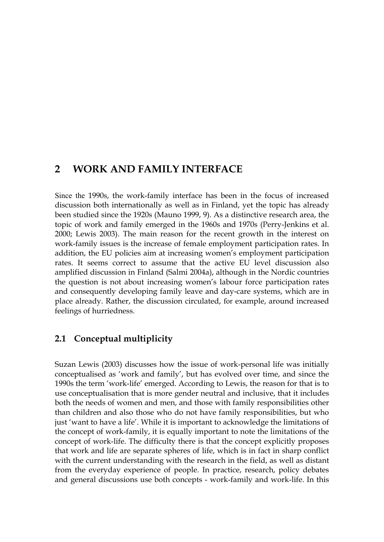### **2 WORK AND FAMILY INTERFACE**

Since the 1990s, the work-family interface has been in the focus of increased discussion both internationally as well as in Finland, yet the topic has already been studied since the 1920s (Mauno 1999, 9). As a distinctive research area, the topic of work and family emerged in the 1960s and 1970s (Perry-Jenkins et al. 2000; Lewis 2003). The main reason for the recent growth in the interest on work-family issues is the increase of female employment participation rates. In addition, the EU policies aim at increasing women's employment participation rates. It seems correct to assume that the active EU level discussion also amplified discussion in Finland (Salmi 2004a), although in the Nordic countries the question is not about increasing women's labour force participation rates and consequently developing family leave and day-care systems, which are in place already. Rather, the discussion circulated, for example, around increased feelings of hurriedness.

### **2.1 Conceptual multiplicity**

Suzan Lewis (2003) discusses how the issue of work-personal life was initially conceptualised as 'work and family', but has evolved over time, and since the 1990s the term 'work-life' emerged. According to Lewis, the reason for that is to use conceptualisation that is more gender neutral and inclusive, that it includes both the needs of women and men, and those with family responsibilities other than children and also those who do not have family responsibilities, but who just 'want to have a life'. While it is important to acknowledge the limitations of the concept of work-family, it is equally important to note the limitations of the concept of work-life. The difficulty there is that the concept explicitly proposes that work and life are separate spheres of life, which is in fact in sharp conflict with the current understanding with the research in the field, as well as distant from the everyday experience of people. In practice, research, policy debates and general discussions use both concepts - work-family and work-life. In this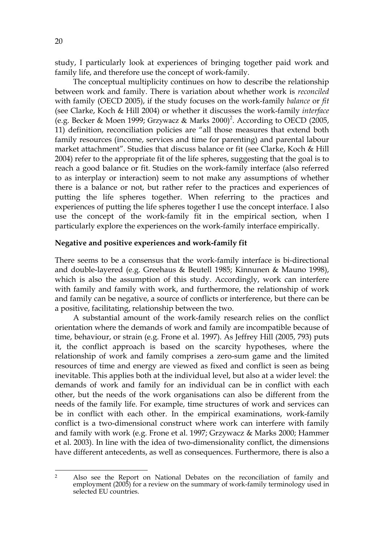study, I particularly look at experiences of bringing together paid work and family life, and therefore use the concept of work-family.

The conceptual multiplicity continues on how to describe the relationship between work and family. There is variation about whether work is *reconciled* with family (OECD 2005), if the study focuses on the work-family *balance* or *fit*  (see Clarke, Koch & Hill 2004) or whether it discusses the work-family *interface*  (e.g. Becker & Moen 1999; Grzywacz & Marks  $2000)^2$ . According to OECD (2005, 11) definition, reconciliation policies are "all those measures that extend both family resources (income, services and time for parenting) and parental labour market attachment". Studies that discuss balance or fit (see Clarke, Koch & Hill 2004) refer to the appropriate fit of the life spheres, suggesting that the goal is to reach a good balance or fit. Studies on the work-family interface (also referred to as interplay or interaction) seem to not make any assumptions of whether there is a balance or not, but rather refer to the practices and experiences of putting the life spheres together. When referring to the practices and experiences of putting the life spheres together I use the concept interface. I also use the concept of the work-family fit in the empirical section, when I particularly explore the experiences on the work-family interface empirically.

#### **Negative and positive experiences and work-family fit**

There seems to be a consensus that the work-family interface is bi-directional and double-layered (e.g. Greehaus & Beutell 1985; Kinnunen & Mauno 1998), which is also the assumption of this study. Accordingly, work can interfere with family and family with work, and furthermore, the relationship of work and family can be negative, a source of conflicts or interference, but there can be a positive, facilitating, relationship between the two.

A substantial amount of the work-family research relies on the conflict orientation where the demands of work and family are incompatible because of time, behaviour, or strain (e.g. Frone et al. 1997). As Jeffrey Hill (2005, 793) puts it, the conflict approach is based on the scarcity hypotheses, where the relationship of work and family comprises a zero-sum game and the limited resources of time and energy are viewed as fixed and conflict is seen as being inevitable. This applies both at the individual level, but also at a wider level: the demands of work and family for an individual can be in conflict with each other, but the needs of the work organisations can also be different from the needs of the family life. For example, time structures of work and services can be in conflict with each other. In the empirical examinations, work-family conflict is a two-dimensional construct where work can interfere with family and family with work (e.g. Frone et al. 1997; Grzywacz & Marks 2000; Hammer et al. 2003). In line with the idea of two-dimensionality conflict, the dimensions have different antecedents, as well as consequences. Furthermore, there is also a

 $\overline{2}$ Also see the Report on National Debates on the reconciliation of family and employment (2005) for a review on the summary of work-family terminology used in selected EU countries.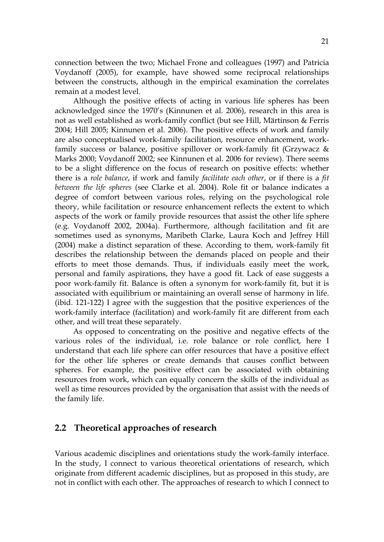connection between the two; Michael Frone and colleagues (1997) and Patricia Voydanoff (2005), for example, have showed some reciprocal relationships between the constructs, although in the empirical examination the correlates remain at a modest level.

Although the positive effects of acting in various life spheres has been acknowledged since the 1970's (Kinnunen et al. 2006), research in this area is not as well established as work-family conflict (but see Hill, Märtinson & Ferris 2004; Hill 2005; Kinnunen et al. 2006). The positive effects of work and family are also conceptualised work-family facilitation, resource enhancement, workfamily success or balance, positive spillover or work-family fit (Grzywacz & Marks 2000; Voydanoff 2002; see Kinnunen et al. 2006 for review). There seems to be a slight difference on the focus of research on positive effects: whether there is a *role balance*, if work and family *facilitate each other*, or if there is a *fit between the life spheres* (see Clarke et al. 2004). Role fit or balance indicates a degree of comfort between various roles, relying on the psychological role theory, while facilitation or resource enhancement reflects the extent to which aspects of the work or family provide resources that assist the other life sphere (e.g. Voydanoff 2002, 2004a). Furthermore, although facilitation and fit are sometimes used as synonyms, Maribeth Clarke, Laura Koch and Jeffrey Hill (2004) make a distinct separation of these. According to them, work-family fit describes the relationship between the demands placed on people and their efforts to meet those demands. Thus, if individuals easily meet the work, personal and family aspirations, they have a good fit. Lack of ease suggests a poor work-family fit. Balance is often a synonym for work-family fit, but it is associated with equilibrium or maintaining an overall sense of harmony in life. (ibid. 121-122) I agree with the suggestion that the positive experiences of the work-family interface (facilitation) and work-family fit are different from each other, and will treat these separately.

As opposed to concentrating on the positive and negative effects of the various roles of the individual, i.e. role balance or role conflict, here I understand that each life sphere can offer resources that have a positive effect for the other life spheres or create demands that causes conflict between spheres. For example, the positive effect can be associated with obtaining resources from work, which can equally concern the skills of the individual as well as time resources provided by the organisation that assist with the needs of the family life.

#### **2.2 Theoretical approaches of research**

Various academic disciplines and orientations study the work-family interface. In the study, I connect to various theoretical orientations of research, which originate from different academic disciplines, but as proposed in this study, are not in conflict with each other. The approaches of research to which I connect to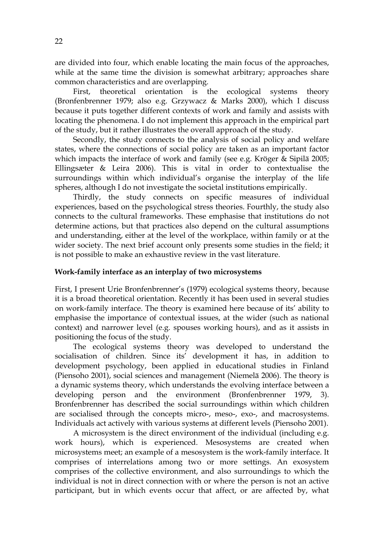are divided into four, which enable locating the main focus of the approaches, while at the same time the division is somewhat arbitrary; approaches share common characteristics and are overlapping.

First, theoretical orientation is the ecological systems theory (Bronfenbrenner 1979; also e.g. Grzywacz & Marks 2000), which I discuss because it puts together different contexts of work and family and assists with locating the phenomena. I do not implement this approach in the empirical part of the study, but it rather illustrates the overall approach of the study.

Secondly, the study connects to the analysis of social policy and welfare states, where the connections of social policy are taken as an important factor which impacts the interface of work and family (see e.g. Kröger & Sipilä 2005; Ellingsæter & Leira 2006). This is vital in order to contextualise the surroundings within which individual's organise the interplay of the life spheres, although I do not investigate the societal institutions empirically.

Thirdly, the study connects on specific measures of individual experiences, based on the psychological stress theories. Fourthly, the study also connects to the cultural frameworks. These emphasise that institutions do not determine actions, but that practices also depend on the cultural assumptions and understanding, either at the level of the workplace, within family or at the wider society. The next brief account only presents some studies in the field; it is not possible to make an exhaustive review in the vast literature.

#### **Work-family interface as an interplay of two microsystems**

First, I present Urie Bronfenbrenner's (1979) ecological systems theory, because it is a broad theoretical orientation. Recently it has been used in several studies on work-family interface. The theory is examined here because of its' ability to emphasise the importance of contextual issues, at the wider (such as national context) and narrower level (e.g. spouses working hours), and as it assists in positioning the focus of the study.

The ecological systems theory was developed to understand the socialisation of children. Since its' development it has, in addition to development psychology, been applied in educational studies in Finland (Piensoho 2001), social sciences and management (Niemelä 2006). The theory is a dynamic systems theory, which understands the evolving interface between a developing person and the environment (Bronfenbrenner 1979, 3). Bronfenbrenner has described the social surroundings within which children are socialised through the concepts micro-, meso-, exo-, and macrosystems. Individuals act actively with various systems at different levels (Piensoho 2001).

A microsystem is the direct environment of the individual (including e.g. work hours), which is experienced. Mesosystems are created when microsystems meet; an example of a mesosystem is the work-family interface. It comprises of interrelations among two or more settings. An exosystem comprises of the collective environment, and also surroundings to which the individual is not in direct connection with or where the person is not an active participant, but in which events occur that affect, or are affected by, what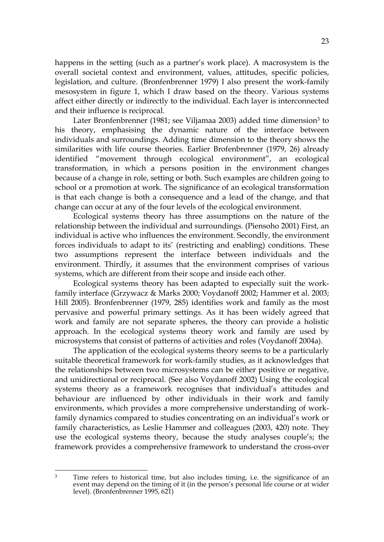happens in the setting (such as a partner's work place). A macrosystem is the overall societal context and environment, values, attitudes, specific policies, legislation, and culture. (Bronfenbrenner 1979) I also present the work-family mesosystem in figure 1, which I draw based on the theory. Various systems affect either directly or indirectly to the individual. Each layer is interconnected and their influence is reciprocal.

Later Bronfenbrenner (1981; see Viljamaa 2003) added time dimension<sup>3</sup> to his theory, emphasising the dynamic nature of the interface between individuals and surroundings. Adding time dimension to the theory shows the similarities with life course theories. Earlier Brofenbrenner (1979, 26) already identified "movement through ecological environment", an ecological transformation, in which a persons position in the environment changes because of a change in role, setting or both. Such examples are children going to school or a promotion at work. The significance of an ecological transformation is that each change is both a consequence and a lead of the change, and that change can occur at any of the four levels of the ecological environment.

Ecological systems theory has three assumptions on the nature of the relationship between the individual and surroundings. (Piensoho 2001) First, an individual is active who influences the environment. Secondly, the environment forces individuals to adapt to its' (restricting and enabling) conditions. These two assumptions represent the interface between individuals and the environment. Thirdly, it assumes that the environment comprises of various systems, which are different from their scope and inside each other.

Ecological systems theory has been adapted to especially suit the workfamily interface (Grzywacz & Marks 2000; Voydanoff 2002; Hammer et al. 2003; Hill 2005). Bronfenbrenner (1979, 285) identifies work and family as the most pervasive and powerful primary settings. As it has been widely agreed that work and family are not separate spheres, the theory can provide a holistic approach. In the ecological systems theory work and family are used by microsystems that consist of patterns of activities and roles (Voydanoff 2004a).

The application of the ecological systems theory seems to be a particularly suitable theoretical framework for work-family studies, as it acknowledges that the relationships between two microsystems can be either positive or negative, and unidirectional or reciprocal. (See also Voydanoff 2002) Using the ecological systems theory as a framework recognises that individual's attitudes and behaviour are influenced by other individuals in their work and family environments, which provides a more comprehensive understanding of workfamily dynamics compared to studies concentrating on an individual's work or family characteristics, as Leslie Hammer and colleagues (2003, 420) note. They use the ecological systems theory, because the study analyses couple's; the framework provides a comprehensive framework to understand the cross-over

 $\overline{3}$ Time refers to historical time, but also includes timing, i.e. the significance of an event may depend on the timing of it (in the person's personal life course or at wider level). (Bronfenbrenner 1995, 621)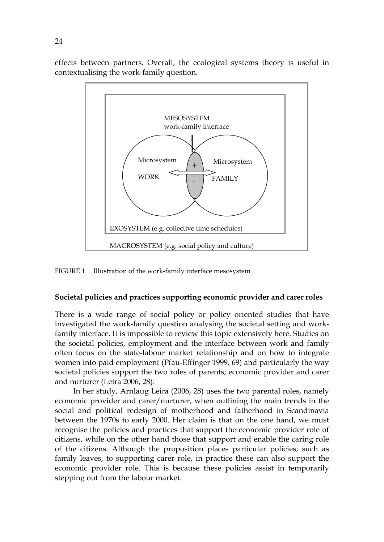effects between partners. Overall, the ecological systems theory is useful in contextualising the work-family question.



FIGURE 1 Illustration of the work-family interface mesosystem

#### **Societal policies and practices supporting economic provider and carer roles**

There is a wide range of social policy or policy oriented studies that have investigated the work-family question analysing the societal setting and workfamily interface. It is impossible to review this topic extensively here. Studies on the societal policies, employment and the interface between work and family often focus on the state-labour market relationship and on how to integrate women into paid employment (Pfau-Effinger 1999, 69) and particularly the way societal policies support the two roles of parents; economic provider and carer and nurturer (Leira 2006, 28).

In her study, Arnlaug Leira (2006, 28) uses the two parental roles, namely economic provider and carer/nurturer, when outlining the main trends in the social and political redesign of motherhood and fatherhood in Scandinavia between the 1970s to early 2000. Her claim is that on the one hand, we must recognise the policies and practices that support the economic provider role of citizens, while on the other hand those that support and enable the caring role of the citizens. Although the proposition places particular policies, such as family leaves, to supporting carer role, in practice these can also support the economic provider role. This is because these policies assist in temporarily stepping out from the labour market.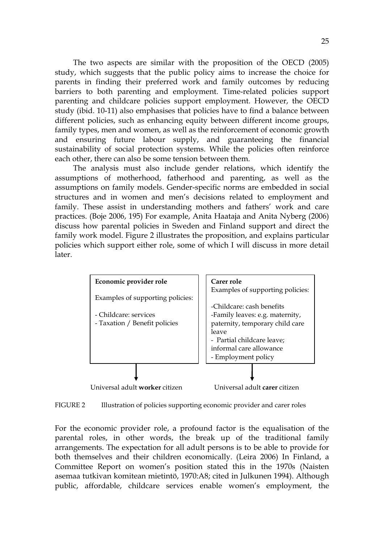The two aspects are similar with the proposition of the OECD (2005) study, which suggests that the public policy aims to increase the choice for parents in finding their preferred work and family outcomes by reducing barriers to both parenting and employment. Time-related policies support parenting and childcare policies support employment. However, the OECD study (ibid. 10-11) also emphasises that policies have to find a balance between different policies, such as enhancing equity between different income groups, family types, men and women, as well as the reinforcement of economic growth and ensuring future labour supply, and guaranteeing the financial sustainability of social protection systems. While the policies often reinforce each other, there can also be some tension between them.

The analysis must also include gender relations, which identify the assumptions of motherhood, fatherhood and parenting, as well as the assumptions on family models. Gender-specific norms are embedded in social structures and in women and men's decisions related to employment and family. These assist in understanding mothers and fathers' work and care practices. (Boje 2006, 195) For example, Anita Haataja and Anita Nyberg (2006) discuss how parental policies in Sweden and Finland support and direct the family work model. Figure 2 illustrates the proposition, and explains particular policies which support either role, some of which I will discuss in more detail later.



FIGURE 2 Illustration of policies supporting economic provider and carer roles

For the economic provider role, a profound factor is the equalisation of the parental roles, in other words, the break up of the traditional family arrangements. The expectation for all adult persons is to be able to provide for both themselves and their children economically. (Leira 2006) In Finland, a Committee Report on women's position stated this in the 1970s (Naisten asemaa tutkivan komitean mietintö, 1970:A8; cited in Julkunen 1994). Although public, affordable, childcare services enable women's employment, the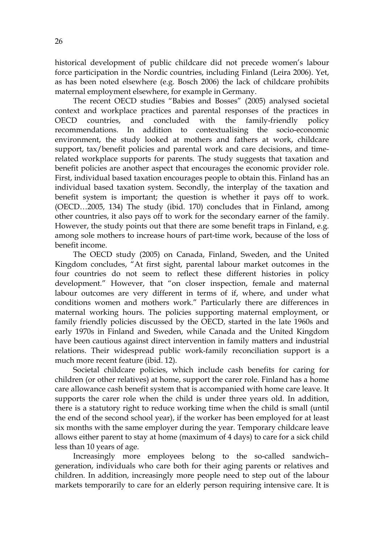historical development of public childcare did not precede women's labour force participation in the Nordic countries, including Finland (Leira 2006). Yet, as has been noted elsewhere (e.g. Bosch 2006) the lack of childcare prohibits maternal employment elsewhere, for example in Germany.

The recent OECD studies "Babies and Bosses" (2005) analysed societal context and workplace practices and parental responses of the practices in OECD countries, and concluded with the family-friendly policy recommendations. In addition to contextualising the socio-economic environment, the study looked at mothers and fathers at work, childcare support, tax/benefit policies and parental work and care decisions, and timerelated workplace supports for parents. The study suggests that taxation and benefit policies are another aspect that encourages the economic provider role. First, individual based taxation encourages people to obtain this. Finland has an individual based taxation system. Secondly, the interplay of the taxation and benefit system is important; the question is whether it pays off to work. (OECD…2005, 134) The study (ibid. 170) concludes that in Finland, among other countries, it also pays off to work for the secondary earner of the family. However, the study points out that there are some benefit traps in Finland, e.g. among sole mothers to increase hours of part-time work, because of the loss of benefit income.

The OECD study (2005) on Canada, Finland, Sweden, and the United Kingdom concludes, "At first sight, parental labour market outcomes in the four countries do not seem to reflect these different histories in policy development." However, that "on closer inspection, female and maternal labour outcomes are very different in terms of if, where, and under what conditions women and mothers work." Particularly there are differences in maternal working hours. The policies supporting maternal employment, or family friendly policies discussed by the OECD, started in the late 1960s and early 1970s in Finland and Sweden, while Canada and the United Kingdom have been cautious against direct intervention in family matters and industrial relations. Their widespread public work-family reconciliation support is a much more recent feature (ibid. 12).

Societal childcare policies, which include cash benefits for caring for children (or other relatives) at home, support the carer role. Finland has a home care allowance cash benefit system that is accompanied with home care leave. It supports the carer role when the child is under three years old. In addition, there is a statutory right to reduce working time when the child is small (until the end of the second school year), if the worker has been employed for at least six months with the same employer during the year. Temporary childcare leave allows either parent to stay at home (maximum of 4 days) to care for a sick child less than 10 years of age.

Increasingly more employees belong to the so-called sandwich– generation, individuals who care both for their aging parents or relatives and children. In addition, increasingly more people need to step out of the labour markets temporarily to care for an elderly person requiring intensive care. It is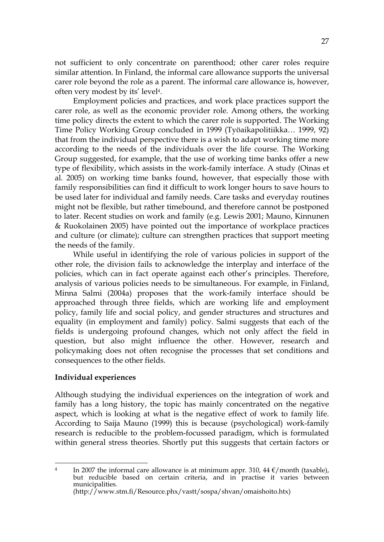not sufficient to only concentrate on parenthood; other carer roles require similar attention. In Finland, the informal care allowance supports the universal carer role beyond the role as a parent. The informal care allowance is, however, often very modest by its' level4.

Employment policies and practices, and work place practices support the carer role, as well as the economic provider role. Among others, the working time policy directs the extent to which the carer role is supported. The Working Time Policy Working Group concluded in 1999 (Työaikapolitiikka… 1999, 92) that from the individual perspective there is a wish to adapt working time more according to the needs of the individuals over the life course. The Working Group suggested, for example, that the use of working time banks offer a new type of flexibility, which assists in the work-family interface. A study (Oinas et al. 2005) on working time banks found, however, that especially those with family responsibilities can find it difficult to work longer hours to save hours to be used later for individual and family needs. Care tasks and everyday routines might not be flexible, but rather timebound, and therefore cannot be postponed to later. Recent studies on work and family (e.g. Lewis 2001; Mauno, Kinnunen & Ruokolainen 2005) have pointed out the importance of workplace practices and culture (or climate); culture can strengthen practices that support meeting the needs of the family.

While useful in identifying the role of various policies in support of the other role, the division fails to acknowledge the interplay and interface of the policies, which can in fact operate against each other's principles. Therefore, analysis of various policies needs to be simultaneous. For example, in Finland, Minna Salmi (2004a) proposes that the work-family interface should be approached through three fields, which are working life and employment policy, family life and social policy, and gender structures and structures and equality (in employment and family) policy. Salmi suggests that each of the fields is undergoing profound changes, which not only affect the field in question, but also might influence the other. However, research and policymaking does not often recognise the processes that set conditions and consequences to the other fields.

#### **Individual experiences**

Although studying the individual experiences on the integration of work and family has a long history, the topic has mainly concentrated on the negative aspect, which is looking at what is the negative effect of work to family life. According to Saija Mauno (1999) this is because (psychological) work-family research is reducible to the problem-focussed paradigm, which is formulated within general stress theories. Shortly put this suggests that certain factors or

<sup>&</sup>lt;u>.</u> <sup>4</sup> In 2007 the informal care allowance is at minimum appr. 310, 44  $\epsilon$ /month (taxable), but reducible based on certain criteria, and in practise it varies between municipalities.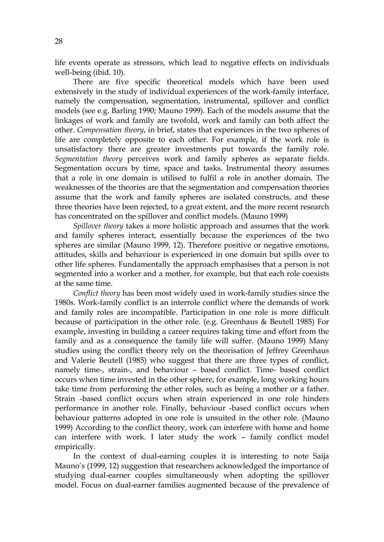life events operate as stressors, which lead to negative effects on individuals well-being (ibid. 10).

There are five specific theoretical models which have been used extensively in the study of individual experiences of the work-family interface, namely the compensation, segmentation, instrumental, spillover and conflict models (see e.g. Barling 1990; Mauno 1999). Each of the models assume that the linkages of work and family are twofold, work and family can both affect the other. *Compensation theory*, in brief, states that experiences in the two spheres of life are completely opposite to each other. For example, if the work role is unsatisfactory there are greater investments put towards the family role. *Segmentation theory* perceives work and family spheres as separate fields. Segmentation occurs by time, space and tasks. Instrumental theory assumes that a role in one domain is utilised to fulfil a role in another domain. The weaknesses of the theories are that the segmentation and compensation theories assume that the work and family spheres are isolated constructs, and these three theories have been rejected, to a great extent, and the more recent research has concentrated on the spillover and conflict models. (Mauno 1999)

*Spillover theory* takes a more holistic approach and assumes that the work and family spheres interact, essentially because the experiences of the two spheres are similar (Mauno 1999, 12). Therefore positive or negative emotions, attitudes, skills and behaviour is experienced in one domain but spills over to other life spheres. Fundamentally the approach emphasises that a person is not segmented into a worker and a mother, for example, but that each role coexists at the same time.

*Conflict theory* has been most widely used in work-family studies since the 1980s. Work-family conflict is an interrole conflict where the demands of work and family roles are incompatible. Participation in one role is more difficult because of participation in the other role. (e.g. Greenhaus & Beutell 1985) For example, investing in building a career requires taking time and effort from the family and as a consequence the family life will suffer. (Mauno 1999) Many studies using the conflict theory rely on the theorisation of Jeffrey Greenhaus and Valerie Beutell (1985) who suggest that there are three types of conflict, namely time-, strain-, and behaviour – based conflict. Time- based conflict occurs when time invested in the other sphere, for example, long working hours take time from performing the other roles, such as being a mother or a father. Strain -based conflict occurs when strain experienced in one role hinders performance in another role. Finally, behaviour -based conflict occurs when behaviour patterns adopted in one role is unsuited in the other role. (Mauno 1999) According to the conflict theory, work can interfere with home and home can interfere with work. I later study the work – family conflict model empirically.

In the context of dual-earning couples it is interesting to note Saija Mauno's (1999, 12) suggestion that researchers acknowledged the importance of studying dual-earner couples simultaneously when adopting the spillover model. Focus on dual-earner families augmented because of the prevalence of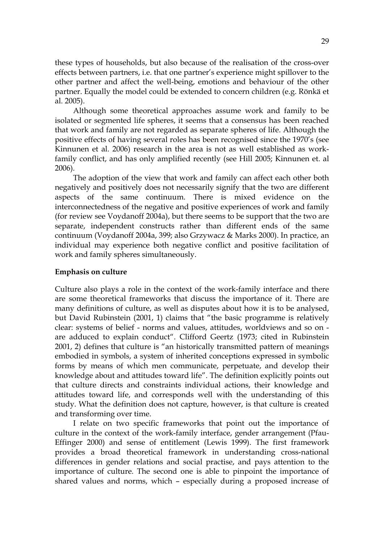these types of households, but also because of the realisation of the cross-over effects between partners, i.e. that one partner's experience might spillover to the other partner and affect the well-being, emotions and behaviour of the other partner. Equally the model could be extended to concern children (e.g. Rönkä et al. 2005).

Although some theoretical approaches assume work and family to be isolated or segmented life spheres, it seems that a consensus has been reached that work and family are not regarded as separate spheres of life. Although the positive effects of having several roles has been recognised since the 1970's (see Kinnunen et al. 2006) research in the area is not as well established as workfamily conflict, and has only amplified recently (see Hill 2005; Kinnunen et. al 2006).

The adoption of the view that work and family can affect each other both negatively and positively does not necessarily signify that the two are different aspects of the same continuum. There is mixed evidence on the interconnectedness of the negative and positive experiences of work and family (for review see Voydanoff 2004a), but there seems to be support that the two are separate, independent constructs rather than different ends of the same continuum (Voydanoff 2004a, 399; also Grzywacz & Marks 2000). In practice, an individual may experience both negative conflict and positive facilitation of work and family spheres simultaneously.

#### **Emphasis on culture**

Culture also plays a role in the context of the work-family interface and there are some theoretical frameworks that discuss the importance of it. There are many definitions of culture, as well as disputes about how it is to be analysed, but David Rubinstein (2001, 1) claims that "the basic programme is relatively clear: systems of belief - norms and values, attitudes, worldviews and so on are adduced to explain conduct". Clifford Geertz (1973; cited in Rubinstein 2001, 2) defines that culture is "an historically transmitted pattern of meanings embodied in symbols, a system of inherited conceptions expressed in symbolic forms by means of which men communicate, perpetuate, and develop their knowledge about and attitudes toward life". The definition explicitly points out that culture directs and constraints individual actions, their knowledge and attitudes toward life, and corresponds well with the understanding of this study. What the definition does not capture, however, is that culture is created and transforming over time.

I relate on two specific frameworks that point out the importance of culture in the context of the work-family interface, gender arrangement (Pfau-Effinger 2000) and sense of entitlement (Lewis 1999). The first framework provides a broad theoretical framework in understanding cross-national differences in gender relations and social practise, and pays attention to the importance of culture. The second one is able to pinpoint the importance of shared values and norms, which – especially during a proposed increase of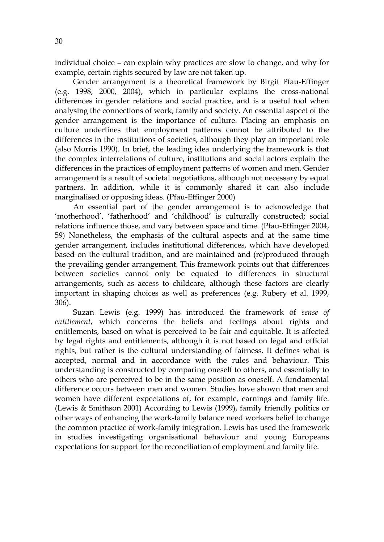30

individual choice – can explain why practices are slow to change, and why for example, certain rights secured by law are not taken up.

Gender arrangement is a theoretical framework by Birgit Pfau-Effinger (e.g. 1998, 2000, 2004), which in particular explains the cross-national differences in gender relations and social practice, and is a useful tool when analysing the connections of work, family and society. An essential aspect of the gender arrangement is the importance of culture. Placing an emphasis on culture underlines that employment patterns cannot be attributed to the differences in the institutions of societies, although they play an important role (also Morris 1990). In brief, the leading idea underlying the framework is that the complex interrelations of culture, institutions and social actors explain the differences in the practices of employment patterns of women and men. Gender arrangement is a result of societal negotiations, although not necessary by equal partners. In addition, while it is commonly shared it can also include marginalised or opposing ideas. (Pfau-Effinger 2000)

An essential part of the gender arrangement is to acknowledge that 'motherhood', 'fatherhood' and 'childhood' is culturally constructed; social relations influence those, and vary between space and time. (Pfau-Effinger 2004, 59) Nonetheless, the emphasis of the cultural aspects and at the same time gender arrangement, includes institutional differences, which have developed based on the cultural tradition, and are maintained and (re)produced through the prevailing gender arrangement. This framework points out that differences between societies cannot only be equated to differences in structural arrangements, such as access to childcare, although these factors are clearly important in shaping choices as well as preferences (e.g. Rubery et al. 1999, 306).

Suzan Lewis (e.g. 1999) has introduced the framework of *sense of entitlement*, which concerns the beliefs and feelings about rights and entitlements, based on what is perceived to be fair and equitable. It is affected by legal rights and entitlements, although it is not based on legal and official rights, but rather is the cultural understanding of fairness. It defines what is accepted, normal and in accordance with the rules and behaviour. This understanding is constructed by comparing oneself to others, and essentially to others who are perceived to be in the same position as oneself. A fundamental difference occurs between men and women. Studies have shown that men and women have different expectations of, for example, earnings and family life. (Lewis & Smithson 2001) According to Lewis (1999), family friendly politics or other ways of enhancing the work-family balance need workers belief to change the common practice of work-family integration. Lewis has used the framework in studies investigating organisational behaviour and young Europeans expectations for support for the reconciliation of employment and family life.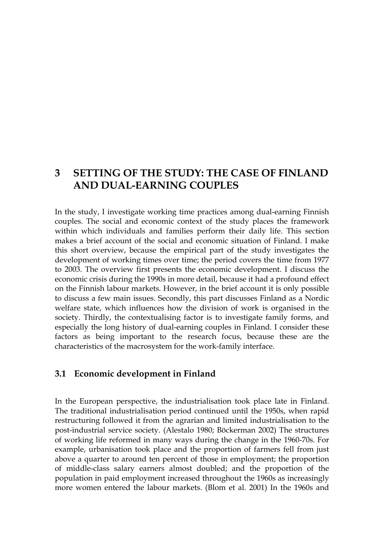## **3 SETTING OF THE STUDY: THE CASE OF FINLAND AND DUAL-EARNING COUPLES**

In the study, I investigate working time practices among dual-earning Finnish couples. The social and economic context of the study places the framework within which individuals and families perform their daily life. This section makes a brief account of the social and economic situation of Finland. I make this short overview, because the empirical part of the study investigates the development of working times over time; the period covers the time from 1977 to 2003. The overview first presents the economic development. I discuss the economic crisis during the 1990s in more detail, because it had a profound effect on the Finnish labour markets. However, in the brief account it is only possible to discuss a few main issues. Secondly, this part discusses Finland as a Nordic welfare state, which influences how the division of work is organised in the society. Thirdly, the contextualising factor is to investigate family forms, and especially the long history of dual-earning couples in Finland. I consider these factors as being important to the research focus, because these are the characteristics of the macrosystem for the work-family interface.

### **3.1 Economic development in Finland**

In the European perspective, the industrialisation took place late in Finland. The traditional industrialisation period continued until the 1950s, when rapid restructuring followed it from the agrarian and limited industrialisation to the post-industrial service society. (Alestalo 1980; Böckerman 2002) The structures of working life reformed in many ways during the change in the 1960-70s. For example, urbanisation took place and the proportion of farmers fell from just above a quarter to around ten percent of those in employment; the proportion of middle-class salary earners almost doubled; and the proportion of the population in paid employment increased throughout the 1960s as increasingly more women entered the labour markets. (Blom et al. 2001) In the 1960s and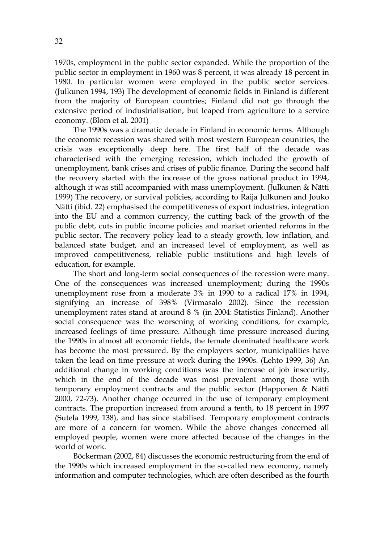1970s, employment in the public sector expanded. While the proportion of the public sector in employment in 1960 was 8 percent, it was already 18 percent in 1980. In particular women were employed in the public sector services. (Julkunen 1994, 193) The development of economic fields in Finland is different from the majority of European countries; Finland did not go through the extensive period of industrialisation, but leaped from agriculture to a service economy. (Blom et al. 2001)

The 1990s was a dramatic decade in Finland in economic terms. Although the economic recession was shared with most western European countries, the crisis was exceptionally deep here. The first half of the decade was characterised with the emerging recession, which included the growth of unemployment, bank crises and crises of public finance. During the second half the recovery started with the increase of the gross national product in 1994, although it was still accompanied with mass unemployment. (Julkunen & Nätti 1999) The recovery, or survival policies, according to Raija Julkunen and Jouko Nätti (ibid. 22) emphasised the competitiveness of export industries, integration into the EU and a common currency, the cutting back of the growth of the public debt, cuts in public income policies and market oriented reforms in the public sector. The recovery policy lead to a steady growth, low inflation, and balanced state budget, and an increased level of employment, as well as improved competitiveness, reliable public institutions and high levels of education, for example.

The short and long-term social consequences of the recession were many. One of the consequences was increased unemployment; during the 1990s unemployment rose from a moderate 3% in 1990 to a radical 17% in 1994, signifying an increase of 398% (Virmasalo 2002). Since the recession unemployment rates stand at around 8 % (in 2004: Statistics Finland). Another social consequence was the worsening of working conditions, for example, increased feelings of time pressure. Although time pressure increased during the 1990s in almost all economic fields, the female dominated healthcare work has become the most pressured. By the employers sector, municipalities have taken the lead on time pressure at work during the 1990s. (Lehto 1999, 36) An additional change in working conditions was the increase of job insecurity, which in the end of the decade was most prevalent among those with temporary employment contracts and the public sector (Happonen & Nätti 2000, 72-73). Another change occurred in the use of temporary employment contracts. The proportion increased from around a tenth, to 18 percent in 1997 (Sutela 1999, 138), and has since stabilised. Temporary employment contracts are more of a concern for women. While the above changes concerned all employed people, women were more affected because of the changes in the world of work.

Böckerman (2002, 84) discusses the economic restructuring from the end of the 1990s which increased employment in the so-called new economy, namely information and computer technologies, which are often described as the fourth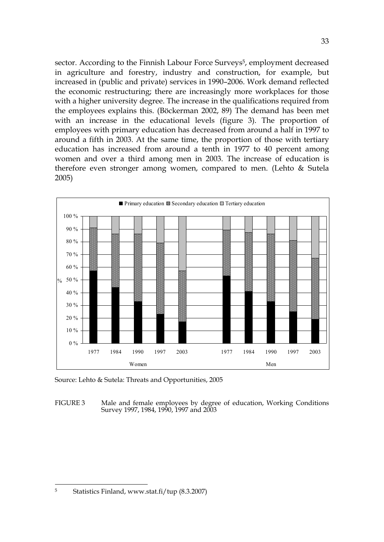sector. According to the Finnish Labour Force Surveys<sup>5</sup>, employment decreased in agriculture and forestry, industry and construction, for example, but increased in (public and private) services in 1990–2006. Work demand reflected the economic restructuring; there are increasingly more workplaces for those with a higher university degree. The increase in the qualifications required from the employees explains this. (Böckerman 2002, 89) The demand has been met with an increase in the educational levels (figure 3). The proportion of employees with primary education has decreased from around a half in 1997 to around a fifth in 2003. At the same time, the proportion of those with tertiary education has increased from around a tenth in 1977 to 40 percent among women and over a third among men in 2003. The increase of education is therefore even stronger among women, compared to men. (Lehto & Sutela 2005)



Source: Lehto & Sutela: Threats and Opportunities, 2005

FIGURE 3 Male and female employees by degree of education, Working Conditions Survey 1997, 1984, 1990, 1997 and 2003

<u>.</u>

<sup>5</sup> Statistics Finland, www.stat.fi/tup (8.3.2007)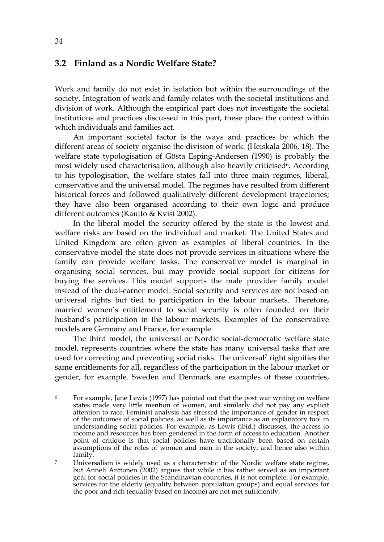#### **3.2 Finland as a Nordic Welfare State?**

Work and family do not exist in isolation but within the surroundings of the society. Integration of work and family relates with the societal institutions and division of work. Although the empirical part does not investigate the societal institutions and practices discussed in this part, these place the context within which individuals and families act.

An important societal factor is the ways and practices by which the different areas of society organise the division of work. (Heiskala 2006, 18). The welfare state typologisation of Gösta Esping-Andersen (1990) is probably the most widely used characterisation, although also heavily criticised<sup>6</sup>. According to his typologisation, the welfare states fall into three main regimes, liberal, conservative and the universal model. The regimes have resulted from different historical forces and followed qualitatively different development trajectories; they have also been organised according to their own logic and produce different outcomes (Kautto & Kvist 2002).

In the liberal model the security offered by the state is the lowest and welfare risks are based on the individual and market. The United States and United Kingdom are often given as examples of liberal countries. In the conservative model the state does not provide services in situations where the family can provide welfare tasks. The conservative model is marginal in organising social services, but may provide social support for citizens for buying the services. This model supports the male provider family model instead of the dual-earner model. Social security and services are not based on universal rights but tied to participation in the labour markets. Therefore, married women's entitlement to social security is often founded on their husband's participation in the labour markets. Examples of the conservative models are Germany and France, for example.

The third model, the universal or Nordic social-democratic welfare state model, represents countries where the state has many universal tasks that are used for correcting and preventing social risks. The universal<sup>7</sup> right signifies the same entitlements for all, regardless of the participation in the labour market or gender, for example. Sweden and Denmark are examples of these countries,

<sup>&</sup>lt;u>.</u> For example, Jane Lewis (1997) has pointed out that the post war writing on welfare states made very little mention of women, and similarly did not pay any explicit attention to race. Feminist analysis has stressed the importance of gender in respect of the outcomes of social policies, as well as its importance as an explanatory tool in understanding social policies. For example, as Lewis (ibid.) discusses, the access to income and resources has been gendered in the form of access to education. Another point of critique is that social policies have traditionally been based on certain assumptions of the roles of women and men in the society, and hence also within family.

<sup>7</sup> Universalism is widely used as a characteristic of the Nordic welfare state regime, but Anneli Anttonen (2002) argues that while it has rather served as an important goal for social policies in the Scandinavian countries, it is not complete. For example, services for the elderly (equality between population groups) and equal services for the poor and rich (equality based on income) are not met sufficiently.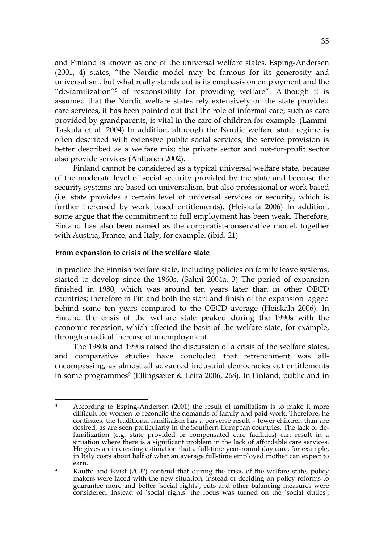and Finland is known as one of the universal welfare states. Esping-Andersen (2001, 4) states, "the Nordic model may be famous for its generosity and universalism, but what really stands out is its emphasis on employment and the "de-familization"8 of responsibility for providing welfare". Although it is assumed that the Nordic welfare states rely extensively on the state provided care services, it has been pointed out that the role of informal care, such as care provided by grandparents, is vital in the care of children for example. (Lammi-Taskula et al. 2004) In addition, although the Nordic welfare state regime is often described with extensive public social services, the service provision is better described as a welfare mix; the private sector and not-for-profit sector also provide services (Anttonen 2002).

Finland cannot be considered as a typical universal welfare state, because of the moderate level of social security provided by the state and because the security systems are based on universalism, but also professional or work based (i.e. state provides a certain level of universal services or security, which is further increased by work based entitlements). (Heiskala 2006) In addition, some argue that the commitment to full employment has been weak. Therefore, Finland has also been named as the corporatist-conservative model, together with Austria, France, and Italy, for example. (ibid. 21)

#### **From expansion to crisis of the welfare state**

In practice the Finnish welfare state, including policies on family leave systems, started to develop since the 1960s. (Salmi 2004a, 3) The period of expansion finished in 1980, which was around ten years later than in other OECD countries; therefore in Finland both the start and finish of the expansion lagged behind some ten years compared to the OECD average (Heiskala 2006). In Finland the crisis of the welfare state peaked during the 1990s with the economic recession, which affected the basis of the welfare state, for example, through a radical increase of unemployment.

The 1980s and 1990s raised the discussion of a crisis of the welfare states, and comparative studies have concluded that retrenchment was allencompassing, as almost all advanced industrial democracies cut entitlements in some programmes<sup>9</sup> (Ellingsæter & Leira 2006, 268). In Finland, public and in

<sup>1</sup> 8 According to Esping-Andersen (2001) the result of familialism is to make it more difficult for women to reconcile the demands of family and paid work. Therefore, he continues, the traditional familialism has a perverse result – fewer children than are desired, as are seen particularly in the Southern-European countries. The lack of defamilization (e.g. state provided or compensated care facilities) can result in a situation where there is a significant problem in the lack of affordable care services. He gives an interesting estimation that a full-time year-round day care, for example, in Italy costs about half of what an average full-time employed mother can expect to earn.

<sup>&</sup>lt;sup>9</sup> Kautto and Kvist (2002) contend that during the crisis of the welfare state, policy makers were faced with the new situation; instead of deciding on policy reforms to guarantee more and better 'social rights', cuts and other balancing measures were considered. Instead of 'social rights' the focus was turned on the 'social duties',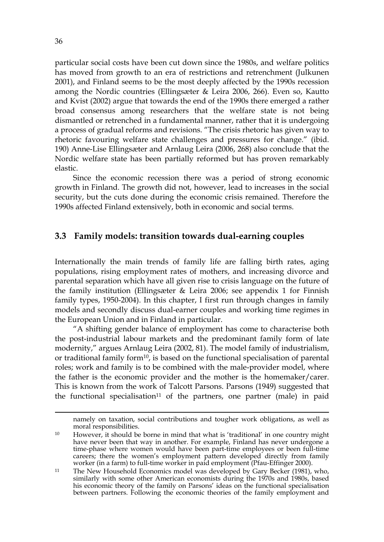particular social costs have been cut down since the 1980s, and welfare politics has moved from growth to an era of restrictions and retrenchment (Julkunen 2001), and Finland seems to be the most deeply affected by the 1990s recession among the Nordic countries (Ellingsæter & Leira 2006, 266). Even so, Kautto and Kvist (2002) argue that towards the end of the 1990s there emerged a rather broad consensus among researchers that the welfare state is not being dismantled or retrenched in a fundamental manner, rather that it is undergoing a process of gradual reforms and revisions. "The crisis rhetoric has given way to rhetoric favouring welfare state challenges and pressures for change." (ibid. 190) Anne-Lise Ellingsæter and Arnlaug Leira (2006, 268) also conclude that the Nordic welfare state has been partially reformed but has proven remarkably elastic.

Since the economic recession there was a period of strong economic growth in Finland. The growth did not, however, lead to increases in the social security, but the cuts done during the economic crisis remained. Therefore the 1990s affected Finland extensively, both in economic and social terms.

# **3.3 Family models: transition towards dual-earning couples**

Internationally the main trends of family life are falling birth rates, aging populations, rising employment rates of mothers, and increasing divorce and parental separation which have all given rise to crisis language on the future of the family institution (Ellingsæter & Leira 2006; see appendix 1 for Finnish family types, 1950-2004). In this chapter, I first run through changes in family models and secondly discuss dual-earner couples and working time regimes in the European Union and in Finland in particular.

"A shifting gender balance of employment has come to characterise both the post-industrial labour markets and the predominant family form of late modernity," argues Arnlaug Leira (2002, 81). The model family of industrialism, or traditional family form<sup>10</sup>, is based on the functional specialisation of parental roles; work and family is to be combined with the male-provider model, where the father is the economic provider and the mother is the homemaker/carer. This is known from the work of Talcott Parsons. Parsons (1949) suggested that the functional specialisation<sup>11</sup> of the partners, one partner (male) in paid

1

namely on taxation, social contributions and tougher work obligations, as well as moral responsibilities.

<sup>&</sup>lt;sup>10</sup> However, it should be borne in mind that what is 'traditional' in one country might have never been that way in another. For example, Finland has never undergone a time-phase where women would have been part-time employees or been full-time careers; there the women's employment pattern developed directly from family worker (in a farm) to full-time worker in paid employment (Pfau-Effinger 2000).

<sup>&</sup>lt;sup>11</sup> The New Household Economics model was developed by Gary Becker (1981), who, similarly with some other American economists during the 1970s and 1980s, based his economic theory of the family on Parsons' ideas on the functional specialisation between partners. Following the economic theories of the family employment and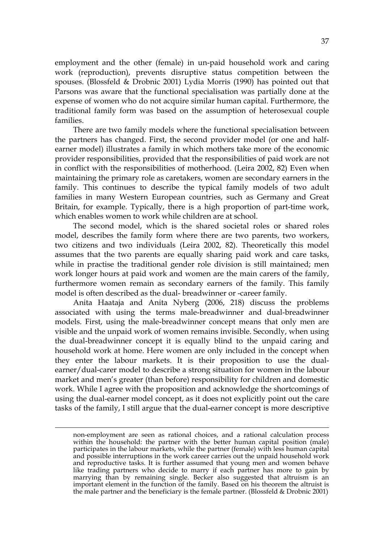employment and the other (female) in un-paid household work and caring work (reproduction), prevents disruptive status competition between the spouses. (Blossfeld & Drobnic 2001) Lydia Morris (1990) has pointed out that Parsons was aware that the functional specialisation was partially done at the expense of women who do not acquire similar human capital. Furthermore, the traditional family form was based on the assumption of heterosexual couple families.

There are two family models where the functional specialisation between the partners has changed. First, the second provider model (or one and halfearner model) illustrates a family in which mothers take more of the economic provider responsibilities, provided that the responsibilities of paid work are not in conflict with the responsibilities of motherhood. (Leira 2002, 82) Even when maintaining the primary role as caretakers, women are secondary earners in the family. This continues to describe the typical family models of two adult families in many Western European countries, such as Germany and Great Britain, for example. Typically, there is a high proportion of part-time work, which enables women to work while children are at school.

The second model, which is the shared societal roles or shared roles model, describes the family form where there are two parents, two workers, two citizens and two individuals (Leira 2002, 82). Theoretically this model assumes that the two parents are equally sharing paid work and care tasks, while in practise the traditional gender role division is still maintained; men work longer hours at paid work and women are the main carers of the family, furthermore women remain as secondary earners of the family. This family model is often described as the dual- breadwinner or -career family.

Anita Haataja and Anita Nyberg (2006, 218) discuss the problems associated with using the terms male-breadwinner and dual-breadwinner models. First, using the male-breadwinner concept means that only men are visible and the unpaid work of women remains invisible. Secondly, when using the dual-breadwinner concept it is equally blind to the unpaid caring and household work at home. Here women are only included in the concept when they enter the labour markets. It is their proposition to use the dualearner/dual-carer model to describe a strong situation for women in the labour market and men's greater (than before) responsibility for children and domestic work. While I agree with the proposition and acknowledge the shortcomings of using the dual-earner model concept, as it does not explicitly point out the care tasks of the family, I still argue that the dual-earner concept is more descriptive

1

non-employment are seen as rational choices, and a rational calculation process within the household: the partner with the better human capital position (male) participates in the labour markets, while the partner (female) with less human capital and possible interruptions in the work career carries out the unpaid household work and reproductive tasks. It is further assumed that young men and women behave like trading partners who decide to marry if each partner has more to gain by marrying than by remaining single. Becker also suggested that altruism is an important element in the function of the family. Based on his theorem the altruist is the male partner and the beneficiary is the female partner. (Blossfeld & Drobnic 2001)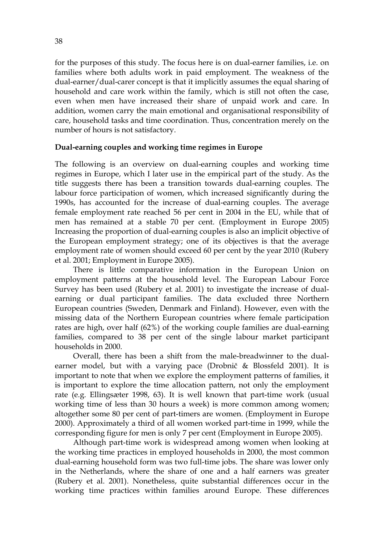for the purposes of this study. The focus here is on dual-earner families, i.e. on families where both adults work in paid employment. The weakness of the dual-earner/dual-carer concept is that it implicitly assumes the equal sharing of household and care work within the family, which is still not often the case, even when men have increased their share of unpaid work and care. In addition, women carry the main emotional and organisational responsibility of care, household tasks and time coordination. Thus, concentration merely on the number of hours is not satisfactory.

### **Dual-earning couples and working time regimes in Europe**

The following is an overview on dual-earning couples and working time regimes in Europe, which I later use in the empirical part of the study. As the title suggests there has been a transition towards dual-earning couples. The labour force participation of women, which increased significantly during the 1990s, has accounted for the increase of dual-earning couples. The average female employment rate reached 56 per cent in 2004 in the EU, while that of men has remained at a stable 70 per cent. (Employment in Europe 2005) Increasing the proportion of dual-earning couples is also an implicit objective of the European employment strategy; one of its objectives is that the average employment rate of women should exceed 60 per cent by the year 2010 (Rubery et al. 2001; Employment in Europe 2005).

There is little comparative information in the European Union on employment patterns at the household level. The European Labour Force Survey has been used (Rubery et al. 2001) to investigate the increase of dualearning or dual participant families. The data excluded three Northern European countries (Sweden, Denmark and Finland). However, even with the missing data of the Northern European countries where female participation rates are high, over half (62%) of the working couple families are dual-earning families, compared to 38 per cent of the single labour market participant households in 2000.

Overall, there has been a shift from the male-breadwinner to the dualearner model, but with a varying pace (Drobnič & Blossfeld 2001). It is important to note that when we explore the employment patterns of families, it is important to explore the time allocation pattern, not only the employment rate (e.g. Ellingsæter 1998, 63). It is well known that part-time work (usual working time of less than 30 hours a week) is more common among women; altogether some 80 per cent of part-timers are women. (Employment in Europe 2000). Approximately a third of all women worked part-time in 1999, while the corresponding figure for men is only 7 per cent (Employment in Europe 2005).

Although part-time work is widespread among women when looking at the working time practices in employed households in 2000, the most common dual-earning household form was two full-time jobs. The share was lower only in the Netherlands, where the share of one and a half earners was greater (Rubery et al. 2001). Nonetheless, quite substantial differences occur in the working time practices within families around Europe. These differences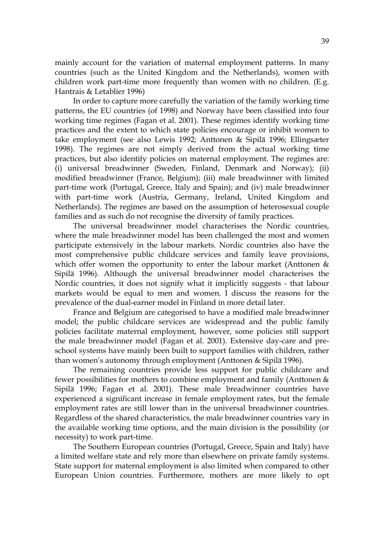mainly account for the variation of maternal employment patterns. In many countries (such as the United Kingdom and the Netherlands), women with children work part-time more frequently than women with no children. (E.g. Hantrais & Letablier 1996)

In order to capture more carefully the variation of the family working time patterns, the EU countries (of 1998) and Norway have been classified into four working time regimes (Fagan et al. 2001). These regimes identify working time practices and the extent to which state policies encourage or inhibit women to take employment (see also Lewis 1992; Anttonen & Sipilä 1996; Ellingsæter 1998). The regimes are not simply derived from the actual working time practices, but also identify policies on maternal employment. The regimes are: (i) universal breadwinner (Sweden, Finland, Denmark and Norway); (ii) modified breadwinner (France, Belgium); (iii) male breadwinner with limited part-time work (Portugal, Greece, Italy and Spain); and (iv) male breadwinner with part-time work (Austria, Germany, Ireland, United Kingdom and Netherlands). The regimes are based on the assumption of heterosexual couple families and as such do not recognise the diversity of family practices.

The universal breadwinner model characterises the Nordic countries, where the male breadwinner model has been challenged the most and women participate extensively in the labour markets. Nordic countries also have the most comprehensive public childcare services and family leave provisions, which offer women the opportunity to enter the labour market (Anttonen & Sipilä 1996). Although the universal breadwinner model characterises the Nordic countries, it does not signify what it implicitly suggests - that labour markets would be equal to men and women. I discuss the reasons for the prevalence of the dual-earner model in Finland in more detail later.

France and Belgium are categorised to have a modified male breadwinner model; the public childcare services are widespread and the public family policies facilitate maternal employment, however, some policies still support the male breadwinner model (Fagan et al. 2001). Extensive day-care and preschool systems have mainly been built to support families with children, rather than women's autonomy through employment (Anttonen & Sipilä 1996).

The remaining countries provide less support for public childcare and fewer possibilities for mothers to combine employment and family (Anttonen & Sipilä 1996; Fagan et al. 2001). These male breadwinner countries have experienced a significant increase in female employment rates, but the female employment rates are still lower than in the universal breadwinner countries. Regardless of the shared characteristics, the male breadwinner countries vary in the available working time options, and the main division is the possibility (or necessity) to work part-time.

The Southern European countries (Portugal, Greece, Spain and Italy) have a limited welfare state and rely more than elsewhere on private family systems. State support for maternal employment is also limited when compared to other European Union countries. Furthermore, mothers are more likely to opt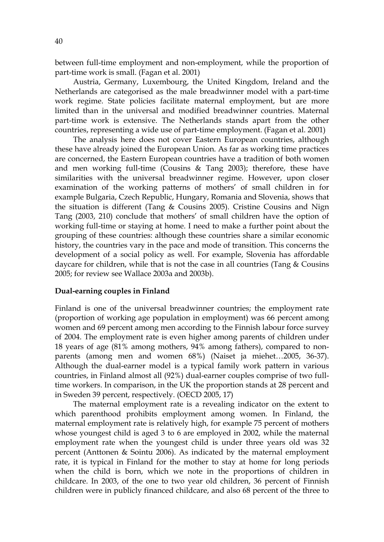between full-time employment and non-employment, while the proportion of part-time work is small. (Fagan et al. 2001)

Austria, Germany, Luxembourg, the United Kingdom, Ireland and the Netherlands are categorised as the male breadwinner model with a part-time work regime. State policies facilitate maternal employment, but are more limited than in the universal and modified breadwinner countries. Maternal part-time work is extensive. The Netherlands stands apart from the other countries, representing a wide use of part-time employment. (Fagan et al. 2001)

The analysis here does not cover Eastern European countries, although these have already joined the European Union. As far as working time practices are concerned, the Eastern European countries have a tradition of both women and men working full-time (Cousins & Tang 2003); therefore, these have similarities with the universal breadwinner regime. However, upon closer examination of the working patterns of mothers' of small children in for example Bulgaria, Czech Republic, Hungary, Romania and Slovenia, shows that the situation is different (Tang & Cousins 2005). Cristine Cousins and Nign Tang (2003, 210) conclude that mothers' of small children have the option of working full-time or staying at home. I need to make a further point about the grouping of these countries: although these countries share a similar economic history, the countries vary in the pace and mode of transition. This concerns the development of a social policy as well. For example, Slovenia has affordable daycare for children, while that is not the case in all countries (Tang & Cousins 2005; for review see Wallace 2003a and 2003b).

#### **Dual-earning couples in Finland**

Finland is one of the universal breadwinner countries; the employment rate (proportion of working age population in employment) was 66 percent among women and 69 percent among men according to the Finnish labour force survey of 2004. The employment rate is even higher among parents of children under 18 years of age (81% among mothers, 94% among fathers), compared to nonparents (among men and women 68%) (Naiset ja miehet…2005, 36-37). Although the dual-earner model is a typical family work pattern in various countries, in Finland almost all (92%) dual-earner couples comprise of two fulltime workers. In comparison, in the UK the proportion stands at 28 percent and in Sweden 39 percent, respectively. (OECD 2005, 17)

The maternal employment rate is a revealing indicator on the extent to which parenthood prohibits employment among women. In Finland, the maternal employment rate is relatively high, for example 75 percent of mothers whose youngest child is aged 3 to 6 are employed in 2002, while the maternal employment rate when the youngest child is under three years old was 32 percent (Anttonen & Sointu 2006). As indicated by the maternal employment rate, it is typical in Finland for the mother to stay at home for long periods when the child is born, which we note in the proportions of children in childcare. In 2003, of the one to two year old children, 36 percent of Finnish children were in publicly financed childcare, and also 68 percent of the three to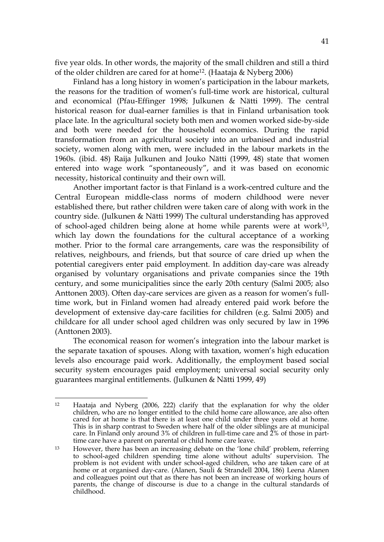five year olds. In other words, the majority of the small children and still a third of the older children are cared for at home12. (Haataja & Nyberg 2006)

Finland has a long history in women's participation in the labour markets, the reasons for the tradition of women's full-time work are historical, cultural and economical (Pfau-Effinger 1998; Julkunen & Nätti 1999). The central historical reason for dual-earner families is that in Finland urbanisation took place late. In the agricultural society both men and women worked side-by-side and both were needed for the household economics. During the rapid transformation from an agricultural society into an urbanised and industrial society, women along with men, were included in the labour markets in the 1960s. (ibid. 48) Raija Julkunen and Jouko Nätti (1999, 48) state that women entered into wage work "spontaneously", and it was based on economic necessity, historical continuity and their own will.

Another important factor is that Finland is a work-centred culture and the Central European middle-class norms of modern childhood were never established there, but rather children were taken care of along with work in the country side. (Julkunen & Nätti 1999) The cultural understanding has approved of school-aged children being alone at home while parents were at work13, which lay down the foundations for the cultural acceptance of a working mother. Prior to the formal care arrangements, care was the responsibility of relatives, neighbours, and friends, but that source of care dried up when the potential caregivers enter paid employment. In addition day-care was already organised by voluntary organisations and private companies since the 19th century, and some municipalities since the early 20th century (Salmi 2005; also Anttonen 2003). Often day-care services are given as a reason for women's fulltime work, but in Finland women had already entered paid work before the development of extensive day-care facilities for children (e.g. Salmi 2005) and childcare for all under school aged children was only secured by law in 1996 (Anttonen 2003).

The economical reason for women's integration into the labour market is the separate taxation of spouses. Along with taxation, women's high education levels also encourage paid work. Additionally, the employment based social security system encourages paid employment; universal social security only guarantees marginal entitlements. (Julkunen & Nätti 1999, 49)

<sup>1</sup> 12 Haataja and Nyberg (2006, 222) clarify that the explanation for why the older children, who are no longer entitled to the child home care allowance, are also often cared for at home is that there is at least one child under three years old at home. This is in sharp contrast to Sweden where half of the older siblings are at municipal care. In Finland only around 3% of children in full-time care and 2% of those in parttime care have a parent on parental or child home care leave.

 $13$  However, there has been an increasing debate on the 'lone child' problem, referring to school-aged children spending time alone without adults' supervision. The problem is not evident with under school-aged children, who are taken care of at home or at organised day-care. (Alanen, Sauli & Strandell 2004, 186) Leena Alanen and colleagues point out that as there has not been an increase of working hours of parents, the change of discourse is due to a change in the cultural standards of childhood.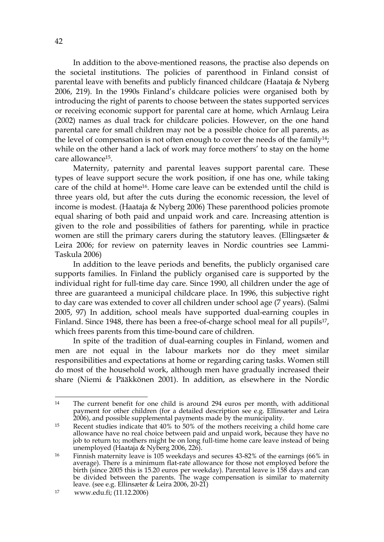In addition to the above-mentioned reasons, the practise also depends on the societal institutions. The policies of parenthood in Finland consist of parental leave with benefits and publicly financed childcare (Haataja & Nyberg 2006, 219). In the 1990s Finland's childcare policies were organised both by introducing the right of parents to choose between the states supported services or receiving economic support for parental care at home, which Arnlaug Leira (2002) names as dual track for childcare policies. However, on the one hand parental care for small children may not be a possible choice for all parents, as the level of compensation is not often enough to cover the needs of the family<sup>14</sup>; while on the other hand a lack of work may force mothers' to stay on the home care allowance<sup>15</sup>.

Maternity, paternity and parental leaves support parental care. These types of leave support secure the work position, if one has one, while taking care of the child at home16. Home care leave can be extended until the child is three years old, but after the cuts during the economic recession, the level of income is modest. (Haataja & Nyberg 2006) These parenthood policies promote equal sharing of both paid and unpaid work and care. Increasing attention is given to the role and possibilities of fathers for parenting, while in practice women are still the primary carers during the statutory leaves. (Ellingsæter & Leira 2006; for review on paternity leaves in Nordic countries see Lammi-Taskula 2006)

In addition to the leave periods and benefits, the publicly organised care supports families. In Finland the publicly organised care is supported by the individual right for full-time day care. Since 1990, all children under the age of three are guaranteed a municipal childcare place. In 1996, this subjective right to day care was extended to cover all children under school age (7 years). (Salmi 2005, 97) In addition, school meals have supported dual-earning couples in Finland. Since 1948, there has been a free-of-charge school meal for all pupils<sup>17</sup>, which frees parents from this time-bound care of children.

In spite of the tradition of dual-earning couples in Finland, women and men are not equal in the labour markets nor do they meet similar responsibilities and expectations at home or regarding caring tasks. Women still do most of the household work, although men have gradually increased their share (Niemi & Pääkkönen 2001). In addition, as elsewhere in the Nordic

<sup>&</sup>lt;u>.</u> 14 The current benefit for one child is around 294 euros per month, with additional payment for other children (for a detailed description see e.g. Ellinsæter and Leira 2006), and possible supplemental payments made by the municipality.

<sup>15</sup> Recent studies indicate that 40% to 50% of the mothers receiving a child home care allowance have no real choice between paid and unpaid work, because they have no job to return to; mothers might be on long full-time home care leave instead of being unemployed (Haataja & Nyberg 2006, 226).

<sup>16</sup> Finnish maternity leave is 105 weekdays and secures 43-82% of the earnings (66% in average). There is a minimum flat-rate allowance for those not employed before the birth (since 2005 this is 15.20 euros per weekday). Parental leave is 158 days and can be divided between the parents. The wage compensation is similar to maternity leave. (see e.g. Ellinsæter & Leira 2006, 20-21)

<sup>17</sup> www.edu.fi; (11.12.2006)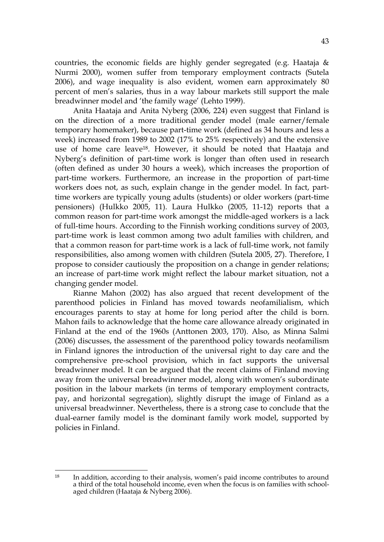countries, the economic fields are highly gender segregated (e.g. Haataja & Nurmi 2000), women suffer from temporary employment contracts (Sutela 2006), and wage inequality is also evident, women earn approximately 80 percent of men's salaries, thus in a way labour markets still support the male breadwinner model and 'the family wage' (Lehto 1999).

Anita Haataja and Anita Nyberg (2006, 224) even suggest that Finland is on the direction of a more traditional gender model (male earner/female temporary homemaker), because part-time work (defined as 34 hours and less a week) increased from 1989 to 2002 (17% to 25% respectively) and the extensive use of home care leave18. However, it should be noted that Haataja and Nyberg's definition of part-time work is longer than often used in research (often defined as under 30 hours a week), which increases the proportion of part-time workers. Furthermore, an increase in the proportion of part-time workers does not, as such, explain change in the gender model. In fact, parttime workers are typically young adults (students) or older workers (part-time pensioners) (Hulkko 2005, 11). Laura Hulkko (2005, 11-12) reports that a common reason for part-time work amongst the middle-aged workers is a lack of full-time hours. According to the Finnish working conditions survey of 2003, part-time work is least common among two adult families with children, and that a common reason for part-time work is a lack of full-time work, not family responsibilities, also among women with children (Sutela 2005, 27). Therefore, I propose to consider cautiously the proposition on a change in gender relations; an increase of part-time work might reflect the labour market situation, not a changing gender model.

Rianne Mahon (2002) has also argued that recent development of the parenthood policies in Finland has moved towards neofamilialism, which encourages parents to stay at home for long period after the child is born. Mahon fails to acknowledge that the home care allowance already originated in Finland at the end of the 1960s (Anttonen 2003, 170). Also, as Minna Salmi (2006) discusses, the assessment of the parenthood policy towards neofamilism in Finland ignores the introduction of the universal right to day care and the comprehensive pre-school provision, which in fact supports the universal breadwinner model. It can be argued that the recent claims of Finland moving away from the universal breadwinner model, along with women's subordinate position in the labour markets (in terms of temporary employment contracts, pay, and horizontal segregation), slightly disrupt the image of Finland as a universal breadwinner. Nevertheless, there is a strong case to conclude that the dual-earner family model is the dominant family work model, supported by policies in Finland.

 $18$ In addition, according to their analysis, women's paid income contributes to around a third of the total household income, even when the focus is on families with schoolaged children (Haataja & Nyberg 2006).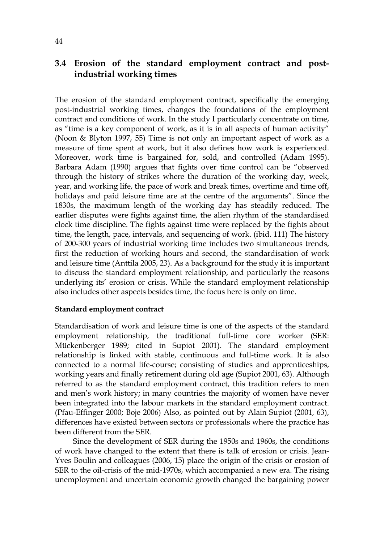# **3.4 Erosion of the standard employment contract and postindustrial working times**

The erosion of the standard employment contract, specifically the emerging post-industrial working times, changes the foundations of the employment contract and conditions of work. In the study I particularly concentrate on time, as "time is a key component of work, as it is in all aspects of human activity" (Noon & Blyton 1997, 55) Time is not only an important aspect of work as a measure of time spent at work, but it also defines how work is experienced. Moreover, work time is bargained for, sold, and controlled (Adam 1995). Barbara Adam (1990) argues that fights over time control can be "observed through the history of strikes where the duration of the working day, week, year, and working life, the pace of work and break times, overtime and time off, holidays and paid leisure time are at the centre of the arguments". Since the 1830s, the maximum length of the working day has steadily reduced. The earlier disputes were fights against time, the alien rhythm of the standardised clock time discipline. The fights against time were replaced by the fights about time, the length, pace, intervals, and sequencing of work. (ibid. 111) The history of 200-300 years of industrial working time includes two simultaneous trends, first the reduction of working hours and second, the standardisation of work and leisure time (Anttila 2005, 23). As a background for the study it is important to discuss the standard employment relationship, and particularly the reasons underlying its' erosion or crisis. While the standard employment relationship also includes other aspects besides time, the focus here is only on time.

### **Standard employment contract**

Standardisation of work and leisure time is one of the aspects of the standard employment relationship, the traditional full-time core worker (SER: Mückenberger 1989; cited in Supiot 2001). The standard employment relationship is linked with stable, continuous and full-time work. It is also connected to a normal life-course; consisting of studies and apprenticeships, working years and finally retirement during old age (Supiot 2001, 63). Although referred to as the standard employment contract, this tradition refers to men and men's work history; in many countries the majority of women have never been integrated into the labour markets in the standard employment contract. (Pfau-Effinger 2000; Boje 2006) Also, as pointed out by Alain Supiot (2001, 63), differences have existed between sectors or professionals where the practice has been different from the SER.

Since the development of SER during the 1950s and 1960s, the conditions of work have changed to the extent that there is talk of erosion or crisis. Jean-Yves Boulin and colleagues (2006, 15) place the origin of the crisis or erosion of SER to the oil-crisis of the mid-1970s, which accompanied a new era. The rising unemployment and uncertain economic growth changed the bargaining power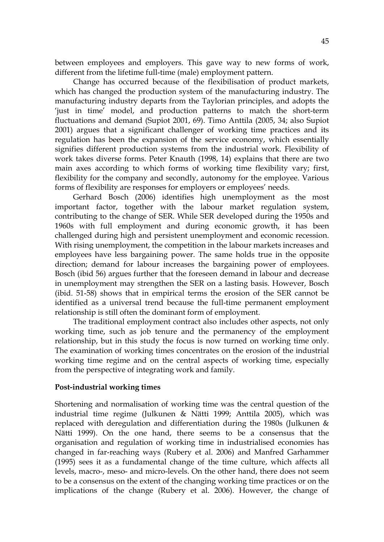between employees and employers. This gave way to new forms of work, different from the lifetime full-time (male) employment pattern.

Change has occurred because of the flexibilisation of product markets, which has changed the production system of the manufacturing industry. The manufacturing industry departs from the Taylorian principles, and adopts the 'just in time' model, and production patterns to match the short-term fluctuations and demand (Supiot 2001, 69). Timo Anttila (2005, 34; also Supiot 2001) argues that a significant challenger of working time practices and its regulation has been the expansion of the service economy, which essentially signifies different production systems from the industrial work. Flexibility of work takes diverse forms. Peter Knauth (1998, 14) explains that there are two main axes according to which forms of working time flexibility vary; first, flexibility for the company and secondly, autonomy for the employee. Various forms of flexibility are responses for employers or employees' needs.

Gerhard Bosch (2006) identifies high unemployment as the most important factor, together with the labour market regulation system, contributing to the change of SER. While SER developed during the 1950s and 1960s with full employment and during economic growth, it has been challenged during high and persistent unemployment and economic recession. With rising unemployment, the competition in the labour markets increases and employees have less bargaining power. The same holds true in the opposite direction; demand for labour increases the bargaining power of employees. Bosch (ibid 56) argues further that the foreseen demand in labour and decrease in unemployment may strengthen the SER on a lasting basis. However, Bosch (ibid. 51-58) shows that in empirical terms the erosion of the SER cannot be identified as a universal trend because the full-time permanent employment relationship is still often the dominant form of employment.

The traditional employment contract also includes other aspects, not only working time, such as job tenure and the permanency of the employment relationship, but in this study the focus is now turned on working time only. The examination of working times concentrates on the erosion of the industrial working time regime and on the central aspects of working time, especially from the perspective of integrating work and family.

### **Post-industrial working times**

Shortening and normalisation of working time was the central question of the industrial time regime (Julkunen & Nätti 1999; Anttila 2005), which was replaced with deregulation and differentiation during the 1980s (Julkunen & Nätti 1999). On the one hand, there seems to be a consensus that the organisation and regulation of working time in industrialised economies has changed in far-reaching ways (Rubery et al. 2006) and Manfred Garhammer (1995) sees it as a fundamental change of the time culture, which affects all levels, macro-, meso- and micro-levels. On the other hand, there does not seem to be a consensus on the extent of the changing working time practices or on the implications of the change (Rubery et al. 2006). However, the change of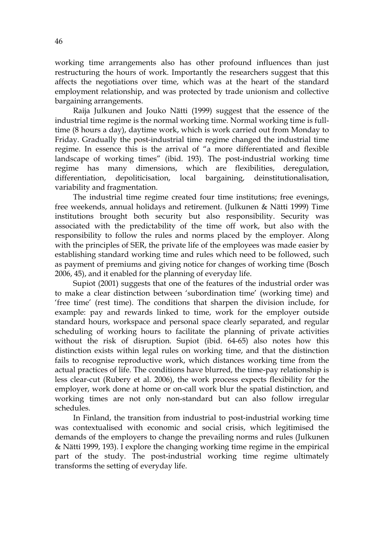working time arrangements also has other profound influences than just restructuring the hours of work. Importantly the researchers suggest that this affects the negotiations over time, which was at the heart of the standard employment relationship, and was protected by trade unionism and collective bargaining arrangements.

Raija Julkunen and Jouko Nätti (1999) suggest that the essence of the industrial time regime is the normal working time. Normal working time is fulltime (8 hours a day), daytime work, which is work carried out from Monday to Friday. Gradually the post-industrial time regime changed the industrial time regime. In essence this is the arrival of "a more differentiated and flexible landscape of working times" (ibid. 193). The post-industrial working time regime has many dimensions, which are flexibilities, deregulation, differentiation, depoliticisation, local bargaining, deinstitutionalisation, variability and fragmentation.

The industrial time regime created four time institutions; free evenings, free weekends, annual holidays and retirement. (Julkunen & Nätti 1999) Time institutions brought both security but also responsibility. Security was associated with the predictability of the time off work, but also with the responsibility to follow the rules and norms placed by the employer. Along with the principles of SER, the private life of the employees was made easier by establishing standard working time and rules which need to be followed, such as payment of premiums and giving notice for changes of working time (Bosch 2006, 45), and it enabled for the planning of everyday life.

Supiot (2001) suggests that one of the features of the industrial order was to make a clear distinction between 'subordination time' (working time) and 'free time' (rest time). The conditions that sharpen the division include, for example: pay and rewards linked to time, work for the employer outside standard hours, workspace and personal space clearly separated, and regular scheduling of working hours to facilitate the planning of private activities without the risk of disruption. Supiot (ibid. 64-65) also notes how this distinction exists within legal rules on working time, and that the distinction fails to recognise reproductive work, which distances working time from the actual practices of life. The conditions have blurred, the time-pay relationship is less clear-cut (Rubery et al. 2006), the work process expects flexibility for the employer, work done at home or on-call work blur the spatial distinction, and working times are not only non-standard but can also follow irregular schedules.

In Finland, the transition from industrial to post-industrial working time was contextualised with economic and social crisis, which legitimised the demands of the employers to change the prevailing norms and rules (Julkunen & Nätti 1999, 193). I explore the changing working time regime in the empirical part of the study. The post-industrial working time regime ultimately transforms the setting of everyday life.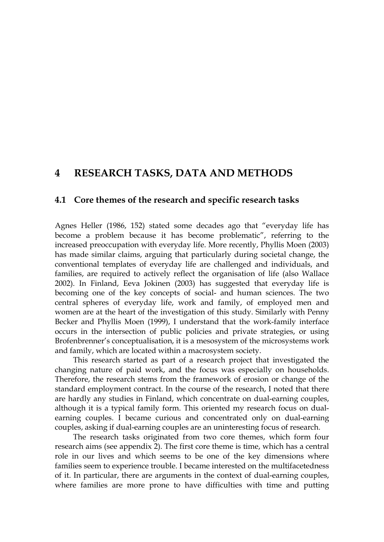# **4 RESEARCH TASKS, DATA AND METHODS**

### **4.1 Core themes of the research and specific research tasks**

Agnes Heller (1986, 152) stated some decades ago that "everyday life has become a problem because it has become problematic", referring to the increased preoccupation with everyday life. More recently, Phyllis Moen (2003) has made similar claims, arguing that particularly during societal change, the conventional templates of everyday life are challenged and individuals, and families, are required to actively reflect the organisation of life (also Wallace 2002). In Finland, Eeva Jokinen (2003) has suggested that everyday life is becoming one of the key concepts of social- and human sciences. The two central spheres of everyday life, work and family, of employed men and women are at the heart of the investigation of this study. Similarly with Penny Becker and Phyllis Moen (1999), I understand that the work-family interface occurs in the intersection of public policies and private strategies, or using Brofenbrenner's conceptualisation, it is a mesosystem of the microsystems work and family, which are located within a macrosystem society.

This research started as part of a research project that investigated the changing nature of paid work, and the focus was especially on households. Therefore, the research stems from the framework of erosion or change of the standard employment contract. In the course of the research, I noted that there are hardly any studies in Finland, which concentrate on dual-earning couples, although it is a typical family form. This oriented my research focus on dualearning couples. I became curious and concentrated only on dual-earning couples, asking if dual-earning couples are an uninteresting focus of research.

The research tasks originated from two core themes, which form four research aims (see appendix 2). The first core theme is time, which has a central role in our lives and which seems to be one of the key dimensions where families seem to experience trouble. I became interested on the multifacetedness of it. In particular, there are arguments in the context of dual-earning couples, where families are more prone to have difficulties with time and putting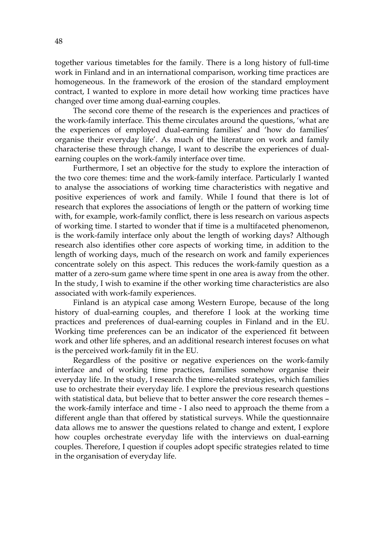together various timetables for the family. There is a long history of full-time work in Finland and in an international comparison, working time practices are homogeneous. In the framework of the erosion of the standard employment contract, I wanted to explore in more detail how working time practices have changed over time among dual-earning couples.

The second core theme of the research is the experiences and practices of the work-family interface. This theme circulates around the questions, 'what are the experiences of employed dual-earning families' and 'how do families' organise their everyday life'. As much of the literature on work and family characterise these through change, I want to describe the experiences of dualearning couples on the work-family interface over time.

Furthermore, I set an objective for the study to explore the interaction of the two core themes: time and the work-family interface. Particularly I wanted to analyse the associations of working time characteristics with negative and positive experiences of work and family. While I found that there is lot of research that explores the associations of length or the pattern of working time with, for example, work-family conflict, there is less research on various aspects of working time. I started to wonder that if time is a multifaceted phenomenon, is the work-family interface only about the length of working days? Although research also identifies other core aspects of working time, in addition to the length of working days, much of the research on work and family experiences concentrate solely on this aspect. This reduces the work-family question as a matter of a zero-sum game where time spent in one area is away from the other. In the study, I wish to examine if the other working time characteristics are also associated with work-family experiences.

Finland is an atypical case among Western Europe, because of the long history of dual-earning couples, and therefore I look at the working time practices and preferences of dual-earning couples in Finland and in the EU. Working time preferences can be an indicator of the experienced fit between work and other life spheres, and an additional research interest focuses on what is the perceived work-family fit in the EU.

Regardless of the positive or negative experiences on the work-family interface and of working time practices, families somehow organise their everyday life. In the study, I research the time-related strategies, which families use to orchestrate their everyday life. I explore the previous research questions with statistical data, but believe that to better answer the core research themes – the work-family interface and time - I also need to approach the theme from a different angle than that offered by statistical surveys. While the questionnaire data allows me to answer the questions related to change and extent, I explore how couples orchestrate everyday life with the interviews on dual-earning couples. Therefore, I question if couples adopt specific strategies related to time in the organisation of everyday life.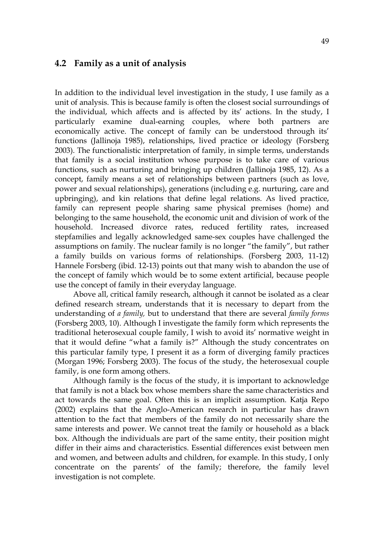### **4.2 Family as a unit of analysis**

In addition to the individual level investigation in the study, I use family as a unit of analysis. This is because family is often the closest social surroundings of the individual, which affects and is affected by its' actions. In the study, I particularly examine dual-earning couples, where both partners are economically active. The concept of family can be understood through its' functions (Jallinoja 1985), relationships, lived practice or ideology (Forsberg 2003). The functionalistic interpretation of family, in simple terms, understands that family is a social institution whose purpose is to take care of various functions, such as nurturing and bringing up children (Jallinoja 1985, 12). As a concept, family means a set of relationships between partners (such as love, power and sexual relationships), generations (including e.g. nurturing, care and upbringing), and kin relations that define legal relations. As lived practice, family can represent people sharing same physical premises (home) and belonging to the same household, the economic unit and division of work of the household. Increased divorce rates, reduced fertility rates, increased stepfamilies and legally acknowledged same-sex couples have challenged the assumptions on family. The nuclear family is no longer "the family", but rather a family builds on various forms of relationships. (Forsberg 2003, 11-12) Hannele Forsberg (ibid. 12-13) points out that many wish to abandon the use of the concept of family which would be to some extent artificial, because people use the concept of family in their everyday language.

Above all, critical family research, although it cannot be isolated as a clear defined research stream, understands that it is necessary to depart from the understanding of *a family,* but to understand that there are several *family forms* (Forsberg 2003, 10). Although I investigate the family form which represents the traditional heterosexual couple family, I wish to avoid its' normative weight in that it would define "what a family is?" Although the study concentrates on this particular family type, I present it as a form of diverging family practices (Morgan 1996; Forsberg 2003). The focus of the study, the heterosexual couple family, is one form among others.

Although family is the focus of the study, it is important to acknowledge that family is not a black box whose members share the same characteristics and act towards the same goal. Often this is an implicit assumption. Katja Repo (2002) explains that the Anglo-American research in particular has drawn attention to the fact that members of the family do not necessarily share the same interests and power. We cannot treat the family or household as a black box. Although the individuals are part of the same entity, their position might differ in their aims and characteristics. Essential differences exist between men and women, and between adults and children, for example. In this study, I only concentrate on the parents' of the family; therefore, the family level investigation is not complete.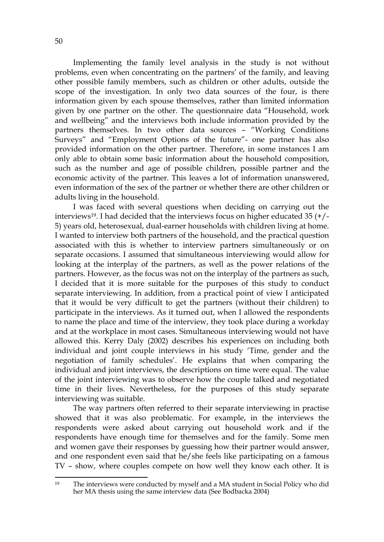Implementing the family level analysis in the study is not without problems, even when concentrating on the partners' of the family, and leaving other possible family members, such as children or other adults, outside the scope of the investigation. In only two data sources of the four, is there information given by each spouse themselves, rather than limited information given by one partner on the other. The questionnaire data "Household, work and wellbeing" and the interviews both include information provided by the partners themselves. In two other data sources – "Working Conditions Surveys" and "Employment Options of the future"- one partner has also provided information on the other partner. Therefore, in some instances I am only able to obtain some basic information about the household composition, such as the number and age of possible children, possible partner and the economic activity of the partner. This leaves a lot of information unanswered, even information of the sex of the partner or whether there are other children or adults living in the household.

I was faced with several questions when deciding on carrying out the interviews19. I had decided that the interviews focus on higher educated 35 (+/- 5) years old, heterosexual, dual-earner households with children living at home. I wanted to interview both partners of the household, and the practical question associated with this is whether to interview partners simultaneously or on separate occasions. I assumed that simultaneous interviewing would allow for looking at the interplay of the partners, as well as the power relations of the partners. However, as the focus was not on the interplay of the partners as such, I decided that it is more suitable for the purposes of this study to conduct separate interviewing. In addition, from a practical point of view I anticipated that it would be very difficult to get the partners (without their children) to participate in the interviews. As it turned out, when I allowed the respondents to name the place and time of the interview, they took place during a workday and at the workplace in most cases. Simultaneous interviewing would not have allowed this. Kerry Daly (2002) describes his experiences on including both individual and joint couple interviews in his study 'Time, gender and the negotiation of family schedules'. He explains that when comparing the individual and joint interviews, the descriptions on time were equal. The value of the joint interviewing was to observe how the couple talked and negotiated time in their lives. Nevertheless, for the purposes of this study separate interviewing was suitable.

The way partners often referred to their separate interviewing in practise showed that it was also problematic. For example, in the interviews the respondents were asked about carrying out household work and if the respondents have enough time for themselves and for the family. Some men and women gave their responses by guessing how their partner would answer, and one respondent even said that he/she feels like participating on a famous TV – show, where couples compete on how well they know each other. It is

<sup>19</sup> The interviews were conducted by myself and a MA student in Social Policy who did her MA thesis using the same interview data (See Bodbacka 2004)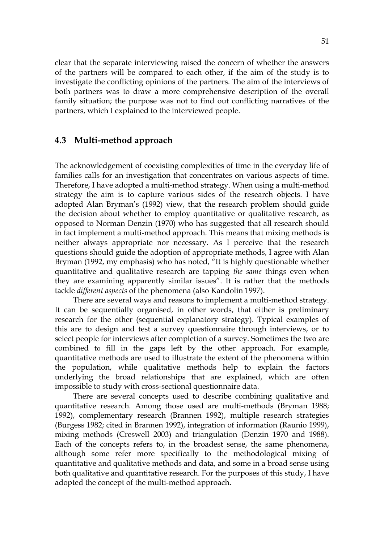clear that the separate interviewing raised the concern of whether the answers of the partners will be compared to each other, if the aim of the study is to investigate the conflicting opinions of the partners. The aim of the interviews of both partners was to draw a more comprehensive description of the overall family situation; the purpose was not to find out conflicting narratives of the partners, which I explained to the interviewed people.

# **4.3 Multi-method approach**

The acknowledgement of coexisting complexities of time in the everyday life of families calls for an investigation that concentrates on various aspects of time. Therefore, I have adopted a multi-method strategy. When using a multi-method strategy the aim is to capture various sides of the research objects. I have adopted Alan Bryman's (1992) view, that the research problem should guide the decision about whether to employ quantitative or qualitative research, as opposed to Norman Denzin (1970) who has suggested that all research should in fact implement a multi-method approach. This means that mixing methods is neither always appropriate nor necessary. As I perceive that the research questions should guide the adoption of appropriate methods, I agree with Alan Bryman (1992, my emphasis) who has noted, "It is highly questionable whether quantitative and qualitative research are tapping *the same* things even when they are examining apparently similar issues". It is rather that the methods tackle *different aspects* of the phenomena (also Kandolin 1997).

There are several ways and reasons to implement a multi-method strategy. It can be sequentially organised, in other words, that either is preliminary research for the other (sequential explanatory strategy). Typical examples of this are to design and test a survey questionnaire through interviews, or to select people for interviews after completion of a survey. Sometimes the two are combined to fill in the gaps left by the other approach. For example, quantitative methods are used to illustrate the extent of the phenomena within the population, while qualitative methods help to explain the factors underlying the broad relationships that are explained, which are often impossible to study with cross-sectional questionnaire data.

There are several concepts used to describe combining qualitative and quantitative research. Among those used are multi-methods (Bryman 1988; 1992), complementary research (Brannen 1992), multiple research strategies (Burgess 1982; cited in Brannen 1992), integration of information (Raunio 1999), mixing methods (Creswell 2003) and triangulation (Denzin 1970 and 1988). Each of the concepts refers to, in the broadest sense, the same phenomena, although some refer more specifically to the methodological mixing of quantitative and qualitative methods and data, and some in a broad sense using both qualitative and quantitative research. For the purposes of this study, I have adopted the concept of the multi-method approach.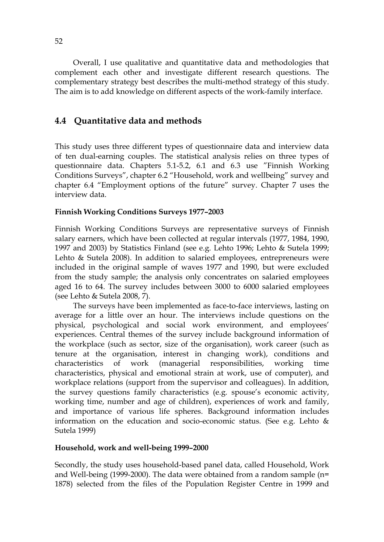Overall, I use qualitative and quantitative data and methodologies that complement each other and investigate different research questions. The complementary strategy best describes the multi-method strategy of this study. The aim is to add knowledge on different aspects of the work-family interface.

# **4.4 Quantitative data and methods**

This study uses three different types of questionnaire data and interview data of ten dual-earning couples. The statistical analysis relies on three types of questionnaire data. Chapters 5.1-5.2, 6.1 and 6.3 use "Finnish Working Conditions Surveys", chapter 6.2 "Household, work and wellbeing" survey and chapter 6.4 "Employment options of the future" survey. Chapter 7 uses the interview data.

# **Finnish Working Conditions Surveys 1977–2003**

Finnish Working Conditions Surveys are representative surveys of Finnish salary earners, which have been collected at regular intervals (1977, 1984, 1990, 1997 and 2003) by Statistics Finland (see e.g. Lehto 1996; Lehto & Sutela 1999; Lehto & Sutela 2008). In addition to salaried employees, entrepreneurs were included in the original sample of waves 1977 and 1990, but were excluded from the study sample; the analysis only concentrates on salaried employees aged 16 to 64. The survey includes between 3000 to 6000 salaried employees (see Lehto & Sutela 2008, 7).

The surveys have been implemented as face-to-face interviews, lasting on average for a little over an hour. The interviews include questions on the physical, psychological and social work environment, and employees' experiences. Central themes of the survey include background information of the workplace (such as sector, size of the organisation), work career (such as tenure at the organisation, interest in changing work), conditions and characteristics of work (managerial responsibilities, working time characteristics, physical and emotional strain at work, use of computer), and workplace relations (support from the supervisor and colleagues). In addition, the survey questions family characteristics (e.g. spouse's economic activity, working time, number and age of children), experiences of work and family, and importance of various life spheres. Background information includes information on the education and socio-economic status. (See e.g. Lehto & Sutela 1999)

### **Household, work and well-being 1999–2000**

Secondly, the study uses household-based panel data, called Household, Work and Well-being (1999-2000). The data were obtained from a random sample (n= 1878) selected from the files of the Population Register Centre in 1999 and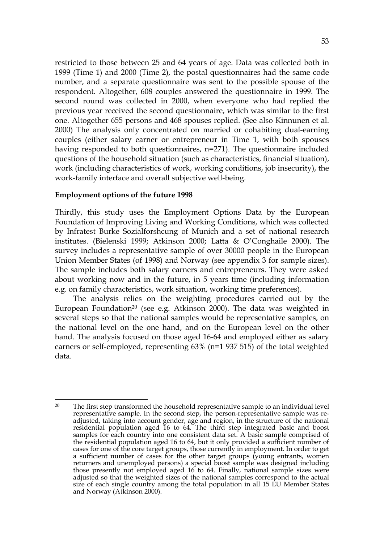restricted to those between 25 and 64 years of age. Data was collected both in 1999 (Time 1) and 2000 (Time 2), the postal questionnaires had the same code number, and a separate questionnaire was sent to the possible spouse of the respondent. Altogether, 608 couples answered the questionnaire in 1999. The second round was collected in 2000, when everyone who had replied the previous year received the second questionnaire, which was similar to the first one. Altogether 655 persons and 468 spouses replied. (See also Kinnunen et al. 2000) The analysis only concentrated on married or cohabiting dual-earning couples (either salary earner or entrepreneur in Time 1, with both spouses having responded to both questionnaires, n=271). The questionnaire included questions of the household situation (such as characteristics, financial situation), work (including characteristics of work, working conditions, job insecurity), the work-family interface and overall subjective well-being.

### **Employment options of the future 1998**

Thirdly, this study uses the Employment Options Data by the European Foundation of Improving Living and Working Conditions, which was collected by Infratest Burke Sozialforshcung of Munich and a set of national research institutes. (Bielenski 1999; Atkinson 2000; Latta & O'Conghaile 2000). The survey includes a representative sample of over 30000 people in the European Union Member States (of 1998) and Norway (see appendix 3 for sample sizes). The sample includes both salary earners and entrepreneurs. They were asked about working now and in the future, in 5 years time (including information e.g. on family characteristics, work situation, working time preferences).

The analysis relies on the weighting procedures carried out by the European Foundation<sup>20</sup> (see e.g. Atkinson 2000). The data was weighted in several steps so that the national samples would be representative samples, on the national level on the one hand, and on the European level on the other hand. The analysis focused on those aged 16-64 and employed either as salary earners or self-employed, representing 63% (n=1 937 515) of the total weighted data.

<sup>1</sup> <sup>20</sup> The first step transformed the household representative sample to an individual level representative sample. In the second step, the person-representative sample was readjusted, taking into account gender, age and region, in the structure of the national residential population aged 16 to 64. The third step integrated basic and boost samples for each country into one consistent data set. A basic sample comprised of the residential population aged 16 to 64, but it only provided a sufficient number of cases for one of the core target groups, those currently in employment. In order to get a sufficient number of cases for the other target groups (young entrants, women returners and unemployed persons) a special boost sample was designed including those presently not employed aged 16 to 64. Finally, national sample sizes were adjusted so that the weighted sizes of the national samples correspond to the actual size of each single country among the total population in all 15 EU Member States and Norway (Atkinson 2000).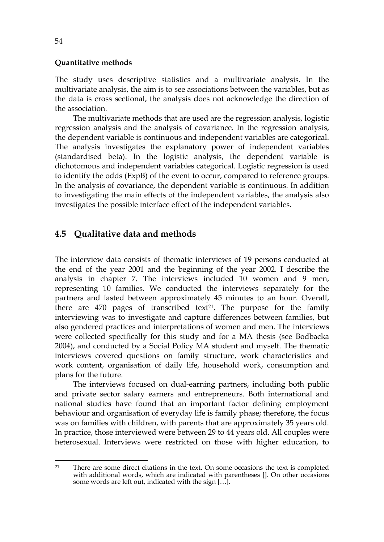#### **Quantitative methods**

The study uses descriptive statistics and a multivariate analysis. In the multivariate analysis, the aim is to see associations between the variables, but as the data is cross sectional, the analysis does not acknowledge the direction of the association.

The multivariate methods that are used are the regression analysis, logistic regression analysis and the analysis of covariance. In the regression analysis, the dependent variable is continuous and independent variables are categorical. The analysis investigates the explanatory power of independent variables (standardised beta). In the logistic analysis, the dependent variable is dichotomous and independent variables categorical. Logistic regression is used to identify the odds (ExpB) of the event to occur, compared to reference groups. In the analysis of covariance, the dependent variable is continuous. In addition to investigating the main effects of the independent variables, the analysis also investigates the possible interface effect of the independent variables.

# **4.5 Qualitative data and methods**

The interview data consists of thematic interviews of 19 persons conducted at the end of the year 2001 and the beginning of the year 2002. I describe the analysis in chapter 7. The interviews included 10 women and 9 men, representing 10 families. We conducted the interviews separately for the partners and lasted between approximately 45 minutes to an hour. Overall, there are  $470$  pages of transcribed text<sup>21</sup>. The purpose for the family interviewing was to investigate and capture differences between families, but also gendered practices and interpretations of women and men. The interviews were collected specifically for this study and for a MA thesis (see Bodbacka 2004), and conducted by a Social Policy MA student and myself. The thematic interviews covered questions on family structure, work characteristics and work content, organisation of daily life, household work, consumption and plans for the future.

The interviews focused on dual-earning partners, including both public and private sector salary earners and entrepreneurs. Both international and national studies have found that an important factor defining employment behaviour and organisation of everyday life is family phase; therefore, the focus was on families with children, with parents that are approximately 35 years old. In practice, those interviewed were between 29 to 44 years old. All couples were heterosexual. Interviews were restricted on those with higher education, to

1

<sup>&</sup>lt;sup>21</sup> There are some direct citations in the text. On some occasions the text is completed with additional words, which are indicated with parentheses []. On other occasions some words are left out, indicated with the sign […].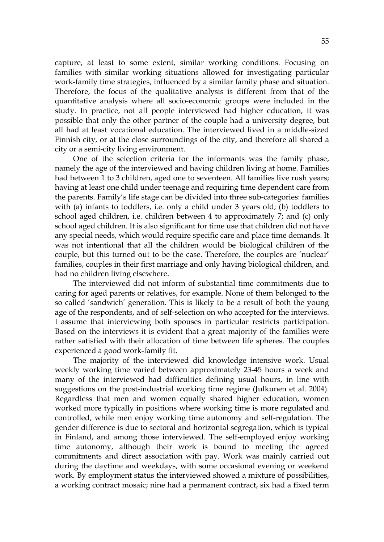capture, at least to some extent, similar working conditions. Focusing on families with similar working situations allowed for investigating particular work-family time strategies, influenced by a similar family phase and situation. Therefore, the focus of the qualitative analysis is different from that of the quantitative analysis where all socio-economic groups were included in the study. In practice, not all people interviewed had higher education, it was possible that only the other partner of the couple had a university degree, but all had at least vocational education. The interviewed lived in a middle-sized Finnish city, or at the close surroundings of the city, and therefore all shared a city or a semi-city living environment.

One of the selection criteria for the informants was the family phase, namely the age of the interviewed and having children living at home. Families had between 1 to 3 children, aged one to seventeen. All families live rush years; having at least one child under teenage and requiring time dependent care from the parents. Family's life stage can be divided into three sub-categories: families with (a) infants to toddlers, i.e. only a child under 3 years old; (b) toddlers to school aged children, i.e. children between 4 to approximately 7; and (c) only school aged children. It is also significant for time use that children did not have any special needs, which would require specific care and place time demands. It was not intentional that all the children would be biological children of the couple, but this turned out to be the case. Therefore, the couples are 'nuclear' families, couples in their first marriage and only having biological children, and had no children living elsewhere.

The interviewed did not inform of substantial time commitments due to caring for aged parents or relatives, for example. None of them belonged to the so called 'sandwich' generation. This is likely to be a result of both the young age of the respondents, and of self-selection on who accepted for the interviews. I assume that interviewing both spouses in particular restricts participation. Based on the interviews it is evident that a great majority of the families were rather satisfied with their allocation of time between life spheres. The couples experienced a good work-family fit.

The majority of the interviewed did knowledge intensive work. Usual weekly working time varied between approximately 23-45 hours a week and many of the interviewed had difficulties defining usual hours, in line with suggestions on the post-industrial working time regime (Julkunen et al. 2004). Regardless that men and women equally shared higher education, women worked more typically in positions where working time is more regulated and controlled, while men enjoy working time autonomy and self-regulation. The gender difference is due to sectoral and horizontal segregation, which is typical in Finland, and among those interviewed. The self-employed enjoy working time autonomy, although their work is bound to meeting the agreed commitments and direct association with pay. Work was mainly carried out during the daytime and weekdays, with some occasional evening or weekend work. By employment status the interviewed showed a mixture of possibilities, a working contract mosaic; nine had a permanent contract, six had a fixed term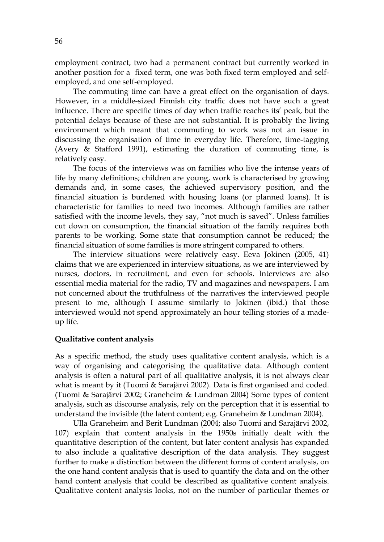employment contract, two had a permanent contract but currently worked in another position for a fixed term, one was both fixed term employed and selfemployed, and one self-employed.

The commuting time can have a great effect on the organisation of days. However, in a middle-sized Finnish city traffic does not have such a great influence. There are specific times of day when traffic reaches its' peak, but the potential delays because of these are not substantial. It is probably the living environment which meant that commuting to work was not an issue in discussing the organisation of time in everyday life. Therefore, time-tagging (Avery & Stafford 1991), estimating the duration of commuting time, is relatively easy.

The focus of the interviews was on families who live the intense years of life by many definitions; children are young, work is characterised by growing demands and, in some cases, the achieved supervisory position, and the financial situation is burdened with housing loans (or planned loans). It is characteristic for families to need two incomes. Although families are rather satisfied with the income levels, they say, "not much is saved". Unless families cut down on consumption, the financial situation of the family requires both parents to be working. Some state that consumption cannot be reduced; the financial situation of some families is more stringent compared to others.

The interview situations were relatively easy. Eeva Jokinen (2005, 41) claims that we are experienced in interview situations, as we are interviewed by nurses, doctors, in recruitment, and even for schools. Interviews are also essential media material for the radio, TV and magazines and newspapers. I am not concerned about the truthfulness of the narratives the interviewed people present to me, although I assume similarly to Jokinen (ibid.) that those interviewed would not spend approximately an hour telling stories of a madeup life.

#### **Qualitative content analysis**

As a specific method, the study uses qualitative content analysis, which is a way of organising and categorising the qualitative data. Although content analysis is often a natural part of all qualitative analysis, it is not always clear what is meant by it (Tuomi & Sarajärvi 2002). Data is first organised and coded. (Tuomi & Sarajärvi 2002; Graneheim & Lundman 2004) Some types of content analysis, such as discourse analysis, rely on the perception that it is essential to understand the invisible (the latent content; e.g. Graneheim & Lundman 2004).

Ulla Graneheim and Berit Lundman (2004; also Tuomi and Sarajärvi 2002, 107) explain that content analysis in the 1950s initially dealt with the quantitative description of the content, but later content analysis has expanded to also include a qualitative description of the data analysis. They suggest further to make a distinction between the different forms of content analysis, on the one hand content analysis that is used to quantify the data and on the other hand content analysis that could be described as qualitative content analysis. Qualitative content analysis looks, not on the number of particular themes or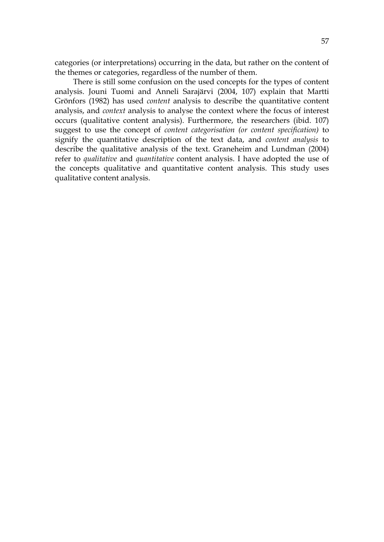categories (or interpretations) occurring in the data, but rather on the content of the themes or categories, regardless of the number of them.

There is still some confusion on the used concepts for the types of content analysis. Jouni Tuomi and Anneli Sarajärvi (2004, 107) explain that Martti Grönfors (1982) has used *content* analysis to describe the quantitative content analysis, and *context* analysis to analyse the context where the focus of interest occurs (qualitative content analysis). Furthermore, the researchers (ibid. 107) suggest to use the concept of *content categorisation (or content specification)* to signify the quantitative description of the text data, and *content analysis* to describe the qualitative analysis of the text. Graneheim and Lundman (2004) refer to *qualitative* and *quantitative* content analysis. I have adopted the use of the concepts qualitative and quantitative content analysis. This study uses qualitative content analysis.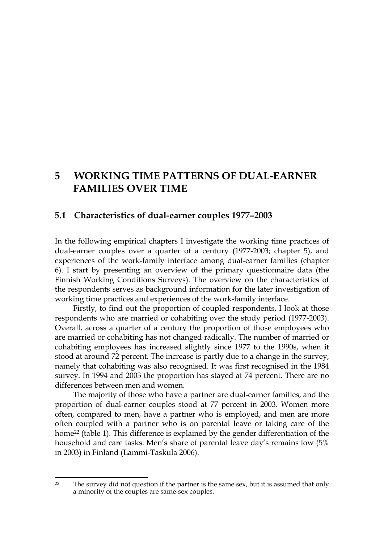# **5 WORKING TIME PATTERNS OF DUAL-EARNER FAMILIES OVER TIME**

# **5.1 Characteristics of dual-earner couples 1977–2003**

In the following empirical chapters I investigate the working time practices of dual-earner couples over a quarter of a century (1977-2003; chapter 5), and experiences of the work-family interface among dual-earner families (chapter 6). I start by presenting an overview of the primary questionnaire data (the Finnish Working Conditions Surveys). The overview on the characteristics of the respondents serves as background information for the later investigation of working time practices and experiences of the work-family interface.

Firstly, to find out the proportion of coupled respondents, I look at those respondents who are married or cohabiting over the study period (1977-2003). Overall, across a quarter of a century the proportion of those employees who are married or cohabiting has not changed radically. The number of married or cohabiting employees has increased slightly since 1977 to the 1990s, when it stood at around 72 percent. The increase is partly due to a change in the survey, namely that cohabiting was also recognised. It was first recognised in the 1984 survey. In 1994 and 2003 the proportion has stayed at 74 percent. There are no differences between men and women.

The majority of those who have a partner are dual-earner families, and the proportion of dual-earner couples stood at 77 percent in 2003. Women more often, compared to men, have a partner who is employed, and men are more often coupled with a partner who is on parental leave or taking care of the home<sup>22</sup> (table 1). This difference is explained by the gender differentiation of the household and care tasks. Men's share of parental leave day's remains low (5% in 2003) in Finland (Lammi-Taskula 2006).

 $22$ The survey did not question if the partner is the same sex, but it is assumed that only a minority of the couples are same-sex couples.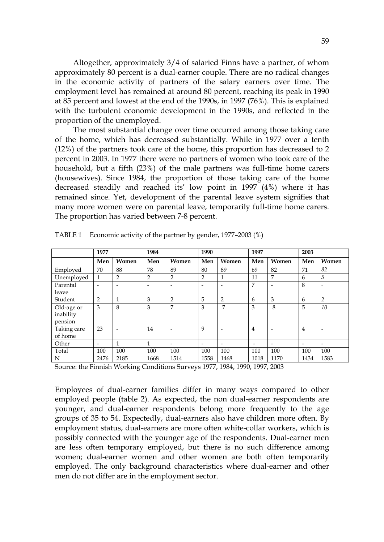Altogether, approximately 3/4 of salaried Finns have a partner, of whom approximately 80 percent is a dual-earner couple. There are no radical changes in the economic activity of partners of the salary earners over time. The employment level has remained at around 80 percent, reaching its peak in 1990 at 85 percent and lowest at the end of the 1990s, in 1997 (76%). This is explained with the turbulent economic development in the 1990s, and reflected in the proportion of the unemployed.

The most substantial change over time occurred among those taking care of the home, which has decreased substantially. While in 1977 over a tenth (12%) of the partners took care of the home, this proportion has decreased to 2 percent in 2003. In 1977 there were no partners of women who took care of the household, but a fifth (23%) of the male partners was full-time home carers (housewives). Since 1984, the proportion of those taking care of the home decreased steadily and reached its' low point in 1997 (4%) where it has remained since. Yet, development of the parental leave system signifies that many more women were on parental leave, temporarily full-time home carers. The proportion has varied between 7-8 percent.

|             | 1977                     |                          | 1984                     |                          | 1990                     |                          | 1997                     |                          | 2003                     |                          |
|-------------|--------------------------|--------------------------|--------------------------|--------------------------|--------------------------|--------------------------|--------------------------|--------------------------|--------------------------|--------------------------|
|             | Men                      | Women                    | Men                      | Women                    | Men                      | Women                    | Men                      | Women                    | Men                      | Women                    |
| Employed    | 70                       | 88                       | 78                       | 89                       | 80                       | 89                       | 69                       | 82                       | 71                       | 82                       |
| Unemployed  | $\mathbf{1}$             | $\overline{2}$           | $\overline{2}$           | 2                        | 2                        | $\mathbf 1$              | 11                       | 7                        | 6                        | 5                        |
| Parental    | ۰                        | $\overline{\phantom{a}}$ | $\overline{\phantom{0}}$ |                          |                          |                          | 7                        | $\overline{\phantom{0}}$ | 8                        |                          |
| leave       |                          |                          |                          |                          |                          |                          |                          |                          |                          |                          |
| Student     | $\overline{2}$           | $\mathbf{1}$             | 3                        | $\overline{2}$           | 5                        | $\overline{2}$           | 6                        | 3                        | 6                        | $\overline{2}$           |
| Old-age or  | 3                        | 8                        | 3                        | 7                        | 3                        | 7                        | 3                        | 8                        | 5                        | 10                       |
| inability   |                          |                          |                          |                          |                          |                          |                          |                          |                          |                          |
| pension     |                          |                          |                          |                          |                          |                          |                          |                          |                          |                          |
| Taking care | 23                       | $\overline{\phantom{a}}$ | 14                       |                          | 9                        |                          | $\overline{4}$           |                          | $\overline{4}$           |                          |
| of home     |                          |                          |                          |                          |                          |                          |                          |                          |                          |                          |
| Other       | $\overline{\phantom{0}}$ | $\mathbf{1}$             | $\mathbf{1}$             | $\overline{\phantom{a}}$ | $\overline{\phantom{a}}$ | $\overline{\phantom{a}}$ | $\overline{\phantom{0}}$ | $\overline{\phantom{a}}$ | $\overline{\phantom{0}}$ | $\overline{\phantom{a}}$ |
| Total       | 100                      | 100                      | 100                      | 100                      | 100                      | 100                      | 100                      | 100                      | 100                      | 100                      |
| N           | 2476                     | 2185                     | 1668                     | 1514                     | 1558                     | 1468                     | 1018                     | 1170                     | 1434                     | 1583                     |

TABLE 1 Economic activity of the partner by gender, 1977–2003 (%)

Source: the Finnish Working Conditions Surveys 1977, 1984, 1990, 1997, 2003

Employees of dual-earner families differ in many ways compared to other employed people (table 2). As expected, the non dual-earner respondents are younger, and dual-earner respondents belong more frequently to the age groups of 35 to 54. Expectedly, dual-earners also have children more often. By employment status, dual-earners are more often white-collar workers, which is possibly connected with the younger age of the respondents. Dual-earner men are less often temporary employed, but there is no such difference among women; dual-earner women and other women are both often temporarily employed. The only background characteristics where dual-earner and other men do not differ are in the employment sector.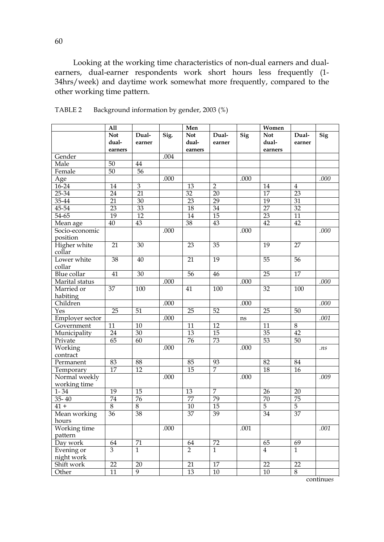Looking at the working time characteristics of non-dual earners and dualearners, dual-earner respondents work short hours less frequently (1- 34hrs/week) and daytime work somewhat more frequently, compared to the other working time pattern.

|                               | A11                 |                 |      | Men                 |                 |      | Women               |                 |           |
|-------------------------------|---------------------|-----------------|------|---------------------|-----------------|------|---------------------|-----------------|-----------|
|                               | <b>Not</b><br>dual- | Dual-<br>earner | Sig. | <b>Not</b><br>dual- | Dual-<br>earner | Sig  | <b>Not</b><br>dual- | Dual-<br>earner | Sig       |
|                               | earners             |                 |      | earners             |                 |      | earners             |                 |           |
| Gender                        |                     |                 | .004 |                     |                 |      |                     |                 |           |
| Male                          | 50                  | 44              |      |                     |                 |      |                     |                 |           |
| Female                        | 50                  | $\overline{56}$ |      |                     |                 |      |                     |                 |           |
| Age                           |                     |                 | .000 |                     |                 | .000 |                     |                 | .000      |
| $16 - 24$                     | 14                  | $\overline{3}$  |      | 13                  | $\overline{2}$  |      | 14                  | $\overline{4}$  |           |
| $25 - 34$                     | 24                  | $\overline{21}$ |      | 32                  | $\overline{20}$ |      | $\overline{17}$     | 23              |           |
| 35-44                         | 21                  | 30              |      | 23                  | 29              |      | 19                  | 31              |           |
| 45-54                         | $\overline{23}$     | 33              |      | $\overline{18}$     | $\overline{34}$ |      | $\overline{27}$     | 32              |           |
| $54 - 65$                     | $\overline{19}$     | 12              |      | $\overline{14}$     | $\overline{15}$ |      | $\overline{23}$     | $\overline{11}$ |           |
| Mean age                      | $\overline{40}$     | 43              |      | $\overline{38}$     | $\overline{43}$ |      | 42                  | 42              |           |
| Socio-economic<br>position    |                     |                 | .000 |                     |                 | .000 |                     |                 | .000      |
| Higher white<br>collar        | 21                  | $\overline{30}$ |      | 23                  | 35              |      | $\overline{19}$     | $\overline{27}$ |           |
| Lower white<br>collar         | 38                  | 40              |      | 21                  | $\overline{19}$ |      | $\overline{55}$     | 56              |           |
| <b>Blue</b> collar            | $\overline{41}$     | 30              |      | $\overline{56}$     | 46              |      | $\overline{25}$     | 17              |           |
| Marital status                |                     |                 | .000 |                     |                 | .000 |                     |                 | .000      |
| Married or<br>habiting        | 37                  | 100             |      | 41                  | 100             |      | 32                  | 100             |           |
| Children                      |                     |                 | .000 |                     |                 | .000 |                     |                 | .000      |
| Yes                           | $\overline{25}$     | $\overline{51}$ |      | 25                  | $\overline{52}$ |      | 25                  | 50              |           |
| Employer sector               |                     |                 | .000 |                     |                 | ns   |                     |                 | .001      |
| Government                    | 11                  | 10              |      | 11                  | 12              |      | 11                  | $\overline{8}$  |           |
| Municipality                  | 24                  | $\overline{30}$ |      | $\overline{13}$     | 15              |      | 35                  | 42              |           |
| Private                       | 65                  | 60              |      | 76                  | $\overline{73}$ |      | 53                  | $\overline{50}$ |           |
| Working<br>contract           |                     |                 | .000 |                     |                 | .000 |                     |                 | .ns       |
| Permanent                     | 83                  | 88              |      | 85                  | 93              |      | 82                  | 84              |           |
| Temporary                     | 17                  | 12              |      | $\overline{15}$     | 7               |      | 18                  | $16\,$          |           |
| Normal weekly<br>working time |                     |                 | .000 |                     |                 | .000 |                     |                 | .009      |
| $1 - 34$                      | 19                  | 15              |      | 13                  | 7               |      | 26                  | 20              |           |
| $35 - 40$                     | $\overline{74}$     | $\overline{76}$ |      | 77                  | 79              |      | $\overline{70}$     | 75              |           |
| $41 +$                        | $\overline{8}$      | $\overline{8}$  |      | 10                  | 15              |      | $\overline{5}$      | $\overline{5}$  |           |
| Mean working<br>hours         | 36                  | 38              |      | 37                  | 39              |      | 34                  | 37              |           |
| Working time                  |                     |                 | .000 |                     |                 | .001 |                     |                 | $.001\,$  |
| pattern                       |                     |                 |      |                     |                 |      |                     |                 |           |
| Day work                      | 64                  | 71              |      | 64                  | 72              |      | 65                  | 69              |           |
| Evening or<br>night work      | $\overline{3}$      | $\mathbf{1}$    |      | $\overline{2}$      | $\mathbf{1}$    |      | 4                   | $\mathbf{1}$    |           |
| Shift work                    | 22                  | 20              |      | 21                  | $\overline{17}$ |      | $\overline{22}$     | 22              |           |
| Other                         | 11                  | 9               |      | 13                  | 10              |      | 10                  | $\overline{8}$  |           |
|                               |                     |                 |      |                     |                 |      |                     |                 | continues |

TABLE 2 Background information by gender, 2003 (%)

60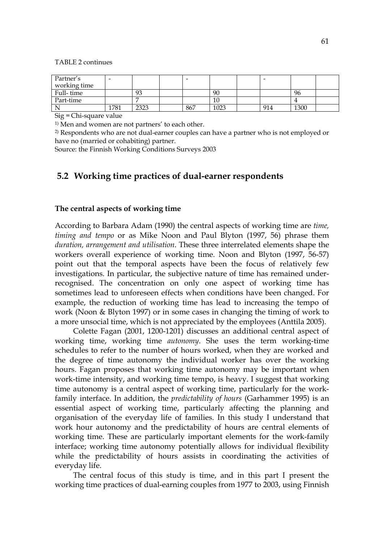#### TABLE 2 continues

| Partner's<br>working time |      |      | -   |      | -   |      |  |
|---------------------------|------|------|-----|------|-----|------|--|
| Full-time                 |      | 93   |     | 90   |     | 96   |  |
| Part-time                 |      |      |     | 10   |     |      |  |
|                           | 1781 | 2323 | 867 | 1023 | 914 | 1300 |  |

Sig = Chi-square value

1) Men and women are not partners' to each other.

2) Respondents who are not dual-earner couples can have a partner who is not employed or have no (married or cohabiting) partner.

Source: the Finnish Working Conditions Surveys 2003

# **5.2 Working time practices of dual-earner respondents**

#### **The central aspects of working time**

According to Barbara Adam (1990) the central aspects of working time are *time, timing and tempo* or as Mike Noon and Paul Blyton (1997, 56) phrase them *duration, arrangement and utilisation*. These three interrelated elements shape the workers overall experience of working time. Noon and Blyton (1997, 56-57) point out that the temporal aspects have been the focus of relatively few investigations. In particular, the subjective nature of time has remained underrecognised. The concentration on only one aspect of working time has sometimes lead to unforeseen effects when conditions have been changed. For example, the reduction of working time has lead to increasing the tempo of work (Noon & Blyton 1997) or in some cases in changing the timing of work to a more unsocial time, which is not appreciated by the employees (Anttila 2005).

Colette Fagan (2001, 1200-1201) discusses an additional central aspect of working time, working time *autonomy*. She uses the term working-time schedules to refer to the number of hours worked, when they are worked and the degree of time autonomy the individual worker has over the working hours. Fagan proposes that working time autonomy may be important when work-time intensity, and working time tempo, is heavy. I suggest that working time autonomy is a central aspect of working time, particularly for the workfamily interface. In addition, the *predictability of hours* (Garhammer 1995) is an essential aspect of working time, particularly affecting the planning and organisation of the everyday life of families. In this study I understand that work hour autonomy and the predictability of hours are central elements of working time. These are particularly important elements for the work-family interface; working time autonomy potentially allows for individual flexibility while the predictability of hours assists in coordinating the activities of everyday life.

The central focus of this study is time, and in this part I present the working time practices of dual-earning couples from 1977 to 2003, using Finnish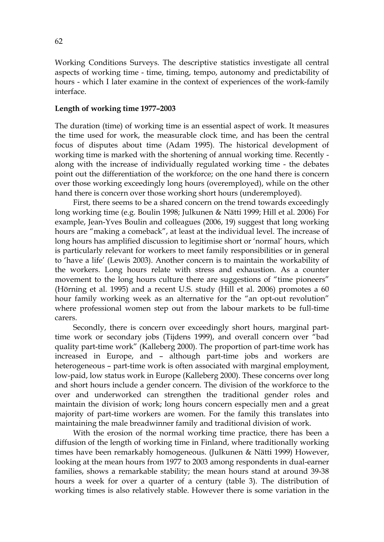Working Conditions Surveys. The descriptive statistics investigate all central aspects of working time - time, timing, tempo, autonomy and predictability of hours - which I later examine in the context of experiences of the work-family interface.

### **Length of working time 1977–2003**

The duration (time) of working time is an essential aspect of work. It measures the time used for work, the measurable clock time, and has been the central focus of disputes about time (Adam 1995). The historical development of working time is marked with the shortening of annual working time. Recently along with the increase of individually regulated working time - the debates point out the differentiation of the workforce; on the one hand there is concern over those working exceedingly long hours (overemployed), while on the other hand there is concern over those working short hours (underemployed).

First, there seems to be a shared concern on the trend towards exceedingly long working time (e.g. Boulin 1998; Julkunen & Nätti 1999; Hill et al. 2006) For example, Jean-Yves Boulin and colleagues (2006, 19) suggest that long working hours are "making a comeback", at least at the individual level. The increase of long hours has amplified discussion to legitimise short or 'normal' hours, which is particularly relevant for workers to meet family responsibilities or in general to 'have a life' (Lewis 2003). Another concern is to maintain the workability of the workers. Long hours relate with stress and exhaustion. As a counter movement to the long hours culture there are suggestions of "time pioneers" (Hörning et al. 1995) and a recent U.S. study (Hill et al. 2006) promotes a 60 hour family working week as an alternative for the "an opt-out revolution" where professional women step out from the labour markets to be full-time carers.

Secondly, there is concern over exceedingly short hours, marginal parttime work or secondary jobs (Tijdens 1999), and overall concern over "bad quality part-time work" (Kalleberg 2000). The proportion of part-time work has increased in Europe, and – although part-time jobs and workers are heterogeneous – part-time work is often associated with marginal employment, low-paid, low status work in Europe (Kalleberg 2000). These concerns over long and short hours include a gender concern. The division of the workforce to the over and underworked can strengthen the traditional gender roles and maintain the division of work; long hours concern especially men and a great majority of part-time workers are women. For the family this translates into maintaining the male breadwinner family and traditional division of work.

With the erosion of the normal working time practice, there has been a diffusion of the length of working time in Finland, where traditionally working times have been remarkably homogeneous. (Julkunen & Nätti 1999) However, looking at the mean hours from 1977 to 2003 among respondents in dual-earner families, shows a remarkable stability; the mean hours stand at around 39-38 hours a week for over a quarter of a century (table 3). The distribution of working times is also relatively stable. However there is some variation in the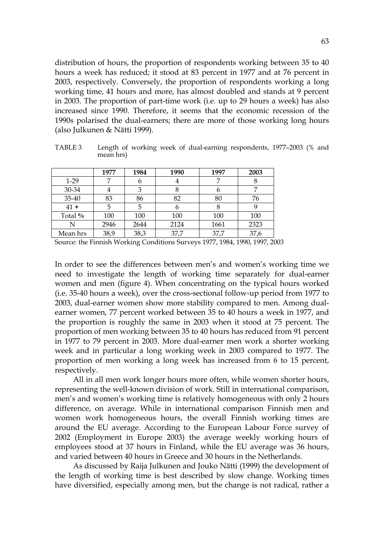distribution of hours, the proportion of respondents working between 35 to 40 hours a week has reduced; it stood at 83 percent in 1977 and at 76 percent in 2003, respectively. Conversely, the proportion of respondents working a long working time, 41 hours and more, has almost doubled and stands at 9 percent in 2003. The proportion of part-time work (i.e. up to 29 hours a week) has also increased since 1990. Therefore, it seems that the economic recession of the 1990s polarised the dual-earners; there are more of those working long hours (also Julkunen & Nätti 1999).

TABLE 3 Length of working week of dual-earning respondents, 1977–2003 (% and mean hrs)

|          | 1977 | 1984 | 1990 | 1997 | 2003 |
|----------|------|------|------|------|------|
| $1-29$   |      |      |      |      |      |
| 30-34    |      |      |      |      |      |
| 35-40    | 83   | 86   | 82   | 80   | 76   |
| $41 +$   |      | 5    | 6    | 8    |      |
| Total %  | 100  | 100  | 100  | 100  | 100  |
|          | 2946 | 2644 | 2124 | 1661 | 2323 |
| Mean hrs | 38,9 | 38,3 | 37,7 | 37,7 | 37,6 |

Source: the Finnish Working Conditions Surveys 1977, 1984, 1990, 1997, 2003

In order to see the differences between men's and women's working time we need to investigate the length of working time separately for dual-earner women and men (figure 4). When concentrating on the typical hours worked (i.e. 35-40 hours a week), over the cross-sectional follow-up period from 1977 to 2003, dual-earner women show more stability compared to men. Among dualearner women, 77 percent worked between 35 to 40 hours a week in 1977, and the proportion is roughly the same in 2003 when it stood at 75 percent. The proportion of men working between 35 to 40 hours has reduced from 91 percent in 1977 to 79 percent in 2003. More dual-earner men work a shorter working week and in particular a long working week in 2003 compared to 1977. The proportion of men working a long week has increased from 6 to 15 percent, respectively.

All in all men work longer hours more often, while women shorter hours, representing the well-known division of work. Still in international comparison, men's and women's working time is relatively homogeneous with only 2 hours difference, on average. While in international comparison Finnish men and women work homogeneous hours, the overall Finnish working times are around the EU average. According to the European Labour Force survey of 2002 (Employment in Europe 2003) the average weekly working hours of employees stood at 37 hours in Finland, while the EU average was 36 hours, and varied between 40 hours in Greece and 30 hours in the Netherlands.

As discussed by Raija Julkunen and Jouko Nätti (1999) the development of the length of working time is best described by slow change. Working times have diversified, especially among men, but the change is not radical, rather a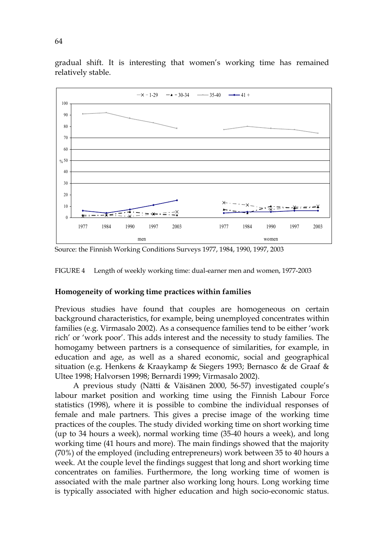gradual shift. It is interesting that women's working time has remained relatively stable.



Source: the Finnish Working Conditions Surveys 1977, 1984, 1990, 1997, 2003



#### **Homogeneity of working time practices within families**

Previous studies have found that couples are homogeneous on certain background characteristics, for example, being unemployed concentrates within families (e.g. Virmasalo 2002). As a consequence families tend to be either 'work rich' or 'work poor'. This adds interest and the necessity to study families. The homogamy between partners is a consequence of similarities, for example, in education and age, as well as a shared economic, social and geographical situation (e.g. Henkens & Kraaykamp & Siegers 1993; Bernasco & de Graaf & Ultee 1998; Halvorsen 1998; Bernardi 1999; Virmasalo 2002).

A previous study (Nätti & Väisänen 2000, 56-57) investigated couple's labour market position and working time using the Finnish Labour Force statistics (1998), where it is possible to combine the individual responses of female and male partners. This gives a precise image of the working time practices of the couples. The study divided working time on short working time (up to 34 hours a week), normal working time (35-40 hours a week), and long working time (41 hours and more). The main findings showed that the majority (70%) of the employed (including entrepreneurs) work between 35 to 40 hours a week. At the couple level the findings suggest that long and short working time concentrates on families. Furthermore, the long working time of women is associated with the male partner also working long hours. Long working time is typically associated with higher education and high socio-economic status.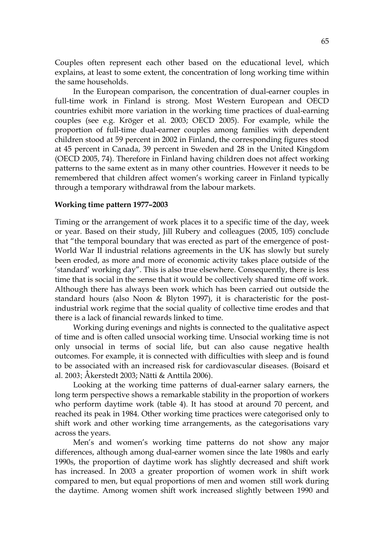Couples often represent each other based on the educational level, which explains, at least to some extent, the concentration of long working time within the same households.

In the European comparison, the concentration of dual-earner couples in full-time work in Finland is strong. Most Western European and OECD countries exhibit more variation in the working time practices of dual-earning couples (see e.g. Kröger et al. 2003; OECD 2005). For example, while the proportion of full-time dual-earner couples among families with dependent children stood at 59 percent in 2002 in Finland, the corresponding figures stood at 45 percent in Canada, 39 percent in Sweden and 28 in the United Kingdom (OECD 2005, 74). Therefore in Finland having children does not affect working patterns to the same extent as in many other countries. However it needs to be remembered that children affect women's working career in Finland typically through a temporary withdrawal from the labour markets.

#### **Working time pattern 1977–2003**

Timing or the arrangement of work places it to a specific time of the day, week or year. Based on their study, Jill Rubery and colleagues (2005, 105) conclude that "the temporal boundary that was erected as part of the emergence of post-World War II industrial relations agreements in the UK has slowly but surely been eroded, as more and more of economic activity takes place outside of the 'standard' working day". This is also true elsewhere. Consequently, there is less time that is social in the sense that it would be collectively shared time off work. Although there has always been work which has been carried out outside the standard hours (also Noon & Blyton 1997), it is characteristic for the postindustrial work regime that the social quality of collective time erodes and that there is a lack of financial rewards linked to time.

Working during evenings and nights is connected to the qualitative aspect of time and is often called unsocial working time. Unsocial working time is not only unsocial in terms of social life, but can also cause negative health outcomes. For example, it is connected with difficulties with sleep and is found to be associated with an increased risk for cardiovascular diseases. (Boisard et al. 2003; Åkerstedt 2003; Nätti & Anttila 2006).

Looking at the working time patterns of dual-earner salary earners, the long term perspective shows a remarkable stability in the proportion of workers who perform daytime work (table 4). It has stood at around 70 percent, and reached its peak in 1984. Other working time practices were categorised only to shift work and other working time arrangements, as the categorisations vary across the years.

Men's and women's working time patterns do not show any major differences, although among dual-earner women since the late 1980s and early 1990s, the proportion of daytime work has slightly decreased and shift work has increased. In 2003 a greater proportion of women work in shift work compared to men, but equal proportions of men and women still work during the daytime. Among women shift work increased slightly between 1990 and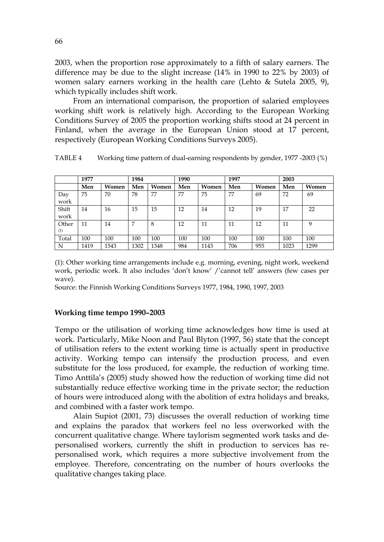2003, when the proportion rose approximately to a fifth of salary earners. The difference may be due to the slight increase (14% in 1990 to 22% by 2003) of women salary earners working in the health care (Lehto & Sutela 2005, 9), which typically includes shift work.

From an international comparison, the proportion of salaried employees working shift work is relatively high. According to the European Working Conditions Survey of 2005 the proportion working shifts stood at 24 percent in Finland, when the average in the European Union stood at 17 percent, respectively (European Working Conditions Surveys 2005).

|               | 1977 |       | 1984 |       | 1990<br>1997 |       |     | 2003  |      |       |
|---------------|------|-------|------|-------|--------------|-------|-----|-------|------|-------|
|               | Men  | Women | Men  | Women | Men          | Women | Men | Women | Men  | Women |
| Day<br>work   | 75   | 70    | 78   | 77    | 77           | 75    | 77  | 69    | 72   | 69    |
| Shift<br>work | 14   | 16    | 15   | 15    | 12           | 14    | 12  | 19    | 17   | 22    |
| Other<br>(1)  | 11   | 14    | 7    | 8     | 12           | 11    | 11  | 12    | 11   | 9     |
| Total         | 100  | 100   | 100  | 100   | 100          | 100   | 100 | 100   | 100  | 100   |
| N             | 1419 | 1543  | 1302 | 1348  | 984          | 1143  | 706 | 955   | 1023 | 1299  |

TABLE 4 Working time pattern of dual-earning respondents by gender, 1977 -2003 (%)

(1): Other working time arrangements include e.g. morning, evening, night work, weekend work, periodic work. It also includes 'don't know' /'cannot tell' answers (few cases per wave).

Source: the Finnish Working Conditions Surveys 1977, 1984, 1990, 1997, 2003

# **Working time tempo 1990–2003**

Tempo or the utilisation of working time acknowledges how time is used at work. Particularly, Mike Noon and Paul Blyton (1997, 56) state that the concept of utilisation refers to the extent working time is actually spent in productive activity. Working tempo can intensify the production process, and even substitute for the loss produced, for example, the reduction of working time. Timo Anttila's (2005) study showed how the reduction of working time did not substantially reduce effective working time in the private sector; the reduction of hours were introduced along with the abolition of extra holidays and breaks, and combined with a faster work tempo.

Alain Supiot (2001, 73) discusses the overall reduction of working time and explains the paradox that workers feel no less overworked with the concurrent qualitative change. Where taylorism segmented work tasks and depersonalised workers, currently the shift in production to services has repersonalised work, which requires a more subjective involvement from the employee. Therefore, concentrating on the number of hours overlooks the qualitative changes taking place.

66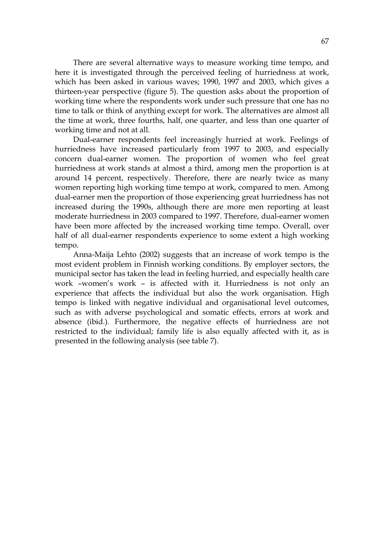There are several alternative ways to measure working time tempo, and here it is investigated through the perceived feeling of hurriedness at work, which has been asked in various waves; 1990, 1997 and 2003, which gives a thirteen-year perspective (figure 5). The question asks about the proportion of working time where the respondents work under such pressure that one has no time to talk or think of anything except for work. The alternatives are almost all the time at work, three fourths, half, one quarter, and less than one quarter of working time and not at all.

Dual-earner respondents feel increasingly hurried at work. Feelings of hurriedness have increased particularly from 1997 to 2003, and especially concern dual-earner women. The proportion of women who feel great hurriedness at work stands at almost a third, among men the proportion is at around 14 percent, respectively. Therefore, there are nearly twice as many women reporting high working time tempo at work, compared to men. Among dual-earner men the proportion of those experiencing great hurriedness has not increased during the 1990s, although there are more men reporting at least moderate hurriedness in 2003 compared to 1997. Therefore, dual-earner women have been more affected by the increased working time tempo. Overall, over half of all dual-earner respondents experience to some extent a high working tempo.

Anna-Maija Lehto (2002) suggests that an increase of work tempo is the most evident problem in Finnish working conditions. By employer sectors, the municipal sector has taken the lead in feeling hurried, and especially health care work –women's work – is affected with it. Hurriedness is not only an experience that affects the individual but also the work organisation. High tempo is linked with negative individual and organisational level outcomes, such as with adverse psychological and somatic effects, errors at work and absence (ibid.). Furthermore, the negative effects of hurriedness are not restricted to the individual; family life is also equally affected with it, as is presented in the following analysis (see table 7).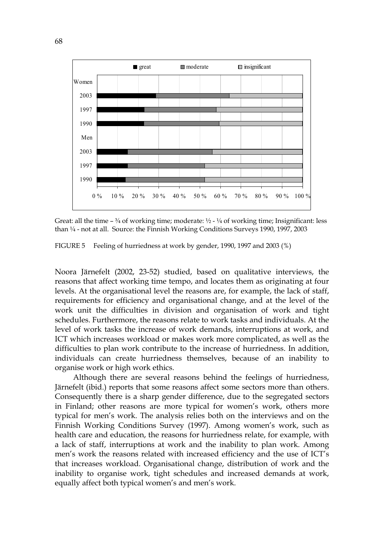

Great: all the time  $-3/4$  of working time; moderate:  $1/2 - 1/4$  of working time; Insignificant: less than ¼ - not at all. Source: the Finnish Working Conditions Surveys 1990, 1997, 2003

FIGURE 5 Feeling of hurriedness at work by gender, 1990, 1997 and 2003 (%)

Noora Järnefelt (2002, 23-52) studied, based on qualitative interviews, the reasons that affect working time tempo, and locates them as originating at four levels. At the organisational level the reasons are, for example, the lack of staff, requirements for efficiency and organisational change, and at the level of the work unit the difficulties in division and organisation of work and tight schedules. Furthermore, the reasons relate to work tasks and individuals. At the level of work tasks the increase of work demands, interruptions at work, and ICT which increases workload or makes work more complicated, as well as the difficulties to plan work contribute to the increase of hurriedness. In addition, individuals can create hurriedness themselves, because of an inability to organise work or high work ethics.

Although there are several reasons behind the feelings of hurriedness, Järnefelt (ibid.) reports that some reasons affect some sectors more than others. Consequently there is a sharp gender difference, due to the segregated sectors in Finland; other reasons are more typical for women's work, others more typical for men's work. The analysis relies both on the interviews and on the Finnish Working Conditions Survey (1997). Among women's work, such as health care and education, the reasons for hurriedness relate, for example, with a lack of staff, interruptions at work and the inability to plan work. Among men's work the reasons related with increased efficiency and the use of ICT's that increases workload. Organisational change, distribution of work and the inability to organise work, tight schedules and increased demands at work, equally affect both typical women's and men's work.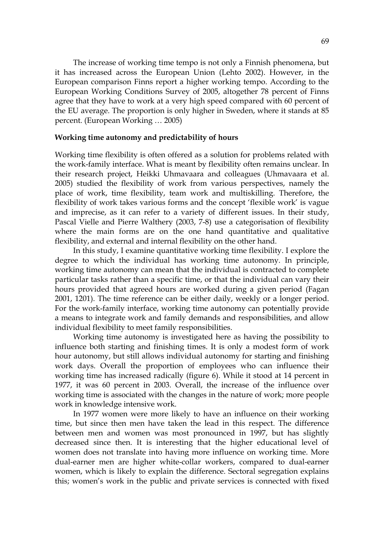The increase of working time tempo is not only a Finnish phenomena, but it has increased across the European Union (Lehto 2002). However, in the European comparison Finns report a higher working tempo. According to the European Working Conditions Survey of 2005, altogether 78 percent of Finns agree that they have to work at a very high speed compared with 60 percent of the EU average. The proportion is only higher in Sweden, where it stands at 85 percent. (European Working … 2005)

#### **Working time autonomy and predictability of hours**

Working time flexibility is often offered as a solution for problems related with the work-family interface. What is meant by flexibility often remains unclear. In their research project, Heikki Uhmavaara and colleagues (Uhmavaara et al. 2005) studied the flexibility of work from various perspectives, namely the place of work, time flexibility, team work and multiskilling. Therefore, the flexibility of work takes various forms and the concept 'flexible work' is vague and imprecise, as it can refer to a variety of different issues. In their study, Pascal Vielle and Pierre Walthery (2003, 7-8) use a categorisation of flexibility where the main forms are on the one hand quantitative and qualitative flexibility, and external and internal flexibility on the other hand.

In this study, I examine quantitative working time flexibility. I explore the degree to which the individual has working time autonomy. In principle, working time autonomy can mean that the individual is contracted to complete particular tasks rather than a specific time, or that the individual can vary their hours provided that agreed hours are worked during a given period (Fagan 2001, 1201). The time reference can be either daily, weekly or a longer period. For the work-family interface, working time autonomy can potentially provide a means to integrate work and family demands and responsibilities, and allow individual flexibility to meet family responsibilities.

Working time autonomy is investigated here as having the possibility to influence both starting and finishing times. It is only a modest form of work hour autonomy, but still allows individual autonomy for starting and finishing work days. Overall the proportion of employees who can influence their working time has increased radically (figure 6). While it stood at 14 percent in 1977, it was 60 percent in 2003. Overall, the increase of the influence over working time is associated with the changes in the nature of work; more people work in knowledge intensive work.

In 1977 women were more likely to have an influence on their working time, but since then men have taken the lead in this respect. The difference between men and women was most pronounced in 1997, but has slightly decreased since then. It is interesting that the higher educational level of women does not translate into having more influence on working time. More dual-earner men are higher white-collar workers, compared to dual-earner women, which is likely to explain the difference. Sectoral segregation explains this; women's work in the public and private services is connected with fixed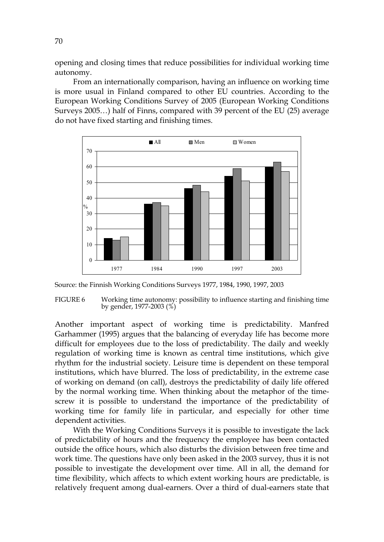opening and closing times that reduce possibilities for individual working time autonomy.

From an internationally comparison, having an influence on working time is more usual in Finland compared to other EU countries. According to the European Working Conditions Survey of 2005 (European Working Conditions Surveys 2005…) half of Finns, compared with 39 percent of the EU (25) average do not have fixed starting and finishing times.



Source: the Finnish Working Conditions Surveys 1977, 1984, 1990, 1997, 2003

FIGURE 6 Working time autonomy: possibility to influence starting and finishing time by gender, 1977-2003 (%)

Another important aspect of working time is predictability. Manfred Garhammer (1995) argues that the balancing of everyday life has become more difficult for employees due to the loss of predictability. The daily and weekly regulation of working time is known as central time institutions, which give rhythm for the industrial society. Leisure time is dependent on these temporal institutions, which have blurred. The loss of predictability, in the extreme case of working on demand (on call), destroys the predictability of daily life offered by the normal working time. When thinking about the metaphor of the timescrew it is possible to understand the importance of the predictability of working time for family life in particular, and especially for other time dependent activities.

With the Working Conditions Surveys it is possible to investigate the lack of predictability of hours and the frequency the employee has been contacted outside the office hours, which also disturbs the division between free time and work time. The questions have only been asked in the 2003 survey, thus it is not possible to investigate the development over time. All in all, the demand for time flexibility, which affects to which extent working hours are predictable, is relatively frequent among dual-earners. Over a third of dual-earners state that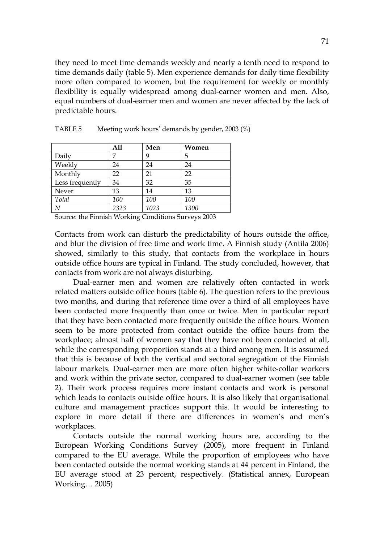they need to meet time demands weekly and nearly a tenth need to respond to time demands daily (table 5). Men experience demands for daily time flexibility more often compared to women, but the requirement for weekly or monthly flexibility is equally widespread among dual-earner women and men. Also, equal numbers of dual-earner men and women are never affected by the lack of predictable hours.

|                 | All  | Men  | Women |
|-----------------|------|------|-------|
| Daily           | 7    | 9    | 5     |
| Weekly          | 24   | 24   | 24    |
| Monthly         | 22   | 21   | 22    |
| Less frequently | 34   | 32   | 35    |
| Never           | 13   | 14   | 13    |
| Total           | 100  | 100  | 100   |
| N               | 2323 | 1023 | 1300  |

TABLE 5 Meeting work hours' demands by gender, 2003 (%)

Source: the Finnish Working Conditions Surveys 2003

Contacts from work can disturb the predictability of hours outside the office, and blur the division of free time and work time. A Finnish study (Antila 2006) showed, similarly to this study, that contacts from the workplace in hours outside office hours are typical in Finland. The study concluded, however, that contacts from work are not always disturbing.

Dual-earner men and women are relatively often contacted in work related matters outside office hours (table 6). The question refers to the previous two months, and during that reference time over a third of all employees have been contacted more frequently than once or twice. Men in particular report that they have been contacted more frequently outside the office hours. Women seem to be more protected from contact outside the office hours from the workplace; almost half of women say that they have not been contacted at all, while the corresponding proportion stands at a third among men. It is assumed that this is because of both the vertical and sectoral segregation of the Finnish labour markets. Dual-earner men are more often higher white-collar workers and work within the private sector, compared to dual-earner women (see table 2). Their work process requires more instant contacts and work is personal which leads to contacts outside office hours. It is also likely that organisational culture and management practices support this. It would be interesting to explore in more detail if there are differences in women's and men's workplaces.

Contacts outside the normal working hours are, according to the European Working Conditions Survey (2005), more frequent in Finland compared to the EU average. While the proportion of employees who have been contacted outside the normal working stands at 44 percent in Finland, the EU average stood at 23 percent, respectively. (Statistical annex, European Working… 2005)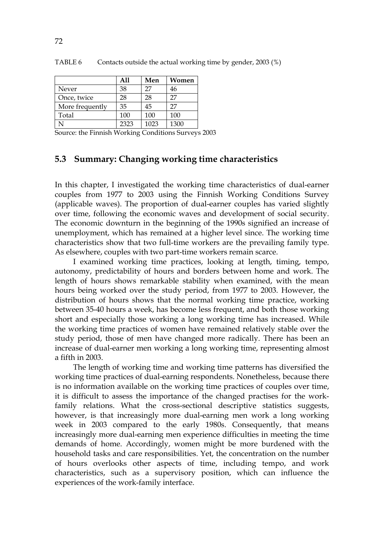|                 | A11  | Men  | Women |
|-----------------|------|------|-------|
| Never           | 38   | 27   | 46    |
| Once, twice     | 28   | 28   | 27    |
| More frequently | 35   | 45   | 27    |
| Total           | 100  | 100  | 100   |
|                 | 2323 | 1023 | 1300  |

TABLE 6 Contacts outside the actual working time by gender, 2003 (%)

Source: the Finnish Working Conditions Surveys 2003

## **5.3 Summary: Changing working time characteristics**

In this chapter, I investigated the working time characteristics of dual-earner couples from 1977 to 2003 using the Finnish Working Conditions Survey (applicable waves). The proportion of dual-earner couples has varied slightly over time, following the economic waves and development of social security. The economic downturn in the beginning of the 1990s signified an increase of unemployment, which has remained at a higher level since. The working time characteristics show that two full-time workers are the prevailing family type. As elsewhere, couples with two part-time workers remain scarce.

I examined working time practices, looking at length, timing, tempo, autonomy, predictability of hours and borders between home and work. The length of hours shows remarkable stability when examined, with the mean hours being worked over the study period, from 1977 to 2003. However, the distribution of hours shows that the normal working time practice, working between 35-40 hours a week, has become less frequent, and both those working short and especially those working a long working time has increased. While the working time practices of women have remained relatively stable over the study period, those of men have changed more radically. There has been an increase of dual-earner men working a long working time, representing almost a fifth in 2003.

The length of working time and working time patterns has diversified the working time practices of dual-earning respondents. Nonetheless, because there is no information available on the working time practices of couples over time, it is difficult to assess the importance of the changed practises for the workfamily relations. What the cross-sectional descriptive statistics suggests, however, is that increasingly more dual-earning men work a long working week in 2003 compared to the early 1980s. Consequently, that means increasingly more dual-earning men experience difficulties in meeting the time demands of home. Accordingly, women might be more burdened with the household tasks and care responsibilities. Yet, the concentration on the number of hours overlooks other aspects of time, including tempo, and work characteristics, such as a supervisory position, which can influence the experiences of the work-family interface.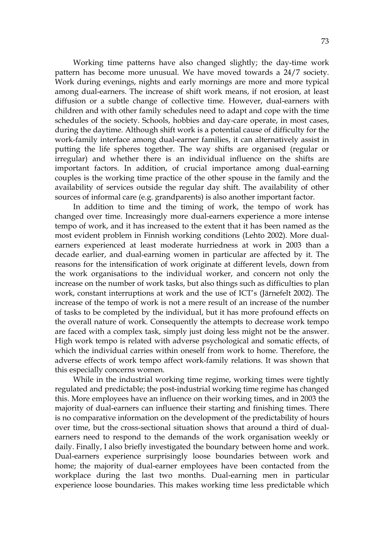Working time patterns have also changed slightly; the day-time work pattern has become more unusual. We have moved towards a 24/7 society. Work during evenings, nights and early mornings are more and more typical among dual-earners. The increase of shift work means, if not erosion, at least diffusion or a subtle change of collective time. However, dual-earners with children and with other family schedules need to adapt and cope with the time schedules of the society. Schools, hobbies and day-care operate, in most cases, during the daytime. Although shift work is a potential cause of difficulty for the work-family interface among dual-earner families, it can alternatively assist in putting the life spheres together. The way shifts are organised (regular or irregular) and whether there is an individual influence on the shifts are important factors. In addition, of crucial importance among dual-earning couples is the working time practice of the other spouse in the family and the availability of services outside the regular day shift. The availability of other sources of informal care (e.g. grandparents) is also another important factor.

In addition to time and the timing of work, the tempo of work has changed over time. Increasingly more dual-earners experience a more intense tempo of work, and it has increased to the extent that it has been named as the most evident problem in Finnish working conditions (Lehto 2002). More dualearners experienced at least moderate hurriedness at work in 2003 than a decade earlier, and dual-earning women in particular are affected by it. The reasons for the intensification of work originate at different levels, down from the work organisations to the individual worker, and concern not only the increase on the number of work tasks, but also things such as difficulties to plan work, constant interruptions at work and the use of ICT's (Järnefelt 2002). The increase of the tempo of work is not a mere result of an increase of the number of tasks to be completed by the individual, but it has more profound effects on the overall nature of work. Consequently the attempts to decrease work tempo are faced with a complex task, simply just doing less might not be the answer. High work tempo is related with adverse psychological and somatic effects, of which the individual carries within oneself from work to home. Therefore, the adverse effects of work tempo affect work-family relations. It was shown that this especially concerns women.

While in the industrial working time regime, working times were tightly regulated and predictable; the post-industrial working time regime has changed this. More employees have an influence on their working times, and in 2003 the majority of dual-earners can influence their starting and finishing times. There is no comparative information on the development of the predictability of hours over time, but the cross-sectional situation shows that around a third of dualearners need to respond to the demands of the work organisation weekly or daily. Finally, I also briefly investigated the boundary between home and work. Dual-earners experience surprisingly loose boundaries between work and home; the majority of dual-earner employees have been contacted from the workplace during the last two months. Dual-earning men in particular experience loose boundaries. This makes working time less predictable which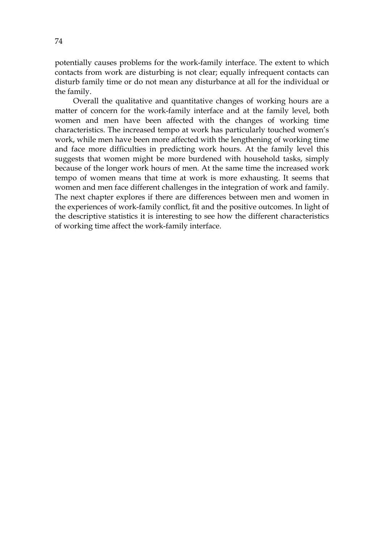potentially causes problems for the work-family interface. The extent to which contacts from work are disturbing is not clear; equally infrequent contacts can disturb family time or do not mean any disturbance at all for the individual or the family.

Overall the qualitative and quantitative changes of working hours are a matter of concern for the work-family interface and at the family level, both women and men have been affected with the changes of working time characteristics. The increased tempo at work has particularly touched women's work, while men have been more affected with the lengthening of working time and face more difficulties in predicting work hours. At the family level this suggests that women might be more burdened with household tasks, simply because of the longer work hours of men. At the same time the increased work tempo of women means that time at work is more exhausting. It seems that women and men face different challenges in the integration of work and family. The next chapter explores if there are differences between men and women in the experiences of work-family conflict, fit and the positive outcomes. In light of the descriptive statistics it is interesting to see how the different characteristics of working time affect the work-family interface.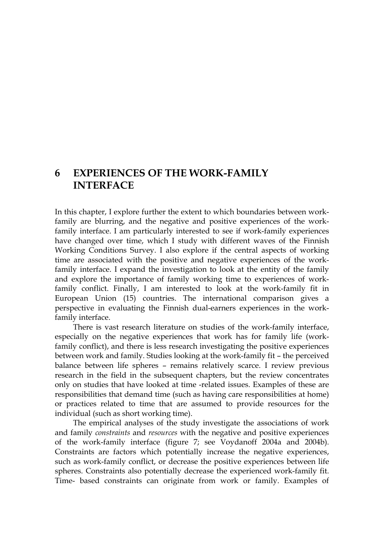# **6 EXPERIENCES OF THE WORK-FAMILY INTERFACE**

In this chapter, I explore further the extent to which boundaries between workfamily are blurring, and the negative and positive experiences of the workfamily interface. I am particularly interested to see if work-family experiences have changed over time, which I study with different waves of the Finnish Working Conditions Survey. I also explore if the central aspects of working time are associated with the positive and negative experiences of the workfamily interface. I expand the investigation to look at the entity of the family and explore the importance of family working time to experiences of workfamily conflict. Finally, I am interested to look at the work-family fit in European Union (15) countries. The international comparison gives a perspective in evaluating the Finnish dual-earners experiences in the workfamily interface.

There is vast research literature on studies of the work-family interface, especially on the negative experiences that work has for family life (workfamily conflict), and there is less research investigating the positive experiences between work and family. Studies looking at the work-family fit – the perceived balance between life spheres – remains relatively scarce. I review previous research in the field in the subsequent chapters, but the review concentrates only on studies that have looked at time -related issues. Examples of these are responsibilities that demand time (such as having care responsibilities at home) or practices related to time that are assumed to provide resources for the individual (such as short working time).

The empirical analyses of the study investigate the associations of work and family *constraints* and *resources* with the negative and positive experiences of the work-family interface (figure 7; see Voydanoff 2004a and 2004b). Constraints are factors which potentially increase the negative experiences, such as work-family conflict, or decrease the positive experiences between life spheres. Constraints also potentially decrease the experienced work-family fit. Time- based constraints can originate from work or family. Examples of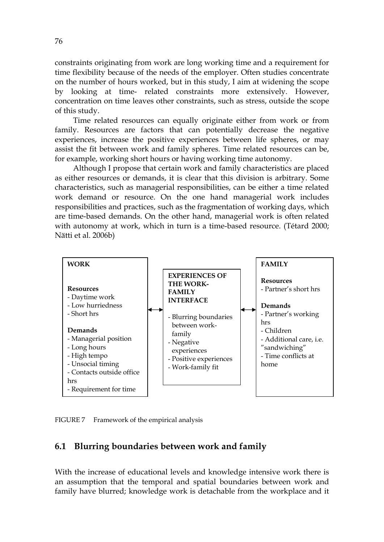constraints originating from work are long working time and a requirement for time flexibility because of the needs of the employer. Often studies concentrate on the number of hours worked, but in this study, I aim at widening the scope by looking at time- related constraints more extensively. However, concentration on time leaves other constraints, such as stress, outside the scope of this study.

Time related resources can equally originate either from work or from family. Resources are factors that can potentially decrease the negative experiences, increase the positive experiences between life spheres, or may assist the fit between work and family spheres. Time related resources can be, for example, working short hours or having working time autonomy.

Although I propose that certain work and family characteristics are placed as either resources or demands, it is clear that this division is arbitrary. Some characteristics, such as managerial responsibilities, can be either a time related work demand or resource. On the one hand managerial work includes responsibilities and practices, such as the fragmentation of working days, which are time-based demands. On the other hand, managerial work is often related with autonomy at work, which in turn is a time-based resource. (Tétard 2000; Nätti et al. 2006b)



FIGURE 7 Framework of the empirical analysis

## **6.1 Blurring boundaries between work and family**

With the increase of educational levels and knowledge intensive work there is an assumption that the temporal and spatial boundaries between work and family have blurred; knowledge work is detachable from the workplace and it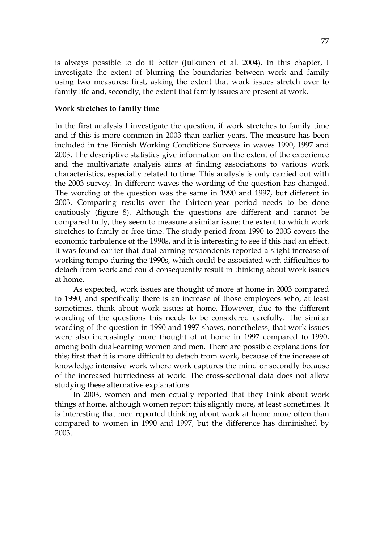is always possible to do it better (Julkunen et al. 2004). In this chapter, I investigate the extent of blurring the boundaries between work and family using two measures; first, asking the extent that work issues stretch over to family life and, secondly, the extent that family issues are present at work.

### **Work stretches to family time**

In the first analysis I investigate the question, if work stretches to family time and if this is more common in 2003 than earlier years. The measure has been included in the Finnish Working Conditions Surveys in waves 1990, 1997 and 2003. The descriptive statistics give information on the extent of the experience and the multivariate analysis aims at finding associations to various work characteristics, especially related to time. This analysis is only carried out with the 2003 survey. In different waves the wording of the question has changed. The wording of the question was the same in 1990 and 1997, but different in 2003. Comparing results over the thirteen-year period needs to be done cautiously (figure 8). Although the questions are different and cannot be compared fully, they seem to measure a similar issue: the extent to which work stretches to family or free time. The study period from 1990 to 2003 covers the economic turbulence of the 1990s, and it is interesting to see if this had an effect. It was found earlier that dual-earning respondents reported a slight increase of working tempo during the 1990s, which could be associated with difficulties to detach from work and could consequently result in thinking about work issues at home.

As expected, work issues are thought of more at home in 2003 compared to 1990, and specifically there is an increase of those employees who, at least sometimes, think about work issues at home. However, due to the different wording of the questions this needs to be considered carefully. The similar wording of the question in 1990 and 1997 shows, nonetheless, that work issues were also increasingly more thought of at home in 1997 compared to 1990, among both dual-earning women and men. There are possible explanations for this; first that it is more difficult to detach from work, because of the increase of knowledge intensive work where work captures the mind or secondly because of the increased hurriedness at work. The cross-sectional data does not allow studying these alternative explanations.

In 2003, women and men equally reported that they think about work things at home, although women report this slightly more, at least sometimes. It is interesting that men reported thinking about work at home more often than compared to women in 1990 and 1997, but the difference has diminished by 2003.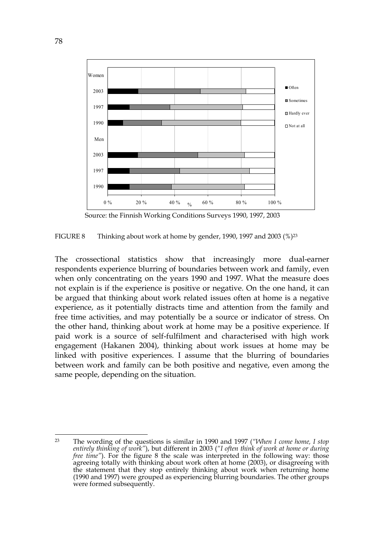

Source: the Finnish Working Conditions Surveys 1990, 1997, 2003

FIGURE 8 Thinking about work at home by gender, 1990, 1997 and 2003 (%)23

The crossectional statistics show that increasingly more dual-earner respondents experience blurring of boundaries between work and family, even when only concentrating on the years 1990 and 1997. What the measure does not explain is if the experience is positive or negative. On the one hand, it can be argued that thinking about work related issues often at home is a negative experience, as it potentially distracts time and attention from the family and free time activities, and may potentially be a source or indicator of stress. On the other hand, thinking about work at home may be a positive experience. If paid work is a source of self-fulfilment and characterised with high work engagement (Hakanen 2004), thinking about work issues at home may be linked with positive experiences. I assume that the blurring of boundaries between work and family can be both positive and negative, even among the same people, depending on the situation.

<sup>1</sup> 23 The wording of the questions is similar in 1990 and 1997 (*"When I come home, I stop entirely thinking of work"*), but different in 2003 (*"I often think of work at home or during free time"*). For the figure 8 the scale was interpreted in the following way: those agreeing totally with thinking about work often at home (2003), or disagreeing with the statement that they stop entirely thinking about work when returning home (1990 and 1997) were grouped as experiencing blurring boundaries. The other groups were formed subsequently.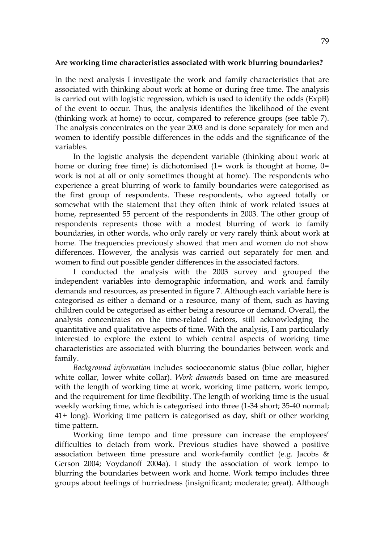#### **Are working time characteristics associated with work blurring boundaries?**

In the next analysis I investigate the work and family characteristics that are associated with thinking about work at home or during free time. The analysis is carried out with logistic regression, which is used to identify the odds (ExpB) of the event to occur. Thus, the analysis identifies the likelihood of the event (thinking work at home) to occur, compared to reference groups (see table 7). The analysis concentrates on the year 2003 and is done separately for men and women to identify possible differences in the odds and the significance of the variables.

In the logistic analysis the dependent variable (thinking about work at home or during free time) is dichotomised  $(1=$  work is thought at home,  $0=$ work is not at all or only sometimes thought at home). The respondents who experience a great blurring of work to family boundaries were categorised as the first group of respondents. These respondents, who agreed totally or somewhat with the statement that they often think of work related issues at home, represented 55 percent of the respondents in 2003. The other group of respondents represents those with a modest blurring of work to family boundaries, in other words, who only rarely or very rarely think about work at home. The frequencies previously showed that men and women do not show differences. However, the analysis was carried out separately for men and women to find out possible gender differences in the associated factors.

I conducted the analysis with the 2003 survey and grouped the independent variables into demographic information, and work and family demands and resources, as presented in figure 7. Although each variable here is categorised as either a demand or a resource, many of them, such as having children could be categorised as either being a resource or demand. Overall, the analysis concentrates on the time-related factors, still acknowledging the quantitative and qualitative aspects of time. With the analysis, I am particularly interested to explore the extent to which central aspects of working time characteristics are associated with blurring the boundaries between work and family.

*Background information* includes socioeconomic status (blue collar, higher white collar, lower white collar). *Work demands* based on time are measured with the length of working time at work, working time pattern, work tempo, and the requirement for time flexibility. The length of working time is the usual weekly working time, which is categorised into three (1-34 short; 35-40 normal; 41+ long). Working time pattern is categorised as day, shift or other working time pattern.

Working time tempo and time pressure can increase the employees' difficulties to detach from work. Previous studies have showed a positive association between time pressure and work-family conflict (e.g. Jacobs & Gerson 2004; Voydanoff 2004a). I study the association of work tempo to blurring the boundaries between work and home. Work tempo includes three groups about feelings of hurriedness (insignificant; moderate; great). Although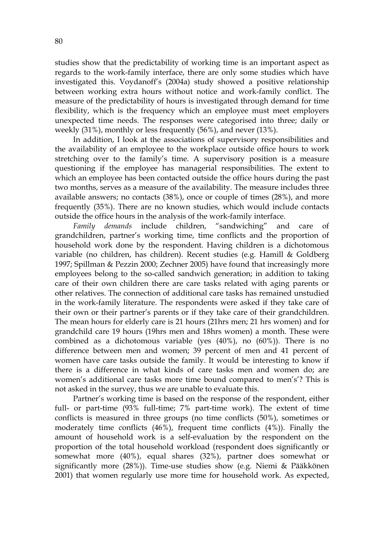studies show that the predictability of working time is an important aspect as regards to the work-family interface, there are only some studies which have investigated this. Voydanoff's (2004a) study showed a positive relationship between working extra hours without notice and work-family conflict. The measure of the predictability of hours is investigated through demand for time flexibility, which is the frequency which an employee must meet employers unexpected time needs. The responses were categorised into three; daily or weekly (31%), monthly or less frequently (56%), and never (13%).

In addition, I look at the associations of supervisory responsibilities and the availability of an employee to the workplace outside office hours to work stretching over to the family's time. A supervisory position is a measure questioning if the employee has managerial responsibilities. The extent to which an employee has been contacted outside the office hours during the past two months, serves as a measure of the availability. The measure includes three available answers; no contacts (38%), once or couple of times (28%), and more frequently (35%). There are no known studies, which would include contacts outside the office hours in the analysis of the work-family interface.

*Family demands* include children, "sandwiching" and care of grandchildren, partner's working time, time conflicts and the proportion of household work done by the respondent. Having children is a dichotomous variable (no children, has children). Recent studies (e.g. Hamill & Goldberg 1997; Spillman & Pezzin 2000; Zechner 2005) have found that increasingly more employees belong to the so-called sandwich generation; in addition to taking care of their own children there are care tasks related with aging parents or other relatives. The connection of additional care tasks has remained unstudied in the work-family literature. The respondents were asked if they take care of their own or their partner's parents or if they take care of their grandchildren. The mean hours for elderly care is 21 hours (21hrs men; 21 hrs women) and for grandchild care 19 hours (19hrs men and 18hrs women) a month. These were combined as a dichotomous variable (yes (40%), no (60%)). There is no difference between men and women; 39 percent of men and 41 percent of women have care tasks outside the family. It would be interesting to know if there is a difference in what kinds of care tasks men and women do; are women's additional care tasks more time bound compared to men's'? This is not asked in the survey, thus we are unable to evaluate this.

Partner's working time is based on the response of the respondent, either full- or part-time (93% full-time; 7% part-time work). The extent of time conflicts is measured in three groups (no time conflicts (50%), sometimes or moderately time conflicts (46%), frequent time conflicts (4%)). Finally the amount of household work is a self-evaluation by the respondent on the proportion of the total household workload (respondent does significantly or somewhat more (40%), equal shares (32%), partner does somewhat or significantly more (28%)). Time-use studies show (e.g. Niemi & Pääkkönen 2001) that women regularly use more time for household work. As expected,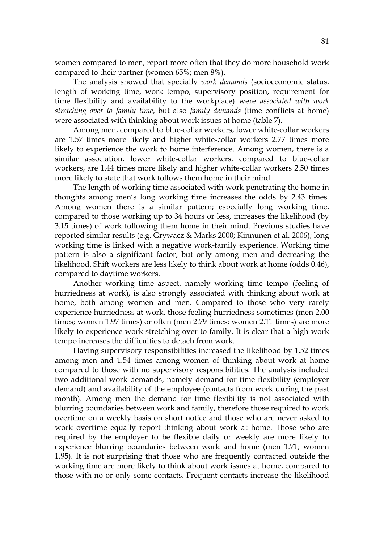women compared to men, report more often that they do more household work compared to their partner (women 65%; men 8%).

The analysis showed that specially *work demands* (socioeconomic status, length of working time, work tempo, supervisory position, requirement for time flexibility and availability to the workplace) were *associated with work stretching over to family time*, but also *family demands* (time conflicts at home) were associated with thinking about work issues at home (table 7).

Among men, compared to blue-collar workers, lower white-collar workers are 1.57 times more likely and higher white-collar workers 2.77 times more likely to experience the work to home interference. Among women, there is a similar association, lower white-collar workers, compared to blue-collar workers, are 1.44 times more likely and higher white-collar workers 2.50 times more likely to state that work follows them home in their mind.

The length of working time associated with work penetrating the home in thoughts among men's long working time increases the odds by 2.43 times. Among women there is a similar pattern; especially long working time, compared to those working up to 34 hours or less, increases the likelihood (by 3.15 times) of work following them home in their mind. Previous studies have reported similar results (e.g. Grywacz & Marks 2000; Kinnunen et al. 2006); long working time is linked with a negative work-family experience. Working time pattern is also a significant factor, but only among men and decreasing the likelihood. Shift workers are less likely to think about work at home (odds 0.46), compared to daytime workers.

Another working time aspect, namely working time tempo (feeling of hurriedness at work), is also strongly associated with thinking about work at home, both among women and men. Compared to those who very rarely experience hurriedness at work, those feeling hurriedness sometimes (men 2.00 times; women 1.97 times) or often (men 2.79 times; women 2.11 times) are more likely to experience work stretching over to family. It is clear that a high work tempo increases the difficulties to detach from work.

Having supervisory responsibilities increased the likelihood by 1.52 times among men and 1.54 times among women of thinking about work at home compared to those with no supervisory responsibilities. The analysis included two additional work demands, namely demand for time flexibility (employer demand) and availability of the employee (contacts from work during the past month). Among men the demand for time flexibility is not associated with blurring boundaries between work and family, therefore those required to work overtime on a weekly basis on short notice and those who are never asked to work overtime equally report thinking about work at home. Those who are required by the employer to be flexible daily or weekly are more likely to experience blurring boundaries between work and home (men 1.71; women 1.95). It is not surprising that those who are frequently contacted outside the working time are more likely to think about work issues at home, compared to those with no or only some contacts. Frequent contacts increase the likelihood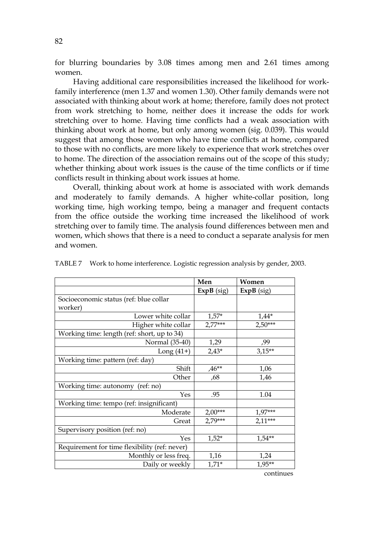for blurring boundaries by 3.08 times among men and 2.61 times among women.

Having additional care responsibilities increased the likelihood for workfamily interference (men 1.37 and women 1.30). Other family demands were not associated with thinking about work at home; therefore, family does not protect from work stretching to home, neither does it increase the odds for work stretching over to home. Having time conflicts had a weak association with thinking about work at home, but only among women (sig. 0.039). This would suggest that among those women who have time conflicts at home, compared to those with no conflicts, are more likely to experience that work stretches over to home. The direction of the association remains out of the scope of this study; whether thinking about work issues is the cause of the time conflicts or if time conflicts result in thinking about work issues at home.

Overall, thinking about work at home is associated with work demands and moderately to family demands. A higher white-collar position, long working time, high working tempo, being a manager and frequent contacts from the office outside the working time increased the likelihood of work stretching over to family time. The analysis found differences between men and women, which shows that there is a need to conduct a separate analysis for men and women.

|                                               | Men          | Women        |
|-----------------------------------------------|--------------|--------------|
|                                               | $ExpB$ (sig) | $ExpB$ (sig) |
| Socioeconomic status (ref: blue collar        |              |              |
| worker)                                       |              |              |
| Lower white collar                            | $1,57*$      | $1,44*$      |
| Higher white collar                           | $2,77***$    | $2,50***$    |
| Working time: length (ref: short, up to 34)   |              |              |
| Normal (35-40)                                | 1,29         | ,99          |
| Long $(41+)$                                  | $2,43*$      | $3,15**$     |
| Working time: pattern (ref: day)              |              |              |
| Shift                                         | $.46**$      | 1,06         |
| Other                                         | ,68          | 1,46         |
| Working time: autonomy (ref: no)              |              |              |
| Yes                                           | .95          | 1.04         |
| Working time: tempo (ref: insignificant)      |              |              |
| Moderate                                      | $2,00***$    | $1,97***$    |
| Great                                         | 2,79***      | $2,11***$    |
| Supervisory position (ref: no)                |              |              |
| Yes                                           | $1,52*$      | $1.54**$     |
| Requirement for time flexibility (ref: never) |              |              |
| Monthly or less freq.                         | 1,16         | 1,24         |
| Daily or weekly                               | $1,71*$      | $1.95***$    |
|                                               |              | continues    |

TABLE 7 Work to home interference. Logistic regression analysis by gender, 2003.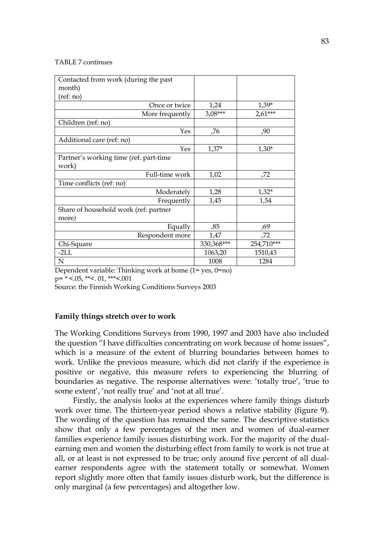#### TABLE 7 continues

| Contacted from work (during the past<br>month) |            |            |
|------------------------------------------------|------------|------------|
| (ref: no)                                      |            |            |
| Once or twice                                  | 1,24       | $1,39*$    |
| More frequently                                | $3,08***$  | $2,61***$  |
| Children (ref: no)                             |            |            |
| Yes                                            | ,76        | ,90        |
| Additional care (ref: no)                      |            |            |
| Yes                                            | $1,37*$    | $1,30*$    |
| Partner's working time (ref. part-time         |            |            |
| work)                                          |            |            |
| Full-time work                                 | 1,02       | ,72        |
| Time conflicts (ref: no)                       |            |            |
| Moderately                                     | 1,28       | $1,32*$    |
| Frequently                                     | 1,45       | 1,54       |
| Share of household work (ref: partner          |            |            |
| more)                                          |            |            |
| Equally                                        | ,85        | ,69        |
| Respondent more                                | 1,47       | ,72        |
| Chi-Square                                     | 330,368*** | 254,710*** |
| $-2LL$                                         | 1063,20    | 1510,43    |
| N                                              | 1008       | 1284       |

Dependent variable: Thinking work at home (1= yes, 0=no)

 $p=$  \* <.05, \*\*<. 01, \*\*\*<.001

Source: the Finnish Working Conditions Surveys 2003

## **Family things stretch over to work**

The Working Conditions Surveys from 1990, 1997 and 2003 have also included the question "I have difficulties concentrating on work because of home issues", which is a measure of the extent of blurring boundaries between homes to work. Unlike the previous measure, which did not clarify if the experience is positive or negative, this measure refers to experiencing the blurring of boundaries as negative. The response alternatives were: 'totally true', 'true to some extent', 'not really true' and 'not at all true'.

Firstly, the analysis looks at the experiences where family things disturb work over time. The thirteen-year period shows a relative stability (figure 9). The wording of the question has remained the same. The descriptive statistics show that only a few percentages of the men and women of dual-earner families experience family issues disturbing work. For the majority of the dualearning men and women the disturbing effect from family to work is not true at all, or at least is not expressed to be true; only around five percent of all dualearner respondents agree with the statement totally or somewhat. Women report slightly more often that family issues disturb work, but the difference is only marginal (a few percentages) and altogether low.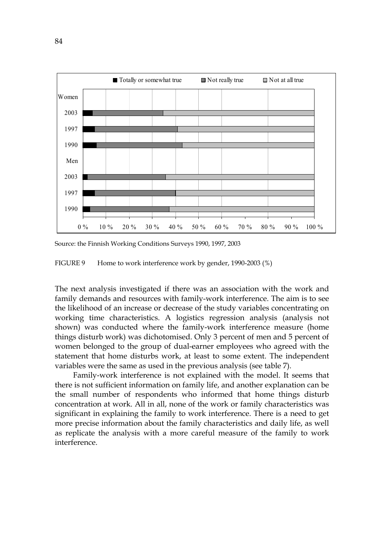

Source: the Finnish Working Conditions Surveys 1990, 1997, 2003

FIGURE 9 Home to work interference work by gender, 1990-2003 (%)

The next analysis investigated if there was an association with the work and family demands and resources with family-work interference. The aim is to see the likelihood of an increase or decrease of the study variables concentrating on working time characteristics. A logistics regression analysis (analysis not shown) was conducted where the family-work interference measure (home things disturb work) was dichotomised. Only 3 percent of men and 5 percent of women belonged to the group of dual-earner employees who agreed with the statement that home disturbs work, at least to some extent. The independent variables were the same as used in the previous analysis (see table 7).

Family-work interference is not explained with the model. It seems that there is not sufficient information on family life, and another explanation can be the small number of respondents who informed that home things disturb concentration at work. All in all, none of the work or family characteristics was significant in explaining the family to work interference. There is a need to get more precise information about the family characteristics and daily life, as well as replicate the analysis with a more careful measure of the family to work interference.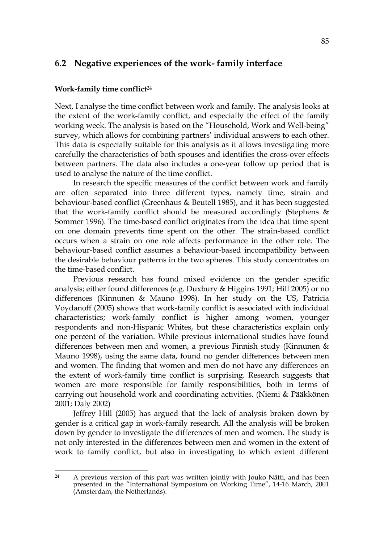## **6.2 Negative experiences of the work- family interface**

#### **Work-family time conflict**<sup>24</sup>

Next, I analyse the time conflict between work and family. The analysis looks at the extent of the work-family conflict, and especially the effect of the family working week. The analysis is based on the "Household, Work and Well-being" survey, which allows for combining partners' individual answers to each other. This data is especially suitable for this analysis as it allows investigating more carefully the characteristics of both spouses and identifies the cross-over effects between partners. The data also includes a one-year follow up period that is used to analyse the nature of the time conflict.

In research the specific measures of the conflict between work and family are often separated into three different types, namely time, strain and behaviour-based conflict (Greenhaus & Beutell 1985), and it has been suggested that the work-family conflict should be measured accordingly (Stephens & Sommer 1996). The time-based conflict originates from the idea that time spent on one domain prevents time spent on the other. The strain-based conflict occurs when a strain on one role affects performance in the other role. The behaviour-based conflict assumes a behaviour-based incompatibility between the desirable behaviour patterns in the two spheres. This study concentrates on the time-based conflict.

Previous research has found mixed evidence on the gender specific analysis; either found differences (e.g. Duxbury & Higgins 1991; Hill 2005) or no differences (Kinnunen & Mauno 1998). In her study on the US, Patricia Voydanoff (2005) shows that work-family conflict is associated with individual characteristics; work-family conflict is higher among women, younger respondents and non-Hispanic Whites, but these characteristics explain only one percent of the variation. While previous international studies have found differences between men and women, a previous Finnish study (Kinnunen & Mauno 1998), using the same data, found no gender differences between men and women. The finding that women and men do not have any differences on the extent of work-family time conflict is surprising. Research suggests that women are more responsible for family responsibilities, both in terms of carrying out household work and coordinating activities. (Niemi & Pääkkönen 2001; Daly 2002)

Jeffrey Hill (2005) has argued that the lack of analysis broken down by gender is a critical gap in work-family research. All the analysis will be broken down by gender to investigate the differences of men and women. The study is not only interested in the differences between men and women in the extent of work to family conflict, but also in investigating to which extent different

 $24$ A previous version of this part was written jointly with Jouko Nätti, and has been presented in the "International Symposium on Working Time", 14-16 March, 2001 (Amsterdam, the Netherlands).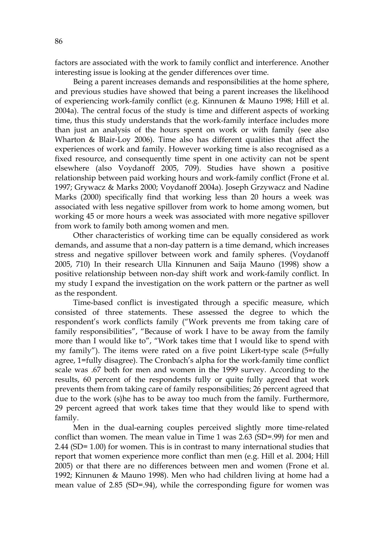factors are associated with the work to family conflict and interference. Another interesting issue is looking at the gender differences over time.

Being a parent increases demands and responsibilities at the home sphere, and previous studies have showed that being a parent increases the likelihood of experiencing work-family conflict (e.g. Kinnunen & Mauno 1998; Hill et al. 2004a). The central focus of the study is time and different aspects of working time, thus this study understands that the work-family interface includes more than just an analysis of the hours spent on work or with family (see also Wharton & Blair-Loy 2006). Time also has different qualities that affect the experiences of work and family. However working time is also recognised as a fixed resource, and consequently time spent in one activity can not be spent elsewhere (also Voydanoff 2005, 709). Studies have shown a positive relationship between paid working hours and work-family conflict (Frone et al. 1997; Grywacz & Marks 2000; Voydanoff 2004a). Joseph Grzywacz and Nadine Marks (2000) specifically find that working less than 20 hours a week was associated with less negative spillover from work to home among women, but working 45 or more hours a week was associated with more negative spillover from work to family both among women and men.

Other characteristics of working time can be equally considered as work demands, and assume that a non-day pattern is a time demand, which increases stress and negative spillover between work and family spheres. (Voydanoff 2005, 710) In their research Ulla Kinnunen and Saija Mauno (1998) show a positive relationship between non-day shift work and work-family conflict. In my study I expand the investigation on the work pattern or the partner as well as the respondent.

Time-based conflict is investigated through a specific measure, which consisted of three statements. These assessed the degree to which the respondent's work conflicts family ("Work prevents me from taking care of family responsibilities", "Because of work I have to be away from the family more than I would like to", "Work takes time that I would like to spend with my family"). The items were rated on a five point Likert-type scale (5=fully agree, 1=fully disagree). The Cronbach's alpha for the work-family time conflict scale was .67 both for men and women in the 1999 survey. According to the results, 60 percent of the respondents fully or quite fully agreed that work prevents them from taking care of family responsibilities; 26 percent agreed that due to the work (s)he has to be away too much from the family. Furthermore, 29 percent agreed that work takes time that they would like to spend with family.

Men in the dual-earning couples perceived slightly more time-related conflict than women. The mean value in Time 1 was 2.63 (SD=.99) for men and 2.44 (SD= 1.00) for women. This is in contrast to many international studies that report that women experience more conflict than men (e.g. Hill et al. 2004; Hill 2005) or that there are no differences between men and women (Frone et al. 1992; Kinnunen & Mauno 1998). Men who had children living at home had a mean value of 2.85 (SD=.94), while the corresponding figure for women was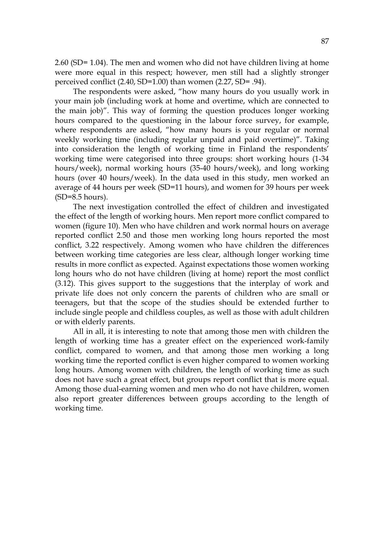2.60 (SD= 1.04). The men and women who did not have children living at home were more equal in this respect; however, men still had a slightly stronger perceived conflict (2.40, SD=1.00) than women (2.27, SD= .94).

The respondents were asked, "how many hours do you usually work in your main job (including work at home and overtime, which are connected to the main job)". This way of forming the question produces longer working hours compared to the questioning in the labour force survey, for example, where respondents are asked, "how many hours is your regular or normal weekly working time (including regular unpaid and paid overtime)". Taking into consideration the length of working time in Finland the respondents' working time were categorised into three groups: short working hours (1-34 hours/week), normal working hours (35-40 hours/week), and long working hours (over 40 hours/week). In the data used in this study, men worked an average of 44 hours per week (SD=11 hours), and women for 39 hours per week (SD=8.5 hours).

The next investigation controlled the effect of children and investigated the effect of the length of working hours. Men report more conflict compared to women (figure 10). Men who have children and work normal hours on average reported conflict 2.50 and those men working long hours reported the most conflict, 3.22 respectively. Among women who have children the differences between working time categories are less clear, although longer working time results in more conflict as expected. Against expectations those women working long hours who do not have children (living at home) report the most conflict (3.12). This gives support to the suggestions that the interplay of work and private life does not only concern the parents of children who are small or teenagers, but that the scope of the studies should be extended further to include single people and childless couples, as well as those with adult children or with elderly parents.

All in all, it is interesting to note that among those men with children the length of working time has a greater effect on the experienced work-family conflict, compared to women, and that among those men working a long working time the reported conflict is even higher compared to women working long hours. Among women with children, the length of working time as such does not have such a great effect, but groups report conflict that is more equal. Among those dual-earning women and men who do not have children, women also report greater differences between groups according to the length of working time.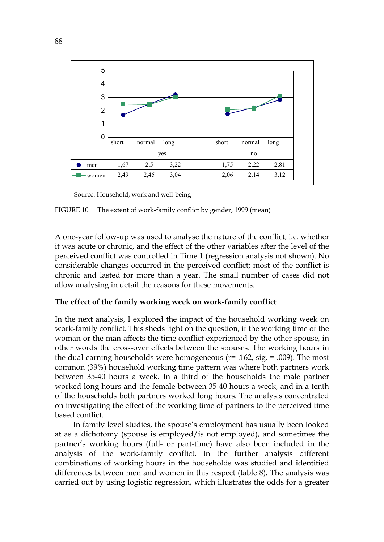

Source: Household, work and well-being

FIGURE 10 The extent of work-family conflict by gender, 1999 (mean)

A one-year follow-up was used to analyse the nature of the conflict, i.e. whether it was acute or chronic, and the effect of the other variables after the level of the perceived conflict was controlled in Time 1 (regression analysis not shown). No considerable changes occurred in the perceived conflict; most of the conflict is chronic and lasted for more than a year. The small number of cases did not allow analysing in detail the reasons for these movements.

## **The effect of the family working week on work-family conflict**

In the next analysis, I explored the impact of the household working week on work-family conflict. This sheds light on the question, if the working time of the woman or the man affects the time conflict experienced by the other spouse, in other words the cross-over effects between the spouses. The working hours in the dual-earning households were homogeneous  $(r= .162, sig. = .009)$ . The most common (39%) household working time pattern was where both partners work between 35-40 hours a week. In a third of the households the male partner worked long hours and the female between 35-40 hours a week, and in a tenth of the households both partners worked long hours. The analysis concentrated on investigating the effect of the working time of partners to the perceived time based conflict.

In family level studies, the spouse's employment has usually been looked at as a dichotomy (spouse is employed/is not employed), and sometimes the partner's working hours (full- or part-time) have also been included in the analysis of the work-family conflict. In the further analysis different combinations of working hours in the households was studied and identified differences between men and women in this respect (table 8). The analysis was carried out by using logistic regression, which illustrates the odds for a greater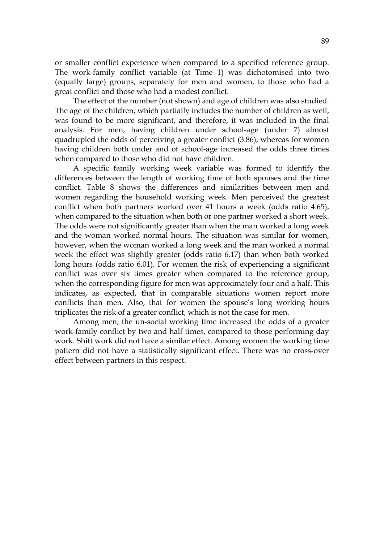or smaller conflict experience when compared to a specified reference group. The work-family conflict variable (at Time 1) was dichotomised into two (equally large) groups, separately for men and women, to those who had a great conflict and those who had a modest conflict.

The effect of the number (not shown) and age of children was also studied. The age of the children, which partially includes the number of children as well, was found to be more significant, and therefore, it was included in the final analysis. For men, having children under school-age (under 7) almost quadrupled the odds of perceiving a greater conflict (3.86), whereas for women having children both under and of school-age increased the odds three times when compared to those who did not have children.

A specific family working week variable was formed to identify the differences between the length of working time of both spouses and the time conflict. Table 8 shows the differences and similarities between men and women regarding the household working week. Men perceived the greatest conflict when both partners worked over 41 hours a week (odds ratio 4.65), when compared to the situation when both or one partner worked a short week. The odds were not significantly greater than when the man worked a long week and the woman worked normal hours. The situation was similar for women, however, when the woman worked a long week and the man worked a normal week the effect was slightly greater (odds ratio 6.17) than when both worked long hours (odds ratio 6.01). For women the risk of experiencing a significant conflict was over six times greater when compared to the reference group, when the corresponding figure for men was approximately four and a half. This indicates, as expected, that in comparable situations women report more conflicts than men. Also, that for women the spouse's long working hours triplicates the risk of a greater conflict, which is not the case for men.

Among men, the un-social working time increased the odds of a greater work-family conflict by two and half times, compared to those performing day work. Shift work did not have a similar effect. Among women the working time pattern did not have a statistically significant effect. There was no cross-over effect between partners in this respect.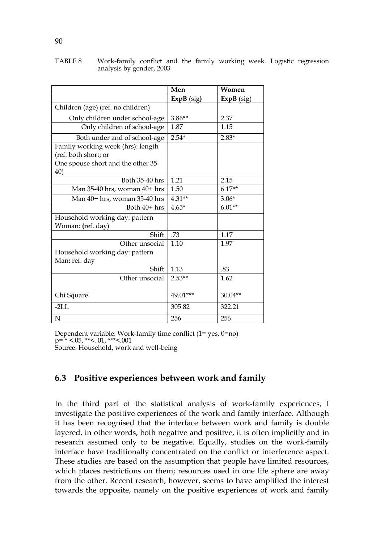|                                                                                                        | Men          | Women        |
|--------------------------------------------------------------------------------------------------------|--------------|--------------|
|                                                                                                        | $ExpB$ (sig) | $ExpB$ (sig) |
| Children (age) (ref. no children)                                                                      |              |              |
| Only children under school-age                                                                         | $3.86**$     | 2.37         |
| Only children of school-age                                                                            | 1.87         | 1.15         |
| Both under and of school-age                                                                           | $2.54*$      | $2.83*$      |
| Family working week (hrs): length<br>(ref. both short; or<br>One spouse short and the other 35-<br>40) |              |              |
| Both 35-40 hrs                                                                                         | 1.21         | 2.15         |
| Man 35-40 hrs, woman 40+ hrs                                                                           | 1.50         | $6.17**$     |
| Man 40+ hrs, woman 35-40 hrs                                                                           | $4.31**$     | $3.06*$      |
| Both 40+ hrs                                                                                           | $4.65*$      | $6.01**$     |
| Household working day: pattern<br>Woman: (ref. day)                                                    |              |              |
| Shift                                                                                                  | .73          | 1.17         |
| Other unsocial                                                                                         | 1.10         | 1.97         |
| Household working day: pattern<br>Man: ref. day                                                        |              |              |
| Shift                                                                                                  | 1.13         | .83          |
| Other unsocial                                                                                         | $2.53**$     | 1.62         |
| Chi Square                                                                                             | 49.01***     | 30.04**      |
| $-2LL$                                                                                                 | 305.82       | 322.21       |
| N                                                                                                      | 256          | 256          |

TABLE 8 Work-family conflict and the family working week. Logistic regression analysis by gender, 2003

Dependent variable: Work-family time conflict (1= yes, 0=no)  $p=$  \* <.05, \*\*<. 01, \*\*\*<.001 Source: Household, work and well-being

## **6.3 Positive experiences between work and family**

In the third part of the statistical analysis of work-family experiences, I investigate the positive experiences of the work and family interface. Although it has been recognised that the interface between work and family is double layered, in other words, both negative and positive, it is often implicitly and in research assumed only to be negative. Equally, studies on the work-family interface have traditionally concentrated on the conflict or interference aspect. These studies are based on the assumption that people have limited resources, which places restrictions on them; resources used in one life sphere are away from the other. Recent research, however, seems to have amplified the interest towards the opposite, namely on the positive experiences of work and family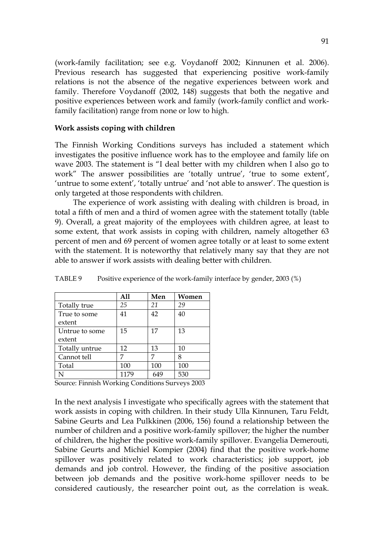(work-family facilitation; see e.g. Voydanoff 2002; Kinnunen et al. 2006). Previous research has suggested that experiencing positive work-family relations is not the absence of the negative experiences between work and family. Therefore Voydanoff (2002, 148) suggests that both the negative and positive experiences between work and family (work-family conflict and workfamily facilitation) range from none or low to high.

#### **Work assists coping with children**

The Finnish Working Conditions surveys has included a statement which investigates the positive influence work has to the employee and family life on wave 2003. The statement is "I deal better with my children when I also go to work" The answer possibilities are 'totally untrue', 'true to some extent', 'untrue to some extent', 'totally untrue' and 'not able to answer'. The question is only targeted at those respondents with children.

The experience of work assisting with dealing with children is broad, in total a fifth of men and a third of women agree with the statement totally (table 9). Overall, a great majority of the employees with children agree, at least to some extent, that work assists in coping with children, namely altogether 63 percent of men and 69 percent of women agree totally or at least to some extent with the statement. It is noteworthy that relatively many say that they are not able to answer if work assists with dealing better with children.

|                | A11  | Men | Women |
|----------------|------|-----|-------|
| Totally true   | 25   | 21  | 29    |
| True to some   | 41   | 42  | 40    |
| extent         |      |     |       |
| Untrue to some | 15   | 17  | 13    |
| extent         |      |     |       |
| Totally untrue | 12   | 13  | 10    |
| Cannot tell    | 7    | 7   | 8     |
| Total          | 100  | 100 | 100   |
|                | 1179 |     | 530   |

TABLE 9 Positive experience of the work-family interface by gender, 2003 (%)

Source: Finnish Working Conditions Surveys 2003

In the next analysis I investigate who specifically agrees with the statement that work assists in coping with children. In their study Ulla Kinnunen, Taru Feldt, Sabine Geurts and Lea Pulkkinen (2006, 156) found a relationship between the number of children and a positive work-family spillover; the higher the number of children, the higher the positive work-family spillover. Evangelia Demerouti, Sabine Geurts and Michiel Kompier (2004) find that the positive work-home spillover was positively related to work characteristics; job support, job demands and job control. However, the finding of the positive association between job demands and the positive work-home spillover needs to be considered cautiously, the researcher point out, as the correlation is weak.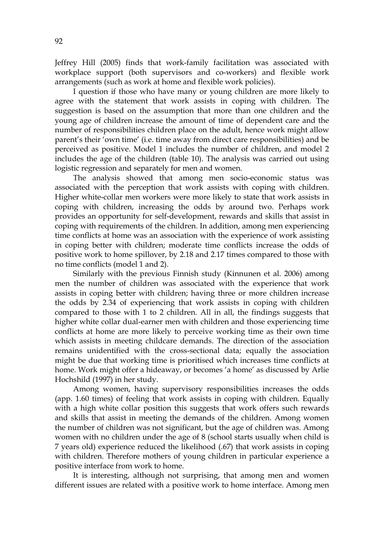Jeffrey Hill (2005) finds that work-family facilitation was associated with workplace support (both supervisors and co-workers) and flexible work arrangements (such as work at home and flexible work policies).

I question if those who have many or young children are more likely to agree with the statement that work assists in coping with children. The suggestion is based on the assumption that more than one children and the young age of children increase the amount of time of dependent care and the number of responsibilities children place on the adult, hence work might allow parent's their 'own time' (i.e. time away from direct care responsibilities) and be perceived as positive. Model 1 includes the number of children, and model 2 includes the age of the children (table 10). The analysis was carried out using logistic regression and separately for men and women.

The analysis showed that among men socio-economic status was associated with the perception that work assists with coping with children. Higher white-collar men workers were more likely to state that work assists in coping with children, increasing the odds by around two. Perhaps work provides an opportunity for self-development, rewards and skills that assist in coping with requirements of the children. In addition, among men experiencing time conflicts at home was an association with the experience of work assisting in coping better with children; moderate time conflicts increase the odds of positive work to home spillover, by 2.18 and 2.17 times compared to those with no time conflicts (model 1 and 2).

Similarly with the previous Finnish study (Kinnunen et al. 2006) among men the number of children was associated with the experience that work assists in coping better with children; having three or more children increase the odds by 2.34 of experiencing that work assists in coping with children compared to those with 1 to 2 children. All in all, the findings suggests that higher white collar dual-earner men with children and those experiencing time conflicts at home are more likely to perceive working time as their own time which assists in meeting childcare demands. The direction of the association remains unidentified with the cross-sectional data; equally the association might be due that working time is prioritised which increases time conflicts at home. Work might offer a hideaway, or becomes 'a home' as discussed by Arlie Hochshild (1997) in her study.

Among women, having supervisory responsibilities increases the odds (app. 1.60 times) of feeling that work assists in coping with children. Equally with a high white collar position this suggests that work offers such rewards and skills that assist in meeting the demands of the children. Among women the number of children was not significant, but the age of children was. Among women with no children under the age of 8 (school starts usually when child is 7 years old) experience reduced the likelihood (.67) that work assists in coping with children. Therefore mothers of young children in particular experience a positive interface from work to home.

It is interesting, although not surprising, that among men and women different issues are related with a positive work to home interface. Among men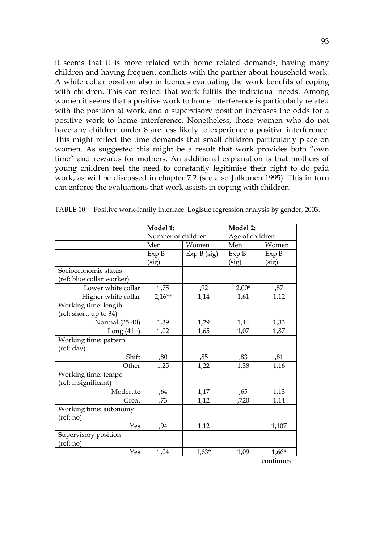it seems that it is more related with home related demands; having many children and having frequent conflicts with the partner about household work. A white collar position also influences evaluating the work benefits of coping with children. This can reflect that work fulfils the individual needs. Among women it seems that a positive work to home interference is particularly related with the position at work, and a supervisory position increases the odds for a positive work to home interference. Nonetheless, those women who do not have any children under 8 are less likely to experience a positive interference. This might reflect the time demands that small children particularly place on women. As suggested this might be a result that work provides both "own time" and rewards for mothers. An additional explanation is that mothers of young children feel the need to constantly legitimise their right to do paid work, as will be discussed in chapter 7.2 (see also Julkunen 1995). This in turn can enforce the evaluations that work assists in coping with children.

|                           | Model 1:           |             | Model 2:        |           |
|---------------------------|--------------------|-------------|-----------------|-----------|
|                           | Number of children |             | Age of children |           |
|                           | Men                | Women       | Men             | Women     |
|                           | Exp B              | Exp B (sig) | Exp B           | Exp B     |
|                           | (sig)              |             | (sig)           | (sig)     |
| Socioeconomic status      |                    |             |                 |           |
| (ref: blue collar worker) |                    |             |                 |           |
| Lower white collar        | 1,75               | ,92         | $2,00*$         | ,87       |
| Higher white collar       | $2,16**$           | 1,14        | 1,61            | 1,12      |
| Working time: length      |                    |             |                 |           |
| (ref: short, up to 34)    |                    |             |                 |           |
| Normal (35-40)            | 1,39               | 1,29        | 1,44            | 1,33      |
| Long $(41+)$              | 1,02               | 1,65        | 1,07            | 1,87      |
| Working time: pattern     |                    |             |                 |           |
| (ref: day)                |                    |             |                 |           |
| Shift                     | ,80                | ,85         | ,83             | ,81       |
| Other                     | 1,25               | 1,22        | 1,38            | 1,16      |
| Working time: tempo       |                    |             |                 |           |
| (ref: insignificant)      |                    |             |                 |           |
| Moderate                  | ,64                | 1,17        | ,65             | 1,13      |
| Great                     | ,73                | 1,12        | ,720            | 1,14      |
| Working time: autonomy    |                    |             |                 |           |
| (ref: no)                 |                    |             |                 |           |
| Yes                       | ,94                | 1,12        |                 | 1,107     |
| Supervisory position      |                    |             |                 |           |
| (ref: no)                 |                    |             |                 |           |
| Yes                       | 1,04               | $1,63*$     | 1,09            | $1,66*$   |
|                           |                    |             |                 | continues |

TABLE 10 Positive work-family interface. Logistic regression analysis by gender, 2003.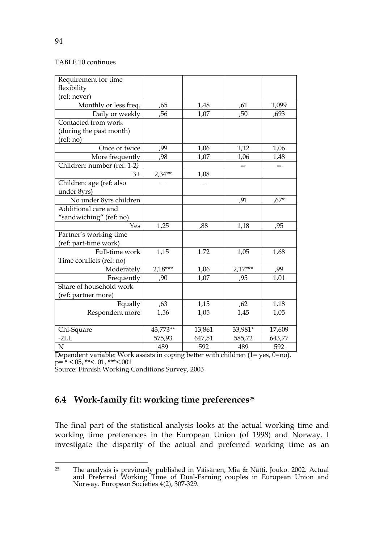#### TABLE 10 continues

| Requirement for time        |           |        |           |        |
|-----------------------------|-----------|--------|-----------|--------|
| flexibility                 |           |        |           |        |
| (ref: never)                |           |        |           |        |
| Monthly or less freq.       | ,65       | 1,48   | ,61       | 1,099  |
| Daily or weekly             | ,56       | 1,07   | ,50       | ,693   |
| Contacted from work         |           |        |           |        |
| (during the past month)     |           |        |           |        |
| (ref:no)                    |           |        |           |        |
| Once or twice               | ,99       | 1,06   | 1,12      | 1,06   |
| More frequently             | ,98       | 1,07   | 1,06      | 1,48   |
| Children: number (ref: 1-2) |           |        |           | --     |
| $3+$                        | $2,34**$  | 1,08   |           |        |
| Children: age (ref: also    |           |        |           |        |
| under 8yrs)                 |           |        |           |        |
| No under 8yrs children      |           |        | ,91       | $,67*$ |
| Additional care and         |           |        |           |        |
| "sandwiching" (ref: no)     |           |        |           |        |
| Yes                         | 1,25      | ,88    | 1,18      | ,95    |
| Partner's working time      |           |        |           |        |
| (ref: part-time work)       |           |        |           |        |
| Full-time work              | 1,15      | 1.72   | 1,05      | 1,68   |
| Time conflicts (ref: no)    |           |        |           |        |
| Moderately                  | $2,18***$ | 1,06   | $2,17***$ | ,99    |
| Frequently                  | ,90       | 1,07   | ,95       | 1,01   |
| Share of household work     |           |        |           |        |
| (ref: partner more)         |           |        |           |        |
| Equally                     | ,63       | 1,15   | ,62       | 1,18   |
| Respondent more             | 1,56      | 1,05   | 1,45      | 1,05   |
|                             |           |        |           |        |
| Chi-Square                  | 43,773**  | 13,861 | 33,981*   | 17,609 |
| $-2LL$                      | 575,93    | 647,51 | 585,72    | 643,77 |
| $\mathbf N$                 | 489       | 592    | 489       | 592    |

Dependent variable: Work assists in coping better with children (1= yes, 0=no).  $p = * <.05, ** <.01, ** <.001$ 

Source: Finnish Working Conditions Survey, 2003

## **6.4 Work-family fit: working time preferences25**

The final part of the statistical analysis looks at the actual working time and working time preferences in the European Union (of 1998) and Norway. I investigate the disparity of the actual and preferred working time as an

 $25$ <sup>25</sup> The analysis is previously published in Väisänen, Mia & Nätti, Jouko. 2002. Actual and Preferred Working Time of Dual-Earning couples in European Union and Norway. European Societies 4(2), 307-329.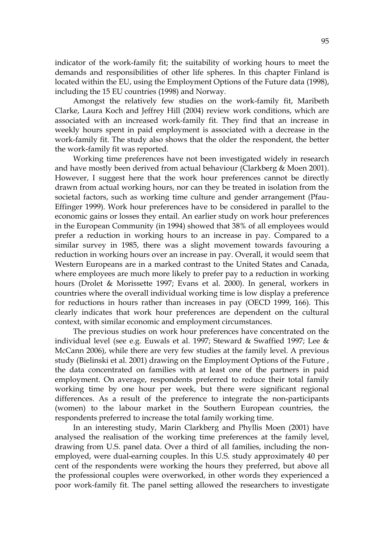indicator of the work-family fit; the suitability of working hours to meet the demands and responsibilities of other life spheres. In this chapter Finland is located within the EU, using the Employment Options of the Future data (1998), including the 15 EU countries (1998) and Norway.

Amongst the relatively few studies on the work-family fit, Maribeth Clarke, Laura Koch and Jeffrey Hill (2004) review work conditions, which are associated with an increased work-family fit. They find that an increase in weekly hours spent in paid employment is associated with a decrease in the work-family fit. The study also shows that the older the respondent, the better the work-family fit was reported.

Working time preferences have not been investigated widely in research and have mostly been derived from actual behaviour (Clarkberg & Moen 2001). However, I suggest here that the work hour preferences cannot be directly drawn from actual working hours, nor can they be treated in isolation from the societal factors, such as working time culture and gender arrangement (Pfau-Effinger 1999). Work hour preferences have to be considered in parallel to the economic gains or losses they entail. An earlier study on work hour preferences in the European Community (in 1994) showed that 38% of all employees would prefer a reduction in working hours to an increase in pay. Compared to a similar survey in 1985, there was a slight movement towards favouring a reduction in working hours over an increase in pay. Overall, it would seem that Western Europeans are in a marked contrast to the United States and Canada, where employees are much more likely to prefer pay to a reduction in working hours (Drolet & Morissette 1997; Evans et al. 2000). In general, workers in countries where the overall individual working time is low display a preference for reductions in hours rather than increases in pay (OECD 1999, 166). This clearly indicates that work hour preferences are dependent on the cultural context, with similar economic and employment circumstances.

The previous studies on work hour preferences have concentrated on the individual level (see e.g. Euwals et al. 1997; Steward & Swaffied 1997; Lee & McCann 2006), while there are very few studies at the family level. A previous study (Bielinski et al. 2001) drawing on the Employment Options of the Future , the data concentrated on families with at least one of the partners in paid employment. On average, respondents preferred to reduce their total family working time by one hour per week, but there were significant regional differences. As a result of the preference to integrate the non-participants (women) to the labour market in the Southern European countries, the respondents preferred to increase the total family working time.

In an interesting study, Marin Clarkberg and Phyllis Moen (2001) have analysed the realisation of the working time preferences at the family level, drawing from U.S. panel data. Over a third of all families, including the nonemployed, were dual-earning couples. In this U.S. study approximately 40 per cent of the respondents were working the hours they preferred, but above all the professional couples were overworked, in other words they experienced a poor work-family fit. The panel setting allowed the researchers to investigate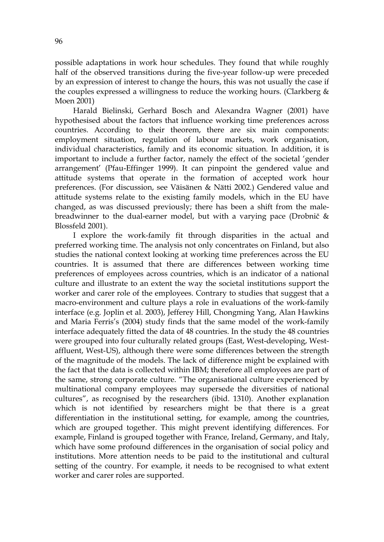possible adaptations in work hour schedules. They found that while roughly half of the observed transitions during the five-year follow-up were preceded by an expression of interest to change the hours, this was not usually the case if the couples expressed a willingness to reduce the working hours. (Clarkberg & Moen 2001)

Harald Bielinski, Gerhard Bosch and Alexandra Wagner (2001) have hypothesised about the factors that influence working time preferences across countries. According to their theorem, there are six main components: employment situation, regulation of labour markets, work organisation, individual characteristics, family and its economic situation. In addition, it is important to include a further factor, namely the effect of the societal 'gender arrangement' (Pfau-Effinger 1999). It can pinpoint the gendered value and attitude systems that operate in the formation of accepted work hour preferences. (For discussion, see Väisänen & Nätti 2002.) Gendered value and attitude systems relate to the existing family models, which in the EU have changed, as was discussed previously; there has been a shift from the malebreadwinner to the dual-earner model, but with a varying pace (Drobnič  $\&$ Blossfeld 2001).

I explore the work-family fit through disparities in the actual and preferred working time. The analysis not only concentrates on Finland, but also studies the national context looking at working time preferences across the EU countries. It is assumed that there are differences between working time preferences of employees across countries, which is an indicator of a national culture and illustrate to an extent the way the societal institutions support the worker and carer role of the employees. Contrary to studies that suggest that a macro-environment and culture plays a role in evaluations of the work-family interface (e.g. Joplin et al. 2003), Jefferey Hill, Chongming Yang, Alan Hawkins and Maria Ferris's (2004) study finds that the same model of the work-family interface adequately fitted the data of 48 countries. In the study the 48 countries were grouped into four culturally related groups (East, West-developing, Westaffluent, West-US), although there were some differences between the strength of the magnitude of the models. The lack of difference might be explained with the fact that the data is collected within IBM; therefore all employees are part of the same, strong corporate culture. "The organisational culture experienced by multinational company employees may supersede the diversities of national cultures", as recognised by the researchers (ibid. 1310). Another explanation which is not identified by researchers might be that there is a great differentiation in the institutional setting, for example, among the countries, which are grouped together. This might prevent identifying differences. For example, Finland is grouped together with France, Ireland, Germany, and Italy, which have some profound differences in the organisation of social policy and institutions. More attention needs to be paid to the institutional and cultural setting of the country. For example, it needs to be recognised to what extent worker and carer roles are supported.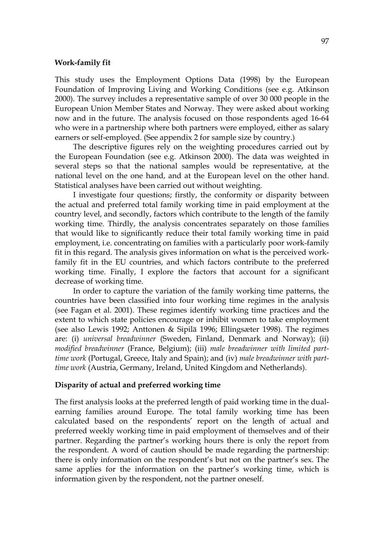#### **Work-family fit**

This study uses the Employment Options Data (1998) by the European Foundation of Improving Living and Working Conditions (see e.g. Atkinson 2000). The survey includes a representative sample of over 30 000 people in the European Union Member States and Norway. They were asked about working now and in the future. The analysis focused on those respondents aged 16-64 who were in a partnership where both partners were employed, either as salary earners or self-employed. (See appendix 2 for sample size by country.)

The descriptive figures rely on the weighting procedures carried out by the European Foundation (see e.g. Atkinson 2000). The data was weighted in several steps so that the national samples would be representative, at the national level on the one hand, and at the European level on the other hand. Statistical analyses have been carried out without weighting.

I investigate four questions; firstly, the conformity or disparity between the actual and preferred total family working time in paid employment at the country level, and secondly, factors which contribute to the length of the family working time. Thirdly, the analysis concentrates separately on those families that would like to significantly reduce their total family working time in paid employment, i.e. concentrating on families with a particularly poor work-family fit in this regard. The analysis gives information on what is the perceived workfamily fit in the EU countries, and which factors contribute to the preferred working time. Finally, I explore the factors that account for a significant decrease of working time.

In order to capture the variation of the family working time patterns, the countries have been classified into four working time regimes in the analysis (see Fagan et al. 2001). These regimes identify working time practices and the extent to which state policies encourage or inhibit women to take employment (see also Lewis 1992; Anttonen & Sipilä 1996; Ellingsæter 1998). The regimes are: (i) *universal breadwinner* (Sweden, Finland, Denmark and Norway); (ii) *modified breadwinner* (France, Belgium); (iii) *male breadwinner with limited parttime work* (Portugal, Greece, Italy and Spain); and (iv) *male breadwinner with parttime work* (Austria, Germany, Ireland, United Kingdom and Netherlands).

#### **Disparity of actual and preferred working time**

The first analysis looks at the preferred length of paid working time in the dualearning families around Europe. The total family working time has been calculated based on the respondents' report on the length of actual and preferred weekly working time in paid employment of themselves and of their partner. Regarding the partner's working hours there is only the report from the respondent. A word of caution should be made regarding the partnership: there is only information on the respondent's but not on the partner's sex. The same applies for the information on the partner's working time, which is information given by the respondent, not the partner oneself.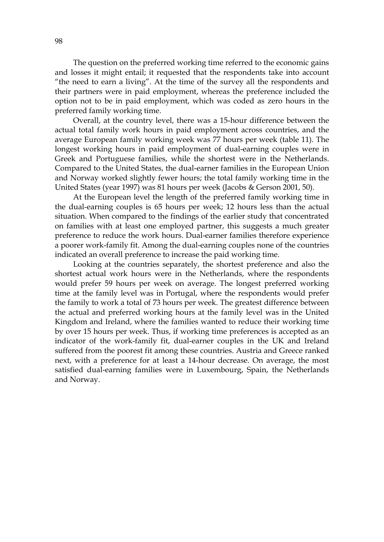The question on the preferred working time referred to the economic gains and losses it might entail; it requested that the respondents take into account "the need to earn a living". At the time of the survey all the respondents and their partners were in paid employment, whereas the preference included the option not to be in paid employment, which was coded as zero hours in the preferred family working time.

Overall, at the country level, there was a 15-hour difference between the actual total family work hours in paid employment across countries, and the average European family working week was 77 hours per week (table 11). The longest working hours in paid employment of dual-earning couples were in Greek and Portuguese families, while the shortest were in the Netherlands. Compared to the United States, the dual-earner families in the European Union and Norway worked slightly fewer hours; the total family working time in the United States (year 1997) was 81 hours per week (Jacobs & Gerson 2001, 50).

At the European level the length of the preferred family working time in the dual-earning couples is 65 hours per week; 12 hours less than the actual situation. When compared to the findings of the earlier study that concentrated on families with at least one employed partner, this suggests a much greater preference to reduce the work hours. Dual-earner families therefore experience a poorer work-family fit. Among the dual-earning couples none of the countries indicated an overall preference to increase the paid working time.

Looking at the countries separately, the shortest preference and also the shortest actual work hours were in the Netherlands, where the respondents would prefer 59 hours per week on average. The longest preferred working time at the family level was in Portugal, where the respondents would prefer the family to work a total of 73 hours per week. The greatest difference between the actual and preferred working hours at the family level was in the United Kingdom and Ireland, where the families wanted to reduce their working time by over 15 hours per week. Thus, if working time preferences is accepted as an indicator of the work-family fit, dual-earner couples in the UK and Ireland suffered from the poorest fit among these countries. Austria and Greece ranked next, with a preference for at least a 14-hour decrease. On average, the most satisfied dual-earning families were in Luxembourg, Spain, the Netherlands and Norway.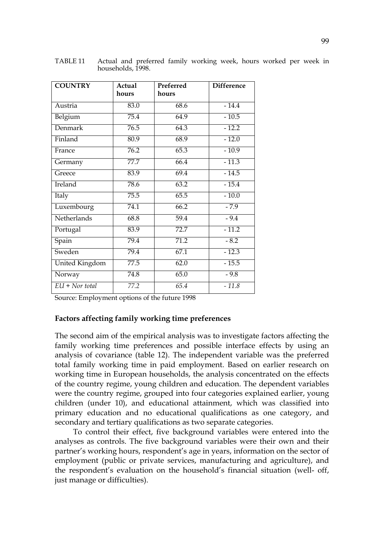| <b>COUNTRY</b>        | Actual | Preferred | <b>Difference</b> |
|-----------------------|--------|-----------|-------------------|
|                       | hours  | hours     |                   |
| Austria               | 83.0   | 68.6      | $-14.4$           |
| Belgium               | 75.4   | 64.9      | $-10.5$           |
| <b>Denmark</b>        | 76.5   | 64.3      | $-12.2$           |
| Finland               | 80.9   | 68.9      | $-12.0$           |
| France                | 76.2   | 65.3      | $-10.9$           |
| Germany               | 77.7   | 66.4      | $-11.3$           |
| Greece                | 83.9   | 69.4      | $-14.5$           |
| Ireland               | 78.6   | 63.2      | $-15.4$           |
| Italy                 | 75.5   | 65.5      | $-10.0$           |
| Luxembourg            | 74.1   | 66.2      | $-7.9$            |
| Netherlands           | 68.8   | 59.4      | $-9.4$            |
| Portugal              | 83.9   | 72.7      | $-11.2$           |
| Spain                 | 79.4   | 71.2      | $-8.2$            |
| Sweden                | 79.4   | 67.1      | $-12.3$           |
| <b>United Kingdom</b> | 77.5   | 62.0      | $-15.5$           |
| Norway                | 74.8   | 65.0      | $-9.8$            |
| $EU + Nor total$      | 77.2   | 65.4      | $-11.8$           |

TABLE 11 Actual and preferred family working week, hours worked per week in households, 1998.

Source: Employment options of the future 1998

#### **Factors affecting family working time preferences**

The second aim of the empirical analysis was to investigate factors affecting the family working time preferences and possible interface effects by using an analysis of covariance (table 12). The independent variable was the preferred total family working time in paid employment. Based on earlier research on working time in European households, the analysis concentrated on the effects of the country regime, young children and education. The dependent variables were the country regime, grouped into four categories explained earlier, young children (under 10), and educational attainment, which was classified into primary education and no educational qualifications as one category, and secondary and tertiary qualifications as two separate categories.

To control their effect, five background variables were entered into the analyses as controls. The five background variables were their own and their partner's working hours, respondent's age in years, information on the sector of employment (public or private services, manufacturing and agriculture), and the respondent's evaluation on the household's financial situation (well- off, just manage or difficulties).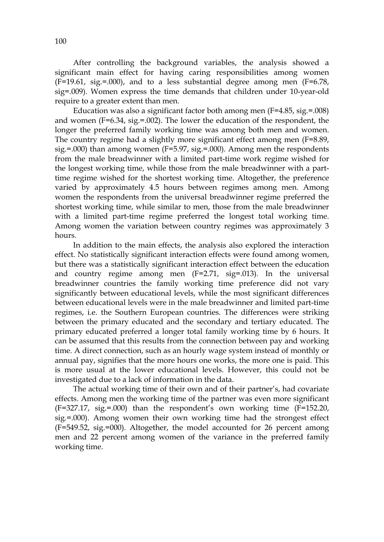After controlling the background variables, the analysis showed a significant main effect for having caring responsibilities among women  $(F=19.61, sig.=000)$ , and to a less substantial degree among men  $(F=6.78, g=1000)$ sig=.009). Women express the time demands that children under 10-year-old require to a greater extent than men.

Education was also a significant factor both among men (F=4.85, sig.=.008) and women (F=6.34, sig.=.002). The lower the education of the respondent, the longer the preferred family working time was among both men and women. The country regime had a slightly more significant effect among men (F=8.89, sig.=.000) than among women (F=5.97, sig.=.000). Among men the respondents from the male breadwinner with a limited part-time work regime wished for the longest working time, while those from the male breadwinner with a parttime regime wished for the shortest working time. Altogether, the preference varied by approximately 4.5 hours between regimes among men. Among women the respondents from the universal breadwinner regime preferred the shortest working time, while similar to men, those from the male breadwinner with a limited part-time regime preferred the longest total working time. Among women the variation between country regimes was approximately 3 hours.

In addition to the main effects, the analysis also explored the interaction effect. No statistically significant interaction effects were found among women, but there was a statistically significant interaction effect between the education and country regime among men (F=2.71, sig=.013). In the universal breadwinner countries the family working time preference did not vary significantly between educational levels, while the most significant differences between educational levels were in the male breadwinner and limited part-time regimes, i.e. the Southern European countries. The differences were striking between the primary educated and the secondary and tertiary educated. The primary educated preferred a longer total family working time by 6 hours. It can be assumed that this results from the connection between pay and working time. A direct connection, such as an hourly wage system instead of monthly or annual pay, signifies that the more hours one works, the more one is paid. This is more usual at the lower educational levels. However, this could not be investigated due to a lack of information in the data.

The actual working time of their own and of their partner's, had covariate effects. Among men the working time of the partner was even more significant (F=327.17, sig.=.000) than the respondent's own working time (F=152.20, sig.=.000). Among women their own working time had the strongest effect (F=549.52, sig.=000). Altogether, the model accounted for 26 percent among men and 22 percent among women of the variance in the preferred family working time.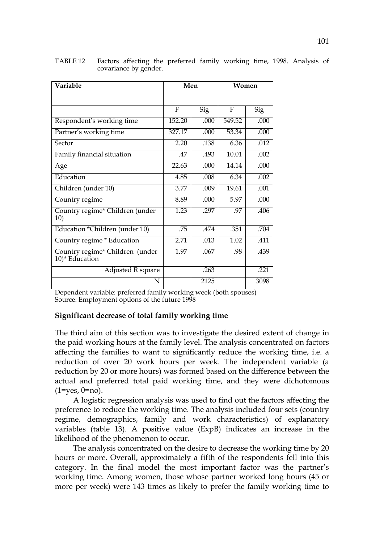| Variable                                          | Men    |      | Women  |            |  |
|---------------------------------------------------|--------|------|--------|------------|--|
|                                                   |        |      |        |            |  |
|                                                   | F      | Sig  | F      | <b>Sig</b> |  |
| Respondent's working time                         | 152.20 | .000 | 549.52 | .000       |  |
| Partner's working time                            | 327.17 | .000 | 53.34  | .000       |  |
| Sector                                            | 2.20   | .138 | 6.36   | .012       |  |
| Family financial situation                        | .47    | .493 | 10.01  | .002       |  |
| Age                                               | 22.63  | .000 | 14.14  | .000       |  |
| Education                                         | 4.85   | .008 | 6.34   | .002       |  |
| Children (under 10)                               | 3.77   | .009 | 19.61  | .001       |  |
| Country regime                                    | 8.89   | .000 | 5.97   | .000       |  |
| Country regime* Children (under<br>10)            | 1.23   | .297 | .97    | .406       |  |
| Education *Children (under 10)                    | .75    | .474 | .351   | .704       |  |
| Country regime * Education                        | 2.71   | .013 | 1.02   | .411       |  |
| Country regime* Children (under<br>10)* Education | 1.97   | .067 | .98    | .439       |  |
| <b>Adjusted R square</b>                          |        | .263 |        | .221       |  |
| N                                                 |        | 2125 |        | 3098       |  |

TABLE 12 Factors affecting the preferred family working time, 1998. Analysis of covariance by gender.

Dependent variable: preferred family working week (both spouses) Source: Employment options of the future 1998

#### **Significant decrease of total family working time**

The third aim of this section was to investigate the desired extent of change in the paid working hours at the family level. The analysis concentrated on factors affecting the families to want to significantly reduce the working time, i.e. a reduction of over 20 work hours per week. The independent variable (a reduction by 20 or more hours) was formed based on the difference between the actual and preferred total paid working time, and they were dichotomous  $(1 = yes, 0 = no).$ 

A logistic regression analysis was used to find out the factors affecting the preference to reduce the working time. The analysis included four sets (country regime, demographics, family and work characteristics) of explanatory variables (table 13). A positive value (ExpB) indicates an increase in the likelihood of the phenomenon to occur.

The analysis concentrated on the desire to decrease the working time by 20 hours or more. Overall, approximately a fifth of the respondents fell into this category. In the final model the most important factor was the partner's working time. Among women, those whose partner worked long hours (45 or more per week) were 143 times as likely to prefer the family working time to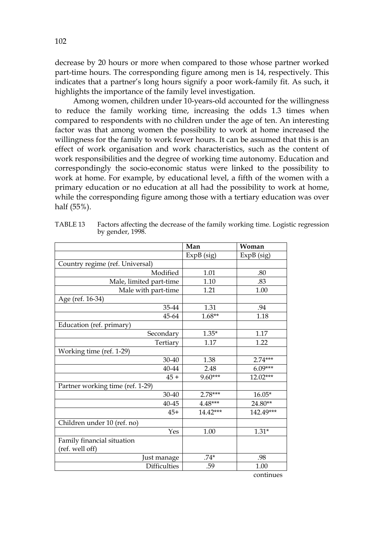decrease by 20 hours or more when compared to those whose partner worked part-time hours. The corresponding figure among men is 14, respectively. This indicates that a partner's long hours signify a poor work-family fit. As such, it highlights the importance of the family level investigation.

Among women, children under 10-years-old accounted for the willingness to reduce the family working time, increasing the odds 1.3 times when compared to respondents with no children under the age of ten. An interesting factor was that among women the possibility to work at home increased the willingness for the family to work fewer hours. It can be assumed that this is an effect of work organisation and work characteristics, such as the content of work responsibilities and the degree of working time autonomy. Education and correspondingly the socio-economic status were linked to the possibility to work at home. For example, by educational level, a fifth of the women with a primary education or no education at all had the possibility to work at home, while the corresponding figure among those with a tertiary education was over half (55%).

|                                  | Man        | Woman        |
|----------------------------------|------------|--------------|
|                                  | ExpB (sig) | $ExpB$ (sig) |
| Country regime (ref. Universal)  |            |              |
| Modified                         | 1.01       | .80          |
| Male, limited part-time          | 1.10       | .83          |
| Male with part-time              | 1.21       | 1.00         |
| Age (ref. 16-34)                 |            |              |
| 35-44                            | 1.31       | .94          |
| 45-64                            | $1.68**$   | 1.18         |
| Education (ref. primary)         |            |              |
| Secondary                        | $1.35*$    | 1.17         |
| Tertiary                         | 1.17       | 1.22         |
| Working time (ref. 1-29)         |            |              |
| 30-40                            | 1.38       | $2.74***$    |
| 40-44                            | 2.48       | $6.09***$    |
| $45 +$                           | $9.60***$  | $12.02***$   |
| Partner working time (ref. 1-29) |            |              |
| 30-40                            | 2.78***    | $16.05*$     |
| 40-45                            | $4.48***$  | 24.80**      |
| $45+$                            | 14.42***   | 142.49***    |
| Children under 10 (ref. no)      |            |              |
| Yes                              | 1.00       | $1.31*$      |
| Family financial situation       |            |              |
| (ref. well off)                  |            |              |
| Just manage                      | $.74*$     | .98          |
| <b>Difficulties</b>              | .59        | 1.00         |

TABLE 13 Factors affecting the decrease of the family working time. Logistic regression by gender, 1998.

continues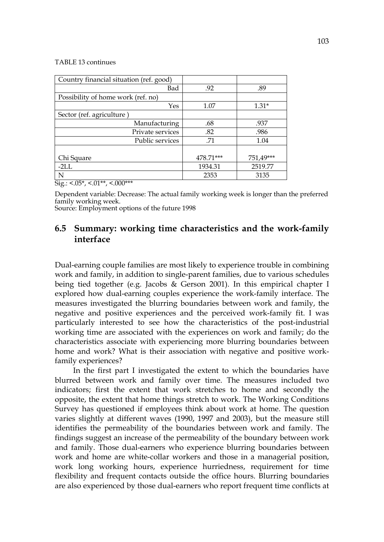#### TABLE 13 continues

| Country financial situation (ref. good) |           |           |
|-----------------------------------------|-----------|-----------|
| Bad                                     | .92       | .89       |
| Possibility of home work (ref. no)      |           |           |
| Yes                                     | 1.07      | $1.31*$   |
| Sector (ref. agriculture)               |           |           |
| Manufacturing                           | .68       | .937      |
| Private services                        | .82       | .986      |
| Public services                         | .71       | 1.04      |
|                                         |           |           |
| Chi Square                              | 478.71*** | 751,49*** |
| $-2L$ .                                 | 1934.31   | 2519.77   |
| N                                       | 2353      | 3135      |

 $\overline{Sig.}:$  <.05\*, <.01\*\*, <.000\*\*\*

Dependent variable: Decrease: The actual family working week is longer than the preferred family working week.

Source: Employment options of the future 1998

## **6.5 Summary: working time characteristics and the work-family interface**

Dual-earning couple families are most likely to experience trouble in combining work and family, in addition to single-parent families, due to various schedules being tied together (e.g. Jacobs & Gerson 2001). In this empirical chapter I explored how dual-earning couples experience the work-family interface. The measures investigated the blurring boundaries between work and family, the negative and positive experiences and the perceived work-family fit. I was particularly interested to see how the characteristics of the post-industrial working time are associated with the experiences on work and family; do the characteristics associate with experiencing more blurring boundaries between home and work? What is their association with negative and positive workfamily experiences?

In the first part I investigated the extent to which the boundaries have blurred between work and family over time. The measures included two indicators; first the extent that work stretches to home and secondly the opposite, the extent that home things stretch to work. The Working Conditions Survey has questioned if employees think about work at home. The question varies slightly at different waves (1990, 1997 and 2003), but the measure still identifies the permeability of the boundaries between work and family. The findings suggest an increase of the permeability of the boundary between work and family. Those dual-earners who experience blurring boundaries between work and home are white-collar workers and those in a managerial position, work long working hours, experience hurriedness, requirement for time flexibility and frequent contacts outside the office hours. Blurring boundaries are also experienced by those dual-earners who report frequent time conflicts at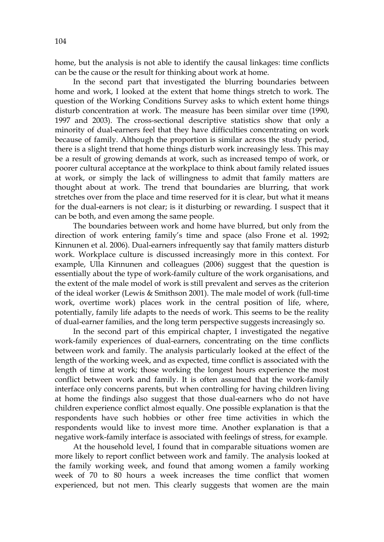home, but the analysis is not able to identify the causal linkages: time conflicts can be the cause or the result for thinking about work at home.

In the second part that investigated the blurring boundaries between home and work, I looked at the extent that home things stretch to work. The question of the Working Conditions Survey asks to which extent home things disturb concentration at work. The measure has been similar over time (1990, 1997 and 2003). The cross-sectional descriptive statistics show that only a minority of dual-earners feel that they have difficulties concentrating on work because of family. Although the proportion is similar across the study period, there is a slight trend that home things disturb work increasingly less. This may be a result of growing demands at work, such as increased tempo of work, or poorer cultural acceptance at the workplace to think about family related issues at work, or simply the lack of willingness to admit that family matters are thought about at work. The trend that boundaries are blurring, that work stretches over from the place and time reserved for it is clear, but what it means for the dual-earners is not clear; is it disturbing or rewarding. I suspect that it can be both, and even among the same people.

The boundaries between work and home have blurred, but only from the direction of work entering family's time and space (also Frone et al. 1992; Kinnunen et al. 2006). Dual-earners infrequently say that family matters disturb work. Workplace culture is discussed increasingly more in this context. For example, Ulla Kinnunen and colleagues (2006) suggest that the question is essentially about the type of work-family culture of the work organisations, and the extent of the male model of work is still prevalent and serves as the criterion of the ideal worker (Lewis & Smithson 2001). The male model of work (full-time work, overtime work) places work in the central position of life, where, potentially, family life adapts to the needs of work. This seems to be the reality of dual-earner families, and the long term perspective suggests increasingly so.

In the second part of this empirical chapter, I investigated the negative work-family experiences of dual-earners, concentrating on the time conflicts between work and family. The analysis particularly looked at the effect of the length of the working week, and as expected, time conflict is associated with the length of time at work; those working the longest hours experience the most conflict between work and family. It is often assumed that the work-family interface only concerns parents, but when controlling for having children living at home the findings also suggest that those dual-earners who do not have children experience conflict almost equally. One possible explanation is that the respondents have such hobbies or other free time activities in which the respondents would like to invest more time. Another explanation is that a negative work-family interface is associated with feelings of stress, for example.

At the household level, I found that in comparable situations women are more likely to report conflict between work and family. The analysis looked at the family working week, and found that among women a family working week of 70 to 80 hours a week increases the time conflict that women experienced, but not men. This clearly suggests that women are the main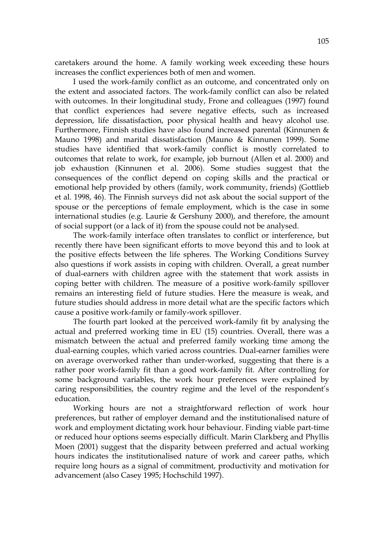caretakers around the home. A family working week exceeding these hours increases the conflict experiences both of men and women.

I used the work-family conflict as an outcome, and concentrated only on the extent and associated factors. The work-family conflict can also be related with outcomes. In their longitudinal study, Frone and colleagues (1997) found that conflict experiences had severe negative effects, such as increased depression, life dissatisfaction, poor physical health and heavy alcohol use. Furthermore, Finnish studies have also found increased parental (Kinnunen & Mauno 1998) and marital dissatisfaction (Mauno & Kinnunen 1999). Some studies have identified that work-family conflict is mostly correlated to outcomes that relate to work, for example, job burnout (Allen et al. 2000) and job exhaustion (Kinnunen et al. 2006). Some studies suggest that the consequences of the conflict depend on coping skills and the practical or emotional help provided by others (family, work community, friends) (Gottlieb et al. 1998, 46). The Finnish surveys did not ask about the social support of the spouse or the perceptions of female employment, which is the case in some international studies (e.g. Laurie & Gershuny 2000), and therefore, the amount of social support (or a lack of it) from the spouse could not be analysed.

The work-family interface often translates to conflict or interference, but recently there have been significant efforts to move beyond this and to look at the positive effects between the life spheres. The Working Conditions Survey also questions if work assists in coping with children. Overall, a great number of dual-earners with children agree with the statement that work assists in coping better with children. The measure of a positive work-family spillover remains an interesting field of future studies. Here the measure is weak, and future studies should address in more detail what are the specific factors which cause a positive work-family or family-work spillover.

The fourth part looked at the perceived work-family fit by analysing the actual and preferred working time in EU (15) countries. Overall, there was a mismatch between the actual and preferred family working time among the dual-earning couples, which varied across countries. Dual-earner families were on average overworked rather than under-worked, suggesting that there is a rather poor work-family fit than a good work-family fit. After controlling for some background variables, the work hour preferences were explained by caring responsibilities, the country regime and the level of the respondent's education.

Working hours are not a straightforward reflection of work hour preferences, but rather of employer demand and the institutionalised nature of work and employment dictating work hour behaviour. Finding viable part-time or reduced hour options seems especially difficult. Marin Clarkberg and Phyllis Moen (2001) suggest that the disparity between preferred and actual working hours indicates the institutionalised nature of work and career paths, which require long hours as a signal of commitment, productivity and motivation for advancement (also Casey 1995; Hochschild 1997).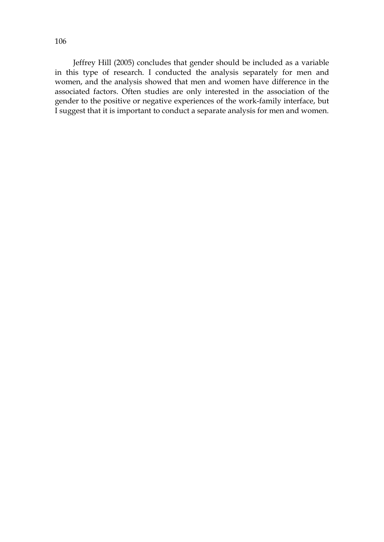Jeffrey Hill (2005) concludes that gender should be included as a variable in this type of research. I conducted the analysis separately for men and women, and the analysis showed that men and women have difference in the associated factors. Often studies are only interested in the association of the gender to the positive or negative experiences of the work-family interface, but I suggest that it is important to conduct a separate analysis for men and women.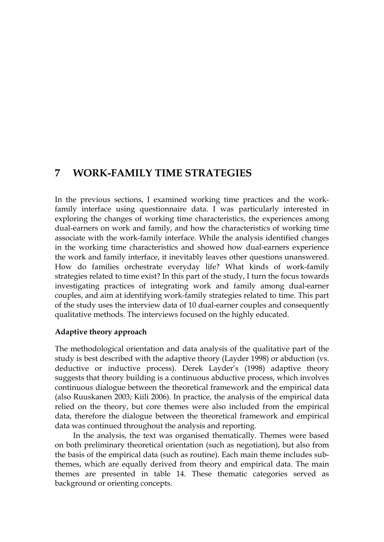# **7 WORK-FAMILY TIME STRATEGIES**

In the previous sections, I examined working time practices and the workfamily interface using questionnaire data. I was particularly interested in exploring the changes of working time characteristics, the experiences among dual-earners on work and family, and how the characteristics of working time associate with the work-family interface. While the analysis identified changes in the working time characteristics and showed how dual-earners experience the work and family interface, it inevitably leaves other questions unanswered. How do families orchestrate everyday life? What kinds of work-family strategies related to time exist? In this part of the study, I turn the focus towards investigating practices of integrating work and family among dual-earner couples, and aim at identifying work-family strategies related to time. This part of the study uses the interview data of 10 dual-earner couples and consequently qualitative methods. The interviews focused on the highly educated.

## **Adaptive theory approach**

The methodological orientation and data analysis of the qualitative part of the study is best described with the adaptive theory (Layder 1998) or abduction (vs. deductive or inductive process). Derek Layder's (1998) adaptive theory suggests that theory building is a continuous abductive process, which involves continuous dialogue between the theoretical framework and the empirical data (also Ruuskanen 2003; Kiili 2006). In practice, the analysis of the empirical data relied on the theory, but core themes were also included from the empirical data, therefore the dialogue between the theoretical framework and empirical data was continued throughout the analysis and reporting.

In the analysis, the text was organised thematically. Themes were based on both preliminary theoretical orientation (such as negotiation), but also from the basis of the empirical data (such as routine). Each main theme includes subthemes, which are equally derived from theory and empirical data. The main themes are presented in table 14. These thematic categories served as background or orienting concepts.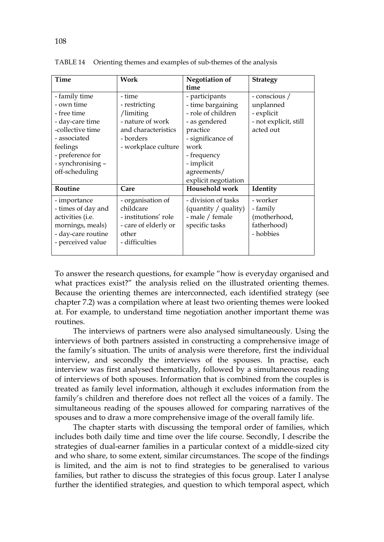| Time                                                                                                                                                                     | Work                                                                                                                | <b>Negotiation of</b><br>time                                                                                                                                                           | <b>Strategy</b>                                                                |
|--------------------------------------------------------------------------------------------------------------------------------------------------------------------------|---------------------------------------------------------------------------------------------------------------------|-----------------------------------------------------------------------------------------------------------------------------------------------------------------------------------------|--------------------------------------------------------------------------------|
| - family time<br>- own time<br>- free time<br>- day-care time<br>-collective time<br>- associated<br>feelings<br>- preference for<br>- synchronising -<br>off-scheduling | - time<br>- restricting<br>/limiting<br>- nature of work<br>and characteristics<br>- borders<br>- workplace culture | - participants<br>- time bargaining<br>- role of children<br>- as gendered<br>practice<br>- significance of<br>work<br>- frequency<br>- implicit<br>agreements/<br>explicit negotiation | - conscious /<br>unplanned<br>- explicit<br>- not explicit, still<br>acted out |
| Routine                                                                                                                                                                  | Care                                                                                                                | Household work                                                                                                                                                                          | Identity                                                                       |
| - importance<br>- times of day and<br>activities (i.e.<br>mornings, meals)<br>- day-care routine<br>- perceived value                                                    | - organisation of<br>childcare<br>- institutions' role<br>- care of elderly or<br>other<br>- difficulties           | - division of tasks<br>(quantity / quality)<br>- male / female<br>specific tasks                                                                                                        | - worker<br>- family<br>(motherhood,<br>fatherhood)<br>- hobbies               |

TABLE 14 Orienting themes and examples of sub-themes of the analysis

To answer the research questions, for example "how is everyday organised and what practices exist?" the analysis relied on the illustrated orienting themes. Because the orienting themes are interconnected, each identified strategy (see chapter 7.2) was a compilation where at least two orienting themes were looked at. For example, to understand time negotiation another important theme was routines.

The interviews of partners were also analysed simultaneously. Using the interviews of both partners assisted in constructing a comprehensive image of the family's situation. The units of analysis were therefore, first the individual interview, and secondly the interviews of the spouses. In practise, each interview was first analysed thematically, followed by a simultaneous reading of interviews of both spouses. Information that is combined from the couples is treated as family level information, although it excludes information from the family's children and therefore does not reflect all the voices of a family. The simultaneous reading of the spouses allowed for comparing narratives of the spouses and to draw a more comprehensive image of the overall family life.

The chapter starts with discussing the temporal order of families, which includes both daily time and time over the life course. Secondly, I describe the strategies of dual-earner families in a particular context of a middle-sized city and who share, to some extent, similar circumstances. The scope of the findings is limited, and the aim is not to find strategies to be generalised to various families, but rather to discuss the strategies of this focus group. Later I analyse further the identified strategies, and question to which temporal aspect, which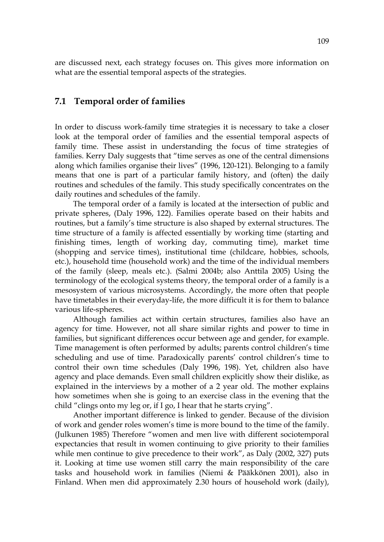are discussed next, each strategy focuses on. This gives more information on what are the essential temporal aspects of the strategies.

## **7.1 Temporal order of families**

In order to discuss work-family time strategies it is necessary to take a closer look at the temporal order of families and the essential temporal aspects of family time. These assist in understanding the focus of time strategies of families. Kerry Daly suggests that "time serves as one of the central dimensions along which families organise their lives" (1996, 120-121). Belonging to a family means that one is part of a particular family history, and (often) the daily routines and schedules of the family. This study specifically concentrates on the daily routines and schedules of the family.

The temporal order of a family is located at the intersection of public and private spheres, (Daly 1996, 122). Families operate based on their habits and routines, but a family's time structure is also shaped by external structures. The time structure of a family is affected essentially by working time (starting and finishing times, length of working day, commuting time), market time (shopping and service times), institutional time (childcare, hobbies, schools, etc.), household time (household work) and the time of the individual members of the family (sleep, meals etc.). (Salmi 2004b; also Anttila 2005) Using the terminology of the ecological systems theory, the temporal order of a family is a mesosystem of various microsystems. Accordingly, the more often that people have timetables in their everyday-life, the more difficult it is for them to balance various life-spheres.

Although families act within certain structures, families also have an agency for time. However, not all share similar rights and power to time in families, but significant differences occur between age and gender, for example. Time management is often performed by adults; parents control children's time scheduling and use of time. Paradoxically parents' control children's time to control their own time schedules (Daly 1996, 198). Yet, children also have agency and place demands. Even small children explicitly show their dislike, as explained in the interviews by a mother of a 2 year old. The mother explains how sometimes when she is going to an exercise class in the evening that the child "clings onto my leg or, if I go, I hear that he starts crying".

Another important difference is linked to gender. Because of the division of work and gender roles women's time is more bound to the time of the family. (Julkunen 1985) Therefore "women and men live with different sociotemporal expectancies that result in women continuing to give priority to their families while men continue to give precedence to their work", as Daly (2002, 327) puts it. Looking at time use women still carry the main responsibility of the care tasks and household work in families (Niemi & Pääkkönen 2001), also in Finland. When men did approximately 2.30 hours of household work (daily),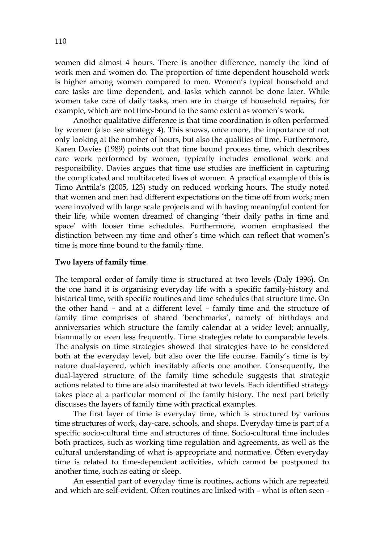women did almost 4 hours. There is another difference, namely the kind of work men and women do. The proportion of time dependent household work is higher among women compared to men. Women's typical household and care tasks are time dependent, and tasks which cannot be done later. While women take care of daily tasks, men are in charge of household repairs, for example, which are not time-bound to the same extent as women's work.

Another qualitative difference is that time coordination is often performed by women (also see strategy 4). This shows, once more, the importance of not only looking at the number of hours, but also the qualities of time. Furthermore, Karen Davies (1989) points out that time bound process time, which describes care work performed by women, typically includes emotional work and responsibility. Davies argues that time use studies are inefficient in capturing the complicated and multifaceted lives of women. A practical example of this is Timo Anttila's (2005, 123) study on reduced working hours. The study noted that women and men had different expectations on the time off from work; men were involved with large scale projects and with having meaningful content for their life, while women dreamed of changing 'their daily paths in time and space' with looser time schedules. Furthermore, women emphasised the distinction between my time and other's time which can reflect that women's time is more time bound to the family time.

#### **Two layers of family time**

The temporal order of family time is structured at two levels (Daly 1996). On the one hand it is organising everyday life with a specific family-history and historical time, with specific routines and time schedules that structure time. On the other hand – and at a different level – family time and the structure of family time comprises of shared 'benchmarks', namely of birthdays and anniversaries which structure the family calendar at a wider level; annually, biannually or even less frequently. Time strategies relate to comparable levels. The analysis on time strategies showed that strategies have to be considered both at the everyday level, but also over the life course. Family's time is by nature dual-layered, which inevitably affects one another. Consequently, the dual-layered structure of the family time schedule suggests that strategic actions related to time are also manifested at two levels. Each identified strategy takes place at a particular moment of the family history. The next part briefly discusses the layers of family time with practical examples.

The first layer of time is everyday time, which is structured by various time structures of work, day-care, schools, and shops. Everyday time is part of a specific socio-cultural time and structures of time. Socio-cultural time includes both practices, such as working time regulation and agreements, as well as the cultural understanding of what is appropriate and normative. Often everyday time is related to time-dependent activities, which cannot be postponed to another time, such as eating or sleep.

An essential part of everyday time is routines, actions which are repeated and which are self-evident. Often routines are linked with – what is often seen -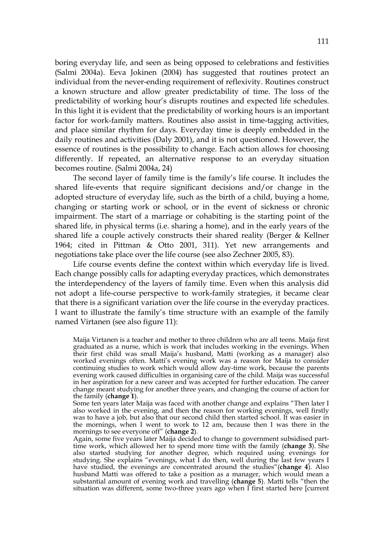boring everyday life, and seen as being opposed to celebrations and festivities (Salmi 2004a). Eeva Jokinen (2004) has suggested that routines protect an individual from the never-ending requirement of reflexivity. Routines construct a known structure and allow greater predictability of time. The loss of the predictability of working hour's disrupts routines and expected life schedules. In this light it is evident that the predictability of working hours is an important factor for work-family matters. Routines also assist in time-tagging activities, and place similar rhythm for days. Everyday time is deeply embedded in the daily routines and activities (Daly 2001), and it is not questioned. However, the essence of routines is the possibility to change. Each action allows for choosing differently. If repeated, an alternative response to an everyday situation becomes routine. (Salmi 2004a, 24)

The second layer of family time is the family's life course. It includes the shared life-events that require significant decisions and/or change in the adopted structure of everyday life, such as the birth of a child, buying a home, changing or starting work or school, or in the event of sickness or chronic impairment. The start of a marriage or cohabiting is the starting point of the shared life, in physical terms (i.e. sharing a home), and in the early years of the shared life a couple actively constructs their shared reality (Berger & Kellner 1964; cited in Pittman & Otto 2001, 311). Yet new arrangements and negotiations take place over the life course (see also Zechner 2005, 83).

Life course events define the context within which everyday life is lived. Each change possibly calls for adapting everyday practices, which demonstrates the interdependency of the layers of family time. Even when this analysis did not adopt a life-course perspective to work-family strategies, it became clear that there is a significant variation over the life course in the everyday practices. I want to illustrate the family's time structure with an example of the family named Virtanen (see also figure 11):

Maija Virtanen is a teacher and mother to three children who are all teens. Maija first graduated as a nurse, which is work that includes working in the evenings. When their first child was small Maija's husband, Matti (working as a manager) also worked evenings often. Matti's evening work was a reason for Maija to consider continuing studies to work which would allow day-time work, because the parents evening work caused difficulties in organising care of the child. Maija was successful in her aspiration for a new career and was accepted for further education. The career change meant studying for another three years, and changing the course of action for the family (**change 1**).

Some ten years later Maija was faced with another change and explains "Then later I also worked in the evening, and then the reason for working evenings, well firstly was to have a job, but also that our second child then started school. It was easier in the mornings, when I went to work to 12 am, because then I was there in the mornings to see everyone off" (**change 2**).

Again, some five years later Maija decided to change to government subsidised parttime work, which allowed her to spend more time with the family (**change 3**). She also started studying for another degree, which required using evenings for studying. She explains "evenings, what I do then, well during the last few years I have studied, the evenings are concentrated around the studies"(**change 4**). Also husband Matti was offered to take a position as a manager, which would mean a substantial amount of evening work and travelling (**change 5**). Matti tells "then the situation was different, some two-three years ago when I first started here [current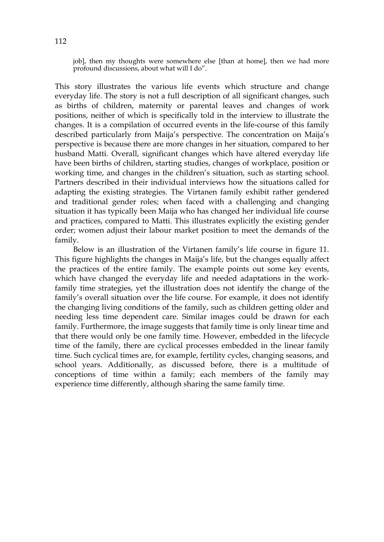job], then my thoughts were somewhere else [than at home], then we had more profound discussions, about what will I do".

This story illustrates the various life events which structure and change everyday life. The story is not a full description of all significant changes, such as births of children, maternity or parental leaves and changes of work positions, neither of which is specifically told in the interview to illustrate the changes. It is a compilation of occurred events in the life-course of this family described particularly from Maija's perspective. The concentration on Maija's perspective is because there are more changes in her situation, compared to her husband Matti. Overall, significant changes which have altered everyday life have been births of children, starting studies, changes of workplace, position or working time, and changes in the children's situation, such as starting school. Partners described in their individual interviews how the situations called for adapting the existing strategies. The Virtanen family exhibit rather gendered and traditional gender roles; when faced with a challenging and changing situation it has typically been Maija who has changed her individual life course and practices, compared to Matti. This illustrates explicitly the existing gender order; women adjust their labour market position to meet the demands of the family.

Below is an illustration of the Virtanen family's life course in figure 11. This figure highlights the changes in Maija's life, but the changes equally affect the practices of the entire family. The example points out some key events, which have changed the everyday life and needed adaptations in the workfamily time strategies, yet the illustration does not identify the change of the family's overall situation over the life course. For example, it does not identify the changing living conditions of the family, such as children getting older and needing less time dependent care. Similar images could be drawn for each family. Furthermore, the image suggests that family time is only linear time and that there would only be one family time. However, embedded in the lifecycle time of the family, there are cyclical processes embedded in the linear family time. Such cyclical times are, for example, fertility cycles, changing seasons, and school years. Additionally, as discussed before, there is a multitude of conceptions of time within a family; each members of the family may experience time differently, although sharing the same family time.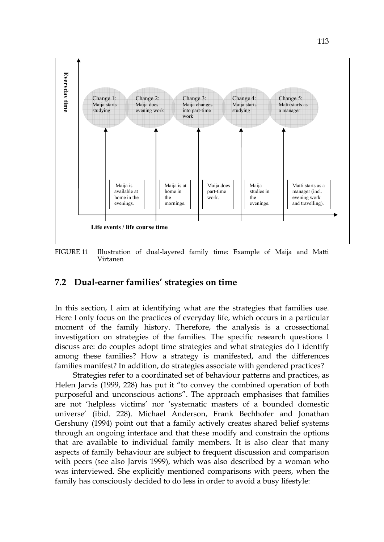

FIGURE 11 Illustration of dual-layered family time: Example of Maija and Matti Virtanen

## **7.2 Dual-earner families' strategies on time**

In this section, I aim at identifying what are the strategies that families use. Here I only focus on the practices of everyday life, which occurs in a particular moment of the family history. Therefore, the analysis is a crossectional investigation on strategies of the families. The specific research questions I discuss are: do couples adopt time strategies and what strategies do I identify among these families? How a strategy is manifested, and the differences families manifest? In addition, do strategies associate with gendered practices?

Strategies refer to a coordinated set of behaviour patterns and practices, as Helen Jarvis (1999, 228) has put it "to convey the combined operation of both purposeful and unconscious actions". The approach emphasises that families are not 'helpless victims' nor 'systematic masters of a bounded domestic universe' (ibid. 228). Michael Anderson, Frank Bechhofer and Jonathan Gershuny (1994) point out that a family actively creates shared belief systems through an ongoing interface and that these modify and constrain the options that are available to individual family members. It is also clear that many aspects of family behaviour are subject to frequent discussion and comparison with peers (see also Jarvis 1999), which was also described by a woman who was interviewed. She explicitly mentioned comparisons with peers, when the family has consciously decided to do less in order to avoid a busy lifestyle: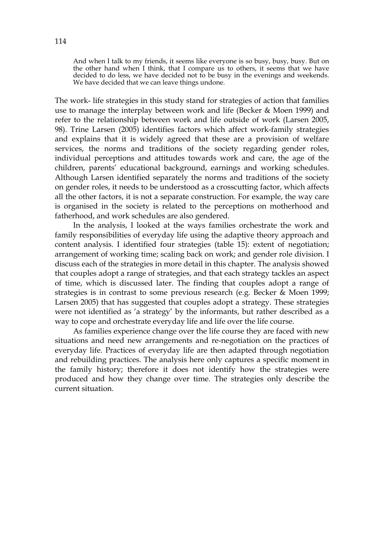And when I talk to my friends, it seems like everyone is so busy, busy, busy. But on the other hand when I think, that I compare us to others, it seems that we have decided to do less, we have decided not to be busy in the evenings and weekends. We have decided that we can leave things undone.

The work- life strategies in this study stand for strategies of action that families use to manage the interplay between work and life (Becker & Moen 1999) and refer to the relationship between work and life outside of work (Larsen 2005, 98). Trine Larsen (2005) identifies factors which affect work-family strategies and explains that it is widely agreed that these are a provision of welfare services, the norms and traditions of the society regarding gender roles, individual perceptions and attitudes towards work and care, the age of the children, parents' educational background, earnings and working schedules. Although Larsen identified separately the norms and traditions of the society on gender roles, it needs to be understood as a crosscutting factor, which affects all the other factors, it is not a separate construction. For example, the way care is organised in the society is related to the perceptions on motherhood and fatherhood, and work schedules are also gendered.

In the analysis, I looked at the ways families orchestrate the work and family responsibilities of everyday life using the adaptive theory approach and content analysis. I identified four strategies (table 15): extent of negotiation; arrangement of working time; scaling back on work; and gender role division. I discuss each of the strategies in more detail in this chapter. The analysis showed that couples adopt a range of strategies, and that each strategy tackles an aspect of time, which is discussed later. The finding that couples adopt a range of strategies is in contrast to some previous research (e.g. Becker & Moen 1999; Larsen 2005) that has suggested that couples adopt a strategy. These strategies were not identified as 'a strategy' by the informants, but rather described as a way to cope and orchestrate everyday life and life over the life course.

As families experience change over the life course they are faced with new situations and need new arrangements and re-negotiation on the practices of everyday life. Practices of everyday life are then adapted through negotiation and rebuilding practices. The analysis here only captures a specific moment in the family history; therefore it does not identify how the strategies were produced and how they change over time. The strategies only describe the current situation.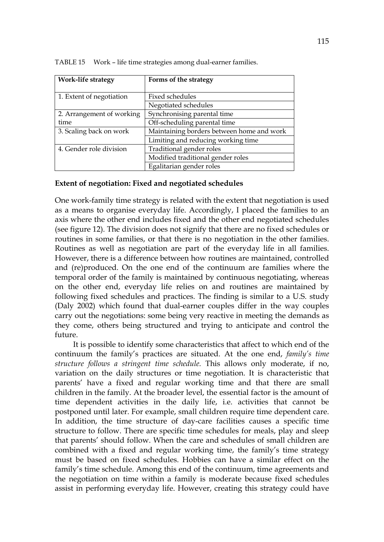| <b>Work-life strategy</b> | Forms of the strategy                     |  |  |
|---------------------------|-------------------------------------------|--|--|
|                           |                                           |  |  |
| 1. Extent of negotiation  | Fixed schedules                           |  |  |
|                           | Negotiated schedules                      |  |  |
| 2. Arrangement of working | Synchronising parental time               |  |  |
| time                      | Off-scheduling parental time              |  |  |
| 3. Scaling back on work   | Maintaining borders between home and work |  |  |
|                           | Limiting and reducing working time        |  |  |
| 4. Gender role division   | Traditional gender roles                  |  |  |
|                           | Modified traditional gender roles         |  |  |
|                           | Egalitarian gender roles                  |  |  |

TABLE 15 Work – life time strategies among dual-earner families.

#### **Extent of negotiation: Fixed and negotiated schedules**

One work-family time strategy is related with the extent that negotiation is used as a means to organise everyday life. Accordingly, I placed the families to an axis where the other end includes fixed and the other end negotiated schedules (see figure 12). The division does not signify that there are no fixed schedules or routines in some families, or that there is no negotiation in the other families. Routines as well as negotiation are part of the everyday life in all families. However, there is a difference between how routines are maintained, controlled and (re)produced. On the one end of the continuum are families where the temporal order of the family is maintained by continuous negotiating, whereas on the other end, everyday life relies on and routines are maintained by following fixed schedules and practices. The finding is similar to a U.S. study (Daly 2002) which found that dual-earner couples differ in the way couples carry out the negotiations: some being very reactive in meeting the demands as they come, others being structured and trying to anticipate and control the future.

It is possible to identify some characteristics that affect to which end of the continuum the family's practices are situated. At the one end, *family's time structure follows a stringent time schedule.* This allows only moderate, if no, variation on the daily structures or time negotiation. It is characteristic that parents' have a fixed and regular working time and that there are small children in the family. At the broader level, the essential factor is the amount of time dependent activities in the daily life, i.e. activities that cannot be postponed until later. For example, small children require time dependent care. In addition, the time structure of day-care facilities causes a specific time structure to follow. There are specific time schedules for meals, play and sleep that parents' should follow. When the care and schedules of small children are combined with a fixed and regular working time, the family's time strategy must be based on fixed schedules. Hobbies can have a similar effect on the family's time schedule. Among this end of the continuum, time agreements and the negotiation on time within a family is moderate because fixed schedules assist in performing everyday life. However, creating this strategy could have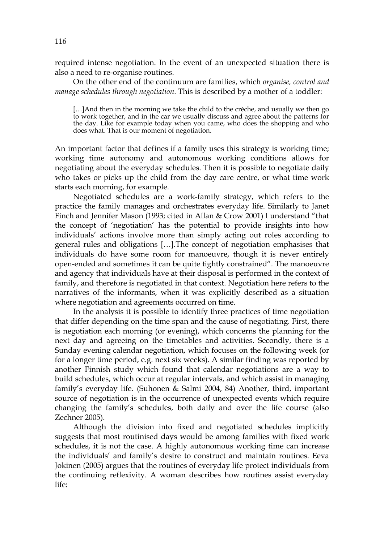required intense negotiation. In the event of an unexpected situation there is also a need to re-organise routines.

On the other end of the continuum are families, which *organise, control and manage schedules through negotiation.* This is described by a mother of a toddler:

[...]And then in the morning we take the child to the crèche, and usually we then go to work together, and in the car we usually discuss and agree about the patterns for the day. Like for example today when you came, who does the shopping and who does what. That is our moment of negotiation.

An important factor that defines if a family uses this strategy is working time; working time autonomy and autonomous working conditions allows for negotiating about the everyday schedules. Then it is possible to negotiate daily who takes or picks up the child from the day care centre, or what time work starts each morning, for example.

Negotiated schedules are a work-family strategy, which refers to the practice the family manages and orchestrates everyday life. Similarly to Janet Finch and Jennifer Mason (1993; cited in Allan & Crow 2001) I understand "that the concept of 'negotiation' has the potential to provide insights into how individuals' actions involve more than simply acting out roles according to general rules and obligations […].The concept of negotiation emphasises that individuals do have some room for manoeuvre, though it is never entirely open-ended and sometimes it can be quite tightly constrained". The manoeuvre and agency that individuals have at their disposal is performed in the context of family, and therefore is negotiated in that context. Negotiation here refers to the narratives of the informants, when it was explicitly described as a situation where negotiation and agreements occurred on time.

In the analysis it is possible to identify three practices of time negotiation that differ depending on the time span and the cause of negotiating. First, there is negotiation each morning (or evening), which concerns the planning for the next day and agreeing on the timetables and activities. Secondly, there is a Sunday evening calendar negotiation, which focuses on the following week (or for a longer time period, e.g. next six weeks). A similar finding was reported by another Finnish study which found that calendar negotiations are a way to build schedules, which occur at regular intervals, and which assist in managing family's everyday life. (Suhonen & Salmi 2004, 84) Another, third, important source of negotiation is in the occurrence of unexpected events which require changing the family's schedules, both daily and over the life course (also Zechner 2005).

Although the division into fixed and negotiated schedules implicitly suggests that most routinised days would be among families with fixed work schedules, it is not the case. A highly autonomous working time can increase the individuals' and family's desire to construct and maintain routines. Eeva Jokinen (2005) argues that the routines of everyday life protect individuals from the continuing reflexivity. A woman describes how routines assist everyday life: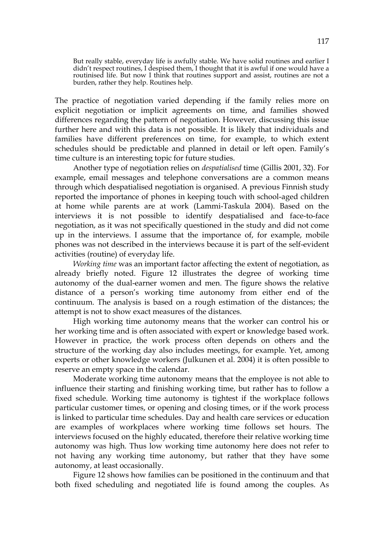But really stable, everyday life is awfully stable. We have solid routines and earlier I didn't respect routines, I despised them, I thought that it is awful if one would have a routinised life. But now I think that routines support and assist, routines are not a burden, rather they help. Routines help.

The practice of negotiation varied depending if the family relies more on explicit negotiation or implicit agreements on time, and families showed differences regarding the pattern of negotiation. However, discussing this issue further here and with this data is not possible. It is likely that individuals and families have different preferences on time, for example, to which extent schedules should be predictable and planned in detail or left open. Family's time culture is an interesting topic for future studies.

Another type of negotiation relies on *despatialised* time (Gillis 2001, 32). For example, email messages and telephone conversations are a common means through which despatialised negotiation is organised. A previous Finnish study reported the importance of phones in keeping touch with school-aged children at home while parents are at work (Lammi-Taskula 2004). Based on the interviews it is not possible to identify despatialised and face-to-face negotiation, as it was not specifically questioned in the study and did not come up in the interviews. I assume that the importance of, for example, mobile phones was not described in the interviews because it is part of the self-evident activities (routine) of everyday life.

*Working time* was an important factor affecting the extent of negotiation, as already briefly noted. Figure 12 illustrates the degree of working time autonomy of the dual-earner women and men. The figure shows the relative distance of a person's working time autonomy from either end of the continuum. The analysis is based on a rough estimation of the distances; the attempt is not to show exact measures of the distances.

High working time autonomy means that the worker can control his or her working time and is often associated with expert or knowledge based work. However in practice, the work process often depends on others and the structure of the working day also includes meetings, for example. Yet, among experts or other knowledge workers (Julkunen et al. 2004) it is often possible to reserve an empty space in the calendar.

Moderate working time autonomy means that the employee is not able to influence their starting and finishing working time, but rather has to follow a fixed schedule. Working time autonomy is tightest if the workplace follows particular customer times, or opening and closing times, or if the work process is linked to particular time schedules. Day and health care services or education are examples of workplaces where working time follows set hours. The interviews focused on the highly educated, therefore their relative working time autonomy was high. Thus low working time autonomy here does not refer to not having any working time autonomy, but rather that they have some autonomy, at least occasionally.

Figure 12 shows how families can be positioned in the continuum and that both fixed scheduling and negotiated life is found among the couples. As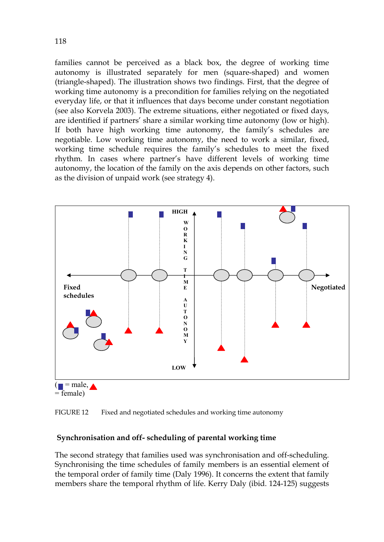families cannot be perceived as a black box, the degree of working time autonomy is illustrated separately for men (square-shaped) and women (triangle-shaped). The illustration shows two findings. First, that the degree of working time autonomy is a precondition for families relying on the negotiated everyday life, or that it influences that days become under constant negotiation (see also Korvela 2003). The extreme situations, either negotiated or fixed days, are identified if partners' share a similar working time autonomy (low or high). If both have high working time autonomy, the family's schedules are negotiable. Low working time autonomy, the need to work a similar, fixed, working time schedule requires the family's schedules to meet the fixed rhythm. In cases where partner's have different levels of working time autonomy, the location of the family on the axis depends on other factors, such as the division of unpaid work (see strategy 4).



FIGURE 12 Fixed and negotiated schedules and working time autonomy

## **Synchronisation and off- scheduling of parental working time**

The second strategy that families used was synchronisation and off-scheduling. Synchronising the time schedules of family members is an essential element of the temporal order of family time (Daly 1996). It concerns the extent that family members share the temporal rhythm of life. Kerry Daly (ibid. 124-125) suggests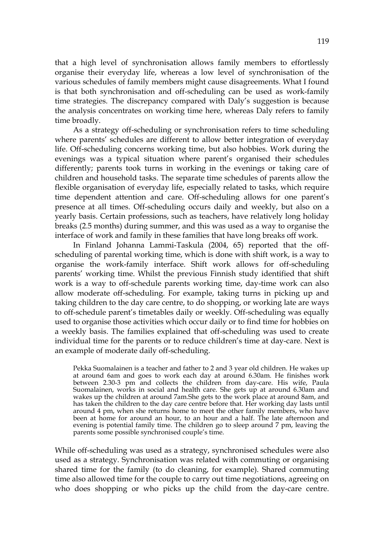that a high level of synchronisation allows family members to effortlessly organise their everyday life, whereas a low level of synchronisation of the various schedules of family members might cause disagreements. What I found is that both synchronisation and off-scheduling can be used as work-family time strategies. The discrepancy compared with Daly's suggestion is because the analysis concentrates on working time here, whereas Daly refers to family time broadly.

As a strategy off-scheduling or synchronisation refers to time scheduling where parents' schedules are different to allow better integration of everyday life. Off-scheduling concerns working time, but also hobbies. Work during the evenings was a typical situation where parent's organised their schedules differently; parents took turns in working in the evenings or taking care of children and household tasks. The separate time schedules of parents allow the flexible organisation of everyday life, especially related to tasks, which require time dependent attention and care. Off-scheduling allows for one parent's presence at all times. Off-scheduling occurs daily and weekly, but also on a yearly basis. Certain professions, such as teachers, have relatively long holiday breaks (2.5 months) during summer, and this was used as a way to organise the interface of work and family in these families that have long breaks off work.

In Finland Johanna Lammi-Taskula (2004, 65) reported that the offscheduling of parental working time, which is done with shift work, is a way to organise the work-family interface. Shift work allows for off-scheduling parents' working time. Whilst the previous Finnish study identified that shift work is a way to off-schedule parents working time, day-time work can also allow moderate off-scheduling. For example, taking turns in picking up and taking children to the day care centre, to do shopping, or working late are ways to off-schedule parent's timetables daily or weekly. Off-scheduling was equally used to organise those activities which occur daily or to find time for hobbies on a weekly basis. The families explained that off-scheduling was used to create individual time for the parents or to reduce children's time at day-care. Next is an example of moderate daily off-scheduling.

Pekka Suomalainen is a teacher and father to 2 and 3 year old children. He wakes up at around 6am and goes to work each day at around 6.30am. He finishes work between 2.30-3 pm and collects the children from day-care. His wife, Paula Suomalainen, works in social and health care. She gets up at around 6.30am and wakes up the children at around 7am.She gets to the work place at around 8am, and has taken the children to the day care centre before that. Her working day lasts until around 4 pm, when she returns home to meet the other family members, who have been at home for around an hour, to an hour and a half. The late afternoon and evening is potential family time. The children go to sleep around 7 pm, leaving the parents some possible synchronised couple's time.

While off-scheduling was used as a strategy, synchronised schedules were also used as a strategy. Synchronisation was related with commuting or organising shared time for the family (to do cleaning, for example). Shared commuting time also allowed time for the couple to carry out time negotiations, agreeing on who does shopping or who picks up the child from the day-care centre.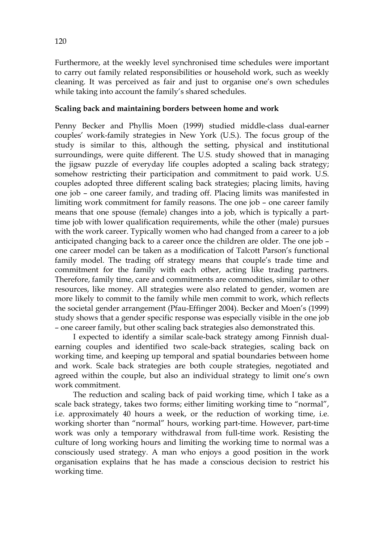Furthermore, at the weekly level synchronised time schedules were important to carry out family related responsibilities or household work, such as weekly cleaning. It was perceived as fair and just to organise one's own schedules while taking into account the family's shared schedules.

## **Scaling back and maintaining borders between home and work**

Penny Becker and Phyllis Moen (1999) studied middle-class dual-earner couples' work-family strategies in New York (U.S.). The focus group of the study is similar to this, although the setting, physical and institutional surroundings, were quite different. The U.S. study showed that in managing the jigsaw puzzle of everyday life couples adopted a scaling back strategy; somehow restricting their participation and commitment to paid work. U.S. couples adopted three different scaling back strategies; placing limits, having one job – one career family, and trading off. Placing limits was manifested in limiting work commitment for family reasons. The one job – one career family means that one spouse (female) changes into a job, which is typically a parttime job with lower qualification requirements, while the other (male) pursues with the work career. Typically women who had changed from a career to a job anticipated changing back to a career once the children are older. The one job – one career model can be taken as a modification of Talcott Parson's functional family model. The trading off strategy means that couple's trade time and commitment for the family with each other, acting like trading partners. Therefore, family time, care and commitments are commodities, similar to other resources, like money. All strategies were also related to gender, women are more likely to commit to the family while men commit to work, which reflects the societal gender arrangement (Pfau-Effinger 2004). Becker and Moen's (1999) study shows that a gender specific response was especially visible in the one job – one career family, but other scaling back strategies also demonstrated this.

I expected to identify a similar scale-back strategy among Finnish dualearning couples and identified two scale-back strategies, scaling back on working time, and keeping up temporal and spatial boundaries between home and work. Scale back strategies are both couple strategies, negotiated and agreed within the couple, but also an individual strategy to limit one's own work commitment.

The reduction and scaling back of paid working time, which I take as a scale back strategy, takes two forms; either limiting working time to "normal", i.e. approximately 40 hours a week, or the reduction of working time, i.e. working shorter than "normal" hours, working part-time. However, part-time work was only a temporary withdrawal from full-time work. Resisting the culture of long working hours and limiting the working time to normal was a consciously used strategy. A man who enjoys a good position in the work organisation explains that he has made a conscious decision to restrict his working time.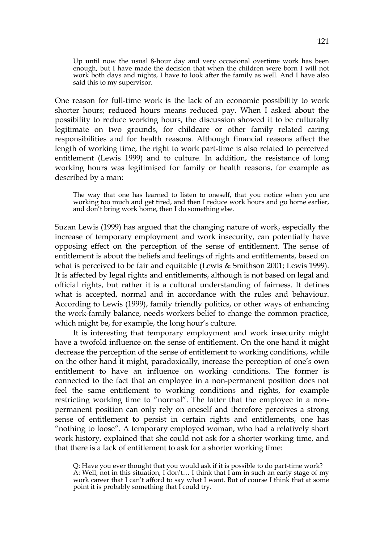Up until now the usual 8-hour day and very occasional overtime work has been enough, but I have made the decision that when the children were born I will not work both days and nights, I have to look after the family as well. And I have also said this to my supervisor.

One reason for full-time work is the lack of an economic possibility to work shorter hours; reduced hours means reduced pay. When I asked about the possibility to reduce working hours, the discussion showed it to be culturally legitimate on two grounds, for childcare or other family related caring responsibilities and for health reasons. Although financial reasons affect the length of working time, the right to work part-time is also related to perceived entitlement (Lewis 1999) and to culture. In addition, the resistance of long working hours was legitimised for family or health reasons, for example as described by a man:

The way that one has learned to listen to oneself, that you notice when you are working too much and get tired, and then I reduce work hours and go home earlier, and don't bring work home, then I do something else.

Suzan Lewis (1999) has argued that the changing nature of work, especially the increase of temporary employment and work insecurity, can potentially have opposing effect on the perception of the sense of entitlement. The sense of entitlement is about the beliefs and feelings of rights and entitlements, based on what is perceived to be fair and equitable (Lewis & Smithson 2001; Lewis 1999). It is affected by legal rights and entitlements, although is not based on legal and official rights, but rather it is a cultural understanding of fairness. It defines what is accepted, normal and in accordance with the rules and behaviour. According to Lewis (1999), family friendly politics, or other ways of enhancing the work-family balance, needs workers belief to change the common practice, which might be, for example, the long hour's culture.

It is interesting that temporary employment and work insecurity might have a twofold influence on the sense of entitlement. On the one hand it might decrease the perception of the sense of entitlement to working conditions, while on the other hand it might, paradoxically, increase the perception of one's own entitlement to have an influence on working conditions. The former is connected to the fact that an employee in a non-permanent position does not feel the same entitlement to working conditions and rights, for example restricting working time to "normal". The latter that the employee in a nonpermanent position can only rely on oneself and therefore perceives a strong sense of entitlement to persist in certain rights and entitlements, one has "nothing to loose". A temporary employed woman, who had a relatively short work history, explained that she could not ask for a shorter working time, and that there is a lack of entitlement to ask for a shorter working time:

Q: Have you ever thought that you would ask if it is possible to do part-time work? A: Well, not in this situation, I don't… I think that I am in such an early stage of my work career that I can't afford to say what I want. But of course I think that at some point it is probably something that I could try.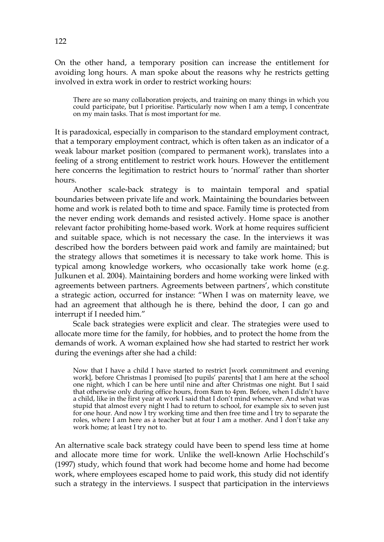On the other hand, a temporary position can increase the entitlement for avoiding long hours. A man spoke about the reasons why he restricts getting involved in extra work in order to restrict working hours:

There are so many collaboration projects, and training on many things in which you could participate, but I prioritise. Particularly now when I am a temp, I concentrate on my main tasks. That is most important for me.

It is paradoxical, especially in comparison to the standard employment contract, that a temporary employment contract, which is often taken as an indicator of a weak labour market position (compared to permanent work), translates into a feeling of a strong entitlement to restrict work hours. However the entitlement here concerns the legitimation to restrict hours to 'normal' rather than shorter hours.

Another scale-back strategy is to maintain temporal and spatial boundaries between private life and work. Maintaining the boundaries between home and work is related both to time and space. Family time is protected from the never ending work demands and resisted actively. Home space is another relevant factor prohibiting home-based work. Work at home requires sufficient and suitable space, which is not necessary the case. In the interviews it was described how the borders between paid work and family are maintained; but the strategy allows that sometimes it is necessary to take work home. This is typical among knowledge workers, who occasionally take work home (e.g. Julkunen et al. 2004). Maintaining borders and home working were linked with agreements between partners. Agreements between partners', which constitute a strategic action, occurred for instance: "When I was on maternity leave, we had an agreement that although he is there, behind the door, I can go and interrupt if I needed him."

Scale back strategies were explicit and clear. The strategies were used to allocate more time for the family, for hobbies, and to protect the home from the demands of work. A woman explained how she had started to restrict her work during the evenings after she had a child:

Now that I have a child I have started to restrict [work commitment and evening work], before Christmas I promised [to pupils' parents] that I am here at the school one night, which I can be here until nine and after Christmas one night. But I said that otherwise only during office hours, from 8am to 4pm. Before, when I didn't have a child, like in the first year at work I said that I don't mind whenever. And what was stupid that almost every night I had to return to school, for example six to seven just for one hour. And now I try working time and then free time and I try to separate the roles, where I am here as a teacher but at four I am a mother. And I don't take any work home; at least I try not to.

An alternative scale back strategy could have been to spend less time at home and allocate more time for work. Unlike the well-known Arlie Hochschild's (1997) study, which found that work had become home and home had become work, where employees escaped home to paid work, this study did not identify such a strategy in the interviews. I suspect that participation in the interviews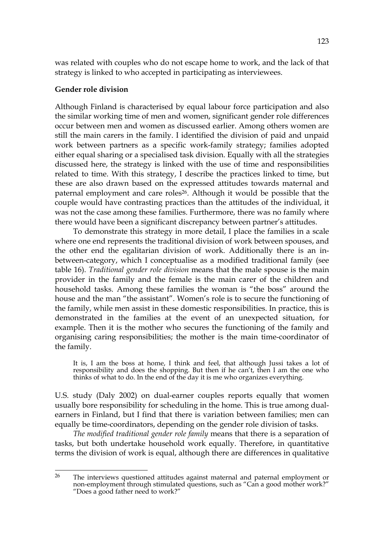was related with couples who do not escape home to work, and the lack of that strategy is linked to who accepted in participating as interviewees.

#### **Gender role division**

Although Finland is characterised by equal labour force participation and also the similar working time of men and women, significant gender role differences occur between men and women as discussed earlier. Among others women are still the main carers in the family. I identified the division of paid and unpaid work between partners as a specific work-family strategy; families adopted either equal sharing or a specialised task division. Equally with all the strategies discussed here, the strategy is linked with the use of time and responsibilities related to time. With this strategy, I describe the practices linked to time, but these are also drawn based on the expressed attitudes towards maternal and paternal employment and care roles<sup>26</sup>. Although it would be possible that the couple would have contrasting practices than the attitudes of the individual, it was not the case among these families. Furthermore, there was no family where there would have been a significant discrepancy between partner's attitudes.

To demonstrate this strategy in more detail, I place the families in a scale where one end represents the traditional division of work between spouses, and the other end the egalitarian division of work. Additionally there is an inbetween-category, which I conceptualise as a modified traditional family (see table 16). *Traditional gender role division* means that the male spouse is the main provider in the family and the female is the main carer of the children and household tasks. Among these families the woman is "the boss" around the house and the man "the assistant". Women's role is to secure the functioning of the family, while men assist in these domestic responsibilities. In practice, this is demonstrated in the families at the event of an unexpected situation, for example. Then it is the mother who secures the functioning of the family and organising caring responsibilities; the mother is the main time-coordinator of the family.

It is, I am the boss at home, I think and feel, that although Jussi takes a lot of responsibility and does the shopping. But then if he can't, then I am the one who thinks of what to do. In the end of the day it is me who organizes everything.

U.S. study (Daly 2002) on dual-earner couples reports equally that women usually bore responsibility for scheduling in the home. This is true among dualearners in Finland, but I find that there is variation between families; men can equally be time-coordinators, depending on the gender role division of tasks.

*The modified traditional gender role family* means that there is a separation of tasks, but both undertake household work equally. Therefore, in quantitative terms the division of work is equal, although there are differences in qualitative

 $26$ The interviews questioned attitudes against maternal and paternal employment or non-employment through stimulated questions, such as "Can a good mother work?" "Does a good father need to work?"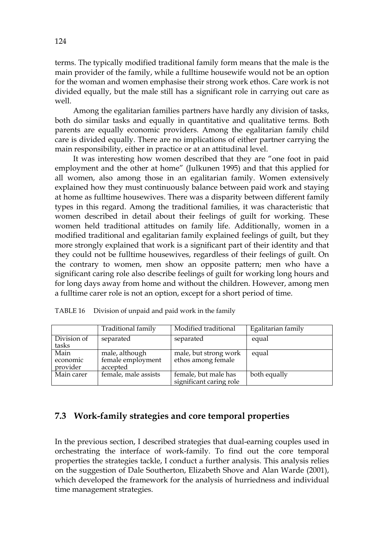terms. The typically modified traditional family form means that the male is the main provider of the family, while a fulltime housewife would not be an option for the woman and women emphasise their strong work ethos. Care work is not divided equally, but the male still has a significant role in carrying out care as well.

Among the egalitarian families partners have hardly any division of tasks, both do similar tasks and equally in quantitative and qualitative terms. Both parents are equally economic providers. Among the egalitarian family child care is divided equally. There are no implications of either partner carrying the main responsibility, either in practice or at an attitudinal level.

It was interesting how women described that they are "one foot in paid employment and the other at home" (Julkunen 1995) and that this applied for all women, also among those in an egalitarian family. Women extensively explained how they must continuously balance between paid work and staying at home as fulltime housewives. There was a disparity between different family types in this regard. Among the traditional families, it was characteristic that women described in detail about their feelings of guilt for working. These women held traditional attitudes on family life. Additionally, women in a modified traditional and egalitarian family explained feelings of guilt, but they more strongly explained that work is a significant part of their identity and that they could not be fulltime housewives, regardless of their feelings of guilt. On the contrary to women, men show an opposite pattern; men who have a significant caring role also describe feelings of guilt for working long hours and for long days away from home and without the children. However, among men a fulltime carer role is not an option, except for a short period of time.

|                              | Traditional family                              | Modified traditional                            | Egalitarian family |
|------------------------------|-------------------------------------------------|-------------------------------------------------|--------------------|
| Division of<br>tasks         | separated                                       | separated                                       | equal              |
| Main<br>economic<br>provider | male, although<br>female employment<br>accepted | male, but strong work<br>ethos among female     | equal              |
| Main carer                   | female, male assists                            | female, but male has<br>significant caring role | both equally       |

| TABLE 16 |  |  |  |  |  | Division of unpaid and paid work in the family |  |
|----------|--|--|--|--|--|------------------------------------------------|--|
|----------|--|--|--|--|--|------------------------------------------------|--|

# **7.3 Work-family strategies and core temporal properties**

In the previous section, I described strategies that dual-earning couples used in orchestrating the interface of work-family. To find out the core temporal properties the strategies tackle, I conduct a further analysis. This analysis relies on the suggestion of Dale Southerton, Elizabeth Shove and Alan Warde (2001), which developed the framework for the analysis of hurriedness and individual time management strategies.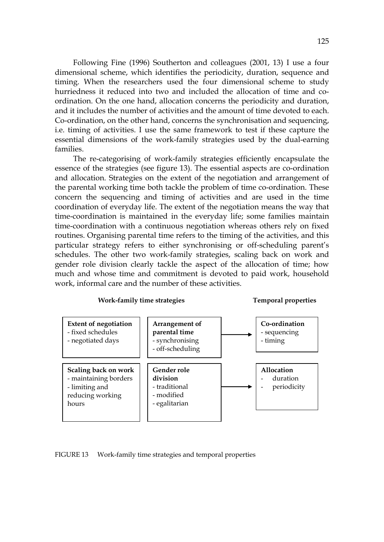Following Fine (1996) Southerton and colleagues (2001, 13) I use a four dimensional scheme, which identifies the periodicity, duration, sequence and timing. When the researchers used the four dimensional scheme to study hurriedness it reduced into two and included the allocation of time and coordination. On the one hand, allocation concerns the periodicity and duration, and it includes the number of activities and the amount of time devoted to each. Co-ordination, on the other hand, concerns the synchronisation and sequencing, i.e. timing of activities. I use the same framework to test if these capture the essential dimensions of the work-family strategies used by the dual-earning families.

The re-categorising of work-family strategies efficiently encapsulate the essence of the strategies (see figure 13). The essential aspects are co-ordination and allocation. Strategies on the extent of the negotiation and arrangement of the parental working time both tackle the problem of time co-ordination. These concern the sequencing and timing of activities and are used in the time coordination of everyday life. The extent of the negotiation means the way that time-coordination is maintained in the everyday life; some families maintain time-coordination with a continuous negotiation whereas others rely on fixed routines. Organising parental time refers to the timing of the activities, and this particular strategy refers to either synchronising or off-scheduling parent's schedules. The other two work-family strategies, scaling back on work and gender role division clearly tackle the aspect of the allocation of time; how much and whose time and commitment is devoted to paid work, household work, informal care and the number of these activities.





FIGURE 13 Work-family time strategies and temporal properties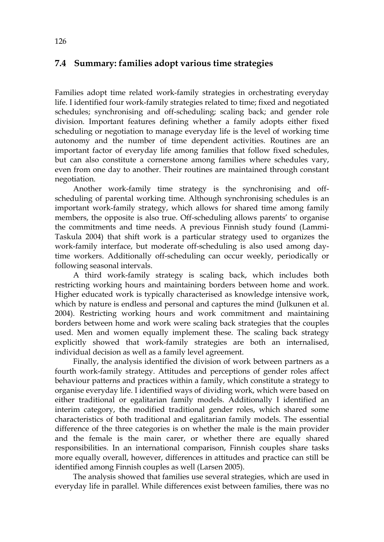# **7.4 Summary: families adopt various time strategies**

Families adopt time related work-family strategies in orchestrating everyday life. I identified four work-family strategies related to time; fixed and negotiated schedules; synchronising and off-scheduling; scaling back; and gender role division. Important features defining whether a family adopts either fixed scheduling or negotiation to manage everyday life is the level of working time autonomy and the number of time dependent activities. Routines are an important factor of everyday life among families that follow fixed schedules, but can also constitute a cornerstone among families where schedules vary, even from one day to another. Their routines are maintained through constant negotiation.

Another work-family time strategy is the synchronising and offscheduling of parental working time. Although synchronising schedules is an important work-family strategy, which allows for shared time among family members, the opposite is also true. Off-scheduling allows parents' to organise the commitments and time needs. A previous Finnish study found (Lammi-Taskula 2004) that shift work is a particular strategy used to organizes the work-family interface, but moderate off-scheduling is also used among daytime workers. Additionally off-scheduling can occur weekly, periodically or following seasonal intervals.

A third work-family strategy is scaling back, which includes both restricting working hours and maintaining borders between home and work. Higher educated work is typically characterised as knowledge intensive work, which by nature is endless and personal and captures the mind (Julkunen et al. 2004). Restricting working hours and work commitment and maintaining borders between home and work were scaling back strategies that the couples used. Men and women equally implement these. The scaling back strategy explicitly showed that work-family strategies are both an internalised, individual decision as well as a family level agreement.

Finally, the analysis identified the division of work between partners as a fourth work-family strategy. Attitudes and perceptions of gender roles affect behaviour patterns and practices within a family, which constitute a strategy to organise everyday life. I identified ways of dividing work, which were based on either traditional or egalitarian family models. Additionally I identified an interim category, the modified traditional gender roles, which shared some characteristics of both traditional and egalitarian family models. The essential difference of the three categories is on whether the male is the main provider and the female is the main carer, or whether there are equally shared responsibilities. In an international comparison, Finnish couples share tasks more equally overall, however, differences in attitudes and practice can still be identified among Finnish couples as well (Larsen 2005).

The analysis showed that families use several strategies, which are used in everyday life in parallel. While differences exist between families, there was no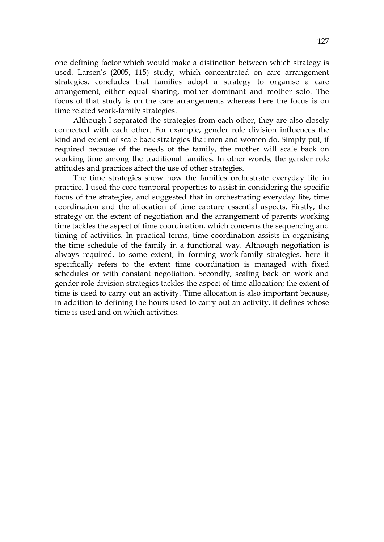one defining factor which would make a distinction between which strategy is used. Larsen's (2005, 115) study, which concentrated on care arrangement strategies, concludes that families adopt a strategy to organise a care arrangement, either equal sharing, mother dominant and mother solo. The focus of that study is on the care arrangements whereas here the focus is on time related work-family strategies.

Although I separated the strategies from each other, they are also closely connected with each other. For example, gender role division influences the kind and extent of scale back strategies that men and women do. Simply put, if required because of the needs of the family, the mother will scale back on working time among the traditional families. In other words, the gender role attitudes and practices affect the use of other strategies.

The time strategies show how the families orchestrate everyday life in practice. I used the core temporal properties to assist in considering the specific focus of the strategies, and suggested that in orchestrating everyday life, time coordination and the allocation of time capture essential aspects. Firstly, the strategy on the extent of negotiation and the arrangement of parents working time tackles the aspect of time coordination, which concerns the sequencing and timing of activities. In practical terms, time coordination assists in organising the time schedule of the family in a functional way. Although negotiation is always required, to some extent, in forming work-family strategies, here it specifically refers to the extent time coordination is managed with fixed schedules or with constant negotiation. Secondly, scaling back on work and gender role division strategies tackles the aspect of time allocation; the extent of time is used to carry out an activity. Time allocation is also important because, in addition to defining the hours used to carry out an activity, it defines whose time is used and on which activities.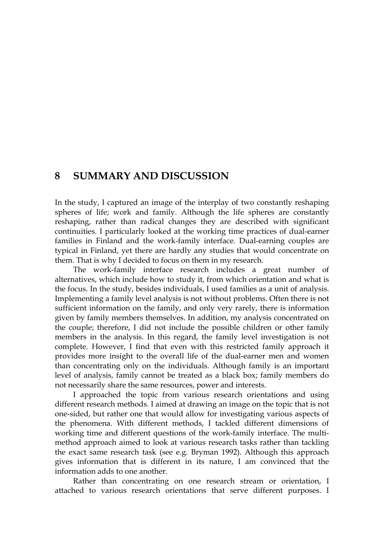# **8 SUMMARY AND DISCUSSION**

In the study, I captured an image of the interplay of two constantly reshaping spheres of life; work and family. Although the life spheres are constantly reshaping, rather than radical changes they are described with significant continuities. I particularly looked at the working time practices of dual-earner families in Finland and the work-family interface. Dual-earning couples are typical in Finland, yet there are hardly any studies that would concentrate on them. That is why I decided to focus on them in my research.

The work-family interface research includes a great number of alternatives, which include how to study it, from which orientation and what is the focus. In the study, besides individuals, I used families as a unit of analysis. Implementing a family level analysis is not without problems. Often there is not sufficient information on the family, and only very rarely, there is information given by family members themselves. In addition, my analysis concentrated on the couple; therefore, I did not include the possible children or other family members in the analysis. In this regard, the family level investigation is not complete. However, I find that even with this restricted family approach it provides more insight to the overall life of the dual-earner men and women than concentrating only on the individuals. Although family is an important level of analysis, family cannot be treated as a black box; family members do not necessarily share the same resources, power and interests.

I approached the topic from various research orientations and using different research methods. I aimed at drawing an image on the topic that is not one-sided, but rather one that would allow for investigating various aspects of the phenomena. With different methods, I tackled different dimensions of working time and different questions of the work-family interface. The multimethod approach aimed to look at various research tasks rather than tackling the exact same research task (see e.g. Bryman 1992). Although this approach gives information that is different in its nature, I am convinced that the information adds to one another.

Rather than concentrating on one research stream or orientation, I attached to various research orientations that serve different purposes. I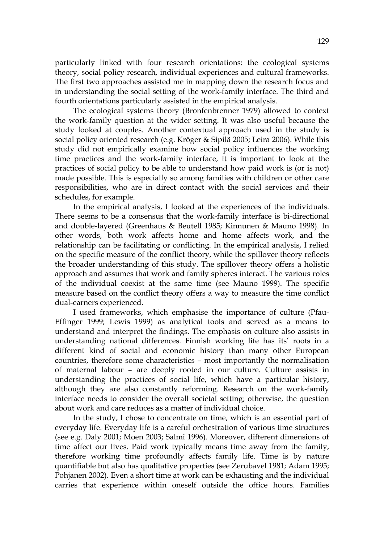particularly linked with four research orientations: the ecological systems theory, social policy research, individual experiences and cultural frameworks. The first two approaches assisted me in mapping down the research focus and in understanding the social setting of the work-family interface. The third and fourth orientations particularly assisted in the empirical analysis.

The ecological systems theory (Bronfenbrenner 1979) allowed to context the work-family question at the wider setting. It was also useful because the study looked at couples. Another contextual approach used in the study is social policy oriented research (e.g. Kröger & Sipilä 2005; Leira 2006). While this study did not empirically examine how social policy influences the working time practices and the work-family interface, it is important to look at the practices of social policy to be able to understand how paid work is (or is not) made possible. This is especially so among families with children or other care responsibilities, who are in direct contact with the social services and their schedules, for example.

In the empirical analysis, I looked at the experiences of the individuals. There seems to be a consensus that the work-family interface is bi-directional and double-layered (Greenhaus & Beutell 1985; Kinnunen & Mauno 1998). In other words, both work affects home and home affects work, and the relationship can be facilitating or conflicting. In the empirical analysis, I relied on the specific measure of the conflict theory, while the spillover theory reflects the broader understanding of this study. The spillover theory offers a holistic approach and assumes that work and family spheres interact. The various roles of the individual coexist at the same time (see Mauno 1999). The specific measure based on the conflict theory offers a way to measure the time conflict dual-earners experienced.

I used frameworks, which emphasise the importance of culture (Pfau-Effinger 1999; Lewis 1999) as analytical tools and served as a means to understand and interpret the findings. The emphasis on culture also assists in understanding national differences. Finnish working life has its' roots in a different kind of social and economic history than many other European countries, therefore some characteristics – most importantly the normalisation of maternal labour – are deeply rooted in our culture. Culture assists in understanding the practices of social life, which have a particular history, although they are also constantly reforming. Research on the work-family interface needs to consider the overall societal setting; otherwise, the question about work and care reduces as a matter of individual choice.

In the study, I chose to concentrate on time, which is an essential part of everyday life. Everyday life is a careful orchestration of various time structures (see e.g. Daly 2001; Moen 2003; Salmi 1996). Moreover, different dimensions of time affect our lives. Paid work typically means time away from the family, therefore working time profoundly affects family life. Time is by nature quantifiable but also has qualitative properties (see Zerubavel 1981; Adam 1995; Pohjanen 2002). Even a short time at work can be exhausting and the individual carries that experience within oneself outside the office hours. Families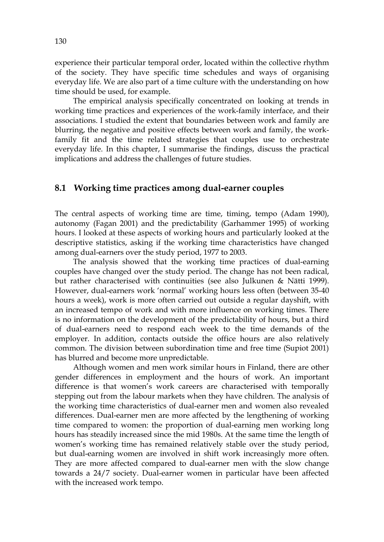experience their particular temporal order, located within the collective rhythm of the society. They have specific time schedules and ways of organising everyday life. We are also part of a time culture with the understanding on how time should be used, for example.

The empirical analysis specifically concentrated on looking at trends in working time practices and experiences of the work-family interface, and their associations. I studied the extent that boundaries between work and family are blurring, the negative and positive effects between work and family, the workfamily fit and the time related strategies that couples use to orchestrate everyday life. In this chapter, I summarise the findings, discuss the practical implications and address the challenges of future studies.

# **8.1 Working time practices among dual-earner couples**

The central aspects of working time are time, timing, tempo (Adam 1990), autonomy (Fagan 2001) and the predictability (Garhammer 1995) of working hours. I looked at these aspects of working hours and particularly looked at the descriptive statistics, asking if the working time characteristics have changed among dual-earners over the study period, 1977 to 2003.

The analysis showed that the working time practices of dual-earning couples have changed over the study period. The change has not been radical, but rather characterised with continuities (see also Julkunen & Nätti 1999). However, dual-earners work 'normal' working hours less often (between 35-40 hours a week), work is more often carried out outside a regular dayshift, with an increased tempo of work and with more influence on working times. There is no information on the development of the predictability of hours, but a third of dual-earners need to respond each week to the time demands of the employer. In addition, contacts outside the office hours are also relatively common. The division between subordination time and free time (Supiot 2001) has blurred and become more unpredictable.

Although women and men work similar hours in Finland, there are other gender differences in employment and the hours of work. An important difference is that women's work careers are characterised with temporally stepping out from the labour markets when they have children. The analysis of the working time characteristics of dual-earner men and women also revealed differences. Dual-earner men are more affected by the lengthening of working time compared to women: the proportion of dual-earning men working long hours has steadily increased since the mid 1980s. At the same time the length of women's working time has remained relatively stable over the study period, but dual-earning women are involved in shift work increasingly more often. They are more affected compared to dual-earner men with the slow change towards a 24/7 society. Dual-earner women in particular have been affected with the increased work tempo.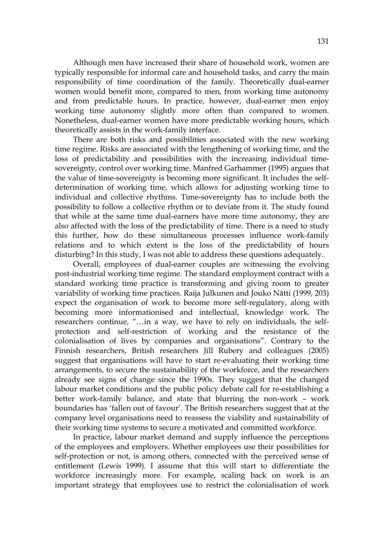Although men have increased their share of household work, women are typically responsible for informal care and household tasks, and carry the main responsibility of time coordination of the family. Theoretically dual-earner women would benefit more, compared to men, from working time autonomy and from predictable hours. In practice, however, dual-earner men enjoy working time autonomy slightly more often than compared to women. Nonetheless, dual-earner women have more predictable working hours, which theoretically assists in the work-family interface.

There are both risks and possibilities associated with the new working time regime. Risks are associated with the lengthening of working time, and the loss of predictability and possibilities with the increasing individual timesovereignty, control over working time. Manfred Garhammer (1995) argues that the value of time-sovereignty is becoming more significant. It includes the selfdetermination of working time, which allows for adjusting working time to individual and collective rhythms. Time-sovereignty has to include both the possibility to follow a collective rhythm or to deviate from it. The study found that while at the same time dual-earners have more time autonomy, they are also affected with the loss of the predictability of time. There is a need to study this further, how do these simultaneous processes influence work-family relations and to which extent is the loss of the predictability of hours disturbing? In this study, I was not able to address these questions adequately.

Overall, employees of dual-earner couples are witnessing the evolving post-industrial working time regime. The standard employment contract with a standard working time practice is transforming and giving room to greater variability of working time practices. Raija Julkunen and Jouko Nätti (1999, 203) expect the organisation of work to become more self-regulatory, along with becoming more informationised and intellectual, knowledge work. The researchers continue, "…in a way, we have to rely on individuals, the selfprotection and self-restriction of working and the resistance of the colonialisation of lives by companies and organisations". Contrary to the Finnish researchers, British researchers Jill Rubery and colleagues (2005) suggest that organisations will have to start re-evaluating their working time arrangements, to secure the sustainability of the workforce, and the researchers already see signs of change since the 1990s. They suggest that the changed labour market conditions and the public policy debate call for re-establishing a better work-family balance, and state that blurring the non-work – work boundaries has 'fallen out of favour'. The British researchers suggest that at the company level organisations need to reassess the viability and sustainability of their working time systems to secure a motivated and committed workforce.

In practice, labour market demand and supply influence the perceptions of the employees and employers. Whether employees use their possibilities for self-protection or not, is among others, connected with the perceived sense of entitlement (Lewis 1999). I assume that this will start to differentiate the workforce increasingly more. For example, scaling back on work is an important strategy that employees use to restrict the colonialisation of work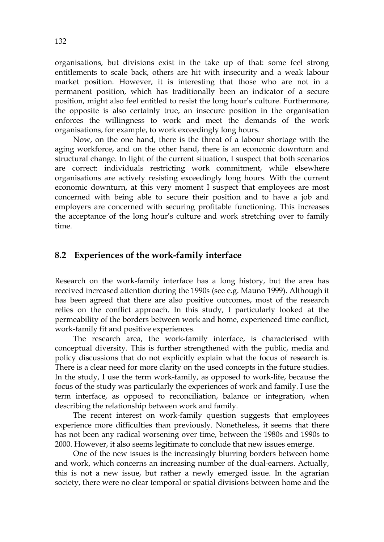organisations, but divisions exist in the take up of that: some feel strong entitlements to scale back, others are hit with insecurity and a weak labour market position. However, it is interesting that those who are not in a permanent position, which has traditionally been an indicator of a secure position, might also feel entitled to resist the long hour's culture. Furthermore, the opposite is also certainly true, an insecure position in the organisation enforces the willingness to work and meet the demands of the work organisations, for example, to work exceedingly long hours.

Now, on the one hand, there is the threat of a labour shortage with the aging workforce, and on the other hand, there is an economic downturn and structural change. In light of the current situation, I suspect that both scenarios are correct: individuals restricting work commitment, while elsewhere organisations are actively resisting exceedingly long hours. With the current economic downturn, at this very moment I suspect that employees are most concerned with being able to secure their position and to have a job and employers are concerned with securing profitable functioning. This increases the acceptance of the long hour's culture and work stretching over to family time.

## **8.2 Experiences of the work-family interface**

Research on the work-family interface has a long history, but the area has received increased attention during the 1990s (see e.g. Mauno 1999). Although it has been agreed that there are also positive outcomes, most of the research relies on the conflict approach. In this study, I particularly looked at the permeability of the borders between work and home, experienced time conflict, work-family fit and positive experiences.

The research area, the work-family interface, is characterised with conceptual diversity. This is further strengthened with the public, media and policy discussions that do not explicitly explain what the focus of research is. There is a clear need for more clarity on the used concepts in the future studies. In the study, I use the term work-family, as opposed to work-life, because the focus of the study was particularly the experiences of work and family. I use the term interface, as opposed to reconciliation, balance or integration, when describing the relationship between work and family.

The recent interest on work-family question suggests that employees experience more difficulties than previously. Nonetheless, it seems that there has not been any radical worsening over time, between the 1980s and 1990s to 2000. However, it also seems legitimate to conclude that new issues emerge.

One of the new issues is the increasingly blurring borders between home and work, which concerns an increasing number of the dual-earners. Actually, this is not a new issue, but rather a newly emerged issue. In the agrarian society, there were no clear temporal or spatial divisions between home and the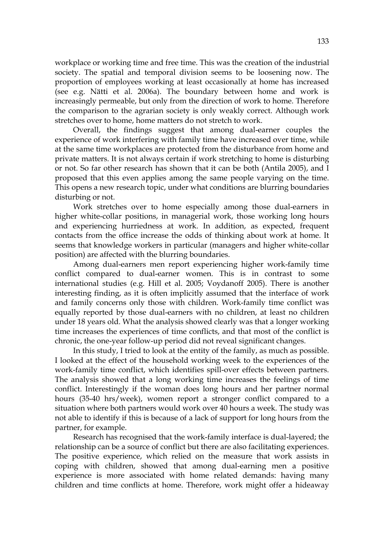workplace or working time and free time. This was the creation of the industrial society. The spatial and temporal division seems to be loosening now. The proportion of employees working at least occasionally at home has increased (see e.g. Nätti et al. 2006a). The boundary between home and work is increasingly permeable, but only from the direction of work to home. Therefore the comparison to the agrarian society is only weakly correct. Although work stretches over to home, home matters do not stretch to work.

Overall, the findings suggest that among dual-earner couples the experience of work interfering with family time have increased over time, while at the same time workplaces are protected from the disturbance from home and private matters. It is not always certain if work stretching to home is disturbing or not. So far other research has shown that it can be both (Antila 2005), and I proposed that this even applies among the same people varying on the time. This opens a new research topic, under what conditions are blurring boundaries disturbing or not.

Work stretches over to home especially among those dual-earners in higher white-collar positions, in managerial work, those working long hours and experiencing hurriedness at work. In addition, as expected, frequent contacts from the office increase the odds of thinking about work at home. It seems that knowledge workers in particular (managers and higher white-collar position) are affected with the blurring boundaries.

Among dual-earners men report experiencing higher work-family time conflict compared to dual-earner women. This is in contrast to some international studies (e.g. Hill et al. 2005; Voydanoff 2005). There is another interesting finding, as it is often implicitly assumed that the interface of work and family concerns only those with children. Work-family time conflict was equally reported by those dual-earners with no children, at least no children under 18 years old. What the analysis showed clearly was that a longer working time increases the experiences of time conflicts, and that most of the conflict is chronic, the one-year follow-up period did not reveal significant changes.

In this study, I tried to look at the entity of the family, as much as possible. I looked at the effect of the household working week to the experiences of the work-family time conflict, which identifies spill-over effects between partners. The analysis showed that a long working time increases the feelings of time conflict. Interestingly if the woman does long hours and her partner normal hours (35-40 hrs/week), women report a stronger conflict compared to a situation where both partners would work over 40 hours a week. The study was not able to identify if this is because of a lack of support for long hours from the partner, for example.

Research has recognised that the work-family interface is dual-layered; the relationship can be a source of conflict but there are also facilitating experiences. The positive experience, which relied on the measure that work assists in coping with children, showed that among dual-earning men a positive experience is more associated with home related demands: having many children and time conflicts at home. Therefore, work might offer a hideaway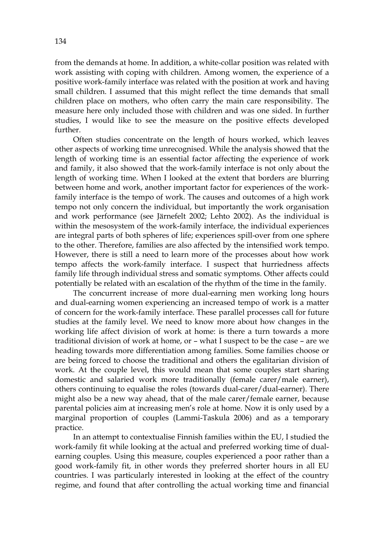from the demands at home. In addition, a white-collar position was related with work assisting with coping with children. Among women, the experience of a positive work-family interface was related with the position at work and having small children. I assumed that this might reflect the time demands that small children place on mothers, who often carry the main care responsibility. The measure here only included those with children and was one sided. In further studies, I would like to see the measure on the positive effects developed further.

Often studies concentrate on the length of hours worked, which leaves other aspects of working time unrecognised. While the analysis showed that the length of working time is an essential factor affecting the experience of work and family, it also showed that the work-family interface is not only about the length of working time. When I looked at the extent that borders are blurring between home and work, another important factor for experiences of the workfamily interface is the tempo of work. The causes and outcomes of a high work tempo not only concern the individual, but importantly the work organisation and work performance (see Järnefelt 2002; Lehto 2002). As the individual is within the mesosystem of the work-family interface, the individual experiences are integral parts of both spheres of life; experiences spill-over from one sphere to the other. Therefore, families are also affected by the intensified work tempo. However, there is still a need to learn more of the processes about how work tempo affects the work-family interface. I suspect that hurriedness affects family life through individual stress and somatic symptoms. Other affects could potentially be related with an escalation of the rhythm of the time in the family.

The concurrent increase of more dual-earning men working long hours and dual-earning women experiencing an increased tempo of work is a matter of concern for the work-family interface. These parallel processes call for future studies at the family level. We need to know more about how changes in the working life affect division of work at home: is there a turn towards a more traditional division of work at home, or – what I suspect to be the case – are we heading towards more differentiation among families. Some families choose or are being forced to choose the traditional and others the egalitarian division of work. At the couple level, this would mean that some couples start sharing domestic and salaried work more traditionally (female carer/male earner), others continuing to equalise the roles (towards dual-carer/dual-earner). There might also be a new way ahead, that of the male carer/female earner, because parental policies aim at increasing men's role at home. Now it is only used by a marginal proportion of couples (Lammi-Taskula 2006) and as a temporary practice.

In an attempt to contextualise Finnish families within the EU, I studied the work-family fit while looking at the actual and preferred working time of dualearning couples. Using this measure, couples experienced a poor rather than a good work-family fit, in other words they preferred shorter hours in all EU countries. I was particularly interested in looking at the effect of the country regime, and found that after controlling the actual working time and financial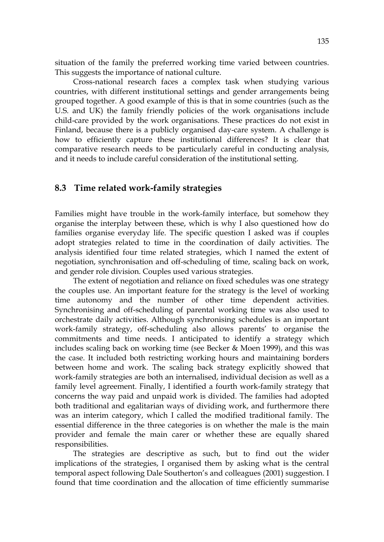situation of the family the preferred working time varied between countries. This suggests the importance of national culture.

Cross-national research faces a complex task when studying various countries, with different institutional settings and gender arrangements being grouped together. A good example of this is that in some countries (such as the U.S. and UK) the family friendly policies of the work organisations include child-care provided by the work organisations. These practices do not exist in Finland, because there is a publicly organised day-care system. A challenge is how to efficiently capture these institutional differences? It is clear that comparative research needs to be particularly careful in conducting analysis, and it needs to include careful consideration of the institutional setting.

## **8.3 Time related work-family strategies**

Families might have trouble in the work-family interface, but somehow they organise the interplay between these, which is why I also questioned how do families organise everyday life. The specific question I asked was if couples adopt strategies related to time in the coordination of daily activities. The analysis identified four time related strategies, which I named the extent of negotiation, synchronisation and off-scheduling of time, scaling back on work, and gender role division. Couples used various strategies.

The extent of negotiation and reliance on fixed schedules was one strategy the couples use. An important feature for the strategy is the level of working time autonomy and the number of other time dependent activities. Synchronising and off-scheduling of parental working time was also used to orchestrate daily activities. Although synchronising schedules is an important work-family strategy, off-scheduling also allows parents' to organise the commitments and time needs. I anticipated to identify a strategy which includes scaling back on working time (see Becker & Moen 1999), and this was the case. It included both restricting working hours and maintaining borders between home and work. The scaling back strategy explicitly showed that work-family strategies are both an internalised, individual decision as well as a family level agreement. Finally, I identified a fourth work-family strategy that concerns the way paid and unpaid work is divided. The families had adopted both traditional and egalitarian ways of dividing work, and furthermore there was an interim category, which I called the modified traditional family. The essential difference in the three categories is on whether the male is the main provider and female the main carer or whether these are equally shared responsibilities.

The strategies are descriptive as such, but to find out the wider implications of the strategies, I organised them by asking what is the central temporal aspect following Dale Southerton's and colleagues (2001) suggestion. I found that time coordination and the allocation of time efficiently summarise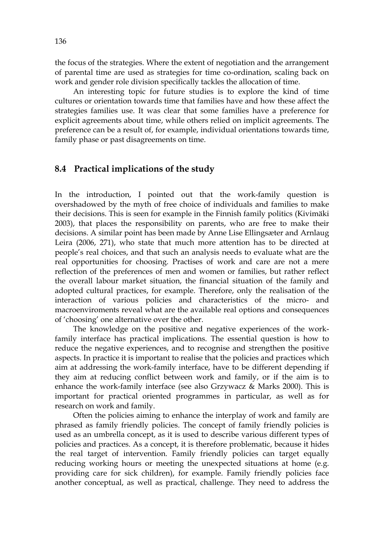the focus of the strategies. Where the extent of negotiation and the arrangement of parental time are used as strategies for time co-ordination, scaling back on work and gender role division specifically tackles the allocation of time.

An interesting topic for future studies is to explore the kind of time cultures or orientation towards time that families have and how these affect the strategies families use. It was clear that some families have a preference for explicit agreements about time, while others relied on implicit agreements. The preference can be a result of, for example, individual orientations towards time, family phase or past disagreements on time.

## **8.4 Practical implications of the study**

In the introduction, I pointed out that the work-family question is overshadowed by the myth of free choice of individuals and families to make their decisions. This is seen for example in the Finnish family politics (Kivimäki 2003), that places the responsibility on parents, who are free to make their decisions. A similar point has been made by Anne Lise Ellingsæter and Arnlaug Leira (2006, 271), who state that much more attention has to be directed at people's real choices, and that such an analysis needs to evaluate what are the real opportunities for choosing. Practises of work and care are not a mere reflection of the preferences of men and women or families, but rather reflect the overall labour market situation, the financial situation of the family and adopted cultural practices, for example. Therefore, only the realisation of the interaction of various policies and characteristics of the micro- and macroenviroments reveal what are the available real options and consequences of 'choosing' one alternative over the other.

The knowledge on the positive and negative experiences of the workfamily interface has practical implications. The essential question is how to reduce the negative experiences, and to recognise and strengthen the positive aspects. In practice it is important to realise that the policies and practices which aim at addressing the work-family interface, have to be different depending if they aim at reducing conflict between work and family, or if the aim is to enhance the work-family interface (see also Grzywacz & Marks 2000). This is important for practical oriented programmes in particular, as well as for research on work and family.

Often the policies aiming to enhance the interplay of work and family are phrased as family friendly policies. The concept of family friendly policies is used as an umbrella concept, as it is used to describe various different types of policies and practices. As a concept, it is therefore problematic, because it hides the real target of intervention. Family friendly policies can target equally reducing working hours or meeting the unexpected situations at home (e.g. providing care for sick children), for example. Family friendly policies face another conceptual, as well as practical, challenge. They need to address the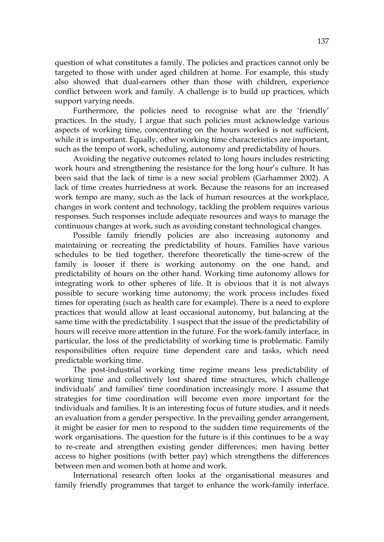question of what constitutes a family. The policies and practices cannot only be targeted to those with under aged children at home. For example, this study also showed that dual-earners other than those with children, experience conflict between work and family. A challenge is to build up practices, which support varying needs.

Furthermore, the policies need to recognise what are the 'friendly' practices. In the study, I argue that such policies must acknowledge various aspects of working time, concentrating on the hours worked is not sufficient, while it is important. Equally, other working time characteristics are important, such as the tempo of work, scheduling, autonomy and predictability of hours.

Avoiding the negative outcomes related to long hours includes restricting work hours and strengthening the resistance for the long hour's culture. It has been said that the lack of time is a new social problem (Garhammer 2002). A lack of time creates hurriedness at work. Because the reasons for an increased work tempo are many, such as the lack of human resources at the workplace, changes in work content and technology, tackling the problem requires various responses. Such responses include adequate resources and ways to manage the continuous changes at work, such as avoiding constant technological changes.

Possible family friendly policies are also increasing autonomy and maintaining or recreating the predictability of hours. Families have various schedules to be tied together, therefore theoretically the time-screw of the family is looser if there is working autonomy on the one hand, and predictability of hours on the other hand. Working time autonomy allows for integrating work to other spheres of life. It is obvious that it is not always possible to secure working time autonomy; the work process includes fixed times for operating (such as health care for example). There is a need to explore practices that would allow at least occasional autonomy, but balancing at the same time with the predictability. I suspect that the issue of the predictability of hours will receive more attention in the future. For the work-family interface, in particular, the loss of the predictability of working time is problematic. Family responsibilities often require time dependent care and tasks, which need predictable working time.

The post-industrial working time regime means less predictability of working time and collectively lost shared time structures, which challenge individuals' and families' time coordination increasingly more. I assume that strategies for time coordination will become even more important for the individuals and families. It is an interesting focus of future studies, and it needs an evaluation from a gender perspective. In the prevailing gender arrangement, it might be easier for men to respond to the sudden time requirements of the work organisations. The question for the future is if this continues to be a way to re-create and strengthen existing gender differences; men having better access to higher positions (with better pay) which strengthens the differences between men and women both at home and work.

International research often looks at the organisational measures and family friendly programmes that target to enhance the work-family interface.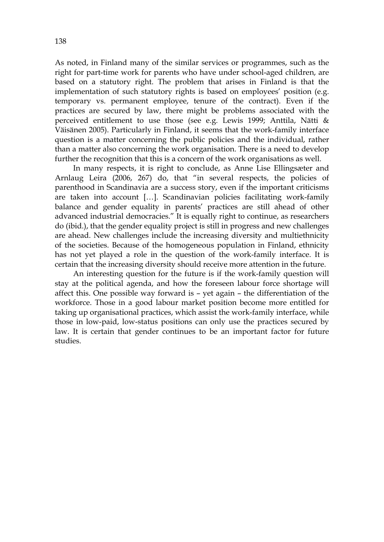As noted, in Finland many of the similar services or programmes, such as the right for part-time work for parents who have under school-aged children, are based on a statutory right. The problem that arises in Finland is that the implementation of such statutory rights is based on employees' position (e.g. temporary vs. permanent employee, tenure of the contract). Even if the practices are secured by law, there might be problems associated with the perceived entitlement to use those (see e.g. Lewis 1999; Anttila, Nätti & Väisänen 2005). Particularly in Finland, it seems that the work-family interface question is a matter concerning the public policies and the individual, rather than a matter also concerning the work organisation. There is a need to develop further the recognition that this is a concern of the work organisations as well.

In many respects, it is right to conclude, as Anne Lise Ellingsæter and Arnlaug Leira (2006, 267) do, that "in several respects, the policies of parenthood in Scandinavia are a success story, even if the important criticisms are taken into account […]. Scandinavian policies facilitating work-family balance and gender equality in parents' practices are still ahead of other advanced industrial democracies." It is equally right to continue, as researchers do (ibid.), that the gender equality project is still in progress and new challenges are ahead. New challenges include the increasing diversity and multiethnicity of the societies. Because of the homogeneous population in Finland, ethnicity has not yet played a role in the question of the work-family interface. It is certain that the increasing diversity should receive more attention in the future.

An interesting question for the future is if the work-family question will stay at the political agenda, and how the foreseen labour force shortage will affect this. One possible way forward is – yet again – the differentiation of the workforce. Those in a good labour market position become more entitled for taking up organisational practices, which assist the work-family interface, while those in low-paid, low-status positions can only use the practices secured by law. It is certain that gender continues to be an important factor for future studies.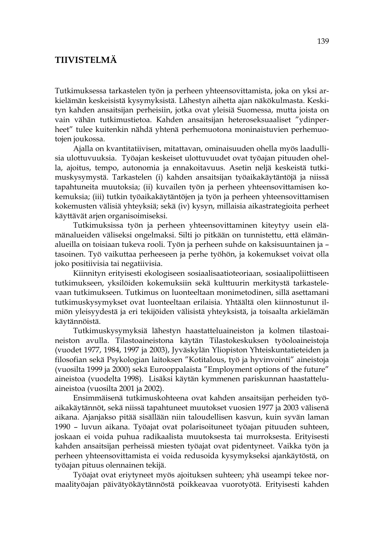# **TIIVISTELMÄ**

Tutkimuksessa tarkastelen työn ja perheen yhteensovittamista, joka on yksi arkielämän keskeisistä kysymyksistä. Lähestyn aihetta ajan näkökulmasta. Keskityn kahden ansaitsijan perheisiin, jotka ovat yleisiä Suomessa, mutta joista on vain vähän tutkimustietoa. Kahden ansaitsijan heteroseksuaaliset "ydinperheet" tulee kuitenkin nähdä yhtenä perhemuotona moninaistuvien perhemuotojen joukossa.

Ajalla on kvantitatiivisen, mitattavan, ominaisuuden ohella myös laadullisia ulottuvuuksia. Työajan keskeiset ulottuvuudet ovat työajan pituuden ohella, ajoitus, tempo, autonomia ja ennakoitavuus. Asetin neljä keskeistä tutkimuskysymystä. Tarkastelen (i) kahden ansaitsijan työaikakäytäntöjä ja niissä tapahtuneita muutoksia; (ii) kuvailen työn ja perheen yhteensovittamisen kokemuksia; (iii) tutkin työaikakäytäntöjen ja työn ja perheen yhteensovittamisen kokemusten välisiä yhteyksiä; sekä (iv) kysyn, millaisia aikastrategioita perheet käyttävät arjen organisoimiseksi.

Tutkimuksissa työn ja perheen yhteensovittaminen kiteytyy usein elämänalueiden väliseksi ongelmaksi. Silti jo pitkään on tunnistettu, että elämänalueilla on toisiaan tukeva rooli. Työn ja perheen suhde on kaksisuuntainen ja – tasoinen. Työ vaikuttaa perheeseen ja perhe työhön, ja kokemukset voivat olla joko positiivisia tai negatiivisia.

Kiinnityn erityisesti ekologiseen sosiaalisaatioteoriaan, sosiaalipoliittiseen tutkimukseen, yksilöiden kokemuksiin sekä kulttuurin merkitystä tarkastelevaan tutkimukseen. Tutkimus on luonteeltaan monimetodinen, sillä asettamani tutkimuskysymykset ovat luonteeltaan erilaisia. Yhtäältä olen kiinnostunut ilmiön yleisyydestä ja eri tekijöiden välisistä yhteyksistä, ja toisaalta arkielämän käytännöistä.

Tutkimuskysymyksiä lähestyn haastatteluaineiston ja kolmen tilastoaineiston avulla. Tilastoaineistona käytän Tilastokeskuksen työoloaineistoja (vuodet 1977, 1984, 1997 ja 2003), Jyväskylän Yliopiston Yhteiskuntatieteiden ja filosofian sekä Psykologian laitoksen "Kotitalous, työ ja hyvinvointi" aineistoja (vuosilta 1999 ja 2000) sekä Eurooppalaista "Employment options of the future" aineistoa (vuodelta 1998). Lisäksi käytän kymmenen pariskunnan haastatteluaineistoa (vuosilta 2001 ja 2002).

Ensimmäisenä tutkimuskohteena ovat kahden ansaitsijan perheiden työaikakäytännöt, sekä niissä tapahtuneet muutokset vuosien 1977 ja 2003 välisenä aikana. Ajanjakso pitää sisällään niin taloudellisen kasvun, kuin syvän laman 1990 – luvun aikana. Työajat ovat polarisoituneet työajan pituuden suhteen, joskaan ei voida puhua radikaalista muutoksesta tai murroksesta. Erityisesti kahden ansaitsijan perheissä miesten työajat ovat pidentyneet. Vaikka työn ja perheen yhteensovittamista ei voida redusoida kysymykseksi ajankäytöstä, on työajan pituus olennainen tekijä.

Työajat ovat eriytyneet myös ajoituksen suhteen; yhä useampi tekee normaalityöajan päivätyökäytännöstä poikkeavaa vuorotyötä. Erityisesti kahden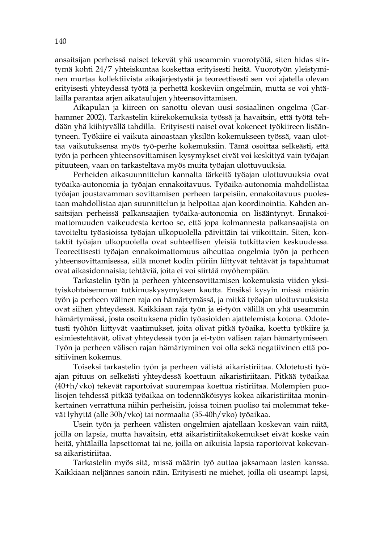ansaitsijan perheissä naiset tekevät yhä useammin vuorotyötä, siten hidas siirtymä kohti 24/7 yhteiskuntaa koskettaa erityisesti heitä. Vuorotyön yleistyminen murtaa kollektiivista aikajärjestystä ja teoreettisesti sen voi ajatella olevan erityisesti yhteydessä työtä ja perhettä koskeviin ongelmiin, mutta se voi yhtälailla parantaa arjen aikataulujen yhteensovittamisen.

Aikapulan ja kiireen on sanottu olevan uusi sosiaalinen ongelma (Garhammer 2002). Tarkastelin kiirekokemuksia työssä ja havaitsin, että työtä tehdään yhä kiihtyvällä tahdilla. Erityisesti naiset ovat kokeneet työkiireen lisääntyneen. Työkiire ei vaikuta ainoastaan yksilön kokemukseen työssä, vaan ulottaa vaikutuksensa myös työ-perhe kokemuksiin. Tämä osoittaa selkeästi, että työn ja perheen yhteensovittamisen kysymykset eivät voi keskittyä vain työajan pituuteen, vaan on tarkasteltava myös muita työajan ulottuvuuksia.

Perheiden aikasuunnittelun kannalta tärkeitä työajan ulottuvuuksia ovat työaika-autonomia ja työajan ennakoitavuus. Työaika-autonomia mahdollistaa työajan joustavamman sovittamisen perheen tarpeisiin, ennakoitavuus puolestaan mahdollistaa ajan suunnittelun ja helpottaa ajan koordinointia. Kahden ansaitsijan perheissä palkansaajien työaika-autonomia on lisääntynyt. Ennakoimattomuuden vaikeudesta kertoo se, että jopa kolmannesta palkansaajista on tavoiteltu työasioissa työajan ulkopuolella päivittäin tai viikoittain. Siten, kontaktit työajan ulkopuolella ovat suhteellisen yleisiä tutkittavien keskuudessa. Teoreettisesti työajan ennakoimattomuus aiheuttaa ongelmia työn ja perheen yhteensovittamisessa, sillä monet kodin piiriin liittyvät tehtävät ja tapahtumat ovat aikasidonnaisia; tehtäviä, joita ei voi siirtää myöhempään.

Tarkastelin työn ja perheen yhteensovittamisen kokemuksia viiden yksityiskohtaisemman tutkimuskysymyksen kautta. Ensiksi kysyin missä määrin työn ja perheen välinen raja on hämärtymässä, ja mitkä työajan ulottuvuuksista ovat siihen yhteydessä. Kaikkiaan raja työn ja ei-työn välillä on yhä useammin hämärtymässä, josta osoituksena pidin työasioiden ajattelemista kotona. Odotetusti työhön liittyvät vaatimukset, joita olivat pitkä työaika, koettu työkiire ja esimiestehtävät, olivat yhteydessä työn ja ei-työn välisen rajan hämärtymiseen. Työn ja perheen välisen rajan hämärtyminen voi olla sekä negatiivinen että positiivinen kokemus.

Toiseksi tarkastelin työn ja perheen välistä aikaristiriitaa. Odotetusti työajan pituus on selkeästi yhteydessä koettuun aikaristiriitaan. Pitkää työaikaa (40+h/vko) tekevät raportoivat suurempaa koettua ristiriitaa. Molempien puolisojen tehdessä pitkää työaikaa on todennäköisyys kokea aikaristiriitaa moninkertainen verrattuna niihin perheisiin, joissa toinen puoliso tai molemmat tekevät lyhyttä (alle 30h/vko) tai normaalia (35-40h/vko) työaikaa.

Usein työn ja perheen välisten ongelmien ajatellaan koskevan vain niitä, joilla on lapsia, mutta havaitsin, että aikaristiriitakokemukset eivät koske vain heitä, yhtälailla lapsettomat tai ne, joilla on aikuisia lapsia raportoivat kokevansa aikaristiriitaa.

Tarkastelin myös sitä, missä määrin työ auttaa jaksamaan lasten kanssa. Kaikkiaan neljännes sanoin näin. Erityisesti ne miehet, joilla oli useampi lapsi,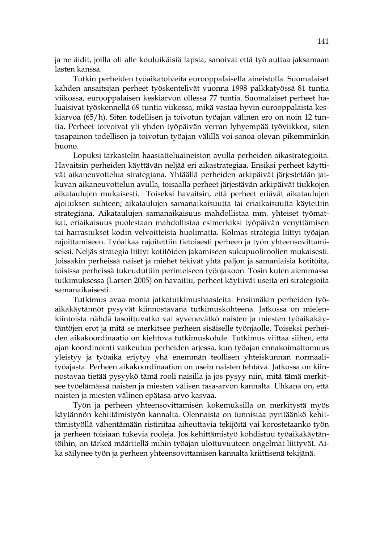ja ne äidit, joilla oli alle kouluikäisiä lapsia, sanoivat että työ auttaa jaksamaan lasten kanssa.

Tutkin perheiden työaikatoiveita eurooppalaisella aineistolla. Suomalaiset kahden ansaitsijan perheet työskentelivät vuonna 1998 palkkatyössä 81 tuntia viikossa, eurooppalaisen keskiarvon ollessa 77 tuntia. Suomalaiset perheet haluaisivat työskennellä 69 tuntia viikossa, mikä vastaa hyvin eurooppalaista keskiarvoa (65/h). Siten todellisen ja toivotun työajan välinen ero on noin 12 tuntia. Perheet toivoivat yli yhden työpäivän verran lyhyempää työviikkoa, siten tasapainon todellisen ja toivotun työajan välillä voi sanoa olevan pikemminkin huono.

Lopuksi tarkastelin haastatteluaineiston avulla perheiden aikastrategioita. Havaitsin perheiden käyttävän neljää eri aikastrategiaa. Ensiksi perheet käyttivät aikaneuvottelua strategiana. Yhtäällä perheiden arkipäivät järjestetään jatkuvan aikaneuvottelun avulla, toisaalla perheet järjestävän arkipäivät tiukkojen aikataulujen mukaisesti. Toiseksi havaitsin, että perheet eriävät aikataulujen ajoituksen suhteen; aikataulujen samanaikaisuutta tai eriaikaisuutta käytettiin strategiana. Aikataulujen samanaikaisuus mahdollistaa mm. yhteiset työmatkat, eriaikaisuus puolestaan mahdollistaa esimerkiksi työpäivän venyttämisen tai harrastukset kodin velvoitteista huolimatta. Kolmas strategia liittyi työajan rajoittamiseen. Työaikaa rajoitettiin tietoisesti perheen ja työn yhteensovittamiseksi. Neljäs strategia liittyi kotitöiden jakamiseen sukupuoliroolien mukaisesti. Joissakin perheissä naiset ja miehet tekivät yhtä paljon ja samanlaisia kotitöitä, toisissa perheissä tukeuduttiin perinteiseen työnjakoon. Tosin kuten aiemmassa tutkimuksessa (Larsen 2005) on havaittu, perheet käyttivät useita eri strategioita samanaikaisesti.

Tutkimus avaa monia jatkotutkimushaasteita. Ensinnäkin perheiden työaikakäytännöt pysyvät kiinnostavana tutkimuskohteena. Jatkossa on mielenkiintoista nähdä tasoittuvatko vai syvenevätkö naisten ja miesten työaikakäytäntöjen erot ja mitä se merkitsee perheen sisäiselle työnjaolle. Toiseksi perheiden aikakoordinaatio on kiehtova tutkimuskohde. Tutkimus viittaa siihen, että ajan koordinointi vaikeutuu perheiden arjessa, kun työajan ennakoimattomuus yleistyy ja työaika eriytyy yhä enemmän teollisen yhteiskunnan normaalityöajasta. Perheen aikakoordinaation on usein naisten tehtävä. Jatkossa on kiinnostavaa tietää pysyykö tämä rooli naisilla ja jos pysyy niin, mitä tämä merkitsee työelämässä naisten ja miesten välisen tasa-arvon kannalta. Uhkana on, että naisten ja miesten välinen epätasa-arvo kasvaa.

Työn ja perheen yhteensovittamisen kokemuksilla on merkitystä myös käytännön kehittämistyön kannalta. Olennaista on tunnistaa pyritäänkö kehittämistyöllä vähentämään ristiriitaa aiheuttavia tekijöitä vai korostetaanko työn ja perheen toisiaan tukevia rooleja. Jos kehittämistyö kohdistuu työaikakäytäntöihin, on tärkeä määritellä mihin työajan ulottuvuuteen ongelmat liittyvät. Aika säilynee työn ja perheen yhteensovittamisen kannalta kriittisenä tekijänä.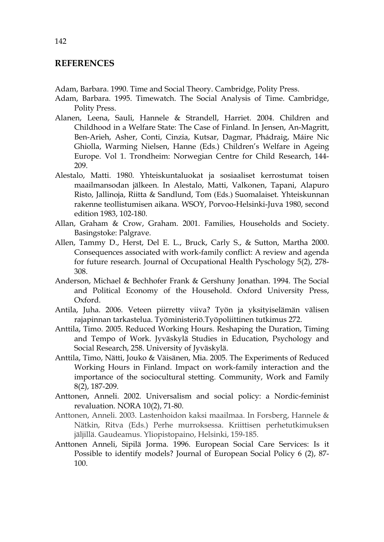## **REFERENCES**

Adam, Barbara. 1990. Time and Social Theory. Cambridge, Polity Press.

- Adam, Barbara. 1995. Timewatch. The Social Analysis of Time. Cambridge, Polity Press.
- Alanen, Leena, Sauli, Hannele & Strandell, Harriet. 2004. Children and Childhood in a Welfare State: The Case of Finland. In Jensen, An-Magritt, Ben-Arieh, Asher, Conti, Cinzia, Kutsar, Dagmar, Phádraig, Máire Nic Ghiolla, Warming Nielsen, Hanne (Eds.) Children's Welfare in Ageing Europe. Vol 1. Trondheim: Norwegian Centre for Child Research, 144- 209.
- Alestalo, Matti. 1980. Yhteiskuntaluokat ja sosiaaliset kerrostumat toisen maailmansodan jälkeen. In Alestalo, Matti, Valkonen, Tapani, Alapuro Risto, Jallinoja, Riitta & Sandlund, Tom (Eds.) Suomalaiset. Yhteiskunnan rakenne teollistumisen aikana. WSOY, Porvoo-Helsinki-Juva 1980, second edition 1983, 102-180.
- Allan, Graham & Crow, Graham. 2001. Families, Households and Society. Basingstoke: Palgrave.
- Allen, Tammy D., Herst, Del E. L., Bruck, Carly S., & Sutton, Martha 2000. Consequences associated with work-family conflict: A review and agenda for future research. Journal of Occupational Health Pyschology 5(2), 278- 308.
- Anderson, Michael & Bechhofer Frank & Gershuny Jonathan. 1994. The Social and Political Economy of the Household. Oxford University Press, Oxford.
- Antila, Juha. 2006. Veteen piirretty viiva? Työn ja yksityiselämän välisen rajapinnan tarkastelua. Työministeriö.Työpoliittinen tutkimus 272.
- Anttila, Timo. 2005. Reduced Working Hours. Reshaping the Duration, Timing and Tempo of Work. Jyväskylä Studies in Education, Psychology and Social Research, 258. University of Jyväskylä.
- Anttila, Timo, Nätti, Jouko & Väisänen, Mia. 2005. The Experiments of Reduced Working Hours in Finland. Impact on work-family interaction and the importance of the sociocultural stetting. Community, Work and Family 8(2), 187-209.
- Anttonen, Anneli. 2002. Universalism and social policy: a Nordic-feminist revaluation. NORA 10(2), 71-80.
- Anttonen, Anneli. 2003. Lastenhoidon kaksi maailmaa. In Forsberg, Hannele & Nätkin, Ritva (Eds.) Perhe murroksessa. Kriittisen perhetutkimuksen jäljillä. Gaudeamus. Yliopistopaino, Helsinki, 159-185.
- Anttonen Anneli, Sipilä Jorma. 1996. European Social Care Services: Is it Possible to identify models? Journal of European Social Policy 6 (2), 87- 100.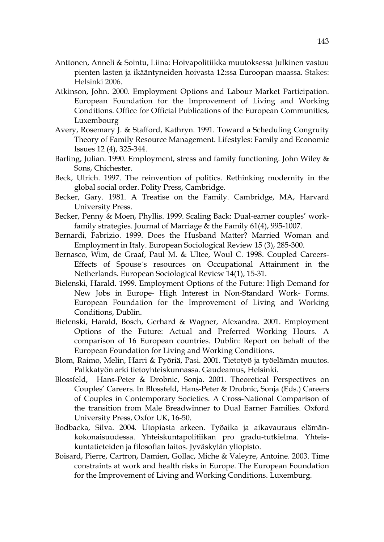- Anttonen, Anneli & Sointu, Liina: Hoivapolitiikka muutoksessa Julkinen vastuu pienten lasten ja ikääntyneiden hoivasta 12:ssa Euroopan maassa. Stakes: Helsinki 2006.
- Atkinson, John. 2000. Employment Options and Labour Market Participation. European Foundation for the Improvement of Living and Working Conditions. Office for Official Publications of the European Communities, Luxembourg
- Avery, Rosemary J. & Stafford, Kathryn. 1991. Toward a Scheduling Congruity Theory of Family Resource Management. Lifestyles: Family and Economic Issues 12 (4), 325-344.
- Barling, Julian. 1990. Employment, stress and family functioning. John Wiley & Sons, Chichester.
- Beck, Ulrich. 1997. The reinvention of politics. Rethinking modernity in the global social order. Polity Press, Cambridge.
- Becker, Gary. 1981. A Treatise on the Family. Cambridge, MA, Harvard University Press.
- Becker, Penny & Moen, Phyllis. 1999. Scaling Back: Dual-earner couples' workfamily strategies. Journal of Marriage & the Family 61(4), 995-1007.
- Bernardi, Fabrizio. 1999. Does the Husband Matter? Married Woman and Employment in Italy. European Sociological Review 15 (3), 285-300.
- Bernasco, Wim, de Graaf, Paul M. & Ultee, Woul C. 1998. Coupled Careers-Effects of Spouse´s resources on Occupational Attainment in the Netherlands. European Sociological Review 14(1), 15-31.
- Bielenski, Harald. 1999. Employment Options of the Future: High Demand for New Jobs in Europe- High Interest in Non-Standard Work- Forms. European Foundation for the Improvement of Living and Working Conditions, Dublin.
- Bielenski, Harald, Bosch, Gerhard & Wagner, Alexandra. 2001. Employment Options of the Future: Actual and Preferred Working Hours. A comparison of 16 European countries. Dublin: Report on behalf of the European Foundation for Living and Working Conditions.
- Blom, Raimo, Melin, Harri & Pyöriä, Pasi. 2001. Tietotyö ja työelämän muutos. Palkkatyön arki tietoyhteiskunnassa. Gaudeamus, Helsinki.
- Blossfeld, Hans-Peter & Drobnic, Sonja. 2001. Theoretical Perspectives on Couples' Careers. In Blossfeld, Hans-Peter & Drobnic, Sonja (Eds.) Careers of Couples in Contemporary Societies. A Cross-National Comparison of the transition from Male Breadwinner to Dual Earner Families. Oxford University Press, Oxfor UK, 16-50.
- Bodbacka, Silva. 2004. Utopiasta arkeen. Työaika ja aikavauraus elämänkokonaisuudessa. Yhteiskuntapolitiikan pro gradu-tutkielma. Yhteiskuntatieteiden ja filosofian laitos. Jyväskylän yliopisto.
- Boisard, Pierre, Cartron, Damien, Gollac, Miche & Valeyre, Antoine. 2003. Time constraints at work and health risks in Europe. The European Foundation for the Improvement of Living and Working Conditions. Luxemburg.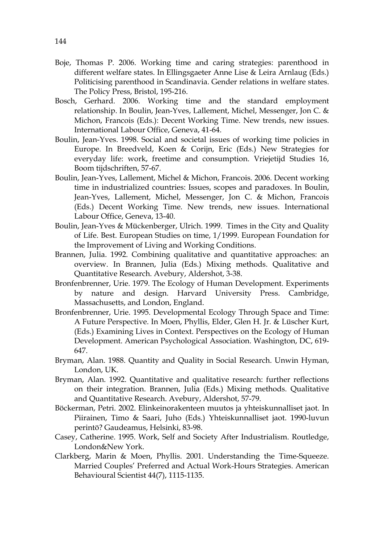- Boje, Thomas P. 2006. Working time and caring strategies: parenthood in different welfare states. In Ellingsgaeter Anne Lise & Leira Arnlaug (Eds.) Politicising parenthood in Scandinavia. Gender relations in welfare states. The Policy Press, Bristol, 195-216.
- Bosch, Gerhard. 2006. Working time and the standard employment relationship. In Boulin, Jean-Yves, Lallement, Michel, Messenger, Jon C. & Michon, Francois (Eds.): Decent Working Time. New trends, new issues. International Labour Office, Geneva, 41-64.
- Boulin, Jean-Yves. 1998. Social and societal issues of working time policies in Europe. In Breedveld, Koen & Corijn, Eric (Eds.) New Strategies for everyday life: work, freetime and consumption. Vriejetijd Studies 16, Boom tijdschriften, 57-67.
- Boulin, Jean-Yves, Lallement, Michel & Michon, Francois. 2006. Decent working time in industrialized countries: Issues, scopes and paradoxes. In Boulin, Jean-Yves, Lallement, Michel, Messenger, Jon C. & Michon, Francois (Eds.) Decent Working Time. New trends, new issues. International Labour Office, Geneva, 13-40.
- Boulin, Jean-Yves & Mückenberger, Ulrich. 1999. Times in the City and Quality of Life. Best. European Studies on time, 1/1999. European Foundation for the Improvement of Living and Working Conditions.
- Brannen, Julia. 1992. Combining qualitative and quantitative approaches: an overview. In Brannen, Julia (Eds.) Mixing methods. Qualitative and Quantitative Research. Avebury, Aldershot, 3-38.
- Bronfenbrenner, Urie. 1979. The Ecology of Human Development. Experiments by nature and design. Harvard University Press. Cambridge, Massachusetts, and London, England.
- Bronfenbrenner, Urie. 1995. Developmental Ecology Through Space and Time: A Future Perspective. In Moen, Phyllis, Elder, Glen H. Jr. & Lüscher Kurt, (Eds.) Examining Lives in Context. Perspectives on the Ecology of Human Development. American Psychological Association. Washington, DC, 619- 647.
- Bryman, Alan. 1988. Quantity and Quality in Social Research. Unwin Hyman, London, UK.
- Bryman, Alan. 1992. Quantitative and qualitative research: further reflections on their integration. Brannen, Julia (Eds.) Mixing methods. Qualitative and Quantitative Research. Avebury, Aldershot, 57-79.
- Böckerman, Petri. 2002. Elinkeinorakenteen muutos ja yhteiskunnalliset jaot. In Piirainen, Timo & Saari, Juho (Eds.) Yhteiskunnalliset jaot. 1990-luvun perintö? Gaudeamus, Helsinki, 83-98.
- Casey, Catherine. 1995. Work, Self and Society After Industrialism. Routledge, London&New York.
- Clarkberg, Marin & Moen, Phyllis. 2001. Understanding the Time-Squeeze. Married Couples' Preferred and Actual Work-Hours Strategies. American Behavioural Scientist 44(7), 1115-1135.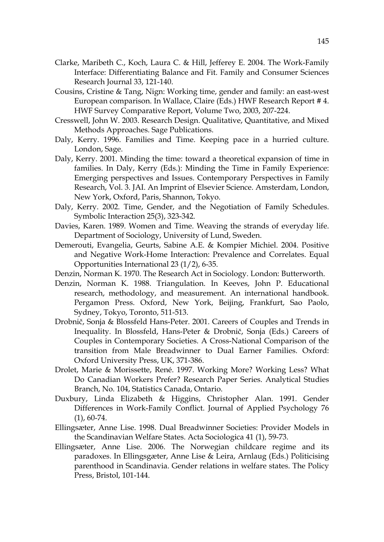- Clarke, Maribeth C., Koch, Laura C. & Hill, Jefferey E. 2004. The Work-Family Interface: Differentiating Balance and Fit. Family and Consumer Sciences Research Journal 33, 121-140.
- Cousins, Cristine & Tang, Nign: Working time, gender and family: an east-west European comparison. In Wallace, Claire (Eds.) HWF Research Report # 4. HWF Survey Comparative Report, Volume Two, 2003, 207-224.
- Cresswell, John W. 2003. Research Design. Qualitative, Quantitative, and Mixed Methods Approaches. Sage Publications.
- Daly, Kerry. 1996. Families and Time. Keeping pace in a hurried culture. London, Sage.
- Daly, Kerry. 2001. Minding the time: toward a theoretical expansion of time in families. In Daly, Kerry (Eds.): Minding the Time in Family Experience: Emerging perspectives and Issues. Contemporary Perspectives in Family Research, Vol. 3. JAI. An Imprint of Elsevier Science. Amsterdam, London, New York, Oxford, Paris, Shannon, Tokyo.
- Daly, Kerry. 2002. Time, Gender, and the Negotiation of Family Schedules. Symbolic Interaction 25(3), 323-342.
- Davies, Karen. 1989. Women and Time. Weaving the strands of everyday life. Department of Sociology, University of Lund, Sweden.
- Demerouti, Evangelia, Geurts, Sabine A.E. & Kompier Michiel. 2004. Positive and Negative Work-Home Interaction: Prevalence and Correlates. Equal Opportunities International 23 (1/2), 6-35.
- Denzin, Norman K. 1970. The Research Act in Sociology. London: Butterworth.
- Denzin, Norman K. 1988. Triangulation. In Keeves, John P. Educational research, methodology, and measurement. An international handbook. Pergamon Press. Oxford, New York, Beijing, Frankfurt, Sao Paolo, Sydney, Tokyo, Toronto, 511-513.
- Drobnič, Sonja & Blossfeld Hans-Peter. 2001. Careers of Couples and Trends in Inequality. In Blossfeld, Hans-Peter & Drobnič, Sonja (Eds.) Careers of Couples in Contemporary Societies. A Cross-National Comparison of the transition from Male Breadwinner to Dual Earner Families. Oxford: Oxford University Press, UK, 371-386.
- Drolet, Marie & Morissette, René. 1997. Working More? Working Less? What Do Canadian Workers Prefer? Research Paper Series. Analytical Studies Branch, No. 104, Statistics Canada, Ontario.
- Duxbury, Linda Elizabeth & Higgins, Christopher Alan. 1991. Gender Differences in Work-Family Conflict. Journal of Applied Psychology 76 (1), 60-74.
- Ellingsæter, Anne Lise. 1998. Dual Breadwinner Societies: Provider Models in the Scandinavian Welfare States. Acta Sociologica 41 (1), 59-73.
- Ellingsæter, Anne Lise. 2006. The Norwegian childcare regime and its paradoxes. In Ellingsgæter, Anne Lise & Leira, Arnlaug (Eds.) Politicising parenthood in Scandinavia. Gender relations in welfare states. The Policy Press, Bristol, 101-144.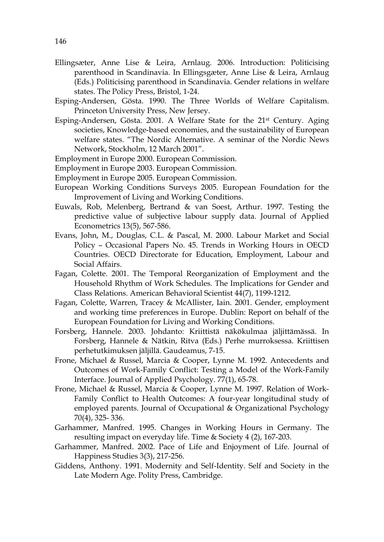- Ellingsæter, Anne Lise & Leira, Arnlaug. 2006. Introduction: Politicising parenthood in Scandinavia. In Ellingsgæter, Anne Lise & Leira, Arnlaug (Eds.) Politicising parenthood in Scandinavia. Gender relations in welfare states. The Policy Press, Bristol, 1-24.
- Esping-Andersen, Gösta. 1990. The Three Worlds of Welfare Capitalism. Princeton University Press, New Jersey.
- Esping-Andersen, Gösta. 2001. A Welfare State for the 21st Century. Aging societies, Knowledge-based economies, and the sustainability of European welfare states. "The Nordic Alternative. A seminar of the Nordic News Network, Stockholm, 12 March 2001".
- Employment in Europe 2000. European Commission.
- Employment in Europe 2003. European Commission.
- Employment in Europe 2005. European Commission.
- European Working Conditions Surveys 2005. European Foundation for the Improvement of Living and Working Conditions.
- Euwals, Rob, Melenberg, Bertrand & van Soest, Arthur. 1997. Testing the predictive value of subjective labour supply data. Journal of Applied Econometrics 13(5), 567-586.
- Evans, John, M., Douglas, C.L. & Pascal, M. 2000. Labour Market and Social Policy – Occasional Papers No. 45. Trends in Working Hours in OECD Countries. OECD Directorate for Education, Employment, Labour and Social Affairs.
- Fagan, Colette. 2001. The Temporal Reorganization of Employment and the Household Rhythm of Work Schedules. The Implications for Gender and Class Relations. American Behavioral Scientist 44(7), 1199-1212.
- Fagan, Colette, Warren, Tracey & McAllister, Iain. 2001. Gender, employment and working time preferences in Europe. Dublin: Report on behalf of the European Foundation for Living and Working Conditions.
- Forsberg, Hannele. 2003. Johdanto: Kriittistä näkökulmaa jäljittämässä. In Forsberg, Hannele & Nätkin, Ritva (Eds.) Perhe murroksessa. Kriittisen perhetutkimuksen jäljillä. Gaudeamus, 7-15.
- Frone, Michael & Russel, Marcia & Cooper, Lynne M. 1992. Antecedents and Outcomes of Work-Family Conflict: Testing a Model of the Work-Family Interface. Journal of Applied Psychology. 77(1), 65-78.
- Frone, Michael & Russel, Marcia & Cooper, Lynne M. 1997. Relation of Work-Family Conflict to Health Outcomes: A four-year longitudinal study of employed parents. Journal of Occupational & Organizational Psychology 70(4), 325- 336.
- Garhammer, Manfred. 1995. Changes in Working Hours in Germany. The resulting impact on everyday life. Time & Society 4 (2), 167-203.
- Garhammer, Manfred. 2002. Pace of Life and Enjoyment of Life. Journal of Happiness Studies 3(3), 217-256.
- Giddens, Anthony. 1991. Modernity and Self-Identity. Self and Society in the Late Modern Age. Polity Press, Cambridge.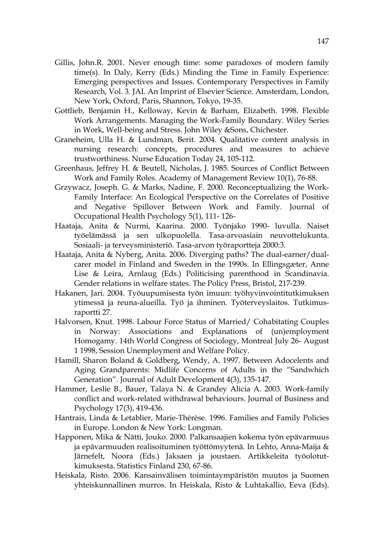- Gillis, John.R. 2001. Never enough time: some paradoxes of modern family time(s). In Daly, Kerry (Eds.) Minding the Time in Family Experience: Emerging perspectives and Issues. Contemporary Perspectives in Family Research, Vol. 3. JAI. An Imprint of Elsevier Science. Amsterdam, London, New York, Oxford, Paris, Shannon, Tokyo, 19-35.
- Gottlieb, Benjamin H., Kelloway, Kevin & Barham, Elizabeth. 1998. Flexible Work Arrangements. Managing the Work-Family Boundary. Wiley Series in Work, Well-being and Stress. John Wiley &Sons, Chichester.
- Graneheim, Ulla H. & Lundman, Berit. 2004. Qualitative content analysis in nursing research: concepts, procedures and measures to achieve trustworthiness. Nurse Education Today 24, 105-112.
- Greenhaus, Jeffrey H. & Beutell, Nicholas, J. 1985. Sources of Conflict Between Work and Family Roles. Academy of Management Review 10(1), 76-88.
- Grzywacz, Joseph. G. & Marks, Nadine, F. 2000. Reconceptualizing the Work-Family Interface: An Ecological Perspective on the Correlates of Positive and Negative Spillover Between Work and Family. Journal of Occupational Health Psychology 5(1), 111- 126-
- Haataja, Anita & Nurmi, Kaarina. 2000. Työnjako 1990- luvulla. Naiset työelämässä ja sen ulkopuolella. Tasa-arvoasiain neuvottelukunta. Sosiaali- ja terveysministeriö. Tasa-arvon työraportteja 2000:3.
- Haataja, Anita & Nyberg, Anita. 2006. Diverging paths? The dual-earner/dualcarer model in Finland and Sweden in the 1990s. In Ellingsgæter, Anne Lise & Leira, Arnlaug (Eds.) Politicising parenthood in Scandinavia. Gender relations in welfare states. The Policy Press, Bristol, 217-239.
- Hakanen, Jari. 2004. Työuupumisesta työn imuun: työhyvinvointitutkimuksen ytimessä ja reuna-alueilla. Työ ja ihminen. Työterveyslaitos. Tutkimusraportti 27.
- Halvorsen, Knut. 1998. Labour Force Status of Married/ Cohabitating Couples in Norway: Associations and Explanations of (un)employment Homogamy. 14th World Congress of Sociology, Montreal July 26- August 1 1998, Session Unemployment and Welfare Policy.
- Hamill, Sharon Boland & Goldberg, Wendy, A. 1997. Between Adocelents and Aging Grandparents: Midlife Concerns of Adults in the "Sandwhich Generation". Journal of Adult Development 4(3), 135-147.
- Hammer, Leslie B., Bauer, Talaya N. & Grandey Alicia A. 2003. Work-family conflict and work-related withdrawal behaviours. Journal of Business and Psychology 17(3), 419-436.
- Hantrais, Linda & Letablier, Marie-Thérèse. 1996. Families and Family Policies in Europe. London & New York: Longman.
- Happonen, Mika & Nätti, Jouko. 2000. Palkansaajien kokema työn epävarmuus ja epävarmuuden realisoituminen työttömyytenä. In Lehto, Anna-Maija & Järnefelt, Noora (Eds.) Jaksaen ja joustaen. Artikkeleita työolotutkimuksesta. Statistics Finland 230, 67-86.
- Heiskala, Risto. 2006. Kansainvälisen toimintaympäristön muutos ja Suomen yhteiskunnallinen murros. In Heiskala, Risto & Luhtakallio, Eeva (Eds).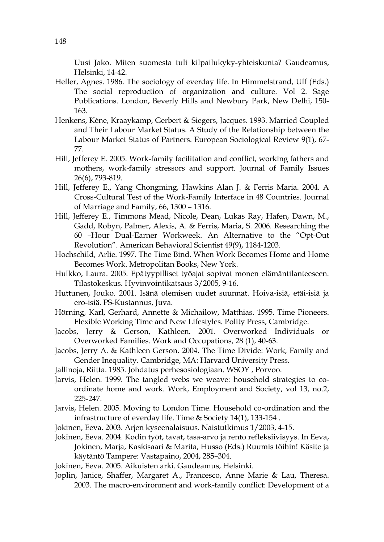Uusi Jako. Miten suomesta tuli kilpailukyky-yhteiskunta? Gaudeamus, Helsinki, 14-42.

- Heller, Agnes. 1986. The sociology of everday life. In Himmelstrand, Ulf (Eds.) The social reproduction of organization and culture. Vol 2. Sage Publications. London, Beverly Hills and Newbury Park, New Delhi, 150- 163.
- Henkens, Kène, Kraaykamp, Gerbert & Siegers, Jacques. 1993. Married Coupled and Their Labour Market Status. A Study of the Relationship between the Labour Market Status of Partners. European Sociological Review 9(1), 67- 77.
- Hill, Jefferey E. 2005. Work-family facilitation and conflict, working fathers and mothers, work-family stressors and support. Journal of Family Issues 26(6), 793-819.
- Hill, Jefferey E., Yang Chongming, Hawkins Alan J. & Ferris Maria. 2004. A Cross-Cultural Test of the Work-Family Interface in 48 Countries. Journal of Marriage and Family, 66, 1300 – 1316.
- Hill, Jefferey E., Timmons Mead, Nicole, Dean, Lukas Ray, Hafen, Dawn, M., Gadd, Robyn, Palmer, Alexis, A. & Ferris, Maria, S. 2006. Researching the 60 –Hour Dual-Earner Workweek. An Alternative to the "Opt-Out Revolution". American Behavioral Scientist 49(9), 1184-1203.
- Hochschild, Arlie. 1997. The Time Bind. When Work Becomes Home and Home Becomes Work. Metropolitan Books, New York.
- Hulkko, Laura. 2005. Epätyypilliset työajat sopivat monen elämäntilanteeseen. Tilastokeskus. Hyvinvointikatsaus 3/2005, 9-16.
- Huttunen, Jouko. 2001. Isänä olemisen uudet suunnat. Hoiva-isiä, etäi-isiä ja ero-isiä. PS-Kustannus, Juva.
- Hörning, Karl, Gerhard, Annette & Michailow, Matthias. 1995. Time Pioneers. Flexible Working Time and New Lifestyles. Polity Press, Cambridge.
- Jacobs, Jerry & Gerson, Kathleen. 2001. Overworked Individuals or Overworked Families. Work and Occupations, 28 (1), 40-63.
- Jacobs, Jerry A. & Kathleen Gerson. 2004. The Time Divide: Work, Family and Gender Inequality. Cambridge, MA: Harvard University Press.
- Jallinoja, Riitta. 1985. Johdatus perhesosiologiaan. WSOY , Porvoo.
- Jarvis, Helen. 1999. The tangled webs we weave: household strategies to coordinate home and work. Work, Employment and Society, vol 13, no.2, 225-247.
- Jarvis, Helen. 2005. Moving to London Time. Household co-ordination and the infrastructure of everday life. Time & Society 14(1), 133-154 .
- Jokinen, Eeva. 2003. Arjen kyseenalaisuus. Naistutkimus 1/2003, 4-15.
- Jokinen, Eeva. 2004. Kodin työt, tavat, tasa-arvo ja rento refleksiivisyys. In Eeva, Jokinen, Marja, Kaskisaari & Marita, Husso (Eds.) Ruumis töihin! Käsite ja käytäntö Tampere: Vastapaino, 2004, 285–304.
- Jokinen, Eeva. 2005. Aikuisten arki. Gaudeamus, Helsinki.
- Joplin, Janice, Shaffer, Margaret A., Francesco, Anne Marie & Lau, Theresa. 2003. The macro-environment and work-family conflict: Development of a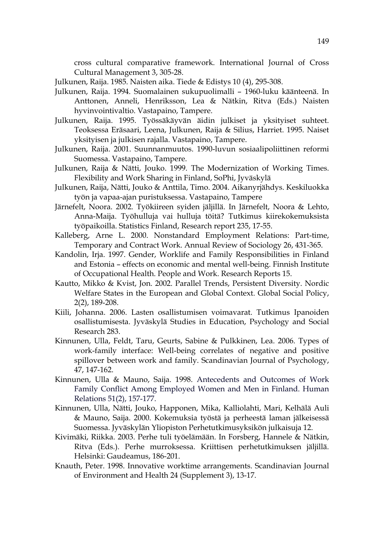cross cultural comparative framework. International Journal of Cross Cultural Management 3, 305-28.

- Julkunen, Raija. 1985. Naisten aika. Tiede & Edistys 10 (4), 295-308.
- Julkunen, Raija. 1994. Suomalainen sukupuolimalli 1960-luku käänteenä. In Anttonen, Anneli, Henriksson, Lea & Nätkin, Ritva (Eds.) Naisten hyvinvointivaltio. Vastapaino, Tampere.
- Julkunen, Raija. 1995. Työssäkäyvän äidin julkiset ja yksityiset suhteet. Teoksessa Eräsaari, Leena, Julkunen, Raija & Silius, Harriet. 1995. Naiset yksityisen ja julkisen rajalla. Vastapaino, Tampere.
- Julkunen, Raija. 2001. Suunnanmuutos. 1990-luvun sosiaalipoliittinen reformi Suomessa. Vastapaino, Tampere.
- Julkunen, Raija & Nätti, Jouko. 1999. The Modernization of Working Times. Flexibility and Work Sharing in Finland, SoPhi, Jyväskylä
- Julkunen, Raija, Nätti, Jouko & Anttila, Timo. 2004. Aikanyrjähdys. Keskiluokka työn ja vapaa-ajan puristuksessa. Vastapaino, Tampere
- Järnefelt, Noora. 2002. Työkiireen syiden jäljillä. In Järnefelt, Noora & Lehto, Anna-Maija. Työhulluja vai hulluja töitä? Tutkimus kiirekokemuksista työpaikoilla. Statistics Finland, Research report 235, 17-55.
- Kalleberg, Arne L. 2000. Nonstandard Employment Relations: Part-time, Temporary and Contract Work. Annual Review of Sociology 26, 431-365.
- Kandolin, Irja. 1997. Gender, Worklife and Family Responsibilities in Finland and Estonia – effects on economic and mental well-being. Finnish Institute of Occupational Health. People and Work. Research Reports 15.
- Kautto, Mikko & Kvist, Jon. 2002. Parallel Trends, Persistent Diversity. Nordic Welfare States in the European and Global Context. Global Social Policy, 2(2), 189-208.
- Kiili, Johanna. 2006. Lasten osallistumisen voimavarat. Tutkimus Ipanoiden osallistumisesta. Jyväskylä Studies in Education, Psychology and Social Research 283.
- Kinnunen, Ulla, Feldt, Taru, Geurts, Sabine & Pulkkinen, Lea. 2006. Types of work-family interface: Well-being correlates of negative and positive spillover between work and family. Scandinavian Journal of Psychology, 47, 147-162.
- Kinnunen, Ulla & Mauno, Saija. 1998. Antecedents and Outcomes of Work Family Conflict Among Employed Women and Men in Finland. Human Relations 51(2), 157-177.
- Kinnunen, Ulla, Nätti, Jouko, Happonen, Mika, Kalliolahti, Mari, Kelhälä Auli & Mauno, Saija. 2000. Kokemuksia työstä ja perheestä laman jälkeisessä Suomessa. Jyväskylän Yliopiston Perhetutkimusyksikön julkaisuja 12.
- Kivimäki, Riikka. 2003. Perhe tuli työelämään. In Forsberg, Hannele & Nätkin, Ritva (Eds.). Perhe murroksessa. Kriittisen perhetutkimuksen jäljillä. Helsinki: Gaudeamus, 186-201.
- Knauth, Peter. 1998. Innovative worktime arrangements. Scandinavian Journal of Environment and Health 24 (Supplement 3), 13-17.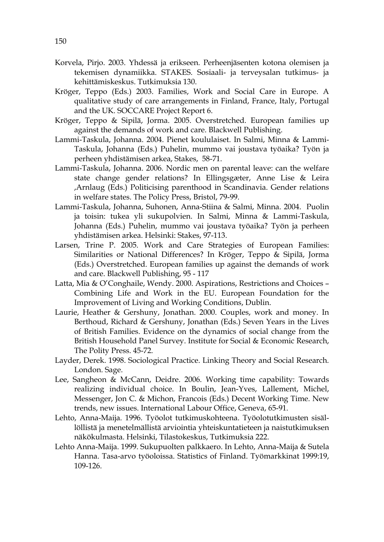- Korvela, Pirjo. 2003. Yhdessä ja erikseen. Perheenjäsenten kotona olemisen ja tekemisen dynamiikka. STAKES. Sosiaali- ja terveysalan tutkimus- ja kehittämiskeskus. Tutkimuksia 130.
- Kröger, Teppo (Eds.) 2003. Families, Work and Social Care in Europe. A qualitative study of care arrangements in Finland, France, Italy, Portugal and the UK. SOCCARE Project Report 6.
- Kröger, Teppo & Sipilä, Jorma. 2005. Overstretched. European families up against the demands of work and care. Blackwell Publishing.
- Lammi-Taskula, Johanna. 2004. Pienet koululaiset. In Salmi, Minna & Lammi-Taskula, Johanna (Eds.) Puhelin, mummo vai joustava työaika? Työn ja perheen yhdistämisen arkea, Stakes, 58-71.
- Lammi-Taskula, Johanna. 2006. Nordic men on parental leave: can the welfare state change gender relations? In Ellingsgæter, Anne Lise & Leira ,Arnlaug (Eds.) Politicising parenthood in Scandinavia. Gender relations in welfare states. The Policy Press, Bristol, 79-99.
- Lammi-Taskula, Johanna, Suhonen, Anna-Stiina & Salmi, Minna. 2004. Puolin ja toisin: tukea yli sukupolvien. In Salmi, Minna & Lammi-Taskula, Johanna (Eds.) Puhelin, mummo vai joustava työaika? Työn ja perheen yhdistämisen arkea. Helsinki: Stakes, 97-113.
- Larsen, Trine P. 2005. Work and Care Strategies of European Families: Similarities or National Differences? In Kröger, Teppo & Sipilä, Jorma (Eds.) Overstretched. European families up against the demands of work and care. Blackwell Publishing, 95 - 117
- Latta, Mia & O'Conghaile, Wendy. 2000. Aspirations, Restrictions and Choices Combining Life and Work in the EU. European Foundation for the Improvement of Living and Working Conditions, Dublin.
- Laurie, Heather & Gershuny, Jonathan. 2000. Couples, work and money. In Berthoud, Richard & Gershuny, Jonathan (Eds.) Seven Years in the Lives of British Families. Evidence on the dynamics of social change from the British Household Panel Survey. Institute for Social & Economic Research, The Polity Press. 45-72.
- Layder, Derek. 1998. Sociological Practice. Linking Theory and Social Research. London. Sage.
- Lee, Sangheon & McCann, Deidre. 2006. Working time capability: Towards realizing individual choice. In Boulin, Jean-Yves, Lallement, Michel, Messenger, Jon C. & Michon, Francois (Eds.) Decent Working Time. New trends, new issues. International Labour Office, Geneva, 65-91.
- Lehto, Anna-Maija. 1996. Työolot tutkimuskohteena. Työolotutkimusten sisällöllistä ja menetelmällistä arviointia yhteiskuntatieteen ja naistutkimuksen näkökulmasta. Helsinki, Tilastokeskus, Tutkimuksia 222.
- Lehto Anna-Maija. 1999. Sukupuolten palkkaero. In Lehto, Anna-Maija & Sutela Hanna. Tasa-arvo työoloissa. Statistics of Finland. Työmarkkinat 1999:19, 109-126.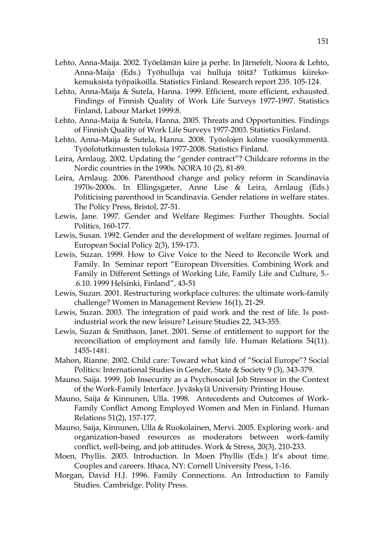- Lehto, Anna-Maija. 2002. Työelämän kiire ja perhe. In Järnefelt, Noora & Lehto, Anna-Maija (Eds.) Työhulluja vai hulluja töitä? Tutkimus kiirekokemuksista työpaikoilla. Statistics Finland. Research report 235. 105-124.
- Lehto, Anna-Maija & Sutela, Hanna. 1999. Efficient, more efficient, exhausted. Findings of Finnish Quality of Work Life Surveys 1977-1997. Statistics Finland, Labour Market 1999:8.
- Lehto, Anna-Maija & Sutela, Hanna. 2005. Threats and Opportunities. Findings of Finnish Quality of Work Life Surveys 1977-2003. Statistics Finland.
- Lehto, Anna-Maija & Sutela, Hanna. 2008. Työolojen kolme vuosikymmentä. Työolotutkimusten tuloksia 1977-2008. Statistics Finland.
- Leira, Arnlaug. 2002. Updating the "gender contract"? Childcare reforms in the Nordic countries in the 1990s. NORA 10 (2), 81-89.
- Leira, Arnlaug. 2006. Parenthood change and policy reform in Scandinavia 1970s-2000s. In Ellingsgæter, Anne Lise & Leira, Arnlaug (Eds.) Politicising parenthood in Scandinavia. Gender relations in welfare states. The Policy Press, Bristol, 27-51.
- Lewis, Jane. 1997. Gender and Welfare Regimes: Further Thoughts. Social Politics, 160-177.
- Lewis, Susan. 1992. Gender and the development of welfare regimes. Journal of European Social Policy 2(3), 159-173.
- Lewis, Suzan. 1999. How to Give Voice to the Need to Reconcile Work and Family. In Seminar report "European Diversities. Combining Work and Family in Different Settings of Working Life, Family Life and Culture, 5.- .6.10. 1999 Helsinki, Finland", 43-51
- Lewis, Suzan. 2001. Restructuring workplace cultures: the ultimate work-family challenge? Women in Management Review 16(1), 21-29.
- Lewis, Suzan. 2003. The integration of paid work and the rest of life. Is postindustrial work the new leisure? Leisure Studies 22, 343-355.
- Lewis, Suzan & Smithson, Janet. 2001. Sense of entitlement to support for the reconciliation of employment and family life. Human Relations 54(11). 1455-1481.
- Mahon, Rianne. 2002. Child care: Toward what kind of "Social Europe"? Social Politics: International Studies in Gender, State & Society 9 (3), 343-379.
- Mauno, Saija. 1999. Job Insecurity as a Psychosocial Job Stressor in the Context of the Work-Family Interface. Jyväskylä University Printing House.
- Mauno, Saija & Kinnunen, Ulla. 1998. Antecedents and Outcomes of Work-Family Conflict Among Employed Women and Men in Finland. Human Relations 51(2), 157-177.
- Mauno, Saija, Kinnunen, Ulla & Ruokolainen, Mervi. 2005. Exploring work- and organization-based resources as moderators between work-family conflict, well-being, and job attitudes. Work & Stress, 20(3), 210-233.
- Moen, Phyllis. 2003. Introduction. In Moen Phyllis (Eds.) It's about time. Couples and careers. Ithaca, NY: Cornell University Press, 1-16.
- Morgan, David H.J. 1996. Family Connections. An Introduction to Family Studies. Cambridge. Polity Press.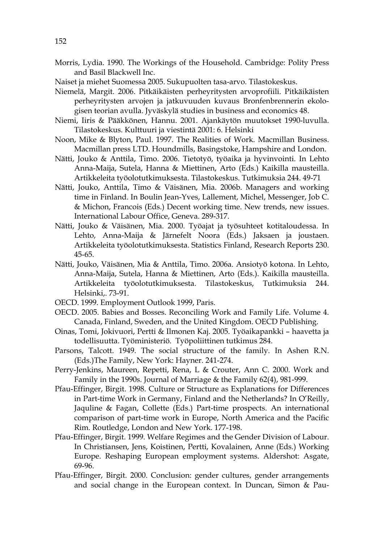- Morris, Lydia. 1990. The Workings of the Household. Cambridge: Polity Press and Basil Blackwell Inc.
- Naiset ja miehet Suomessa 2005. Sukupuolten tasa-arvo. Tilastokeskus.
- Niemelä, Margit. 2006. Pitkäikäisten perheyritysten arvoprofiili. Pitkäikäisten perheyritysten arvojen ja jatkuvuuden kuvaus Bronfenbrennerin ekologisen teorian avulla. Jyväskylä studies in business and economics 48.
- Niemi, Iiris & Pääkkönen, Hannu. 2001. Ajankäytön muutokset 1990-luvulla. Tilastokeskus. Kulttuuri ja viestintä 2001: 6. Helsinki
- Noon, Mike & Blyton, Paul. 1997. The Realities of Work. Macmillan Business. Macmillan press LTD. Houndmills, Basingstoke, Hampshire and London.
- Nätti, Jouko & Anttila, Timo. 2006. Tietotyö, työaika ja hyvinvointi. In Lehto Anna-Maija, Sutela, Hanna & Miettinen, Arto (Eds.) Kaikilla mausteilla. Artikkeleita työolotutkimuksesta. Tilastokeskus. Tutkimuksia 244. 49-71
- Nätti, Jouko, Anttila, Timo & Väisänen, Mia. 2006b. Managers and working time in Finland. In Boulin Jean-Yves, Lallement, Michel, Messenger, Job C. & Michon, Francois (Eds.) Decent working time. New trends, new issues. International Labour Office, Geneva. 289-317.
- Nätti, Jouko & Väisänen, Mia. 2000. Työajat ja työsuhteet kotitaloudessa. In Lehto, Anna-Maija & Järnefelt Noora (Eds.) Jaksaen ja joustaen. Artikkeleita työolotutkimuksesta. Statistics Finland, Research Reports 230. 45-65.
- Nätti, Jouko, Väisänen, Mia & Anttila, Timo. 2006a. Ansiotyö kotona. In Lehto, Anna-Maija, Sutela, Hanna & Miettinen, Arto (Eds.). Kaikilla mausteilla. Artikkeleita työolotutkimuksesta. Tilastokeskus, Tutkimuksia 244. Helsinki,. 73-91.
- OECD. 1999. Employment Outlook 1999, Paris.
- OECD. 2005. Babies and Bosses. Reconciling Work and Family Life. Volume 4. Canada, Finland, Sweden, and the United Kingdom. OECD Publishing.
- Oinas, Tomi, Jokivuori, Pertti & Ilmonen Kaj. 2005. Työaikapankki haavetta ja todellisuutta. Työministeriö. Työpoliittinen tutkimus 284.
- Parsons, Talcott. 1949. The social structure of the family. In Ashen R.N. (Eds.)The Family, New York: Hayner. 241-274.
- Perry-Jenkins, Maureen, Repetti, Rena, L & Crouter, Ann C. 2000. Work and Family in the 1990s. Journal of Marriage & the Family 62(4), 981-999.
- Pfau-Effinger, Birgit. 1998. Culture or Structure as Explanations for Differences in Part-time Work in Germany, Finland and the Netherlands? In O'Reilly, Jaquline & Fagan, Collette (Eds.) Part-time prospects. An international comparison of part-time work in Europe, North America and the Pacific Rim. Routledge, London and New York. 177-198.
- Pfau-Effinger, Birgit. 1999. Welfare Regimes and the Gender Division of Labour. In Christiansen, Jens, Koistinen, Pertti, Kovalainen, Anne (Eds.) Working Europe. Reshaping European employment systems. Aldershot: Asgate, 69-96.
- Pfau-Effinger, Birgit. 2000. Conclusion: gender cultures, gender arrangements and social change in the European context. In Duncan, Simon & Pau-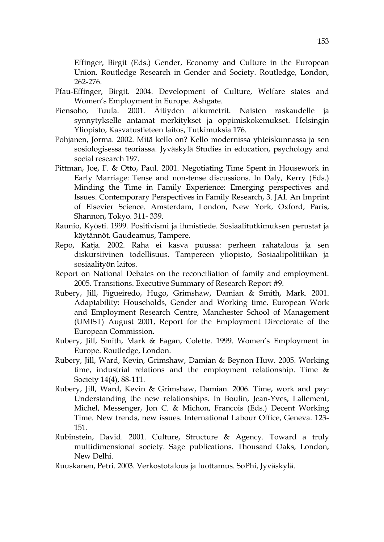Effinger, Birgit (Eds.) Gender, Economy and Culture in the European Union. Routledge Research in Gender and Society. Routledge, London, 262-276.

- Pfau-Effinger, Birgit. 2004. Development of Culture, Welfare states and Women's Employment in Europe. Ashgate.
- Piensoho, Tuula. 2001. Äitiyden alkumetrit. Naisten raskaudelle ja synnytykselle antamat merkitykset ja oppimiskokemukset. Helsingin Yliopisto, Kasvatustieteen laitos, Tutkimuksia 176.
- Pohjanen, Jorma. 2002. Mitä kello on? Kello modernissa yhteiskunnassa ja sen sosiologisessa teoriassa. Jyväskylä Studies in education, psychology and social research 197.
- Pittman, Joe, F. & Otto, Paul. 2001. Negotiating Time Spent in Housework in Early Marriage: Tense and non-tense discussions. In Daly, Kerry (Eds.) Minding the Time in Family Experience: Emerging perspectives and Issues. Contemporary Perspectives in Family Research, 3. JAI. An Imprint of Elsevier Science. Amsterdam, London, New York, Oxford, Paris, Shannon, Tokyo. 311- 339.
- Raunio, Kyösti. 1999. Positivismi ja ihmistiede. Sosiaalitutkimuksen perustat ja käytännöt. Gaudeamus, Tampere.
- Repo, Katja. 2002. Raha ei kasva puussa: perheen rahatalous ja sen diskursiivinen todellisuus. Tampereen yliopisto, Sosiaalipolitiikan ja sosiaalityön laitos.
- Report on National Debates on the reconciliation of family and employment. 2005. Transitions. Executive Summary of Research Report #9.
- Rubery, Jill, Figueiredo, Hugo, Grimshaw, Damian & Smith, Mark. 2001. Adaptability: Households, Gender and Working time. European Work and Employment Research Centre, Manchester School of Management (UMIST) August 2001, Report for the Employment Directorate of the European Commission.
- Rubery, Jill, Smith, Mark & Fagan, Colette. 1999. Women's Employment in Europe. Routledge, London.
- Rubery, Jill, Ward, Kevin, Grimshaw, Damian & Beynon Huw. 2005. Working time, industrial relations and the employment relationship. Time & Society 14(4), 88-111.
- Rubery, Jill, Ward, Kevin & Grimshaw, Damian. 2006. Time, work and pay: Understanding the new relationships. In Boulin, Jean-Yves, Lallement, Michel, Messenger, Jon C. & Michon, Francois (Eds.) Decent Working Time. New trends, new issues. International Labour Office, Geneva. 123- 151.
- Rubinstein, David. 2001. Culture, Structure & Agency. Toward a truly multidimensional society. Sage publications. Thousand Oaks, London, New Delhi.
- Ruuskanen, Petri. 2003. Verkostotalous ja luottamus. SoPhi, Jyväskylä.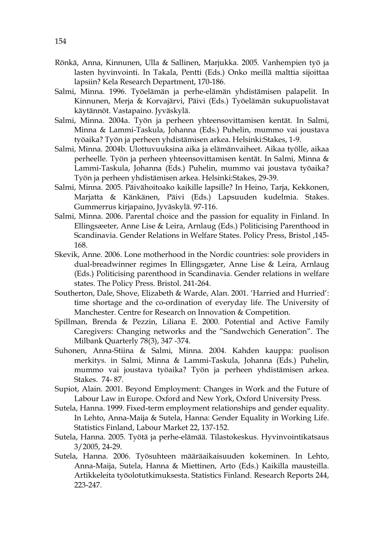- Rönkä, Anna, Kinnunen, Ulla & Sallinen, Marjukka. 2005. Vanhempien työ ja lasten hyvinvointi. In Takala, Pentti (Eds.) Onko meillä malttia sijoittaa lapsiin? Kela Research Department, 170-186.
- Salmi, Minna. 1996. Työelämän ja perhe-elämän yhdistämisen palapelit. In Kinnunen, Merja & Korvajärvi, Päivi (Eds.) Työelämän sukupuolistavat käytännöt. Vastapaino. Jyväskylä.
- Salmi, Minna. 2004a. Työn ja perheen yhteensovittamisen kentät. In Salmi, Minna & Lammi-Taskula, Johanna (Eds.) Puhelin, mummo vai joustava työaika? Työn ja perheen yhdistämisen arkea. Helsinki:Stakes, 1-9.
- Salmi, Minna. 2004b. Ulottuvuuksina aika ja elämänvaiheet. Aikaa työlle, aikaa perheelle. Työn ja perheen yhteensovittamisen kentät. In Salmi, Minna & Lammi-Taskula, Johanna (Eds.) Puhelin, mummo vai joustava työaika? Työn ja perheen yhdistämisen arkea. Helsinki:Stakes, 29-39.
- Salmi, Minna. 2005. Päivähoitoako kaikille lapsille? In Heino, Tarja, Kekkonen, Marjatta & Känkänen, Päivi (Eds.) Lapsuuden kudelmia. Stakes. Gummerrus kirjapaino, Jyväskylä. 97-116.
- Salmi, Minna. 2006. Parental choice and the passion for equality in Finland. In Ellingsæeter, Anne Lise & Leira, Arnlaug (Eds.) Politicising Parenthood in Scandinavia. Gender Relations in Welfare States. Policy Press, Bristol ,145- 168.
- Skevik, Anne. 2006. Lone motherhood in the Nordic countries: sole providers in dual-breadwinner regimes In Ellingsgæter, Anne Lise & Leira, Arnlaug (Eds.) Politicising parenthood in Scandinavia. Gender relations in welfare states. The Policy Press. Bristol. 241-264.
- Southerton, Dale, Shove, Elizabeth & Warde, Alan. 2001. 'Harried and Hurried': time shortage and the co-ordination of everyday life. The University of Manchester. Centre for Research on Innovation & Competition.
- Spillman, Brenda & Pezzin, Liliana E. 2000. Potential and Active Family Caregivers: Changing networks and the "Sandwchich Generation". The Milbank Quarterly 78(3), 347 -374.
- Suhonen, Anna-Stiina & Salmi, Minna. 2004. Kahden kauppa: puolison merkitys. in Salmi, Minna & Lammi-Taskula, Johanna (Eds.) Puhelin, mummo vai joustava työaika? Työn ja perheen yhdistämisen arkea. Stakes. 74- 87.
- Supiot, Alain. 2001. Beyond Employment: Changes in Work and the Future of Labour Law in Europe. Oxford and New York, Oxford University Press.
- Sutela, Hanna. 1999. Fixed-term employment relationships and gender equality. In Lehto, Anna-Maija & Sutela, Hanna: Gender Equality in Working Life. Statistics Finland, Labour Market 22, 137-152.
- Sutela, Hanna. 2005. Työtä ja perhe-elämää. Tilastokeskus. Hyvinvointikatsaus 3/2005, 24-29.
- Sutela, Hanna. 2006. Työsuhteen määräaikaisuuden kokeminen. In Lehto, Anna-Maija, Sutela, Hanna & Miettinen, Arto (Eds.) Kaikilla mausteilla. Artikkeleita työolotutkimuksesta. Statistics Finland. Research Reports 244, 223-247.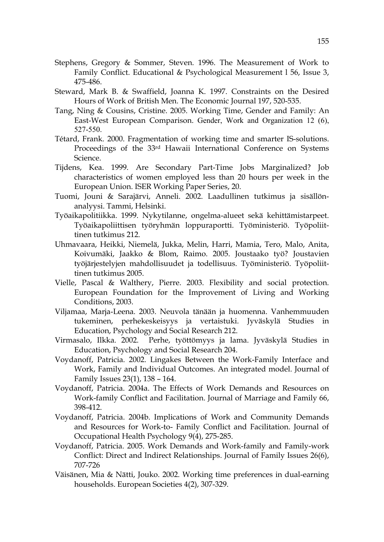- Stephens, Gregory & Sommer, Steven. 1996. The Measurement of Work to Family Conflict. Educational & Psychological Measurement l 56, Issue 3, 475-486.
- Steward, Mark B. & Swaffield, Joanna K. 1997. Constraints on the Desired Hours of Work of British Men. The Economic Journal 197, 520-535.
- Tang, Ning & Cousins, Cristine. 2005. Working Time, Gender and Family: An East-West European Comparison. Gender, Work and Organization 12 (6), 527-550.
- Tétard, Frank. 2000. Fragmentation of working time and smarter IS-solutions. Proceedings of the 33rd Hawaii International Conference on Systems Science.
- Tijdens, Kea. 1999. Are Secondary Part-Time Jobs Marginalized? Job characteristics of women employed less than 20 hours per week in the European Union. ISER Working Paper Series, 20.
- Tuomi, Jouni & Sarajärvi, Anneli. 2002. Laadullinen tutkimus ja sisällönanalyysi. Tammi, Helsinki.
- Työaikapolitiikka. 1999. Nykytilanne, ongelma-alueet sekä kehittämistarpeet. Työaikapoliittisen työryhmän loppuraportti. Työministeriö. Työpoliittinen tutkimus 212.
- Uhmavaara, Heikki, Niemelä, Jukka, Melin, Harri, Mamia, Tero, Malo, Anita, Koivumäki, Jaakko & Blom, Raimo. 2005. Joustaako työ? Joustavien työjärjestelyjen mahdollisuudet ja todellisuus. Työministeriö. Työpoliittinen tutkimus 2005.
- Vielle, Pascal & Walthery, Pierre. 2003. Flexibility and social protection. European Foundation for the Improvement of Living and Working Conditions, 2003.
- Viljamaa, Marja-Leena. 2003. Neuvola tänään ja huomenna. Vanhemmuuden tukeminen, perhekeskeisyys ja vertaistuki. Jyväskylä Studies in Education, Psychology and Social Research 212.
- Virmasalo, Ilkka. 2002. Perhe, työttömyys ja lama. Jyväskylä Studies in Education, Psychology and Social Research 204.
- Voydanoff, Patricia. 2002. Lingakes Between the Work-Family Interface and Work, Family and Individual Outcomes. An integrated model. Journal of Family Issues 23(1), 138 – 164.
- Voydanoff, Patricia. 2004a. The Effects of Work Demands and Resources on Work-family Conflict and Facilitation. Journal of Marriage and Family 66, 398-412.
- Voydanoff, Patricia. 2004b. Implications of Work and Community Demands and Resources for Work-to- Family Conflict and Facilitation. Journal of Occupational Health Psychology 9(4), 275-285.
- Voydanoff, Patricia. 2005. Work Demands and Work-family and Family-work Conflict: Direct and Indirect Relationships. Journal of Family Issues 26(6), 707-726
- Väisänen, Mia & Nätti, Jouko. 2002. Working time preferences in dual-earning households. European Societies 4(2), 307-329.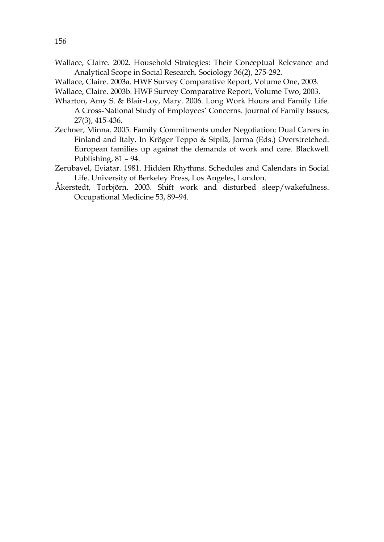- Wallace, Claire. 2002. Household Strategies: Their Conceptual Relevance and Analytical Scope in Social Research. Sociology 36(2), 275-292.
- Wallace, Claire. 2003a. HWF Survey Comparative Report, Volume One, 2003.
- Wallace, Claire. 2003b. HWF Survey Comparative Report, Volume Two, 2003.
- Wharton, Amy S. & Blair-Loy, Mary. 2006. Long Work Hours and Family Life. A Cross-National Study of Employees' Concerns. Journal of Family Issues, 27(3), 415-436.
- Zechner, Minna. 2005. Family Commitments under Negotiation: Dual Carers in Finland and Italy. In Kröger Teppo & Sipilä, Jorma (Eds.) Overstretched. European families up against the demands of work and care. Blackwell Publishing, 81 – 94.
- Zerubavel, Eviatar. 1981. Hidden Rhythms. Schedules and Calendars in Social Life. University of Berkeley Press, Los Angeles, London.
- Åkerstedt, Torbjörn. 2003. Shift work and disturbed sleep/wakefulness. Occupational Medicine 53, 89–94.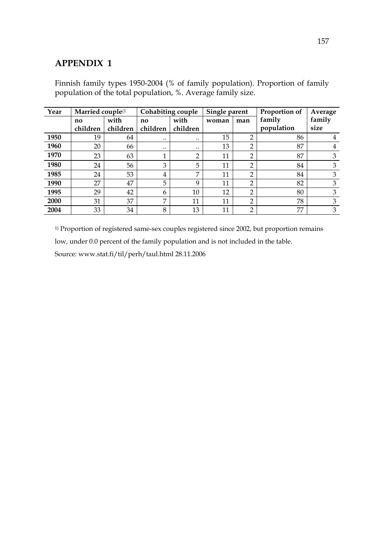### **APPENDIX 1**

| Year | Married couple <sup>(1</sup> |          | <b>Cohabiting couple</b> |                | Single parent |                | Proportion of | Average |
|------|------------------------------|----------|--------------------------|----------------|---------------|----------------|---------------|---------|
|      | no                           | with     | no                       | with           | woman         | man            | family        | family  |
|      | children                     | children | children                 | children       |               |                | population    | size    |
| 1950 | 19                           | 64       | $\ddotsc$                | $\ddotsc$      | 15            | റ              | 86            | 4       |
| 1960 | 20                           | 66       | $\ddotsc$                |                | 13            | $\overline{2}$ | 87            | 4       |
| 1970 | 23                           | 63       | 1<br>л.                  | C              | 11            | $\overline{2}$ | 87            | 3       |
| 1980 | 24                           | 56       | 3                        | 5              | 11            | $\overline{2}$ | 84            | 3       |
| 1985 | 24                           | 53       | 4                        | $\overline{ }$ | 11            | $\overline{2}$ | 84            | 3       |
| 1990 | 27                           | 47       | 5                        | 9              | 11            | $\overline{2}$ | 82            | 3       |
| 1995 | 29                           | 42       | 6                        | 10             | 12            | C              | 80            | 3       |
| 2000 | 31                           | 37       | $\overline{7}$           | 11             | 11            | $\overline{2}$ | 78            | 3       |
| 2004 | 33                           | 34       | 8                        | 13             | 11            | $\overline{2}$ | 77            | 3       |

Finnish family types 1950-2004 (% of family population). Proportion of family population of the total population, %. Average family size.

<sup>1)</sup> Proportion of registered same-sex couples registered since 2002, but proportion remains low, under 0.0 percent of the family population and is not included in the table. Source: www.stat.fi/til/perh/taul.html 28.11.2006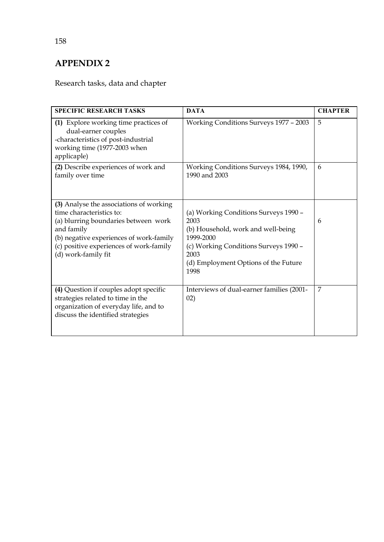# **APPENDIX 2**

# Research tasks, data and chapter

| <b>SPECIFIC RESEARCH TASKS</b>                                                                                                                                                                                                         | <b>DATA</b>                                                                                                                                                                                       | <b>CHAPTER</b> |
|----------------------------------------------------------------------------------------------------------------------------------------------------------------------------------------------------------------------------------------|---------------------------------------------------------------------------------------------------------------------------------------------------------------------------------------------------|----------------|
| (1) Explore working time practices of<br>dual-earner couples<br>-characteristics of post-industrial<br>working time (1977-2003 when<br>applicaple)                                                                                     | Working Conditions Surveys 1977 - 2003                                                                                                                                                            | 5              |
| (2) Describe experiences of work and<br>family over time                                                                                                                                                                               | Working Conditions Surveys 1984, 1990,<br>1990 and 2003                                                                                                                                           | 6              |
| (3) Analyse the associations of working<br>time characteristics to:<br>(a) blurring boundaries between work<br>and family<br>(b) negative experiences of work-family<br>(c) positive experiences of work-family<br>(d) work-family fit | (a) Working Conditions Surveys 1990 -<br>2003<br>(b) Household, work and well-being<br>1999-2000<br>(c) Working Conditions Surveys 1990 -<br>2003<br>(d) Employment Options of the Future<br>1998 | 6              |
| (4) Question if couples adopt specific<br>strategies related to time in the<br>organization of everyday life, and to<br>discuss the identified strategies                                                                              | Interviews of dual-earner families (2001-<br>02)                                                                                                                                                  | 7              |